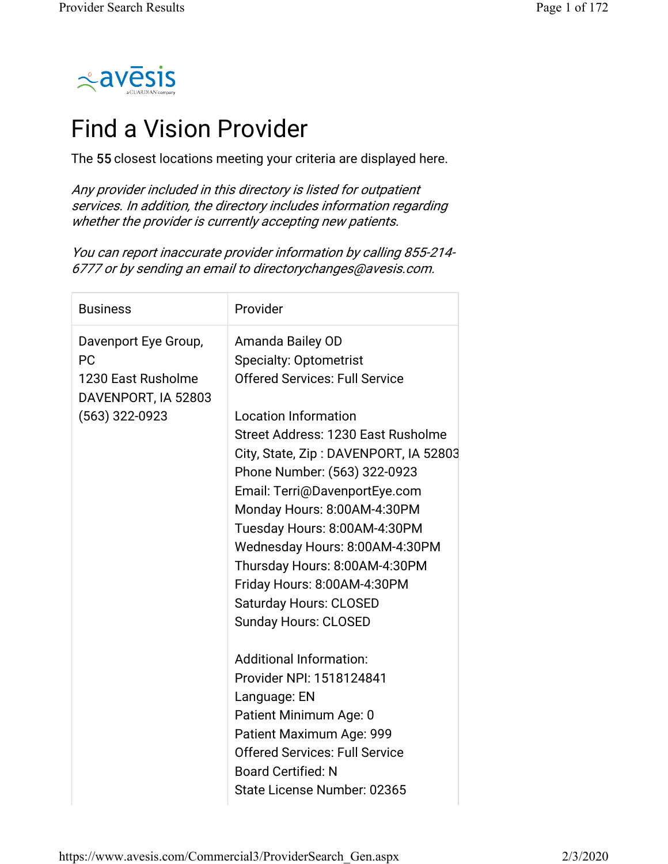

## Find a Vision Provider

The 55 closest locations meeting your criteria are displayed here.

Any provider included in this directory is listed for outpatient services. In addition, the directory includes information regarding whether the provider is currently accepting new patients.

You can report inaccurate provider information by calling 855-214- 6777 or by sending an email to directorychanges@avesis.com.

| <b>Business</b>                                                                                    | Provider                                                                                                                                                                                                                                                                                                                                                                                                                                                                                                   |
|----------------------------------------------------------------------------------------------------|------------------------------------------------------------------------------------------------------------------------------------------------------------------------------------------------------------------------------------------------------------------------------------------------------------------------------------------------------------------------------------------------------------------------------------------------------------------------------------------------------------|
| Davenport Eye Group,<br><b>PC</b><br>1230 East Rusholme<br>DAVENPORT, IA 52803<br>$(563)$ 322-0923 | Amanda Bailey OD<br><b>Specialty: Optometrist</b><br><b>Offered Services: Full Service</b><br><b>Location Information</b><br>Street Address: 1230 East Rusholme<br>City, State, Zip: DAVENPORT, IA 52803<br>Phone Number: (563) 322-0923<br>Email: Terri@DavenportEye.com<br>Monday Hours: 8:00AM-4:30PM<br>Tuesday Hours: 8:00AM-4:30PM<br>Wednesday Hours: 8:00AM-4:30PM<br>Thursday Hours: 8:00AM-4:30PM<br>Friday Hours: 8:00AM-4:30PM<br><b>Saturday Hours: CLOSED</b><br><b>Sunday Hours: CLOSED</b> |
|                                                                                                    | <b>Additional Information:</b><br>Provider NPI: 1518124841<br>Language: EN<br>Patient Minimum Age: 0<br>Patient Maximum Age: 999<br><b>Offered Services: Full Service</b><br><b>Board Certified: N</b><br>State License Number: 02365                                                                                                                                                                                                                                                                      |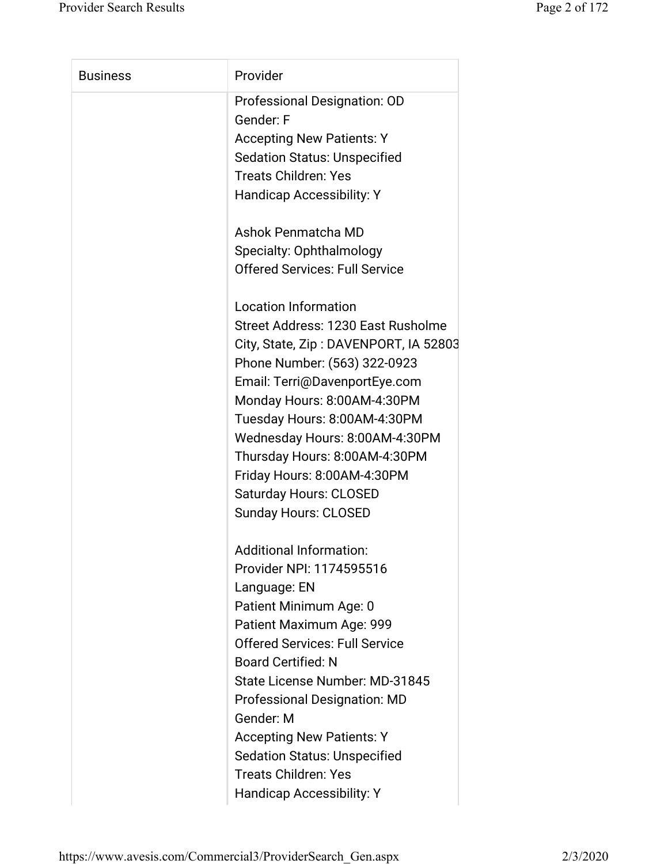| <b>Business</b> | Provider                              |
|-----------------|---------------------------------------|
|                 | Professional Designation: OD          |
|                 | Gender: F                             |
|                 | <b>Accepting New Patients: Y</b>      |
|                 | <b>Sedation Status: Unspecified</b>   |
|                 | <b>Treats Children: Yes</b>           |
|                 | <b>Handicap Accessibility: Y</b>      |
|                 | Ashok Penmatcha MD                    |
|                 | Specialty: Ophthalmology              |
|                 | <b>Offered Services: Full Service</b> |
|                 | <b>Location Information</b>           |
|                 | Street Address: 1230 East Rusholme    |
|                 | City, State, Zip: DAVENPORT, IA 52803 |
|                 | Phone Number: (563) 322-0923          |
|                 | Email: Terri@DavenportEye.com         |
|                 | Monday Hours: 8:00AM-4:30PM           |
|                 | Tuesday Hours: 8:00AM-4:30PM          |
|                 | Wednesday Hours: 8:00AM-4:30PM        |
|                 | Thursday Hours: 8:00AM-4:30PM         |
|                 | Friday Hours: 8:00AM-4:30PM           |
|                 | <b>Saturday Hours: CLOSED</b>         |
|                 | <b>Sunday Hours: CLOSED</b>           |
|                 | <b>Additional Information:</b>        |
|                 | Provider NPI: 1174595516              |
|                 | Language: EN                          |
|                 | Patient Minimum Age: 0                |
|                 | Patient Maximum Age: 999              |
|                 | <b>Offered Services: Full Service</b> |
|                 | <b>Board Certified: N</b>             |
|                 | State License Number: MD-31845        |
|                 | <b>Professional Designation: MD</b>   |
|                 | Gender: M                             |
|                 | <b>Accepting New Patients: Y</b>      |
|                 | <b>Sedation Status: Unspecified</b>   |
|                 | <b>Treats Children: Yes</b>           |
|                 | Handicap Accessibility: Y             |
|                 |                                       |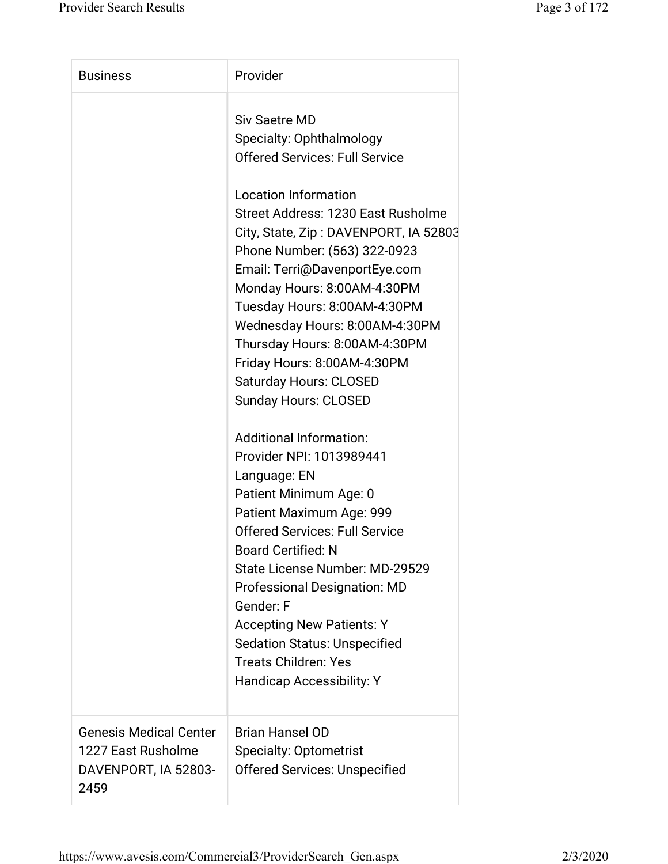| <b>Business</b>                                                                     | Provider                                                                                                                                                                                                                                                                                                                                                                                                                            |
|-------------------------------------------------------------------------------------|-------------------------------------------------------------------------------------------------------------------------------------------------------------------------------------------------------------------------------------------------------------------------------------------------------------------------------------------------------------------------------------------------------------------------------------|
|                                                                                     | <b>Siv Saetre MD</b><br>Specialty: Ophthalmology<br><b>Offered Services: Full Service</b>                                                                                                                                                                                                                                                                                                                                           |
|                                                                                     | <b>Location Information</b><br>Street Address: 1230 East Rusholme<br>City, State, Zip: DAVENPORT, IA 52803<br>Phone Number: (563) 322-0923<br>Email: Terri@DavenportEye.com<br>Monday Hours: 8:00AM-4:30PM<br>Tuesday Hours: 8:00AM-4:30PM<br>Wednesday Hours: 8:00AM-4:30PM<br>Thursday Hours: 8:00AM-4:30PM<br>Friday Hours: 8:00AM-4:30PM<br><b>Saturday Hours: CLOSED</b><br><b>Sunday Hours: CLOSED</b>                        |
|                                                                                     | <b>Additional Information:</b><br>Provider NPI: 1013989441<br>Language: EN<br>Patient Minimum Age: 0<br>Patient Maximum Age: 999<br><b>Offered Services: Full Service</b><br><b>Board Certified: N</b><br>State License Number: MD-29529<br><b>Professional Designation: MD</b><br>Gender: F<br><b>Accepting New Patients: Y</b><br><b>Sedation Status: Unspecified</b><br><b>Treats Children: Yes</b><br>Handicap Accessibility: Y |
| <b>Genesis Medical Center</b><br>1227 East Rusholme<br>DAVENPORT, IA 52803-<br>2459 | <b>Brian Hansel OD</b><br><b>Specialty: Optometrist</b><br><b>Offered Services: Unspecified</b>                                                                                                                                                                                                                                                                                                                                     |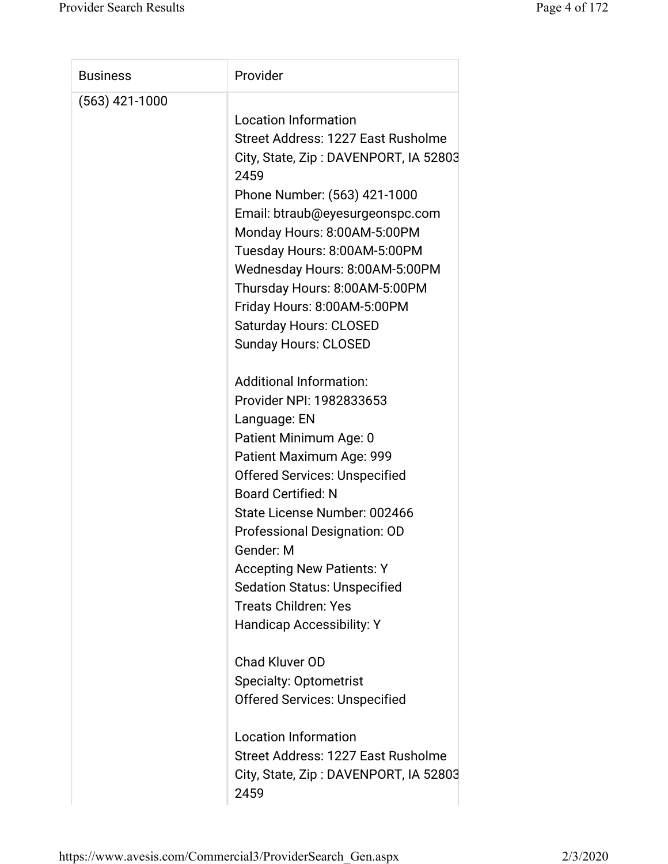| <b>Business</b>  | Provider                              |
|------------------|---------------------------------------|
| $(563)$ 421-1000 |                                       |
|                  | <b>Location Information</b>           |
|                  | Street Address: 1227 East Rusholme    |
|                  | City, State, Zip: DAVENPORT, IA 52803 |
|                  | 2459                                  |
|                  | Phone Number: (563) 421-1000          |
|                  | Email: btraub@eyesurgeonspc.com       |
|                  | Monday Hours: 8:00AM-5:00PM           |
|                  | Tuesday Hours: 8:00AM-5:00PM          |
|                  | Wednesday Hours: 8:00AM-5:00PM        |
|                  | Thursday Hours: 8:00AM-5:00PM         |
|                  | Friday Hours: 8:00AM-5:00PM           |
|                  | <b>Saturday Hours: CLOSED</b>         |
|                  | <b>Sunday Hours: CLOSED</b>           |
|                  |                                       |
|                  | <b>Additional Information:</b>        |
|                  | Provider NPI: 1982833653              |
|                  | Language: EN                          |
|                  | Patient Minimum Age: 0                |
|                  | Patient Maximum Age: 999              |
|                  | <b>Offered Services: Unspecified</b>  |
|                  | <b>Board Certified: N</b>             |
|                  | State License Number: 002466          |
|                  | Professional Designation: OD          |
|                  | Gender: M                             |
|                  | <b>Accepting New Patients: Y</b>      |
|                  | <b>Sedation Status: Unspecified</b>   |
|                  | <b>Treats Children: Yes</b>           |
|                  | <b>Handicap Accessibility: Y</b>      |
|                  |                                       |
|                  | <b>Chad Kluver OD</b>                 |
|                  | <b>Specialty: Optometrist</b>         |
|                  | <b>Offered Services: Unspecified</b>  |
|                  |                                       |
|                  | <b>Location Information</b>           |
|                  | Street Address: 1227 East Rusholme    |
|                  | City, State, Zip: DAVENPORT, IA 52803 |
|                  | 2459                                  |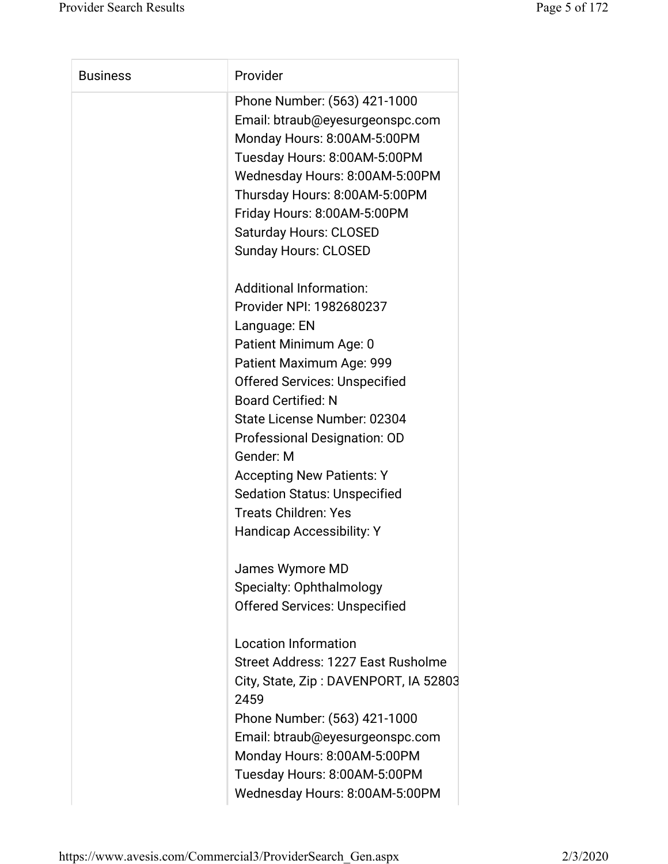| <b>Business</b> | Provider                              |
|-----------------|---------------------------------------|
|                 | Phone Number: (563) 421-1000          |
|                 | Email: btraub@eyesurgeonspc.com       |
|                 | Monday Hours: 8:00AM-5:00PM           |
|                 | Tuesday Hours: 8:00AM-5:00PM          |
|                 | Wednesday Hours: 8:00AM-5:00PM        |
|                 | Thursday Hours: 8:00AM-5:00PM         |
|                 | Friday Hours: 8:00AM-5:00PM           |
|                 | <b>Saturday Hours: CLOSED</b>         |
|                 | <b>Sunday Hours: CLOSED</b>           |
|                 | <b>Additional Information:</b>        |
|                 | Provider NPI: 1982680237              |
|                 | Language: EN                          |
|                 | Patient Minimum Age: 0                |
|                 | Patient Maximum Age: 999              |
|                 | <b>Offered Services: Unspecified</b>  |
|                 | <b>Board Certified: N</b>             |
|                 | State License Number: 02304           |
|                 | Professional Designation: OD          |
|                 | Gender: M                             |
|                 | <b>Accepting New Patients: Y</b>      |
|                 | <b>Sedation Status: Unspecified</b>   |
|                 | <b>Treats Children: Yes</b>           |
|                 | <b>Handicap Accessibility: Y</b>      |
|                 | James Wymore MD                       |
|                 | Specialty: Ophthalmology              |
|                 | <b>Offered Services: Unspecified</b>  |
|                 | <b>Location Information</b>           |
|                 | Street Address: 1227 East Rusholme    |
|                 | City, State, Zip: DAVENPORT, IA 52803 |
|                 | 2459                                  |
|                 | Phone Number: (563) 421-1000          |
|                 | Email: btraub@eyesurgeonspc.com       |
|                 | Monday Hours: 8:00AM-5:00PM           |
|                 | Tuesday Hours: 8:00AM-5:00PM          |
|                 |                                       |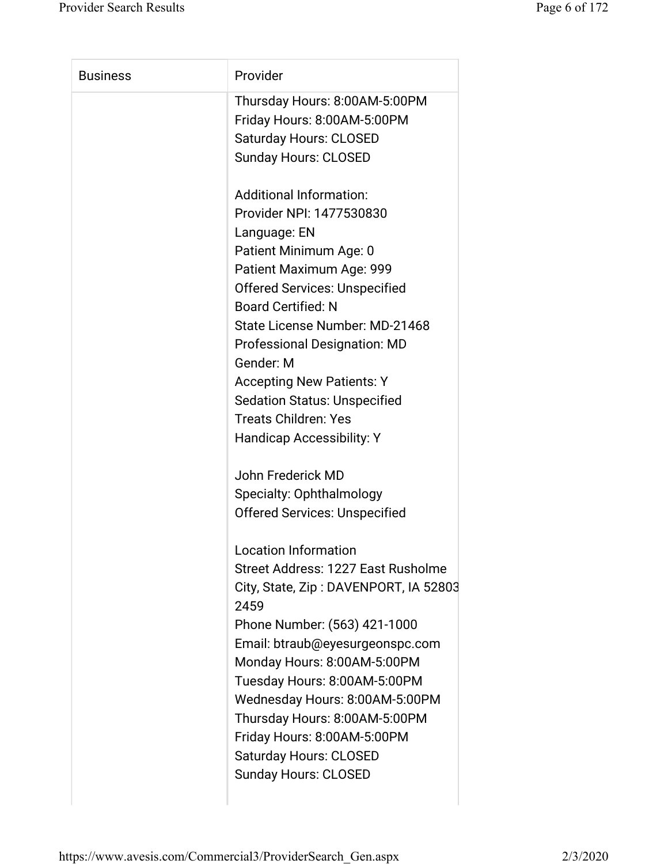| <b>Business</b> | Provider                              |
|-----------------|---------------------------------------|
|                 | Thursday Hours: 8:00AM-5:00PM         |
|                 | Friday Hours: 8:00AM-5:00PM           |
|                 | <b>Saturday Hours: CLOSED</b>         |
|                 | <b>Sunday Hours: CLOSED</b>           |
|                 | <b>Additional Information:</b>        |
|                 | Provider NPI: 1477530830              |
|                 | Language: EN                          |
|                 | Patient Minimum Age: 0                |
|                 | Patient Maximum Age: 999              |
|                 | <b>Offered Services: Unspecified</b>  |
|                 | <b>Board Certified: N</b>             |
|                 | State License Number: MD-21468        |
|                 | <b>Professional Designation: MD</b>   |
|                 | Gender: M                             |
|                 | <b>Accepting New Patients: Y</b>      |
|                 | <b>Sedation Status: Unspecified</b>   |
|                 | <b>Treats Children: Yes</b>           |
|                 | <b>Handicap Accessibility: Y</b>      |
|                 | John Frederick MD                     |
|                 | Specialty: Ophthalmology              |
|                 | <b>Offered Services: Unspecified</b>  |
|                 | <b>Location Information</b>           |
|                 | Street Address: 1227 East Rusholme    |
|                 | City, State, Zip: DAVENPORT, IA 52803 |
|                 | 2459                                  |
|                 | Phone Number: (563) 421-1000          |
|                 | Email: btraub@eyesurgeonspc.com       |
|                 | Monday Hours: 8:00AM-5:00PM           |
|                 | Tuesday Hours: 8:00AM-5:00PM          |
|                 | Wednesday Hours: 8:00AM-5:00PM        |
|                 | Thursday Hours: 8:00AM-5:00PM         |
|                 | Friday Hours: 8:00AM-5:00PM           |
|                 | <b>Saturday Hours: CLOSED</b>         |
|                 | <b>Sunday Hours: CLOSED</b>           |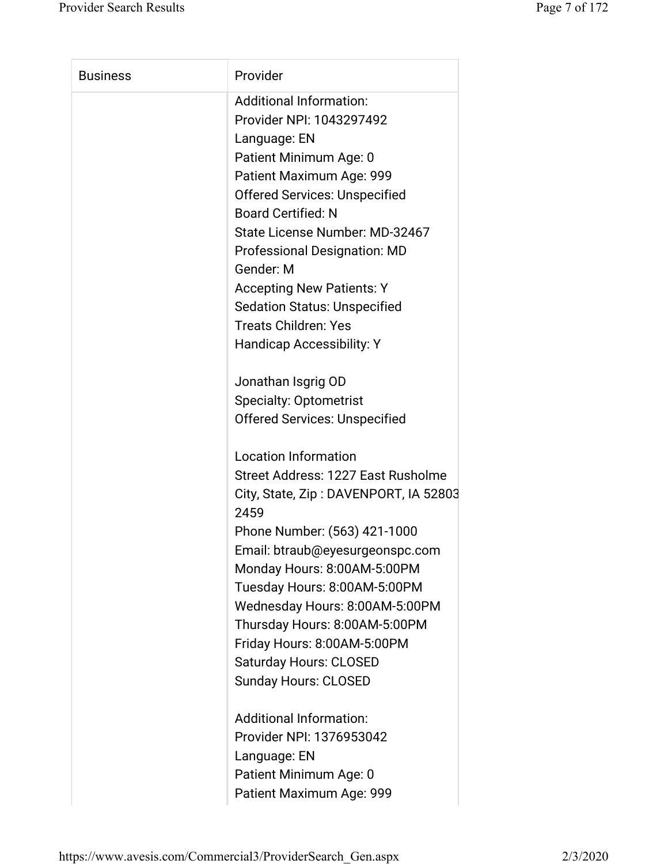| <b>Business</b> | Provider                                      |
|-----------------|-----------------------------------------------|
|                 | <b>Additional Information:</b>                |
|                 | Provider NPI: 1043297492                      |
|                 | Language: EN                                  |
|                 | Patient Minimum Age: 0                        |
|                 | Patient Maximum Age: 999                      |
|                 | <b>Offered Services: Unspecified</b>          |
|                 | <b>Board Certified: N</b>                     |
|                 | State License Number: MD-32467                |
|                 | <b>Professional Designation: MD</b>           |
|                 | Gender: M                                     |
|                 | <b>Accepting New Patients: Y</b>              |
|                 | <b>Sedation Status: Unspecified</b>           |
|                 | <b>Treats Children: Yes</b>                   |
|                 | <b>Handicap Accessibility: Y</b>              |
|                 | Jonathan Isgrig OD                            |
|                 | <b>Specialty: Optometrist</b>                 |
|                 | <b>Offered Services: Unspecified</b>          |
|                 | <b>Location Information</b>                   |
|                 | Street Address: 1227 East Rusholme            |
|                 | City, State, Zip: DAVENPORT, IA 52803<br>2459 |
|                 | Phone Number: (563) 421-1000                  |
|                 | Email: btraub@eyesurgeonspc.com               |
|                 | Monday Hours: 8:00AM-5:00PM                   |
|                 | Tuesday Hours: 8:00AM-5:00PM                  |
|                 | Wednesday Hours: 8:00AM-5:00PM                |
|                 | Thursday Hours: 8:00AM-5:00PM                 |
|                 | Friday Hours: 8:00AM-5:00PM                   |
|                 | <b>Saturday Hours: CLOSED</b>                 |
|                 | <b>Sunday Hours: CLOSED</b>                   |
|                 | <b>Additional Information:</b>                |
|                 | Provider NPI: 1376953042                      |
|                 | Language: EN                                  |
|                 | Patient Minimum Age: 0                        |
|                 | Patient Maximum Age: 999                      |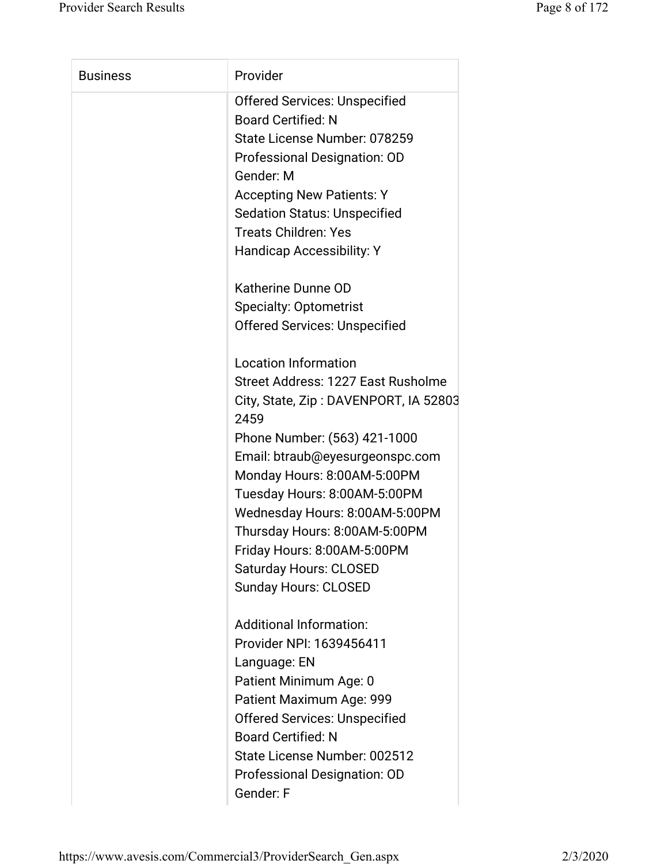| <b>Business</b> | Provider                                      |
|-----------------|-----------------------------------------------|
|                 | <b>Offered Services: Unspecified</b>          |
|                 | <b>Board Certified: N</b>                     |
|                 | State License Number: 078259                  |
|                 | Professional Designation: OD                  |
|                 | Gender: M                                     |
|                 | <b>Accepting New Patients: Y</b>              |
|                 | <b>Sedation Status: Unspecified</b>           |
|                 | <b>Treats Children: Yes</b>                   |
|                 | <b>Handicap Accessibility: Y</b>              |
|                 | Katherine Dunne OD                            |
|                 | <b>Specialty: Optometrist</b>                 |
|                 | <b>Offered Services: Unspecified</b>          |
|                 | <b>Location Information</b>                   |
|                 | Street Address: 1227 East Rusholme            |
|                 | City, State, Zip: DAVENPORT, IA 52803<br>2459 |
|                 | Phone Number: (563) 421-1000                  |
|                 | Email: btraub@eyesurgeonspc.com               |
|                 | Monday Hours: 8:00AM-5:00PM                   |
|                 | Tuesday Hours: 8:00AM-5:00PM                  |
|                 | Wednesday Hours: 8:00AM-5:00PM                |
|                 | Thursday Hours: 8:00AM-5:00PM                 |
|                 | Friday Hours: 8:00AM-5:00PM                   |
|                 | <b>Saturday Hours: CLOSED</b>                 |
|                 | <b>Sunday Hours: CLOSED</b>                   |
|                 | <b>Additional Information:</b>                |
|                 | Provider NPI: 1639456411                      |
|                 | Language: EN                                  |
|                 | Patient Minimum Age: 0                        |
|                 | Patient Maximum Age: 999                      |
|                 | <b>Offered Services: Unspecified</b>          |
|                 | <b>Board Certified: N</b>                     |
|                 | State License Number: 002512                  |
|                 | Professional Designation: OD                  |
|                 | Gender: F                                     |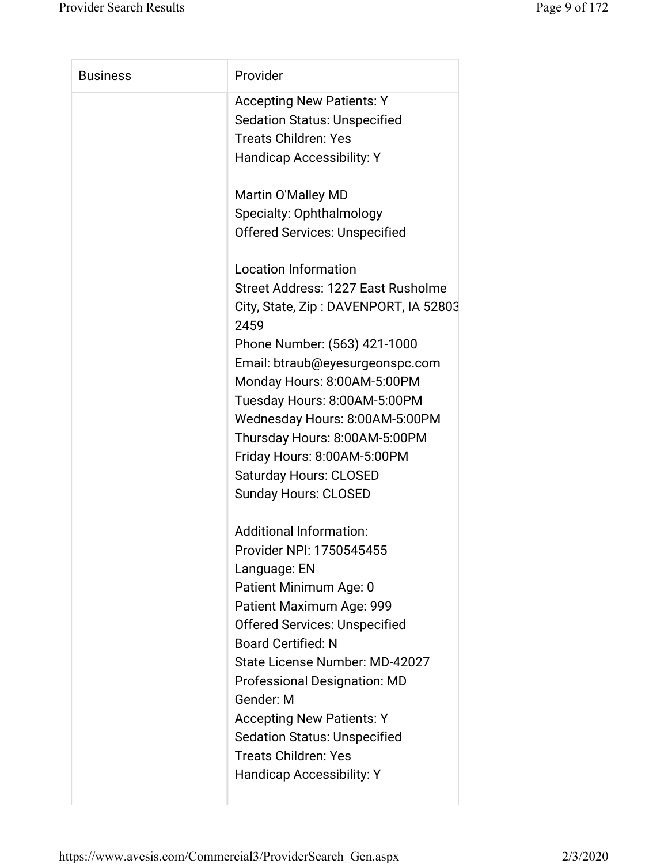| <b>Business</b> | Provider                                                                |
|-----------------|-------------------------------------------------------------------------|
|                 | <b>Accepting New Patients: Y</b><br><b>Sedation Status: Unspecified</b> |
|                 | <b>Treats Children: Yes</b>                                             |
|                 | <b>Handicap Accessibility: Y</b>                                        |
|                 | Martin O'Malley MD                                                      |
|                 | <b>Specialty: Ophthalmology</b>                                         |
|                 | <b>Offered Services: Unspecified</b>                                    |
|                 | <b>Location Information</b>                                             |
|                 | Street Address: 1227 East Rusholme                                      |
|                 | City, State, Zip: DAVENPORT, IA 52803<br>2459                           |
|                 | Phone Number: (563) 421-1000                                            |
|                 | Email: btraub@eyesurgeonspc.com                                         |
|                 | Monday Hours: 8:00AM-5:00PM                                             |
|                 | Tuesday Hours: 8:00AM-5:00PM                                            |
|                 | Wednesday Hours: 8:00AM-5:00PM                                          |
|                 | Thursday Hours: 8:00AM-5:00PM                                           |
|                 | Friday Hours: 8:00AM-5:00PM                                             |
|                 | <b>Saturday Hours: CLOSED</b>                                           |
|                 | <b>Sunday Hours: CLOSED</b>                                             |
|                 | <b>Additional Information:</b>                                          |
|                 | Provider NPI: 1750545455                                                |
|                 | Language: EN                                                            |
|                 | Patient Minimum Age: 0                                                  |
|                 | Patient Maximum Age: 999                                                |
|                 | <b>Offered Services: Unspecified</b>                                    |
|                 | <b>Board Certified: N</b>                                               |
|                 | State License Number: MD-42027                                          |
|                 | <b>Professional Designation: MD</b>                                     |
|                 | Gender: M                                                               |
|                 | <b>Accepting New Patients: Y</b>                                        |
|                 | <b>Sedation Status: Unspecified</b>                                     |
|                 | <b>Treats Children: Yes</b>                                             |
|                 | Handicap Accessibility: Y                                               |
|                 |                                                                         |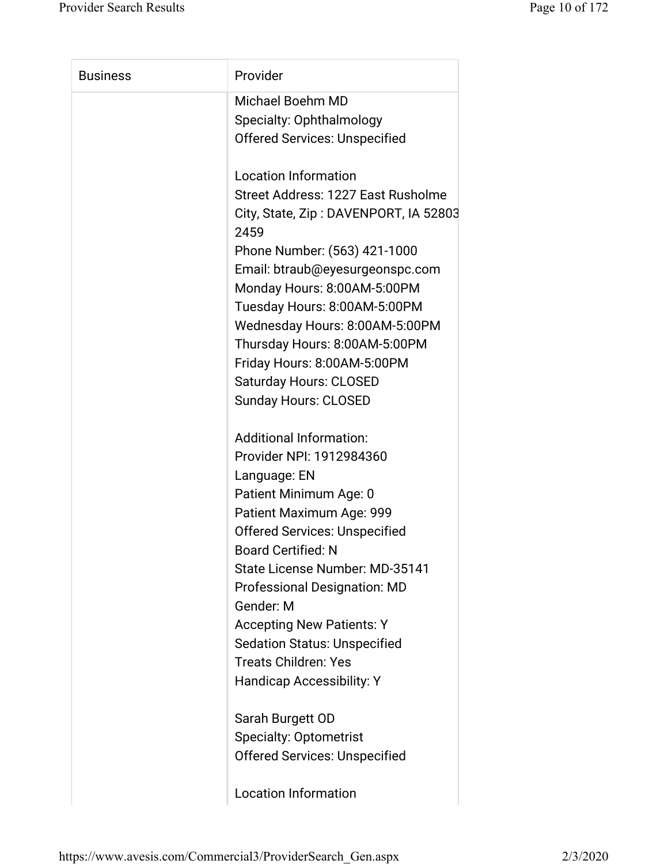| <b>Business</b> | Provider                                      |
|-----------------|-----------------------------------------------|
|                 | <b>Michael Boehm MD</b>                       |
|                 | Specialty: Ophthalmology                      |
|                 | <b>Offered Services: Unspecified</b>          |
|                 | <b>Location Information</b>                   |
|                 | Street Address: 1227 East Rusholme            |
|                 | City, State, Zip: DAVENPORT, IA 52803<br>2459 |
|                 | Phone Number: (563) 421-1000                  |
|                 | Email: btraub@eyesurgeonspc.com               |
|                 | Monday Hours: 8:00AM-5:00PM                   |
|                 | Tuesday Hours: 8:00AM-5:00PM                  |
|                 | Wednesday Hours: 8:00AM-5:00PM                |
|                 | Thursday Hours: 8:00AM-5:00PM                 |
|                 | Friday Hours: 8:00AM-5:00PM                   |
|                 | <b>Saturday Hours: CLOSED</b>                 |
|                 | <b>Sunday Hours: CLOSED</b>                   |
|                 | <b>Additional Information:</b>                |
|                 | Provider NPI: 1912984360                      |
|                 | Language: EN                                  |
|                 | Patient Minimum Age: 0                        |
|                 | Patient Maximum Age: 999                      |
|                 | <b>Offered Services: Unspecified</b>          |
|                 | <b>Board Certified: N</b>                     |
|                 | State License Number: MD-35141                |
|                 | <b>Professional Designation: MD</b>           |
|                 | Gender: M                                     |
|                 | <b>Accepting New Patients: Y</b>              |
|                 | <b>Sedation Status: Unspecified</b>           |
|                 | <b>Treats Children: Yes</b>                   |
|                 | <b>Handicap Accessibility: Y</b>              |
|                 | Sarah Burgett OD                              |
|                 | <b>Specialty: Optometrist</b>                 |
|                 | <b>Offered Services: Unspecified</b>          |
|                 |                                               |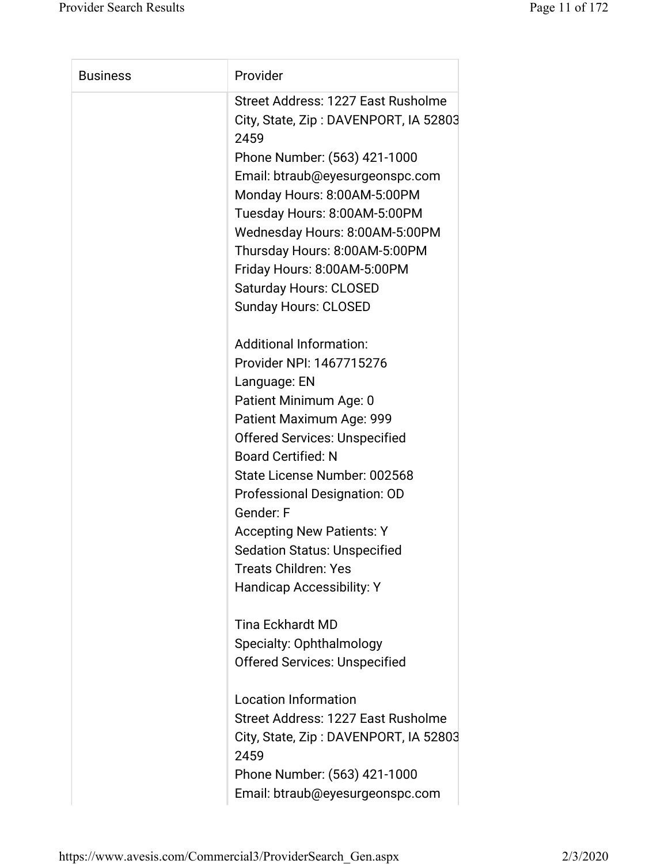| <b>Business</b> | Provider                                      |
|-----------------|-----------------------------------------------|
|                 | Street Address: 1227 East Rusholme            |
|                 | City, State, Zip: DAVENPORT, IA 52803<br>2459 |
|                 | Phone Number: (563) 421-1000                  |
|                 | Email: btraub@eyesurgeonspc.com               |
|                 | Monday Hours: 8:00AM-5:00PM                   |
|                 | Tuesday Hours: 8:00AM-5:00PM                  |
|                 | Wednesday Hours: 8:00AM-5:00PM                |
|                 | Thursday Hours: 8:00AM-5:00PM                 |
|                 | Friday Hours: 8:00AM-5:00PM                   |
|                 | <b>Saturday Hours: CLOSED</b>                 |
|                 | <b>Sunday Hours: CLOSED</b>                   |
|                 | <b>Additional Information:</b>                |
|                 | Provider NPI: 1467715276                      |
|                 | Language: EN                                  |
|                 | Patient Minimum Age: 0                        |
|                 | Patient Maximum Age: 999                      |
|                 | <b>Offered Services: Unspecified</b>          |
|                 | <b>Board Certified: N</b>                     |
|                 | State License Number: 002568                  |
|                 | Professional Designation: OD                  |
|                 | Gender: F                                     |
|                 | <b>Accepting New Patients: Y</b>              |
|                 | <b>Sedation Status: Unspecified</b>           |
|                 | <b>Treats Children: Yes</b>                   |
|                 | <b>Handicap Accessibility: Y</b>              |
|                 | <b>Tina Eckhardt MD</b>                       |
|                 | Specialty: Ophthalmology                      |
|                 | <b>Offered Services: Unspecified</b>          |
|                 | <b>Location Information</b>                   |
|                 | Street Address: 1227 East Rusholme            |
|                 | City, State, Zip: DAVENPORT, IA 52803<br>2459 |
|                 | Phone Number: (563) 421-1000                  |
|                 |                                               |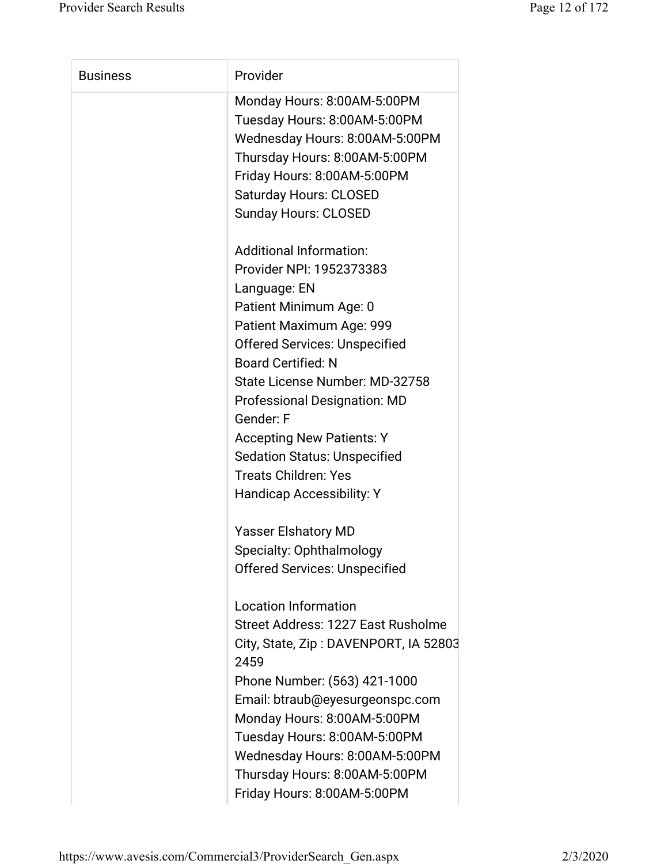| <b>Business</b> | Provider                                      |
|-----------------|-----------------------------------------------|
|                 | Monday Hours: 8:00AM-5:00PM                   |
|                 | Tuesday Hours: 8:00AM-5:00PM                  |
|                 | Wednesday Hours: 8:00AM-5:00PM                |
|                 | Thursday Hours: 8:00AM-5:00PM                 |
|                 | Friday Hours: 8:00AM-5:00PM                   |
|                 | <b>Saturday Hours: CLOSED</b>                 |
|                 | <b>Sunday Hours: CLOSED</b>                   |
|                 | <b>Additional Information:</b>                |
|                 | Provider NPI: 1952373383                      |
|                 | Language: EN                                  |
|                 | Patient Minimum Age: 0                        |
|                 | Patient Maximum Age: 999                      |
|                 | <b>Offered Services: Unspecified</b>          |
|                 | <b>Board Certified: N</b>                     |
|                 | State License Number: MD-32758                |
|                 | <b>Professional Designation: MD</b>           |
|                 | Gender: F                                     |
|                 | <b>Accepting New Patients: Y</b>              |
|                 | <b>Sedation Status: Unspecified</b>           |
|                 | <b>Treats Children: Yes</b>                   |
|                 | <b>Handicap Accessibility: Y</b>              |
|                 | <b>Yasser Elshatory MD</b>                    |
|                 | Specialty: Ophthalmology                      |
|                 | <b>Offered Services: Unspecified</b>          |
|                 | <b>Location Information</b>                   |
|                 | Street Address: 1227 East Rusholme            |
|                 | City, State, Zip: DAVENPORT, IA 52803<br>2459 |
|                 |                                               |
|                 | Phone Number: (563) 421-1000                  |
|                 | Email: btraub@eyesurgeonspc.com               |
|                 | Monday Hours: 8:00AM-5:00PM                   |
|                 | Tuesday Hours: 8:00AM-5:00PM                  |
|                 | Wednesday Hours: 8:00AM-5:00PM                |
|                 | Thursday Hours: 8:00AM-5:00PM                 |
|                 | Friday Hours: 8:00AM-5:00PM                   |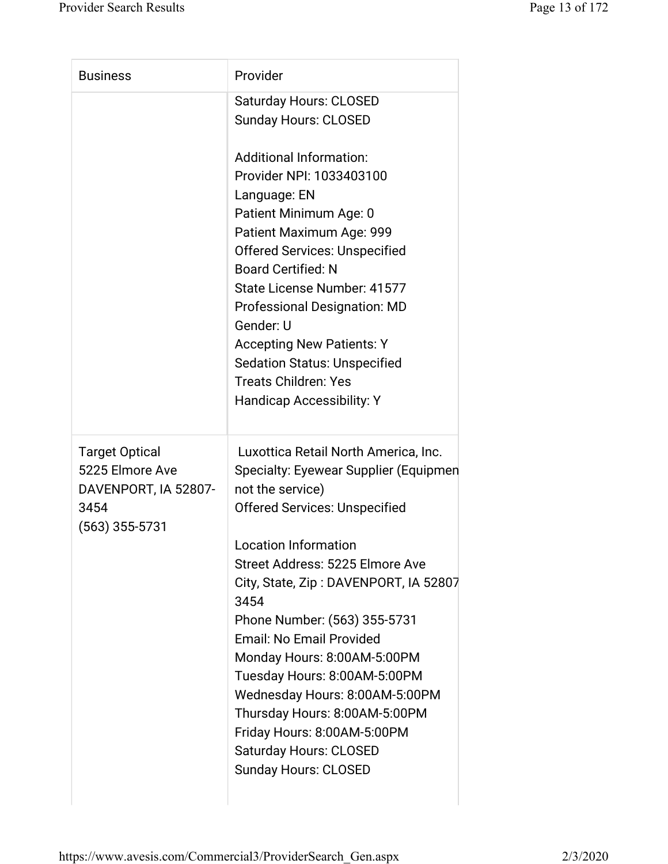| <b>Business</b>                                                                              | Provider                                                                                                                                                                                                                                                                                                                                                                                                                                                                                                                                                         |
|----------------------------------------------------------------------------------------------|------------------------------------------------------------------------------------------------------------------------------------------------------------------------------------------------------------------------------------------------------------------------------------------------------------------------------------------------------------------------------------------------------------------------------------------------------------------------------------------------------------------------------------------------------------------|
|                                                                                              | <b>Saturday Hours: CLOSED</b><br><b>Sunday Hours: CLOSED</b>                                                                                                                                                                                                                                                                                                                                                                                                                                                                                                     |
|                                                                                              | <b>Additional Information:</b><br>Provider NPI: 1033403100<br>Language: EN<br>Patient Minimum Age: 0<br>Patient Maximum Age: 999<br><b>Offered Services: Unspecified</b><br><b>Board Certified: N</b><br>State License Number: 41577<br><b>Professional Designation: MD</b><br>Gender: U<br><b>Accepting New Patients: Y</b><br><b>Sedation Status: Unspecified</b><br><b>Treats Children: Yes</b><br><b>Handicap Accessibility: Y</b>                                                                                                                           |
| <b>Target Optical</b><br>5225 Elmore Ave<br>DAVENPORT, IA 52807-<br>3454<br>$(563)$ 355-5731 | Luxottica Retail North America, Inc.<br>Specialty: Eyewear Supplier (Equipmen<br>not the service)<br><b>Offered Services: Unspecified</b><br><b>Location Information</b><br>Street Address: 5225 Elmore Ave<br>City, State, Zip: DAVENPORT, IA 52807<br>3454<br>Phone Number: (563) 355-5731<br><b>Email: No Email Provided</b><br>Monday Hours: 8:00AM-5:00PM<br>Tuesday Hours: 8:00AM-5:00PM<br>Wednesday Hours: 8:00AM-5:00PM<br>Thursday Hours: 8:00AM-5:00PM<br>Friday Hours: 8:00AM-5:00PM<br><b>Saturday Hours: CLOSED</b><br><b>Sunday Hours: CLOSED</b> |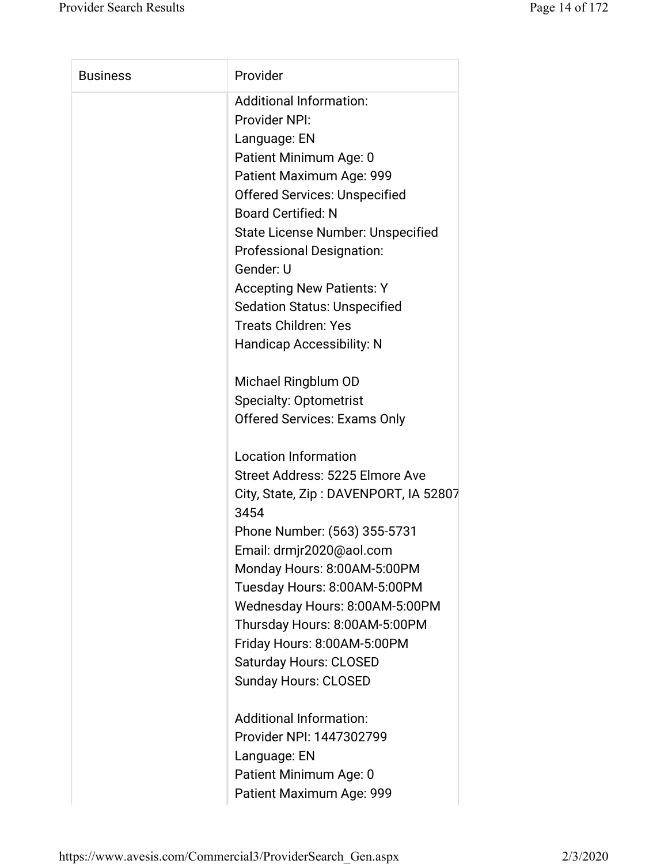| <b>Business</b> | Provider                                                                                                                                                                                                                                                                                                                                                                                                                                                                                      |
|-----------------|-----------------------------------------------------------------------------------------------------------------------------------------------------------------------------------------------------------------------------------------------------------------------------------------------------------------------------------------------------------------------------------------------------------------------------------------------------------------------------------------------|
|                 | <b>Additional Information:</b><br><b>Provider NPI:</b><br>Language: EN<br>Patient Minimum Age: 0<br>Patient Maximum Age: 999<br><b>Offered Services: Unspecified</b><br><b>Board Certified: N</b><br>State License Number: Unspecified<br><b>Professional Designation:</b><br>Gender: U<br><b>Accepting New Patients: Y</b><br><b>Sedation Status: Unspecified</b><br><b>Treats Children: Yes</b><br><b>Handicap Accessibility: N</b><br>Michael Ringblum OD<br><b>Specialty: Optometrist</b> |
|                 | <b>Offered Services: Exams Only</b><br><b>Location Information</b><br>Street Address: 5225 Elmore Ave<br>City, State, Zip: DAVENPORT, IA 52807<br>3454<br>Phone Number: (563) 355-5731<br>Email: drmjr2020@aol.com<br>Monday Hours: 8:00AM-5:00PM<br>Tuesday Hours: 8:00AM-5:00PM<br>Wednesday Hours: 8:00AM-5:00PM<br>Thursday Hours: 8:00AM-5:00PM<br>Friday Hours: 8:00AM-5:00PM<br><b>Saturday Hours: CLOSED</b><br><b>Sunday Hours: CLOSED</b>                                           |
|                 | <b>Additional Information:</b><br>Provider NPI: 1447302799<br>Language: EN<br>Patient Minimum Age: 0<br>Patient Maximum Age: 999                                                                                                                                                                                                                                                                                                                                                              |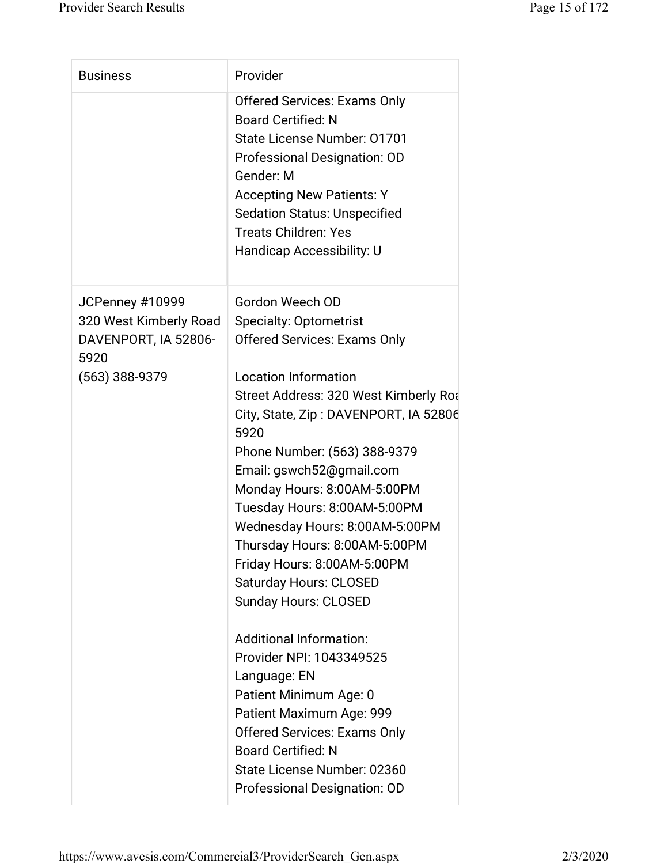| <b>Business</b>              | Provider                                      |
|------------------------------|-----------------------------------------------|
|                              | <b>Offered Services: Exams Only</b>           |
|                              | <b>Board Certified: N</b>                     |
|                              | State License Number: 01701                   |
|                              | Professional Designation: OD                  |
|                              | Gender: M                                     |
|                              | <b>Accepting New Patients: Y</b>              |
|                              | <b>Sedation Status: Unspecified</b>           |
|                              | <b>Treats Children: Yes</b>                   |
|                              | <b>Handicap Accessibility: U</b>              |
| JCPenney #10999              | Gordon Weech OD                               |
| 320 West Kimberly Road       | <b>Specialty: Optometrist</b>                 |
| DAVENPORT, IA 52806-<br>5920 | <b>Offered Services: Exams Only</b>           |
| (563) 388-9379               | <b>Location Information</b>                   |
|                              | Street Address: 320 West Kimberly Roa         |
|                              | City, State, Zip: DAVENPORT, IA 52806<br>5920 |
|                              | Phone Number: (563) 388-9379                  |
|                              | Email: gswch52@gmail.com                      |
|                              | Monday Hours: 8:00AM-5:00PM                   |
|                              | Tuesday Hours: 8:00AM-5:00PM                  |
|                              | Wednesday Hours: 8:00AM-5:00PM                |
|                              | Thursday Hours: 8:00AM-5:00PM                 |
|                              | Friday Hours: 8:00AM-5:00PM                   |
|                              | <b>Saturday Hours: CLOSED</b>                 |
|                              | <b>Sunday Hours: CLOSED</b>                   |
|                              | <b>Additional Information:</b>                |
|                              | Provider NPI: 1043349525                      |
|                              | Language: EN                                  |
|                              | Patient Minimum Age: 0                        |
|                              | Patient Maximum Age: 999                      |
|                              | <b>Offered Services: Exams Only</b>           |
|                              | <b>Board Certified: N</b>                     |
|                              | State License Number: 02360                   |
|                              | Professional Designation: OD                  |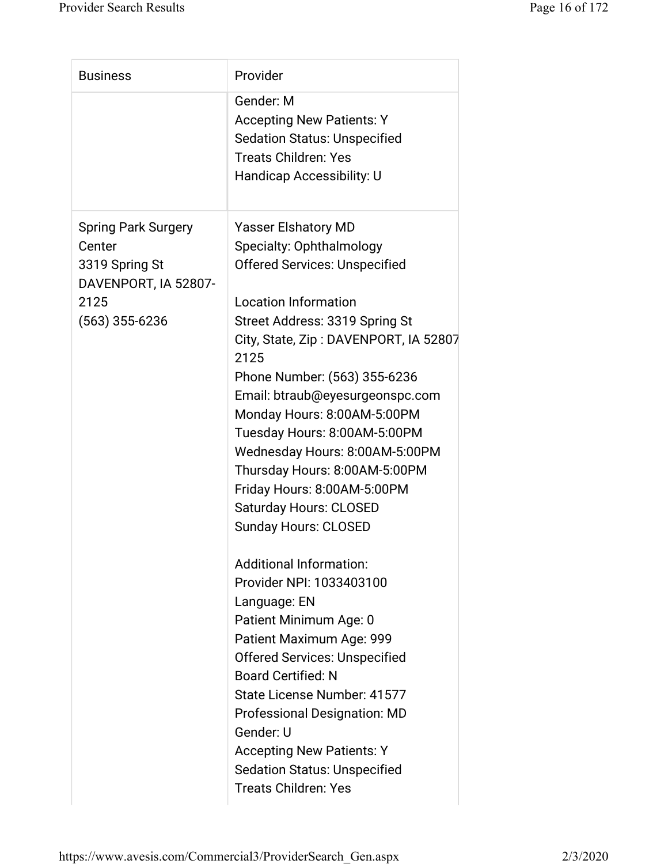| <b>Business</b>                                                                                          | Provider                                                                                                                                                                                                                                                                                                                                                                                                                                                                                                                                                                                                                                                                                                                                                                                                                                                                                                                   |
|----------------------------------------------------------------------------------------------------------|----------------------------------------------------------------------------------------------------------------------------------------------------------------------------------------------------------------------------------------------------------------------------------------------------------------------------------------------------------------------------------------------------------------------------------------------------------------------------------------------------------------------------------------------------------------------------------------------------------------------------------------------------------------------------------------------------------------------------------------------------------------------------------------------------------------------------------------------------------------------------------------------------------------------------|
|                                                                                                          | Gender: M<br><b>Accepting New Patients: Y</b><br><b>Sedation Status: Unspecified</b><br><b>Treats Children: Yes</b><br>Handicap Accessibility: U                                                                                                                                                                                                                                                                                                                                                                                                                                                                                                                                                                                                                                                                                                                                                                           |
| <b>Spring Park Surgery</b><br>Center<br>3319 Spring St<br>DAVENPORT, IA 52807-<br>2125<br>(563) 355-6236 | <b>Yasser Elshatory MD</b><br>Specialty: Ophthalmology<br><b>Offered Services: Unspecified</b><br><b>Location Information</b><br>Street Address: 3319 Spring St<br>City, State, Zip: DAVENPORT, IA 52807<br>2125<br>Phone Number: (563) 355-6236<br>Email: btraub@eyesurgeonspc.com<br>Monday Hours: 8:00AM-5:00PM<br>Tuesday Hours: 8:00AM-5:00PM<br>Wednesday Hours: 8:00AM-5:00PM<br>Thursday Hours: 8:00AM-5:00PM<br>Friday Hours: 8:00AM-5:00PM<br><b>Saturday Hours: CLOSED</b><br><b>Sunday Hours: CLOSED</b><br><b>Additional Information:</b><br>Provider NPI: 1033403100<br>Language: EN<br>Patient Minimum Age: 0<br>Patient Maximum Age: 999<br><b>Offered Services: Unspecified</b><br><b>Board Certified: N</b><br>State License Number: 41577<br><b>Professional Designation: MD</b><br>Gender: U<br><b>Accepting New Patients: Y</b><br><b>Sedation Status: Unspecified</b><br><b>Treats Children: Yes</b> |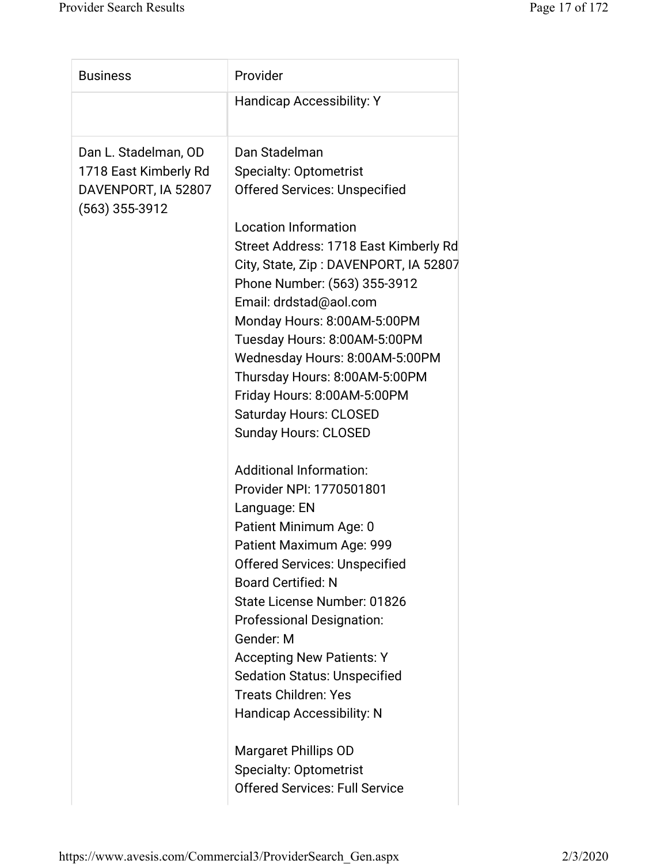| <b>Business</b>                                                                          | Provider                                                                                                                                                                                                                                                                                                                                                                                                                                                                                           |
|------------------------------------------------------------------------------------------|----------------------------------------------------------------------------------------------------------------------------------------------------------------------------------------------------------------------------------------------------------------------------------------------------------------------------------------------------------------------------------------------------------------------------------------------------------------------------------------------------|
|                                                                                          | <b>Handicap Accessibility: Y</b>                                                                                                                                                                                                                                                                                                                                                                                                                                                                   |
| Dan L. Stadelman, OD<br>1718 East Kimberly Rd<br>DAVENPORT, IA 52807<br>$(563)$ 355-3912 | Dan Stadelman<br><b>Specialty: Optometrist</b><br><b>Offered Services: Unspecified</b><br><b>Location Information</b><br>Street Address: 1718 East Kimberly Rd<br>City, State, Zip: DAVENPORT, IA 52807<br>Phone Number: (563) 355-3912<br>Email: drdstad@aol.com<br>Monday Hours: 8:00AM-5:00PM<br>Tuesday Hours: 8:00AM-5:00PM<br>Wednesday Hours: 8:00AM-5:00PM<br>Thursday Hours: 8:00AM-5:00PM<br>Friday Hours: 8:00AM-5:00PM<br><b>Saturday Hours: CLOSED</b><br><b>Sunday Hours: CLOSED</b> |
|                                                                                          | <b>Additional Information:</b><br>Provider NPI: 1770501801<br>Language: EN<br>Patient Minimum Age: 0<br>Patient Maximum Age: 999<br><b>Offered Services: Unspecified</b><br><b>Board Certified: N</b><br>State License Number: 01826<br><b>Professional Designation:</b><br>Gender: M<br><b>Accepting New Patients: Y</b><br><b>Sedation Status: Unspecified</b><br><b>Treats Children: Yes</b><br><b>Handicap Accessibility: N</b><br><b>Margaret Phillips OD</b>                                 |
|                                                                                          | <b>Specialty: Optometrist</b><br><b>Offered Services: Full Service</b>                                                                                                                                                                                                                                                                                                                                                                                                                             |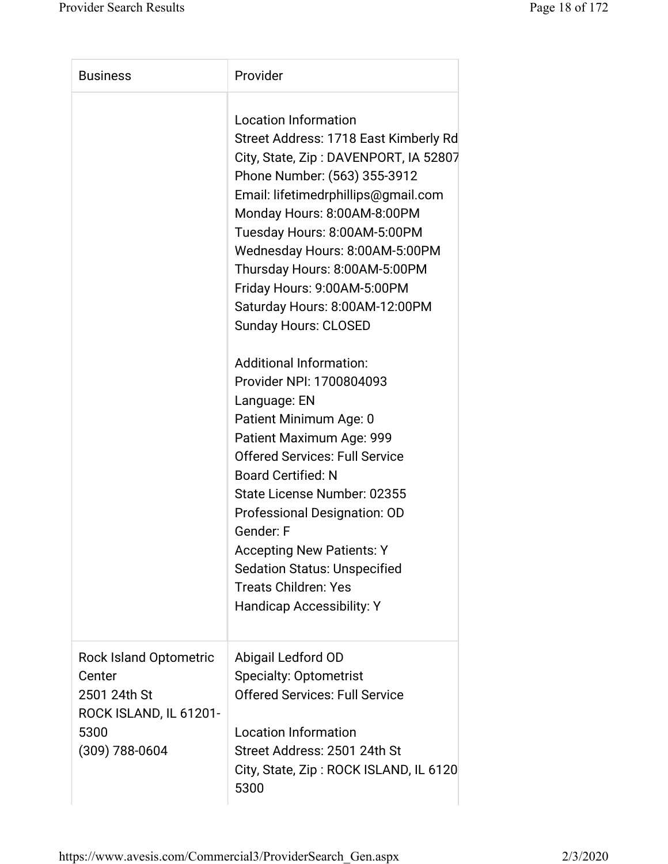| <b>Business</b>                                                                                               | Provider                                                                                                                                                                                                                                                                                                                                                                                                                         |
|---------------------------------------------------------------------------------------------------------------|----------------------------------------------------------------------------------------------------------------------------------------------------------------------------------------------------------------------------------------------------------------------------------------------------------------------------------------------------------------------------------------------------------------------------------|
|                                                                                                               | <b>Location Information</b><br>Street Address: 1718 East Kimberly Rd<br>City, State, Zip: DAVENPORT, IA 52807<br>Phone Number: (563) 355-3912<br>Email: lifetimedrphillips@gmail.com<br>Monday Hours: 8:00AM-8:00PM<br>Tuesday Hours: 8:00AM-5:00PM<br>Wednesday Hours: 8:00AM-5:00PM<br>Thursday Hours: 8:00AM-5:00PM<br>Friday Hours: 9:00AM-5:00PM<br>Saturday Hours: 8:00AM-12:00PM<br><b>Sunday Hours: CLOSED</b>           |
|                                                                                                               | <b>Additional Information:</b><br>Provider NPI: 1700804093<br>Language: EN<br>Patient Minimum Age: 0<br>Patient Maximum Age: 999<br><b>Offered Services: Full Service</b><br><b>Board Certified: N</b><br>State License Number: 02355<br>Professional Designation: OD<br>Gender: F<br><b>Accepting New Patients: Y</b><br><b>Sedation Status: Unspecified</b><br><b>Treats Children: Yes</b><br><b>Handicap Accessibility: Y</b> |
| <b>Rock Island Optometric</b><br>Center<br>2501 24th St<br>ROCK ISLAND, IL 61201-<br>5300<br>$(309)$ 788-0604 | Abigail Ledford OD<br><b>Specialty: Optometrist</b><br><b>Offered Services: Full Service</b><br><b>Location Information</b><br>Street Address: 2501 24th St<br>City, State, Zip: ROCK ISLAND, IL 6120<br>5300                                                                                                                                                                                                                    |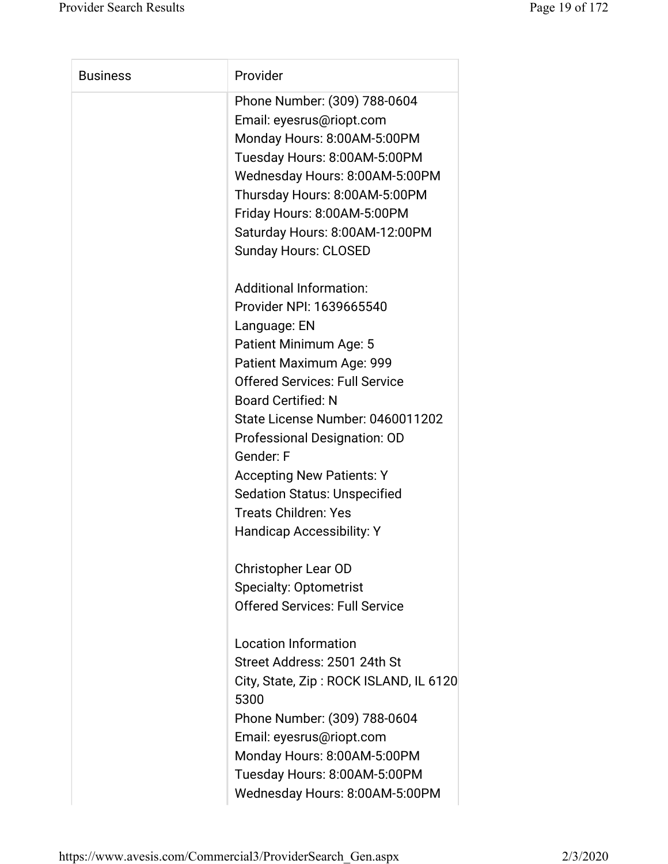| <b>Business</b> | Provider                               |
|-----------------|----------------------------------------|
|                 | Phone Number: (309) 788-0604           |
|                 | Email: eyesrus@riopt.com               |
|                 | Monday Hours: 8:00AM-5:00PM            |
|                 | Tuesday Hours: 8:00AM-5:00PM           |
|                 | Wednesday Hours: 8:00AM-5:00PM         |
|                 | Thursday Hours: 8:00AM-5:00PM          |
|                 | Friday Hours: 8:00AM-5:00PM            |
|                 | Saturday Hours: 8:00AM-12:00PM         |
|                 | <b>Sunday Hours: CLOSED</b>            |
|                 | <b>Additional Information:</b>         |
|                 | Provider NPI: 1639665540               |
|                 | Language: EN                           |
|                 | Patient Minimum Age: 5                 |
|                 | Patient Maximum Age: 999               |
|                 | <b>Offered Services: Full Service</b>  |
|                 | <b>Board Certified: N</b>              |
|                 | State License Number: 0460011202       |
|                 | Professional Designation: OD           |
|                 | Gender: F                              |
|                 | <b>Accepting New Patients: Y</b>       |
|                 | <b>Sedation Status: Unspecified</b>    |
|                 | <b>Treats Children: Yes</b>            |
|                 | Handicap Accessibility: Y              |
|                 | Christopher Lear OD                    |
|                 | <b>Specialty: Optometrist</b>          |
|                 | <b>Offered Services: Full Service</b>  |
|                 | <b>Location Information</b>            |
|                 | Street Address: 2501 24th St           |
|                 | City, State, Zip: ROCK ISLAND, IL 6120 |
|                 | 5300                                   |
|                 | Phone Number: (309) 788-0604           |
|                 | Email: eyesrus@riopt.com               |
|                 | Monday Hours: 8:00AM-5:00PM            |
|                 | Tuesday Hours: 8:00AM-5:00PM           |
|                 | Wednesday Hours: 8:00AM-5:00PM         |
|                 |                                        |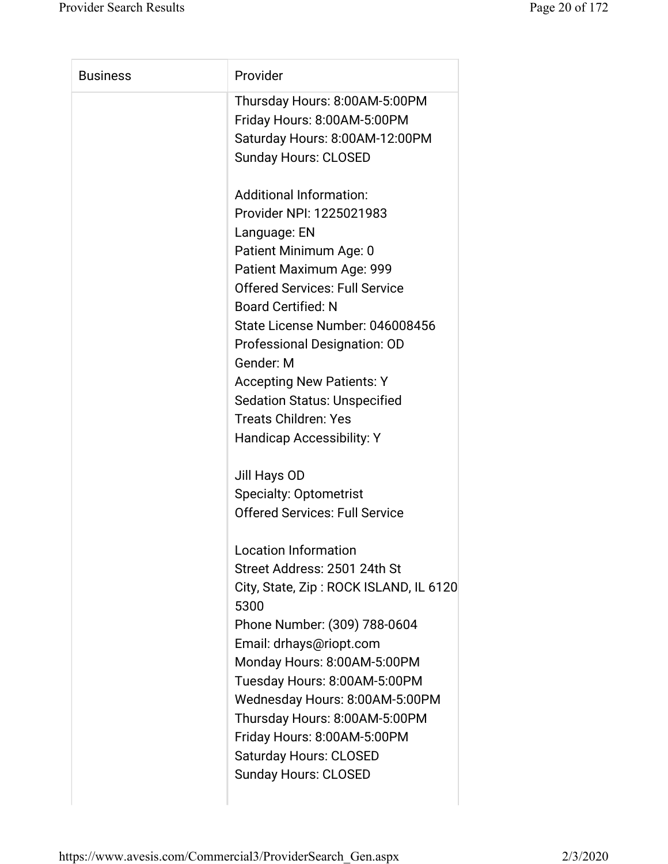| <b>Business</b> | Provider                               |
|-----------------|----------------------------------------|
|                 | Thursday Hours: 8:00AM-5:00PM          |
|                 | Friday Hours: 8:00AM-5:00PM            |
|                 | Saturday Hours: 8:00AM-12:00PM         |
|                 | <b>Sunday Hours: CLOSED</b>            |
|                 | <b>Additional Information:</b>         |
|                 | Provider NPI: 1225021983               |
|                 | Language: EN                           |
|                 | Patient Minimum Age: 0                 |
|                 | Patient Maximum Age: 999               |
|                 | <b>Offered Services: Full Service</b>  |
|                 | <b>Board Certified: N</b>              |
|                 | State License Number: 046008456        |
|                 | Professional Designation: OD           |
|                 | Gender: M                              |
|                 | <b>Accepting New Patients: Y</b>       |
|                 | <b>Sedation Status: Unspecified</b>    |
|                 | <b>Treats Children: Yes</b>            |
|                 | <b>Handicap Accessibility: Y</b>       |
|                 | Jill Hays OD                           |
|                 | <b>Specialty: Optometrist</b>          |
|                 | <b>Offered Services: Full Service</b>  |
|                 | <b>Location Information</b>            |
|                 | Street Address: 2501 24th St           |
|                 | City, State, Zip: ROCK ISLAND, IL 6120 |
|                 | 5300                                   |
|                 | Phone Number: (309) 788-0604           |
|                 | Email: drhays@riopt.com                |
|                 | Monday Hours: 8:00AM-5:00PM            |
|                 | Tuesday Hours: 8:00AM-5:00PM           |
|                 | Wednesday Hours: 8:00AM-5:00PM         |
|                 | Thursday Hours: 8:00AM-5:00PM          |
|                 | Friday Hours: 8:00AM-5:00PM            |
|                 | <b>Saturday Hours: CLOSED</b>          |
|                 | <b>Sunday Hours: CLOSED</b>            |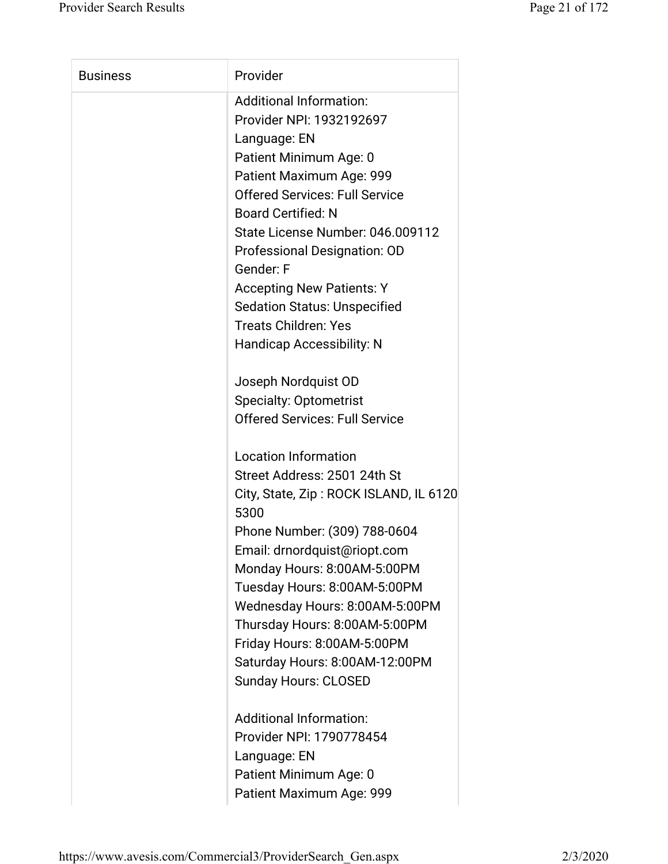| <b>Business</b> | Provider                                       |
|-----------------|------------------------------------------------|
|                 | <b>Additional Information:</b>                 |
|                 | Provider NPI: 1932192697                       |
|                 | Language: EN                                   |
|                 | Patient Minimum Age: 0                         |
|                 | Patient Maximum Age: 999                       |
|                 | <b>Offered Services: Full Service</b>          |
|                 | <b>Board Certified: N</b>                      |
|                 | State License Number: 046.009112               |
|                 | Professional Designation: OD                   |
|                 | Gender: F                                      |
|                 | <b>Accepting New Patients: Y</b>               |
|                 | <b>Sedation Status: Unspecified</b>            |
|                 | <b>Treats Children: Yes</b>                    |
|                 | <b>Handicap Accessibility: N</b>               |
|                 | Joseph Nordquist OD                            |
|                 | <b>Specialty: Optometrist</b>                  |
|                 | <b>Offered Services: Full Service</b>          |
|                 | <b>Location Information</b>                    |
|                 | Street Address: 2501 24th St                   |
|                 | City, State, Zip: ROCK ISLAND, IL 6120<br>5300 |
|                 | Phone Number: (309) 788-0604                   |
|                 | Email: drnordquist@riopt.com                   |
|                 | Monday Hours: 8:00AM-5:00PM                    |
|                 | Tuesday Hours: 8:00AM-5:00PM                   |
|                 | Wednesday Hours: 8:00AM-5:00PM                 |
|                 | Thursday Hours: 8:00AM-5:00PM                  |
|                 | Friday Hours: 8:00AM-5:00PM                    |
|                 | Saturday Hours: 8:00AM-12:00PM                 |
|                 | <b>Sunday Hours: CLOSED</b>                    |
|                 | Additional Information:                        |
|                 | Provider NPI: 1790778454                       |
|                 | Language: EN                                   |
|                 | Patient Minimum Age: 0                         |
|                 |                                                |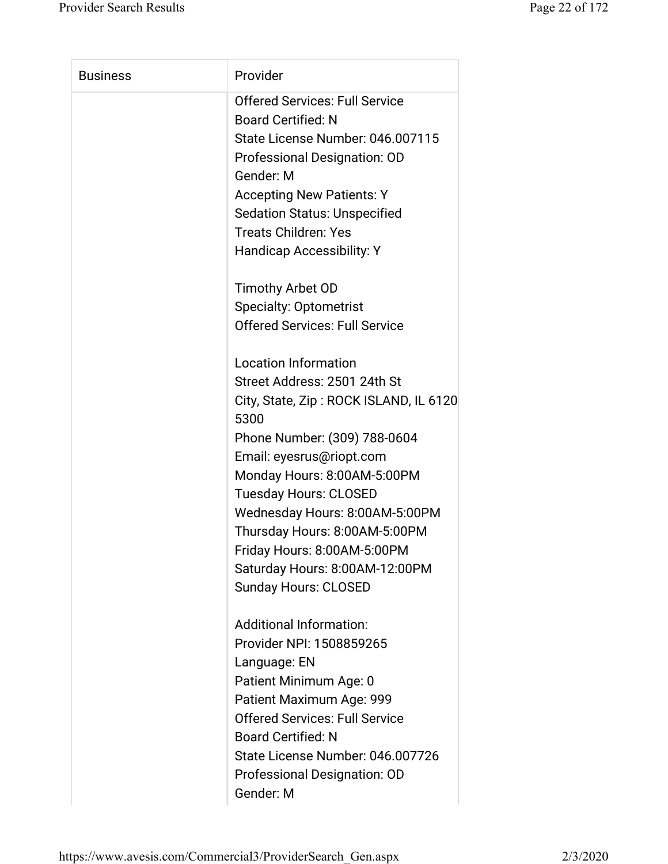| <b>Business</b> | Provider                               |
|-----------------|----------------------------------------|
|                 | <b>Offered Services: Full Service</b>  |
|                 | <b>Board Certified: N</b>              |
|                 | State License Number: 046.007115       |
|                 | Professional Designation: OD           |
|                 | Gender: M                              |
|                 | <b>Accepting New Patients: Y</b>       |
|                 | <b>Sedation Status: Unspecified</b>    |
|                 | <b>Treats Children: Yes</b>            |
|                 | Handicap Accessibility: Y              |
|                 | Timothy Arbet OD                       |
|                 | <b>Specialty: Optometrist</b>          |
|                 | <b>Offered Services: Full Service</b>  |
|                 | <b>Location Information</b>            |
|                 | Street Address: 2501 24th St           |
|                 | City, State, Zip: ROCK ISLAND, IL 6120 |
|                 | 5300                                   |
|                 | Phone Number: (309) 788-0604           |
|                 | Email: eyesrus@riopt.com               |
|                 | Monday Hours: 8:00AM-5:00PM            |
|                 | <b>Tuesday Hours: CLOSED</b>           |
|                 | Wednesday Hours: 8:00AM-5:00PM         |
|                 | Thursday Hours: 8:00AM-5:00PM          |
|                 | Friday Hours: 8:00AM-5:00PM            |
|                 | Saturday Hours: 8:00AM-12:00PM         |
|                 | <b>Sunday Hours: CLOSED</b>            |
|                 | <b>Additional Information:</b>         |
|                 | Provider NPI: 1508859265               |
|                 | Language: EN                           |
|                 | Patient Minimum Age: 0                 |
|                 | Patient Maximum Age: 999               |
|                 | <b>Offered Services: Full Service</b>  |
|                 | <b>Board Certified: N</b>              |
|                 | State License Number: 046.007726       |
|                 | Professional Designation: OD           |
|                 | Gender: M                              |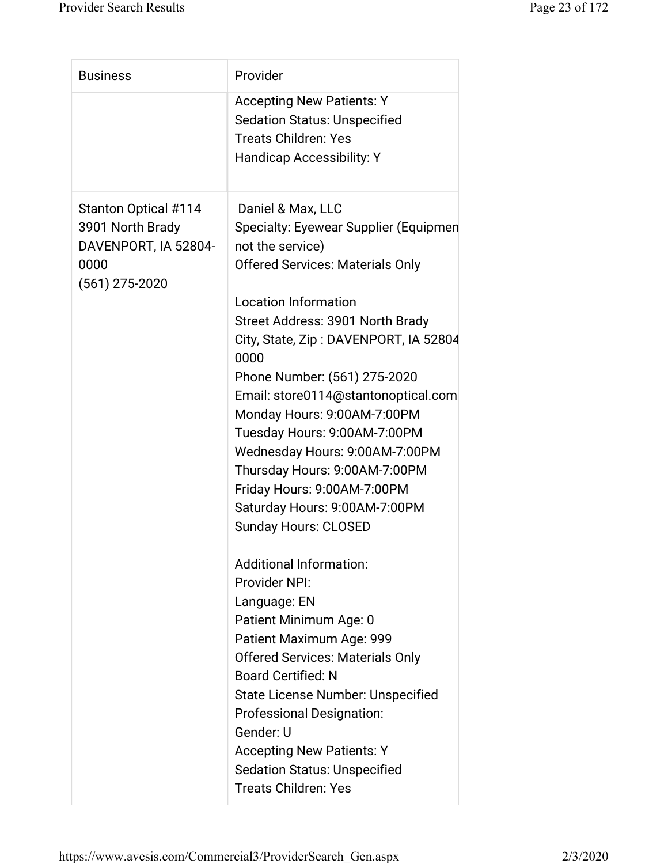| <b>Business</b>                                                                                     | Provider                                                                                                                                                                                                                                                                                                                                                                                                                                                                                                                                                                                                                                                                                                                                                                                                                                                                                                                                                      |
|-----------------------------------------------------------------------------------------------------|---------------------------------------------------------------------------------------------------------------------------------------------------------------------------------------------------------------------------------------------------------------------------------------------------------------------------------------------------------------------------------------------------------------------------------------------------------------------------------------------------------------------------------------------------------------------------------------------------------------------------------------------------------------------------------------------------------------------------------------------------------------------------------------------------------------------------------------------------------------------------------------------------------------------------------------------------------------|
|                                                                                                     | <b>Accepting New Patients: Y</b><br><b>Sedation Status: Unspecified</b><br><b>Treats Children: Yes</b><br><b>Handicap Accessibility: Y</b>                                                                                                                                                                                                                                                                                                                                                                                                                                                                                                                                                                                                                                                                                                                                                                                                                    |
| <b>Stanton Optical #114</b><br>3901 North Brady<br>DAVENPORT, IA 52804-<br>0000<br>$(561)$ 275-2020 | Daniel & Max, LLC<br>Specialty: Eyewear Supplier (Equipmen<br>not the service)<br><b>Offered Services: Materials Only</b><br><b>Location Information</b><br>Street Address: 3901 North Brady<br>City, State, Zip: DAVENPORT, IA 52804<br>0000<br>Phone Number: (561) 275-2020<br>Email: store0114@stantonoptical.com<br>Monday Hours: 9:00AM-7:00PM<br>Tuesday Hours: 9:00AM-7:00PM<br>Wednesday Hours: 9:00AM-7:00PM<br>Thursday Hours: 9:00AM-7:00PM<br>Friday Hours: 9:00AM-7:00PM<br>Saturday Hours: 9:00AM-7:00PM<br><b>Sunday Hours: CLOSED</b><br><b>Additional Information:</b><br>Provider NPI:<br>Language: EN<br>Patient Minimum Age: 0<br>Patient Maximum Age: 999<br><b>Offered Services: Materials Only</b><br><b>Board Certified: N</b><br><b>State License Number: Unspecified</b><br><b>Professional Designation:</b><br>Gender: U<br><b>Accepting New Patients: Y</b><br><b>Sedation Status: Unspecified</b><br><b>Treats Children: Yes</b> |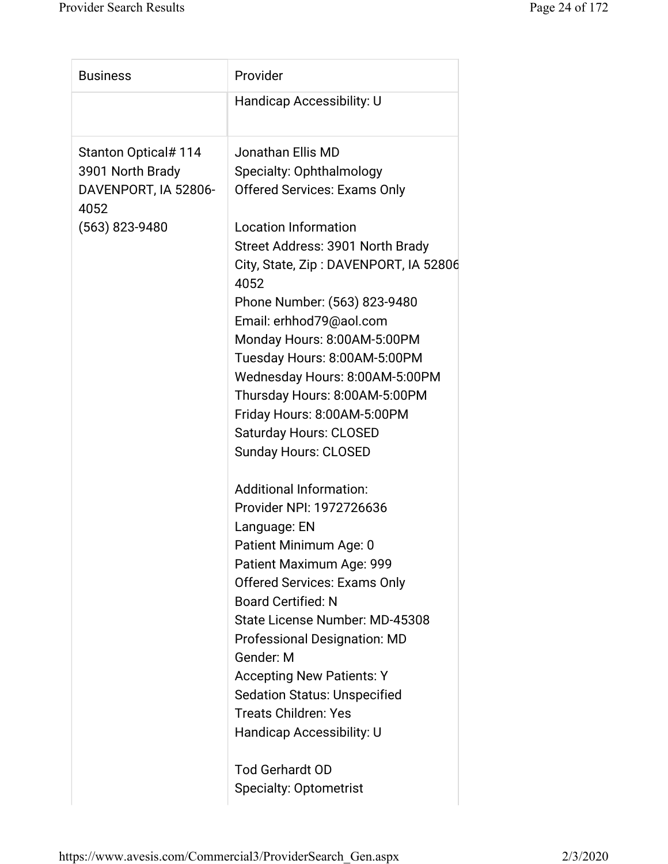| <b>Business</b>              | Provider                                      |
|------------------------------|-----------------------------------------------|
|                              | <b>Handicap Accessibility: U</b>              |
| <b>Stanton Optical#114</b>   | Jonathan Ellis MD                             |
| 3901 North Brady             | Specialty: Ophthalmology                      |
| DAVENPORT, IA 52806-<br>4052 | <b>Offered Services: Exams Only</b>           |
| (563) 823-9480               | <b>Location Information</b>                   |
|                              | Street Address: 3901 North Brady              |
|                              | City, State, Zip: DAVENPORT, IA 52806<br>4052 |
|                              | Phone Number: (563) 823-9480                  |
|                              | Email: erhhod79@aol.com                       |
|                              | Monday Hours: 8:00AM-5:00PM                   |
|                              | Tuesday Hours: 8:00AM-5:00PM                  |
|                              | Wednesday Hours: 8:00AM-5:00PM                |
|                              | Thursday Hours: 8:00AM-5:00PM                 |
|                              | Friday Hours: 8:00AM-5:00PM                   |
|                              | <b>Saturday Hours: CLOSED</b>                 |
|                              | <b>Sunday Hours: CLOSED</b>                   |
|                              | <b>Additional Information:</b>                |
|                              | Provider NPI: 1972726636                      |
|                              | Language: EN                                  |
|                              | Patient Minimum Age: 0                        |
|                              | Patient Maximum Age: 999                      |
|                              | <b>Offered Services: Exams Only</b>           |
|                              | <b>Board Certified: N</b>                     |
|                              | State License Number: MD-45308                |
|                              | <b>Professional Designation: MD</b>           |
|                              | Gender: M                                     |
|                              | <b>Accepting New Patients: Y</b>              |
|                              | <b>Sedation Status: Unspecified</b>           |
|                              | <b>Treats Children: Yes</b>                   |
|                              | Handicap Accessibility: U                     |
|                              | <b>Tod Gerhardt OD</b>                        |
|                              | <b>Specialty: Optometrist</b>                 |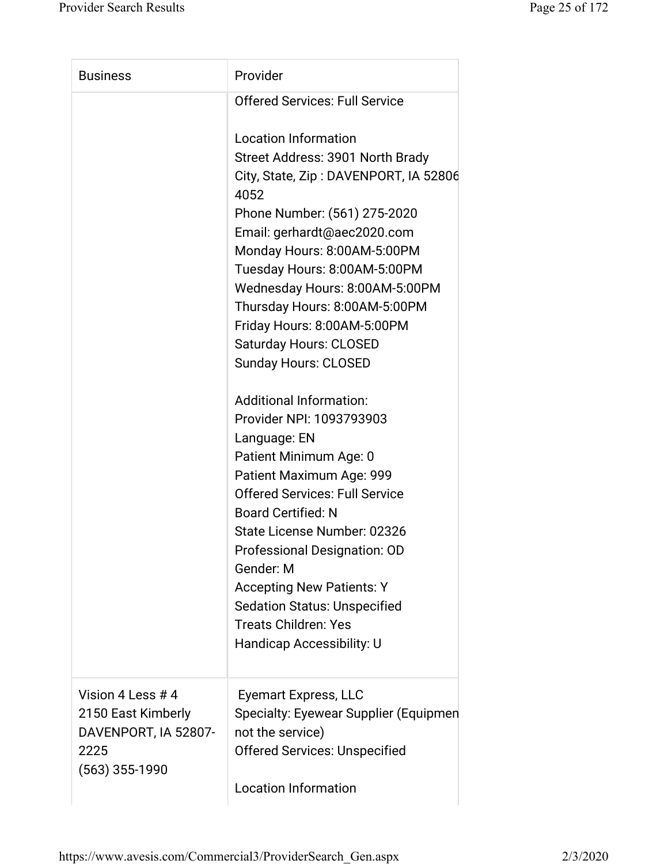| <b>Business</b>                                                                             | Provider                                                                                                                                                                                                                                                                                                                                                                          |
|---------------------------------------------------------------------------------------------|-----------------------------------------------------------------------------------------------------------------------------------------------------------------------------------------------------------------------------------------------------------------------------------------------------------------------------------------------------------------------------------|
|                                                                                             | <b>Offered Services: Full Service</b>                                                                                                                                                                                                                                                                                                                                             |
|                                                                                             | <b>Location Information</b><br>Street Address: 3901 North Brady<br>City, State, Zip: DAVENPORT, IA 52806<br>4052<br>Phone Number: (561) 275-2020<br>Email: gerhardt@aec2020.com<br>Monday Hours: 8:00AM-5:00PM<br>Tuesday Hours: 8:00AM-5:00PM<br>Wednesday Hours: 8:00AM-5:00PM<br>Thursday Hours: 8:00AM-5:00PM<br>Friday Hours: 8:00AM-5:00PM<br><b>Saturday Hours: CLOSED</b> |
|                                                                                             | <b>Sunday Hours: CLOSED</b><br><b>Additional Information:</b><br>Provider NPI: 1093793903<br>Language: EN                                                                                                                                                                                                                                                                         |
|                                                                                             | Patient Minimum Age: 0<br>Patient Maximum Age: 999<br><b>Offered Services: Full Service</b><br><b>Board Certified: N</b><br>State License Number: 02326<br>Professional Designation: OD                                                                                                                                                                                           |
|                                                                                             | Gender: M<br><b>Accepting New Patients: Y</b><br><b>Sedation Status: Unspecified</b><br><b>Treats Children: Yes</b><br>Handicap Accessibility: U                                                                                                                                                                                                                                  |
| Vision 4 Less # 4<br>2150 East Kimberly<br>DAVENPORT, IA 52807-<br>2225<br>$(563)$ 355-1990 | Eyemart Express, LLC<br>Specialty: Eyewear Supplier (Equipmen<br>not the service)<br><b>Offered Services: Unspecified</b><br><b>Location Information</b>                                                                                                                                                                                                                          |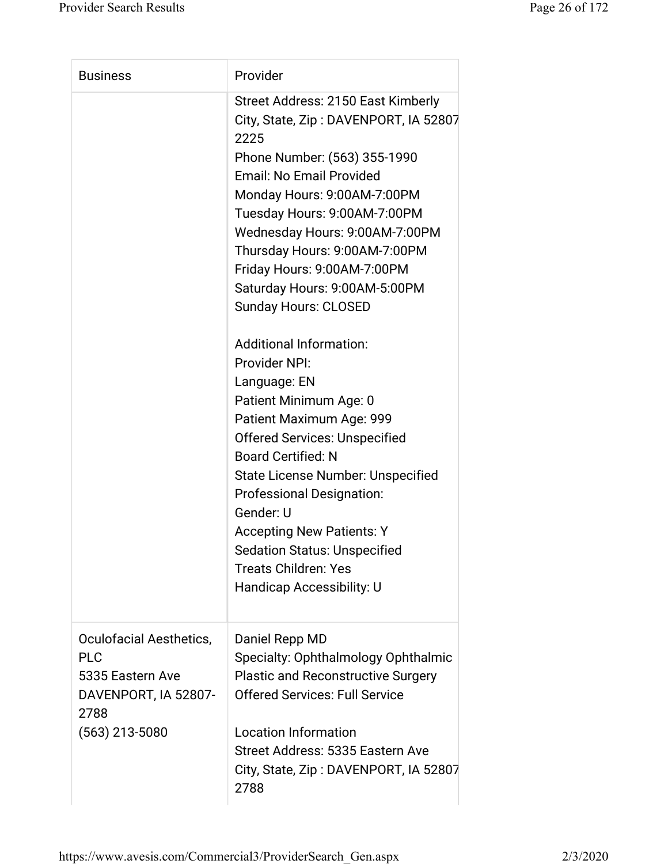| <b>Business</b>                                                                                               | Provider                                                                                                                                                                                                                                                                                                                                                                                                                                                                                                                                                                                                                                                                                                                                                                                                                  |
|---------------------------------------------------------------------------------------------------------------|---------------------------------------------------------------------------------------------------------------------------------------------------------------------------------------------------------------------------------------------------------------------------------------------------------------------------------------------------------------------------------------------------------------------------------------------------------------------------------------------------------------------------------------------------------------------------------------------------------------------------------------------------------------------------------------------------------------------------------------------------------------------------------------------------------------------------|
|                                                                                                               | Street Address: 2150 East Kimberly<br>City, State, Zip: DAVENPORT, IA 52807<br>2225<br>Phone Number: (563) 355-1990<br>Email: No Email Provided<br>Monday Hours: 9:00AM-7:00PM<br>Tuesday Hours: 9:00AM-7:00PM<br>Wednesday Hours: 9:00AM-7:00PM<br>Thursday Hours: 9:00AM-7:00PM<br>Friday Hours: 9:00AM-7:00PM<br>Saturday Hours: 9:00AM-5:00PM<br><b>Sunday Hours: CLOSED</b><br><b>Additional Information:</b><br>Provider NPI:<br>Language: EN<br>Patient Minimum Age: 0<br>Patient Maximum Age: 999<br><b>Offered Services: Unspecified</b><br><b>Board Certified: N</b><br><b>State License Number: Unspecified</b><br><b>Professional Designation:</b><br>Gender: U<br><b>Accepting New Patients: Y</b><br><b>Sedation Status: Unspecified</b><br><b>Treats Children: Yes</b><br><b>Handicap Accessibility: U</b> |
| Oculofacial Aesthetics,<br><b>PLC</b><br>5335 Eastern Ave<br>DAVENPORT, IA 52807-<br>2788<br>$(563)$ 213-5080 | Daniel Repp MD<br>Specialty: Ophthalmology Ophthalmic<br><b>Plastic and Reconstructive Surgery</b><br><b>Offered Services: Full Service</b><br><b>Location Information</b><br>Street Address: 5335 Eastern Ave<br>City, State, Zip: DAVENPORT, IA 52807<br>2788                                                                                                                                                                                                                                                                                                                                                                                                                                                                                                                                                           |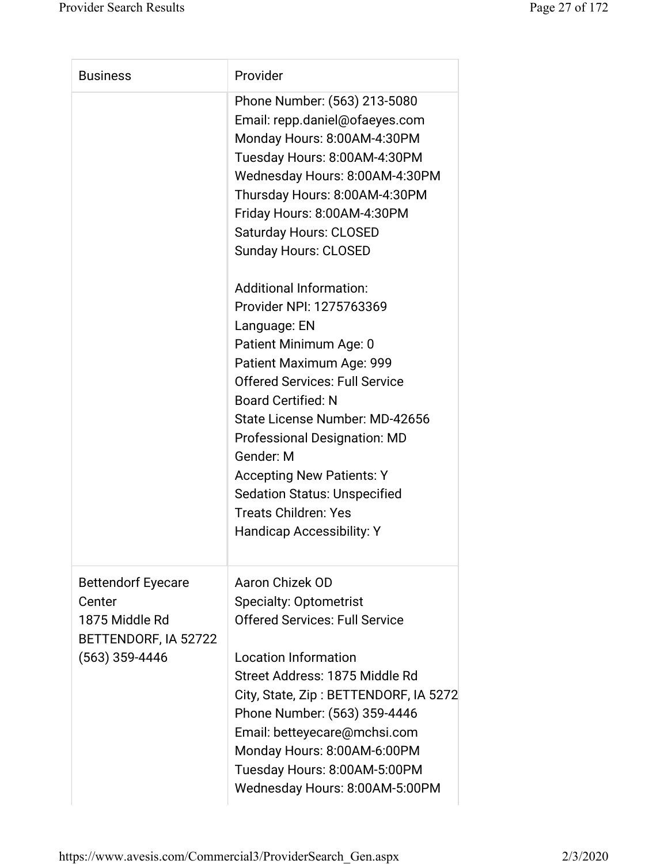| <b>Business</b>                                                                                   | Provider                                                                                                                                                                                                                                                                                                                                                                                                                                   |
|---------------------------------------------------------------------------------------------------|--------------------------------------------------------------------------------------------------------------------------------------------------------------------------------------------------------------------------------------------------------------------------------------------------------------------------------------------------------------------------------------------------------------------------------------------|
|                                                                                                   | Phone Number: (563) 213-5080<br>Email: repp.daniel@ofaeyes.com<br>Monday Hours: 8:00AM-4:30PM<br>Tuesday Hours: 8:00AM-4:30PM<br>Wednesday Hours: 8:00AM-4:30PM<br>Thursday Hours: 8:00AM-4:30PM<br>Friday Hours: 8:00AM-4:30PM<br><b>Saturday Hours: CLOSED</b><br><b>Sunday Hours: CLOSED</b>                                                                                                                                            |
|                                                                                                   | <b>Additional Information:</b><br>Provider NPI: 1275763369<br>Language: EN<br>Patient Minimum Age: 0<br>Patient Maximum Age: 999<br><b>Offered Services: Full Service</b><br><b>Board Certified: N</b><br>State License Number: MD-42656<br><b>Professional Designation: MD</b><br>Gender: M<br><b>Accepting New Patients: Y</b><br><b>Sedation Status: Unspecified</b><br><b>Treats Children: Yes</b><br><b>Handicap Accessibility: Y</b> |
| <b>Bettendorf Eyecare</b><br>Center<br>1875 Middle Rd<br>BETTENDORF, IA 52722<br>$(563)$ 359-4446 | Aaron Chizek OD<br><b>Specialty: Optometrist</b><br><b>Offered Services: Full Service</b><br><b>Location Information</b><br>Street Address: 1875 Middle Rd<br>City, State, Zip: BETTENDORF, IA 5272<br>Phone Number: (563) 359-4446<br>Email: betteyecare@mchsi.com<br>Monday Hours: 8:00AM-6:00PM<br>Tuesday Hours: 8:00AM-5:00PM<br>Wednesday Hours: 8:00AM-5:00PM                                                                       |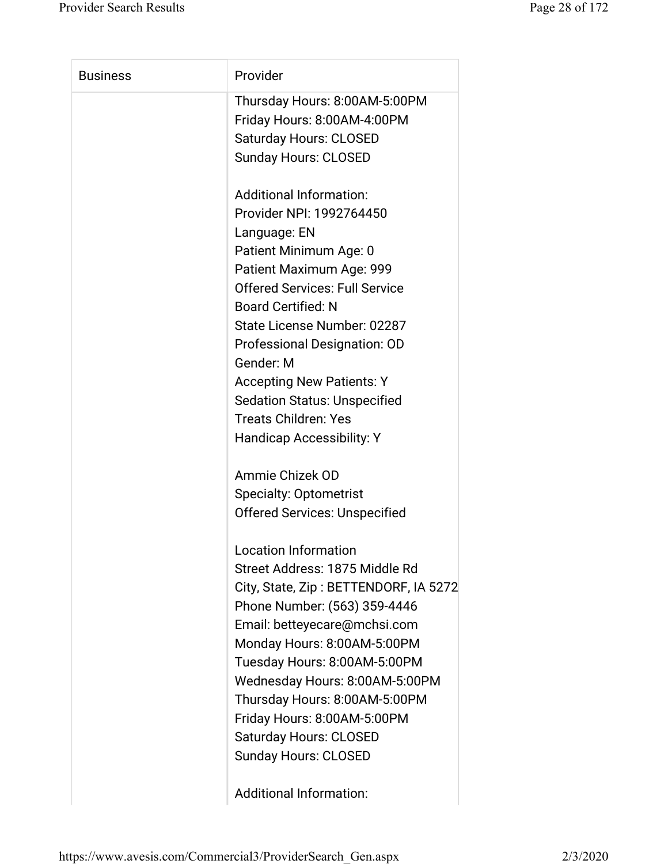| <b>Business</b> | Provider                              |
|-----------------|---------------------------------------|
|                 | Thursday Hours: 8:00AM-5:00PM         |
|                 | Friday Hours: 8:00AM-4:00PM           |
|                 | <b>Saturday Hours: CLOSED</b>         |
|                 | <b>Sunday Hours: CLOSED</b>           |
|                 | <b>Additional Information:</b>        |
|                 | Provider NPI: 1992764450              |
|                 | Language: EN                          |
|                 | Patient Minimum Age: 0                |
|                 | Patient Maximum Age: 999              |
|                 | <b>Offered Services: Full Service</b> |
|                 | <b>Board Certified: N</b>             |
|                 | State License Number: 02287           |
|                 | Professional Designation: OD          |
|                 | Gender: M                             |
|                 | <b>Accepting New Patients: Y</b>      |
|                 | <b>Sedation Status: Unspecified</b>   |
|                 | <b>Treats Children: Yes</b>           |
|                 | <b>Handicap Accessibility: Y</b>      |
|                 | Ammie Chizek OD                       |
|                 | <b>Specialty: Optometrist</b>         |
|                 | <b>Offered Services: Unspecified</b>  |
|                 | <b>Location Information</b>           |
|                 | Street Address: 1875 Middle Rd        |
|                 | City, State, Zip: BETTENDORF, IA 5272 |
|                 | Phone Number: (563) 359-4446          |
|                 | Email: betteyecare@mchsi.com          |
|                 | Monday Hours: 8:00AM-5:00PM           |
|                 | Tuesday Hours: 8:00AM-5:00PM          |
|                 | Wednesday Hours: 8:00AM-5:00PM        |
|                 | Thursday Hours: 8:00AM-5:00PM         |
|                 | Friday Hours: 8:00AM-5:00PM           |
|                 | <b>Saturday Hours: CLOSED</b>         |
|                 | <b>Sunday Hours: CLOSED</b>           |
|                 |                                       |

Additional Information: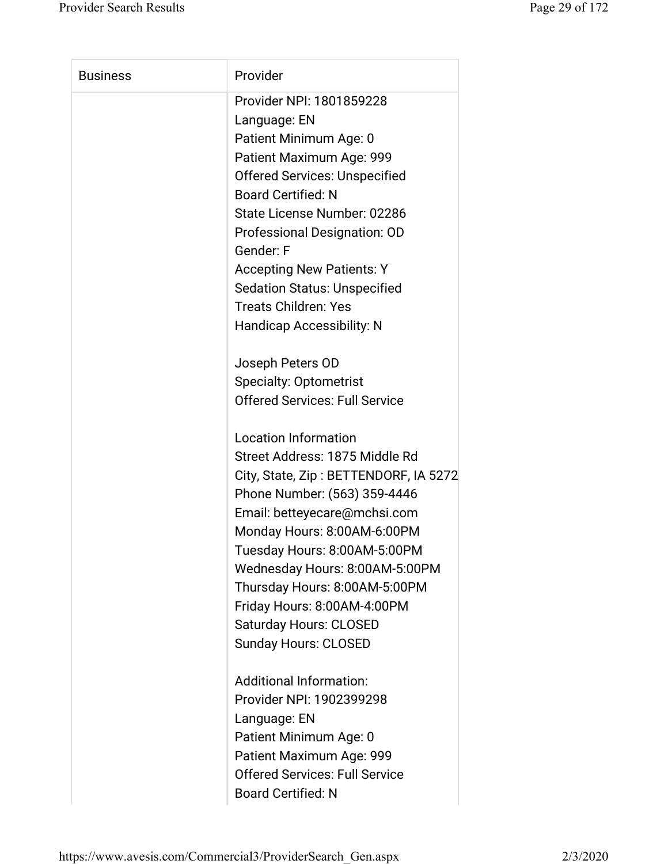| <b>Business</b> | Provider                              |
|-----------------|---------------------------------------|
|                 | Provider NPI: 1801859228              |
|                 | Language: EN                          |
|                 | Patient Minimum Age: 0                |
|                 | Patient Maximum Age: 999              |
|                 | <b>Offered Services: Unspecified</b>  |
|                 | <b>Board Certified: N</b>             |
|                 | State License Number: 02286           |
|                 | Professional Designation: OD          |
|                 | Gender: F                             |
|                 | <b>Accepting New Patients: Y</b>      |
|                 | <b>Sedation Status: Unspecified</b>   |
|                 | <b>Treats Children: Yes</b>           |
|                 | <b>Handicap Accessibility: N</b>      |
|                 | Joseph Peters OD                      |
|                 | <b>Specialty: Optometrist</b>         |
|                 | <b>Offered Services: Full Service</b> |
|                 | <b>Location Information</b>           |
|                 | Street Address: 1875 Middle Rd        |
|                 | City, State, Zip: BETTENDORF, IA 5272 |
|                 | Phone Number: (563) 359-4446          |
|                 | Email: betteyecare@mchsi.com          |
|                 | Monday Hours: 8:00AM-6:00PM           |
|                 | Tuesday Hours: 8:00AM-5:00PM          |
|                 | Wednesday Hours: 8:00AM-5:00PM        |
|                 | Thursday Hours: 8:00AM-5:00PM         |
|                 | Friday Hours: 8:00AM-4:00PM           |
|                 | <b>Saturday Hours: CLOSED</b>         |
|                 | <b>Sunday Hours: CLOSED</b>           |
|                 | <b>Additional Information:</b>        |
|                 | Provider NPI: 1902399298              |
|                 | Language: EN                          |
|                 | Patient Minimum Age: 0                |
|                 | Patient Maximum Age: 999              |
|                 | <b>Offered Services: Full Service</b> |
|                 | <b>Board Certified: N</b>             |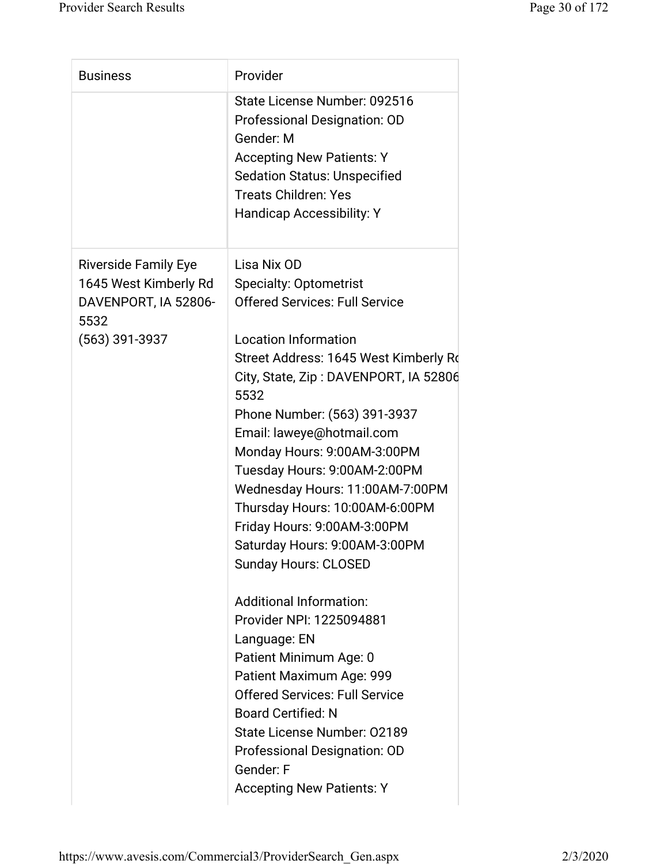| <b>Business</b>                                       | Provider                                                                                                                                                                            |
|-------------------------------------------------------|-------------------------------------------------------------------------------------------------------------------------------------------------------------------------------------|
|                                                       | State License Number: 092516<br>Professional Designation: OD<br>Gender: M<br><b>Accepting New Patients: Y</b><br><b>Sedation Status: Unspecified</b><br><b>Treats Children: Yes</b> |
|                                                       | <b>Handicap Accessibility: Y</b>                                                                                                                                                    |
| <b>Riverside Family Eye</b>                           | Lisa Nix OD                                                                                                                                                                         |
| 1645 West Kimberly Rd<br>DAVENPORT, IA 52806-<br>5532 | <b>Specialty: Optometrist</b><br><b>Offered Services: Full Service</b>                                                                                                              |
| $(563)$ 391-3937                                      | <b>Location Information</b>                                                                                                                                                         |
|                                                       | Street Address: 1645 West Kimberly Ro<br>City, State, Zip: DAVENPORT, IA 52806<br>5532                                                                                              |
|                                                       | Phone Number: (563) 391-3937                                                                                                                                                        |
|                                                       | Email: laweye@hotmail.com                                                                                                                                                           |
|                                                       | Monday Hours: 9:00AM-3:00PM                                                                                                                                                         |
|                                                       | Tuesday Hours: 9:00AM-2:00PM                                                                                                                                                        |
|                                                       | Wednesday Hours: 11:00AM-7:00PM<br>Thursday Hours: 10:00AM-6:00PM                                                                                                                   |
|                                                       | Friday Hours: 9:00AM-3:00PM                                                                                                                                                         |
|                                                       | Saturday Hours: 9:00AM-3:00PM                                                                                                                                                       |
|                                                       | <b>Sunday Hours: CLOSED</b>                                                                                                                                                         |
|                                                       | Additional Information:                                                                                                                                                             |
|                                                       | Provider NPI: 1225094881                                                                                                                                                            |
|                                                       | Language: EN                                                                                                                                                                        |
|                                                       | Patient Minimum Age: 0                                                                                                                                                              |
|                                                       | Patient Maximum Age: 999                                                                                                                                                            |
|                                                       | <b>Offered Services: Full Service</b>                                                                                                                                               |
|                                                       | <b>Board Certified: N</b><br>State License Number: 02189                                                                                                                            |
|                                                       | Professional Designation: OD                                                                                                                                                        |
|                                                       | Gender: F                                                                                                                                                                           |
|                                                       | <b>Accepting New Patients: Y</b>                                                                                                                                                    |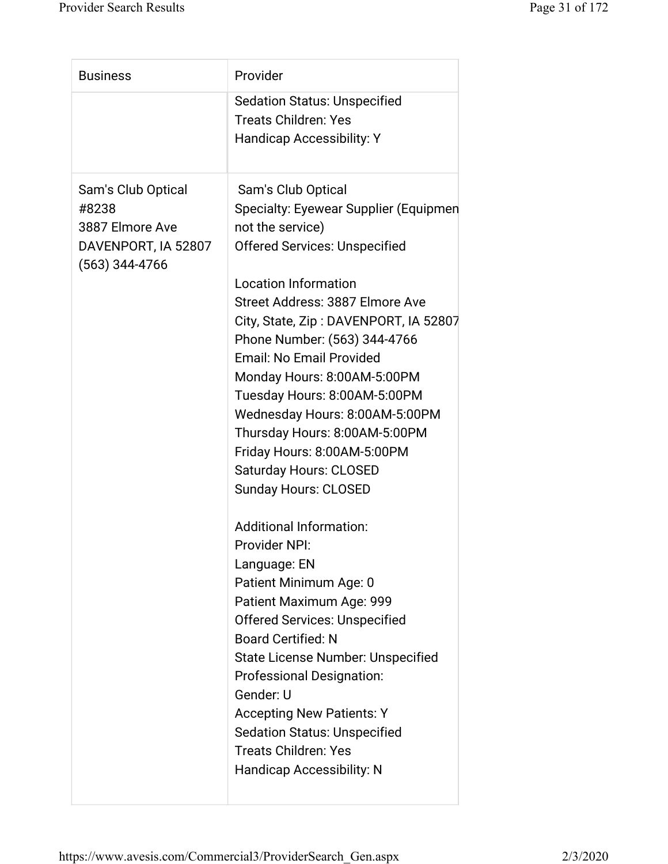| <b>Business</b>                                                                           | Provider                                                                                                                                                                                                                                                                                                                                                                                                                                                                                                                                                                                                                                                                                                                                                                                                                                                                                                                                                                 |
|-------------------------------------------------------------------------------------------|--------------------------------------------------------------------------------------------------------------------------------------------------------------------------------------------------------------------------------------------------------------------------------------------------------------------------------------------------------------------------------------------------------------------------------------------------------------------------------------------------------------------------------------------------------------------------------------------------------------------------------------------------------------------------------------------------------------------------------------------------------------------------------------------------------------------------------------------------------------------------------------------------------------------------------------------------------------------------|
|                                                                                           | <b>Sedation Status: Unspecified</b><br><b>Treats Children: Yes</b><br><b>Handicap Accessibility: Y</b>                                                                                                                                                                                                                                                                                                                                                                                                                                                                                                                                                                                                                                                                                                                                                                                                                                                                   |
| Sam's Club Optical<br>#8238<br>3887 Elmore Ave<br>DAVENPORT, IA 52807<br>$(563)$ 344-4766 | Sam's Club Optical<br>Specialty: Eyewear Supplier (Equipmen<br>not the service)<br><b>Offered Services: Unspecified</b><br><b>Location Information</b><br>Street Address: 3887 Elmore Ave<br>City, State, Zip: DAVENPORT, IA 52807<br>Phone Number: (563) 344-4766<br>Email: No Email Provided<br>Monday Hours: 8:00AM-5:00PM<br>Tuesday Hours: 8:00AM-5:00PM<br>Wednesday Hours: 8:00AM-5:00PM<br>Thursday Hours: 8:00AM-5:00PM<br>Friday Hours: 8:00AM-5:00PM<br><b>Saturday Hours: CLOSED</b><br><b>Sunday Hours: CLOSED</b><br><b>Additional Information:</b><br><b>Provider NPI:</b><br>Language: EN<br>Patient Minimum Age: 0<br>Patient Maximum Age: 999<br><b>Offered Services: Unspecified</b><br><b>Board Certified: N</b><br>State License Number: Unspecified<br><b>Professional Designation:</b><br>Gender: U<br><b>Accepting New Patients: Y</b><br><b>Sedation Status: Unspecified</b><br><b>Treats Children: Yes</b><br><b>Handicap Accessibility: N</b> |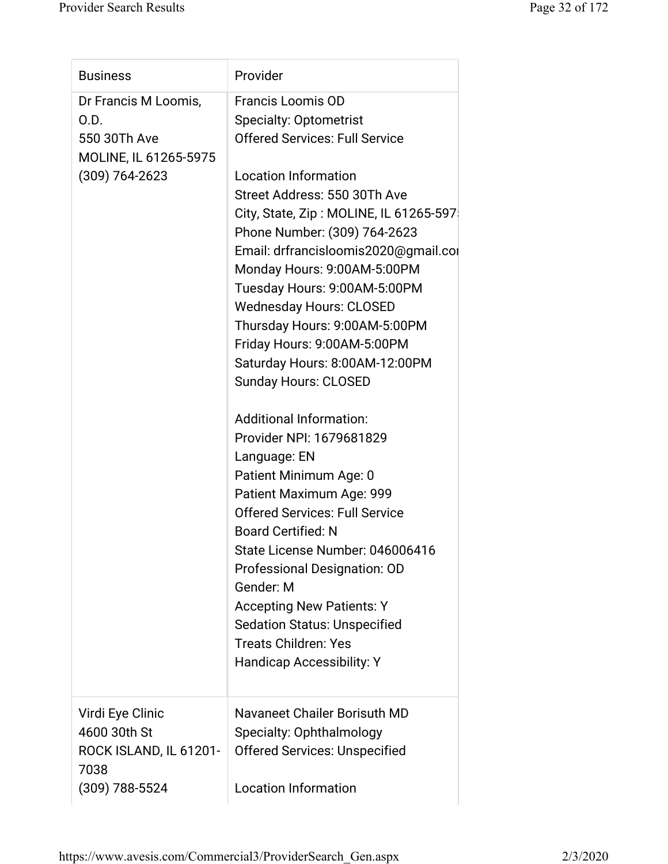| <b>Business</b>                  | Provider                               |
|----------------------------------|----------------------------------------|
| Dr Francis M Loomis,             | <b>Francis Loomis OD</b>               |
| O.D.                             | <b>Specialty: Optometrist</b>          |
| 550 30Th Ave                     | <b>Offered Services: Full Service</b>  |
| MOLINE, IL 61265-5975            |                                        |
| $(309)$ 764-2623                 | <b>Location Information</b>            |
|                                  | Street Address: 550 30Th Ave           |
|                                  | City, State, Zip: MOLINE, IL 61265-597 |
|                                  | Phone Number: (309) 764-2623           |
|                                  | Email: drfrancisloomis2020@gmail.com   |
|                                  | Monday Hours: 9:00AM-5:00PM            |
|                                  | Tuesday Hours: 9:00AM-5:00PM           |
|                                  | <b>Wednesday Hours: CLOSED</b>         |
|                                  | Thursday Hours: 9:00AM-5:00PM          |
|                                  | Friday Hours: 9:00AM-5:00PM            |
|                                  | Saturday Hours: 8:00AM-12:00PM         |
|                                  | <b>Sunday Hours: CLOSED</b>            |
|                                  | <b>Additional Information:</b>         |
|                                  | Provider NPI: 1679681829               |
|                                  | Language: EN                           |
|                                  | Patient Minimum Age: 0                 |
|                                  | Patient Maximum Age: 999               |
|                                  | <b>Offered Services: Full Service</b>  |
|                                  | <b>Board Certified: N</b>              |
|                                  | State License Number: 046006416        |
|                                  | Professional Designation: OD           |
|                                  | Gender: M                              |
|                                  | <b>Accepting New Patients: Y</b>       |
|                                  | <b>Sedation Status: Unspecified</b>    |
|                                  | <b>Treats Children: Yes</b>            |
|                                  | Handicap Accessibility: Y              |
|                                  | Navaneet Chailer Borisuth MD           |
| Virdi Eye Clinic<br>4600 30th St |                                        |
|                                  | Specialty: Ophthalmology               |
| ROCK ISLAND, IL 61201-<br>7038   | <b>Offered Services: Unspecified</b>   |
|                                  | <b>Location Information</b>            |
| (309) 788-5524                   |                                        |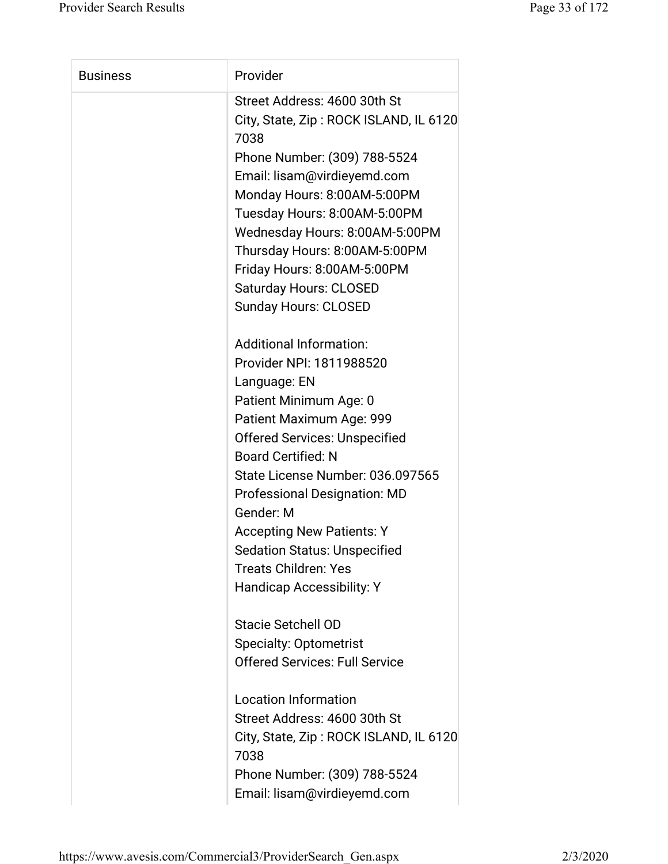| <b>Business</b> | Provider                                       |
|-----------------|------------------------------------------------|
|                 | Street Address: 4600 30th St                   |
|                 | City, State, Zip: ROCK ISLAND, IL 6120<br>7038 |
|                 | Phone Number: (309) 788-5524                   |
|                 | Email: lisam@virdieyemd.com                    |
|                 | Monday Hours: 8:00AM-5:00PM                    |
|                 | Tuesday Hours: 8:00AM-5:00PM                   |
|                 | Wednesday Hours: 8:00AM-5:00PM                 |
|                 | Thursday Hours: 8:00AM-5:00PM                  |
|                 | Friday Hours: 8:00AM-5:00PM                    |
|                 | <b>Saturday Hours: CLOSED</b>                  |
|                 | <b>Sunday Hours: CLOSED</b>                    |
|                 | <b>Additional Information:</b>                 |
|                 | Provider NPI: 1811988520                       |
|                 | Language: EN                                   |
|                 | Patient Minimum Age: 0                         |
|                 | Patient Maximum Age: 999                       |
|                 | <b>Offered Services: Unspecified</b>           |
|                 | <b>Board Certified: N</b>                      |
|                 | State License Number: 036.097565               |
|                 | <b>Professional Designation: MD</b>            |
|                 | Gender: M                                      |
|                 | <b>Accepting New Patients: Y</b>               |
|                 | <b>Sedation Status: Unspecified</b>            |
|                 | <b>Treats Children: Yes</b>                    |
|                 | <b>Handicap Accessibility: Y</b>               |
|                 | <b>Stacie Setchell OD</b>                      |
|                 | <b>Specialty: Optometrist</b>                  |
|                 | <b>Offered Services: Full Service</b>          |
|                 | <b>Location Information</b>                    |
|                 | Street Address: 4600 30th St                   |
|                 | City, State, Zip: ROCK ISLAND, IL 6120<br>7038 |
|                 | Phone Number: (309) 788-5524                   |
|                 | Email: lisam@virdieyemd.com                    |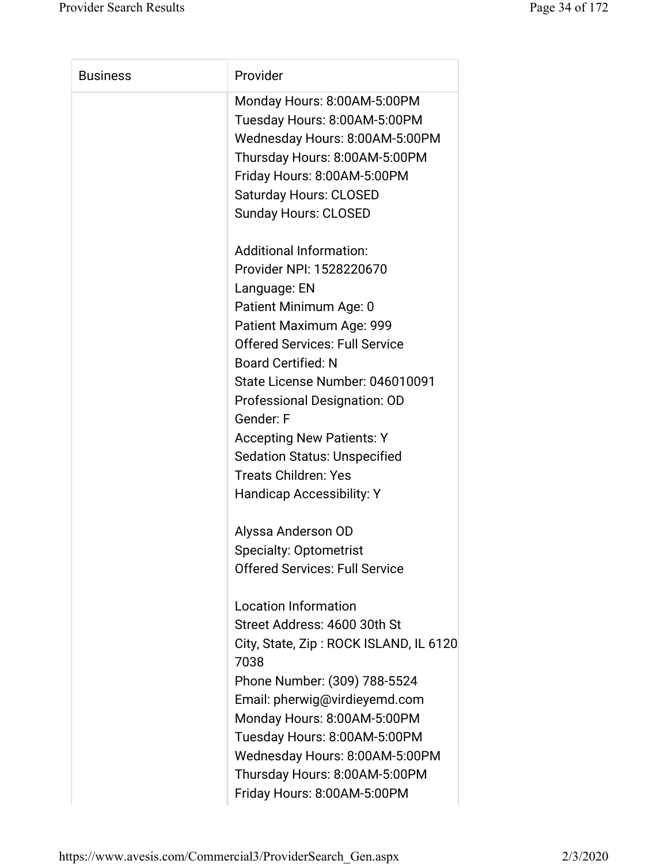| <b>Business</b> | Provider                                                                                                                                                                                                                                                        |
|-----------------|-----------------------------------------------------------------------------------------------------------------------------------------------------------------------------------------------------------------------------------------------------------------|
|                 | Monday Hours: 8:00AM-5:00PM<br>Tuesday Hours: 8:00AM-5:00PM<br>Wednesday Hours: 8:00AM-5:00PM<br>Thursday Hours: 8:00AM-5:00PM<br>Friday Hours: 8:00AM-5:00PM<br><b>Saturday Hours: CLOSED</b><br><b>Sunday Hours: CLOSED</b><br><b>Additional Information:</b> |
|                 | Provider NPI: 1528220670                                                                                                                                                                                                                                        |
|                 | Language: EN                                                                                                                                                                                                                                                    |
|                 | Patient Minimum Age: 0                                                                                                                                                                                                                                          |
|                 | Patient Maximum Age: 999                                                                                                                                                                                                                                        |
|                 | <b>Offered Services: Full Service</b>                                                                                                                                                                                                                           |
|                 | <b>Board Certified: N</b>                                                                                                                                                                                                                                       |
|                 | State License Number: 046010091                                                                                                                                                                                                                                 |
|                 | Professional Designation: OD                                                                                                                                                                                                                                    |
|                 | Gender: F                                                                                                                                                                                                                                                       |
|                 | <b>Accepting New Patients: Y</b>                                                                                                                                                                                                                                |
|                 | <b>Sedation Status: Unspecified</b><br><b>Treats Children: Yes</b>                                                                                                                                                                                              |
|                 | <b>Handicap Accessibility: Y</b>                                                                                                                                                                                                                                |
|                 |                                                                                                                                                                                                                                                                 |
|                 | Alyssa Anderson OD                                                                                                                                                                                                                                              |
|                 | <b>Specialty: Optometrist</b>                                                                                                                                                                                                                                   |
|                 | <b>Offered Services: Full Service</b>                                                                                                                                                                                                                           |
|                 |                                                                                                                                                                                                                                                                 |
|                 | <b>Location Information</b>                                                                                                                                                                                                                                     |
|                 | Street Address: 4600 30th St                                                                                                                                                                                                                                    |
|                 | City, State, Zip: ROCK ISLAND, IL 6120<br>7038                                                                                                                                                                                                                  |
|                 | Phone Number: (309) 788-5524                                                                                                                                                                                                                                    |
|                 | Email: pherwig@virdieyemd.com                                                                                                                                                                                                                                   |
|                 | Monday Hours: 8:00AM-5:00PM                                                                                                                                                                                                                                     |
|                 | Tuesday Hours: 8:00AM-5:00PM                                                                                                                                                                                                                                    |
|                 | Wednesday Hours: 8:00AM-5:00PM                                                                                                                                                                                                                                  |
|                 |                                                                                                                                                                                                                                                                 |
|                 | Thursday Hours: 8:00AM-5:00PM                                                                                                                                                                                                                                   |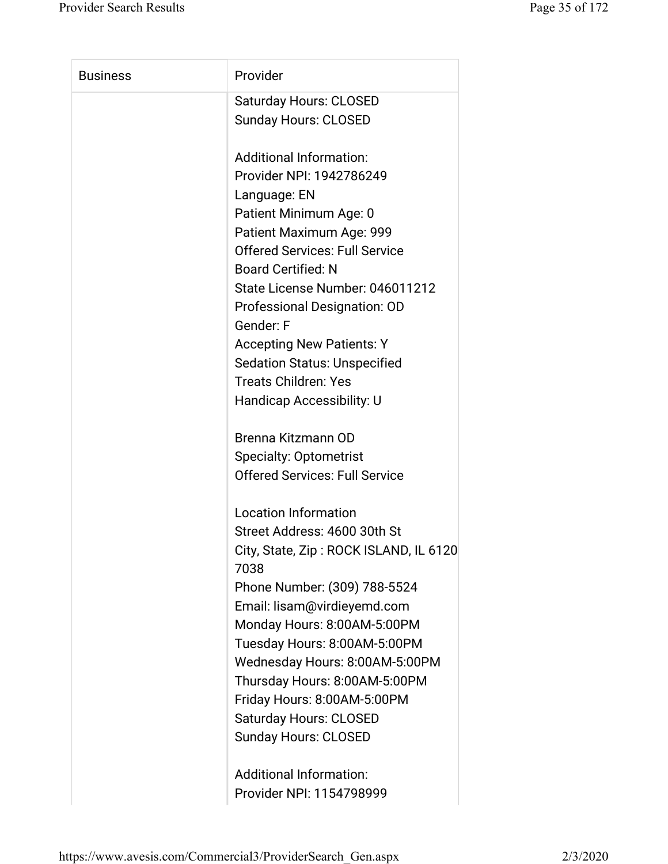| <b>Business</b> | Provider                                       |
|-----------------|------------------------------------------------|
|                 | <b>Saturday Hours: CLOSED</b>                  |
|                 | <b>Sunday Hours: CLOSED</b>                    |
|                 | <b>Additional Information:</b>                 |
|                 | Provider NPI: 1942786249                       |
|                 | Language: EN                                   |
|                 | Patient Minimum Age: 0                         |
|                 | Patient Maximum Age: 999                       |
|                 | <b>Offered Services: Full Service</b>          |
|                 | <b>Board Certified: N</b>                      |
|                 | State License Number: 046011212                |
|                 | Professional Designation: OD                   |
|                 | Gender: F                                      |
|                 | <b>Accepting New Patients: Y</b>               |
|                 | <b>Sedation Status: Unspecified</b>            |
|                 | <b>Treats Children: Yes</b>                    |
|                 | Handicap Accessibility: U                      |
|                 | Brenna Kitzmann OD                             |
|                 | <b>Specialty: Optometrist</b>                  |
|                 | <b>Offered Services: Full Service</b>          |
|                 | <b>Location Information</b>                    |
|                 | Street Address: 4600 30th St                   |
|                 | City, State, Zip: ROCK ISLAND, IL 6120<br>7038 |
|                 | Phone Number: (309) 788-5524                   |
|                 | Email: lisam@virdieyemd.com                    |
|                 | Monday Hours: 8:00AM-5:00PM                    |
|                 | Tuesday Hours: 8:00AM-5:00PM                   |
|                 | Wednesday Hours: 8:00AM-5:00PM                 |
|                 | Thursday Hours: 8:00AM-5:00PM                  |
|                 | Friday Hours: 8:00AM-5:00PM                    |
|                 | <b>Saturday Hours: CLOSED</b>                  |
|                 | <b>Sunday Hours: CLOSED</b>                    |
|                 | <b>Additional Information:</b>                 |
|                 | Provider NPI: 1154798999                       |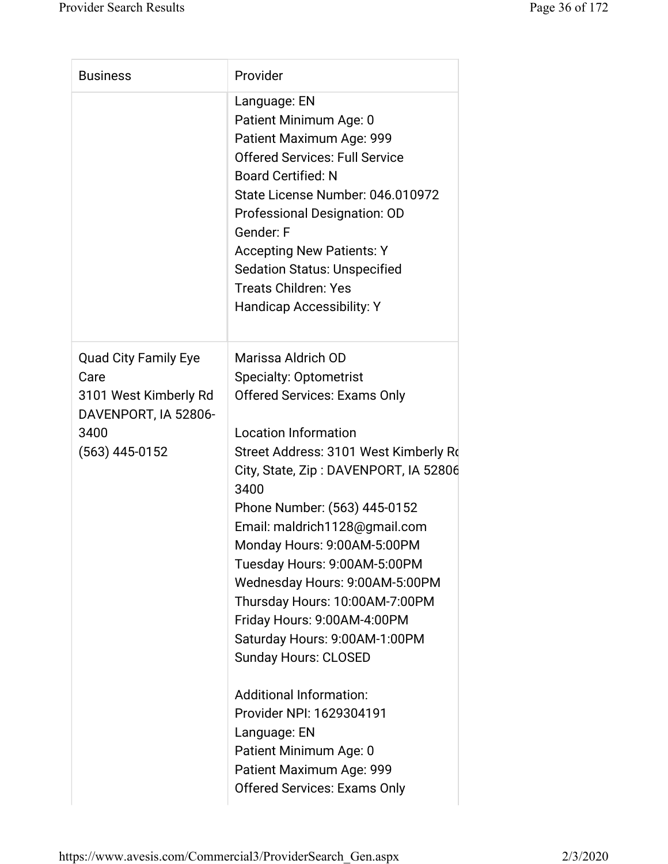| <b>Business</b>                                                                                                  | Provider                                                                                                                                                                                                                                                                                                                                                                                                                                                                                                                                                                             |
|------------------------------------------------------------------------------------------------------------------|--------------------------------------------------------------------------------------------------------------------------------------------------------------------------------------------------------------------------------------------------------------------------------------------------------------------------------------------------------------------------------------------------------------------------------------------------------------------------------------------------------------------------------------------------------------------------------------|
|                                                                                                                  | Language: EN<br>Patient Minimum Age: 0<br>Patient Maximum Age: 999<br><b>Offered Services: Full Service</b><br><b>Board Certified: N</b><br>State License Number: 046.010972<br>Professional Designation: OD<br>Gender: F<br><b>Accepting New Patients: Y</b><br><b>Sedation Status: Unspecified</b><br><b>Treats Children: Yes</b><br><b>Handicap Accessibility: Y</b>                                                                                                                                                                                                              |
| <b>Quad City Family Eye</b><br>Care<br>3101 West Kimberly Rd<br>DAVENPORT, IA 52806-<br>3400<br>$(563)$ 445-0152 | Marissa Aldrich OD<br><b>Specialty: Optometrist</b><br><b>Offered Services: Exams Only</b><br><b>Location Information</b><br>Street Address: 3101 West Kimberly Rd<br>City, State, Zip: DAVENPORT, IA 52806<br>3400<br>Phone Number: (563) 445-0152<br>Email: maldrich1128@gmail.com<br>Monday Hours: 9:00AM-5:00PM<br>Tuesday Hours: 9:00AM-5:00PM<br>Wednesday Hours: 9:00AM-5:00PM<br>Thursday Hours: 10:00AM-7:00PM<br>Friday Hours: 9:00AM-4:00PM<br>Saturday Hours: 9:00AM-1:00PM<br><b>Sunday Hours: CLOSED</b><br><b>Additional Information:</b><br>Provider NPI: 1629304191 |
|                                                                                                                  | Language: EN<br>Patient Minimum Age: 0<br>Patient Maximum Age: 999<br><b>Offered Services: Exams Only</b>                                                                                                                                                                                                                                                                                                                                                                                                                                                                            |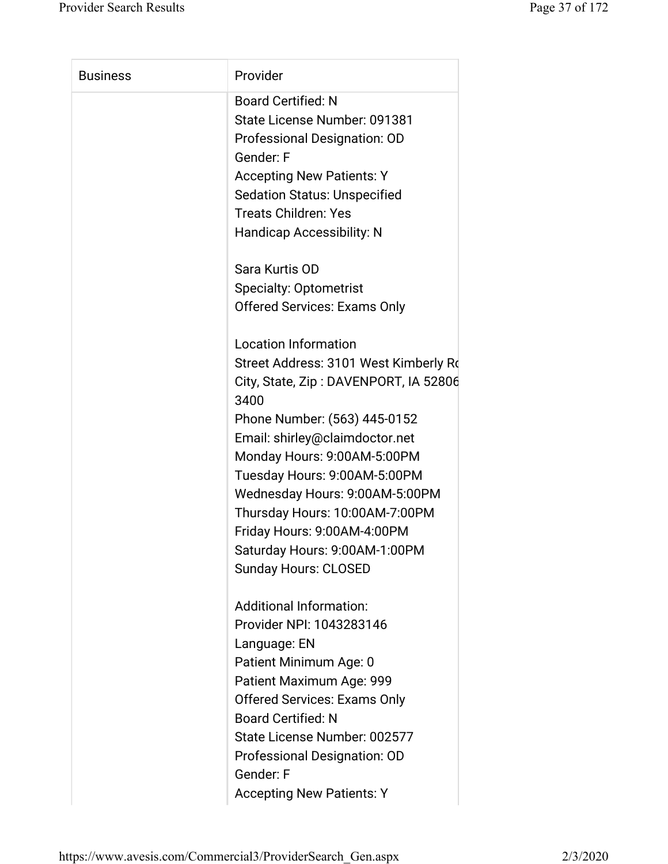| <b>Business</b> | Provider                              |
|-----------------|---------------------------------------|
|                 | <b>Board Certified: N</b>             |
|                 | State License Number: 091381          |
|                 | Professional Designation: OD          |
|                 | Gender: F                             |
|                 | <b>Accepting New Patients: Y</b>      |
|                 | <b>Sedation Status: Unspecified</b>   |
|                 | <b>Treats Children: Yes</b>           |
|                 | <b>Handicap Accessibility: N</b>      |
|                 | Sara Kurtis OD                        |
|                 | <b>Specialty: Optometrist</b>         |
|                 | <b>Offered Services: Exams Only</b>   |
|                 | <b>Location Information</b>           |
|                 | Street Address: 3101 West Kimberly Ro |
|                 | City, State, Zip: DAVENPORT, IA 52806 |
|                 | 3400                                  |
|                 | Phone Number: (563) 445-0152          |
|                 | Email: shirley@claimdoctor.net        |
|                 | Monday Hours: 9:00AM-5:00PM           |
|                 | Tuesday Hours: 9:00AM-5:00PM          |
|                 | Wednesday Hours: 9:00AM-5:00PM        |
|                 | Thursday Hours: 10:00AM-7:00PM        |
|                 | Friday Hours: 9:00AM-4:00PM           |
|                 | Saturday Hours: 9:00AM-1:00PM         |
|                 | <b>Sunday Hours: CLOSED</b>           |
|                 | <b>Additional Information:</b>        |
|                 | Provider NPI: 1043283146              |
|                 | Language: EN                          |
|                 | Patient Minimum Age: 0                |
|                 | Patient Maximum Age: 999              |
|                 | <b>Offered Services: Exams Only</b>   |
|                 | <b>Board Certified: N</b>             |
|                 | State License Number: 002577          |
|                 | Professional Designation: OD          |
|                 | Gender: F                             |
|                 | <b>Accepting New Patients: Y</b>      |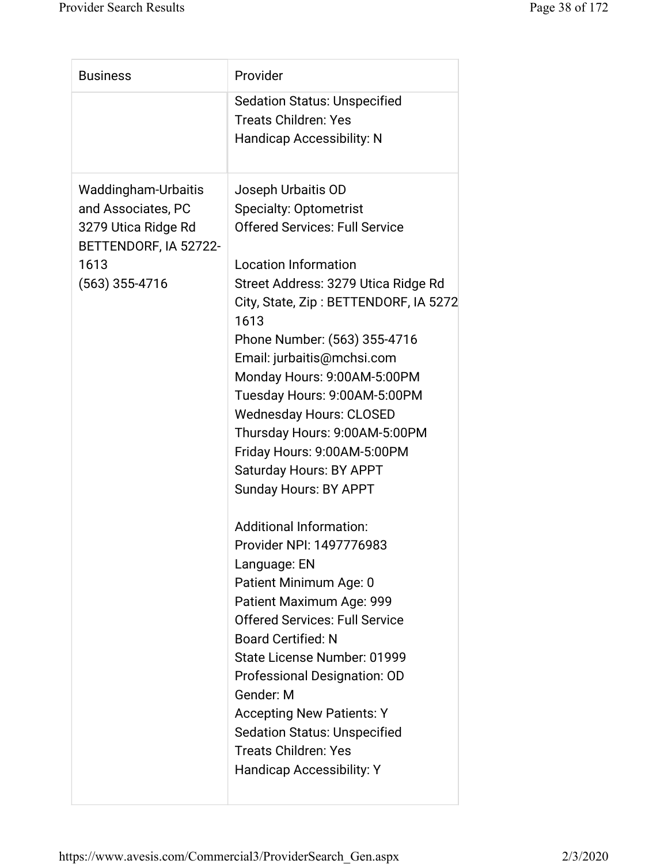| <b>Sedation Status: Unspecified</b><br><b>Treats Children: Yes</b><br><b>Handicap Accessibility: N</b>                                                                                                                                                                                                                                                                                                                                                                                                                                                                                                                                                                                                                                                                                                                                                                                                                                                                                                                            | <b>Business</b> | Provider                              |
|-----------------------------------------------------------------------------------------------------------------------------------------------------------------------------------------------------------------------------------------------------------------------------------------------------------------------------------------------------------------------------------------------------------------------------------------------------------------------------------------------------------------------------------------------------------------------------------------------------------------------------------------------------------------------------------------------------------------------------------------------------------------------------------------------------------------------------------------------------------------------------------------------------------------------------------------------------------------------------------------------------------------------------------|-----------------|---------------------------------------|
|                                                                                                                                                                                                                                                                                                                                                                                                                                                                                                                                                                                                                                                                                                                                                                                                                                                                                                                                                                                                                                   |                 |                                       |
| Waddingham-Urbaitis<br>Joseph Urbaitis OD<br>and Associates, PC<br><b>Specialty: Optometrist</b><br><b>Offered Services: Full Service</b><br>3279 Utica Ridge Rd<br>BETTENDORF, IA 52722-<br><b>Location Information</b><br>1613<br>$(563)$ 355-4716<br>Street Address: 3279 Utica Ridge Rd<br>1613<br>Phone Number: (563) 355-4716<br>Email: jurbaitis@mchsi.com<br>Monday Hours: 9:00AM-5:00PM<br>Tuesday Hours: 9:00AM-5:00PM<br><b>Wednesday Hours: CLOSED</b><br>Thursday Hours: 9:00AM-5:00PM<br>Friday Hours: 9:00AM-5:00PM<br>Saturday Hours: BY APPT<br><b>Sunday Hours: BY APPT</b><br><b>Additional Information:</b><br>Provider NPI: 1497776983<br>Language: EN<br>Patient Minimum Age: 0<br>Patient Maximum Age: 999<br><b>Offered Services: Full Service</b><br><b>Board Certified: N</b><br>State License Number: 01999<br>Professional Designation: OD<br>Gender: M<br><b>Accepting New Patients: Y</b><br><b>Sedation Status: Unspecified</b><br><b>Treats Children: Yes</b><br><b>Handicap Accessibility: Y</b> |                 | City, State, Zip: BETTENDORF, IA 5272 |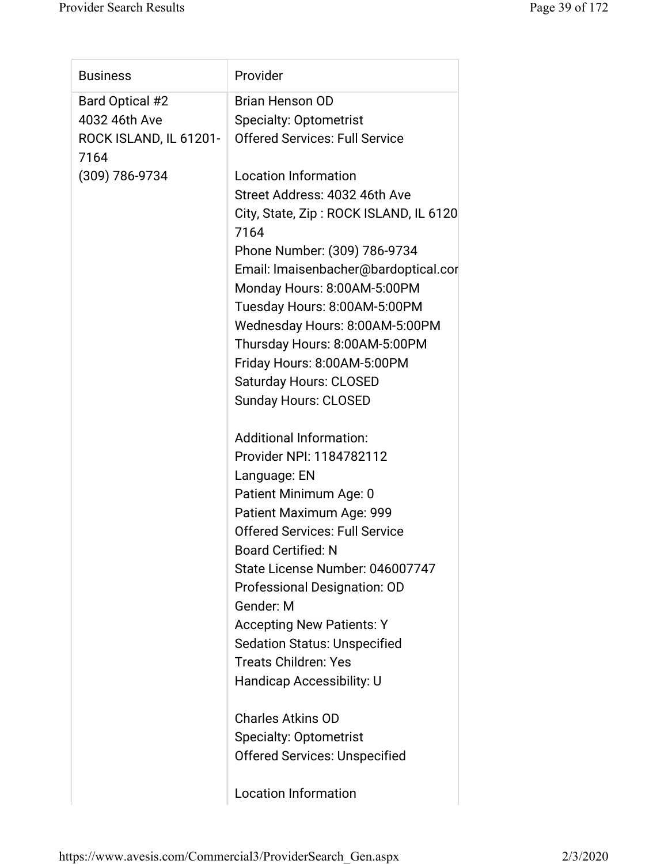| <b>Business</b>        | Provider                                       |
|------------------------|------------------------------------------------|
| Bard Optical #2        | <b>Brian Henson OD</b>                         |
| 4032 46th Ave          | <b>Specialty: Optometrist</b>                  |
| ROCK ISLAND, IL 61201- | <b>Offered Services: Full Service</b>          |
| 7164                   |                                                |
| (309) 786-9734         | <b>Location Information</b>                    |
|                        | Street Address: 4032 46th Ave                  |
|                        | City, State, Zip: ROCK ISLAND, IL 6120<br>7164 |
|                        | Phone Number: (309) 786-9734                   |
|                        | Email: Imaisenbacher@bardoptical.cor           |
|                        | Monday Hours: 8:00AM-5:00PM                    |
|                        | Tuesday Hours: 8:00AM-5:00PM                   |
|                        | Wednesday Hours: 8:00AM-5:00PM                 |
|                        | Thursday Hours: 8:00AM-5:00PM                  |
|                        | Friday Hours: 8:00AM-5:00PM                    |
|                        | <b>Saturday Hours: CLOSED</b>                  |
|                        | <b>Sunday Hours: CLOSED</b>                    |
|                        |                                                |
|                        | <b>Additional Information:</b>                 |
|                        | Provider NPI: 1184782112                       |
|                        | Language: EN                                   |
|                        | Patient Minimum Age: 0                         |
|                        | Patient Maximum Age: 999                       |
|                        | <b>Offered Services: Full Service</b>          |
|                        | <b>Board Certified: N</b>                      |
|                        | State License Number: 046007747                |
|                        | <b>Professional Designation: OD</b>            |
|                        | Gender: M                                      |
|                        | <b>Accepting New Patients: Y</b>               |
|                        | <b>Sedation Status: Unspecified</b>            |
|                        | <b>Treats Children: Yes</b>                    |
|                        | Handicap Accessibility: U                      |
|                        | <b>Charles Atkins OD</b>                       |
|                        | <b>Specialty: Optometrist</b>                  |
|                        | <b>Offered Services: Unspecified</b>           |
|                        |                                                |
|                        | <b>Location Information</b>                    |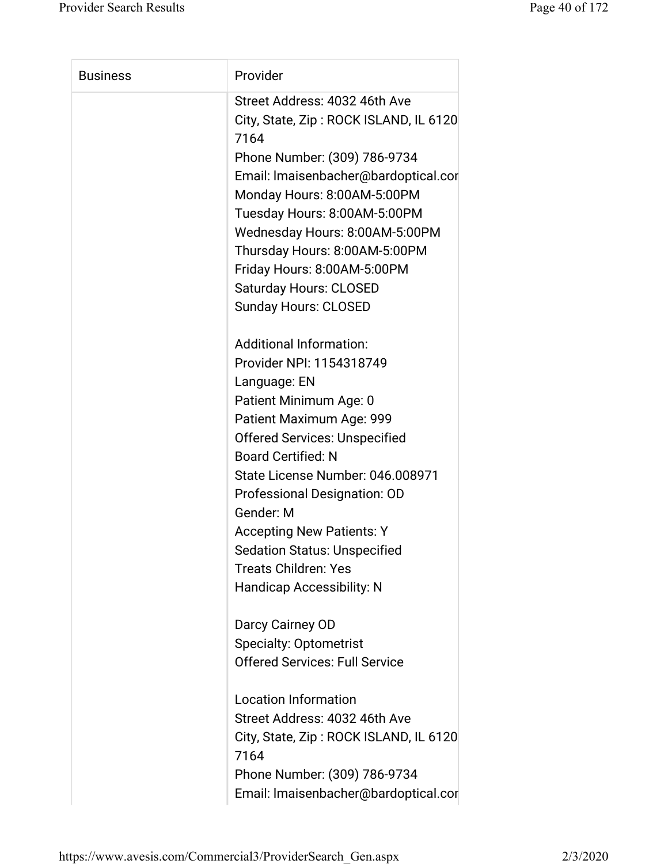| <b>Business</b> | Provider                                                                                                                                                                                                                                                                                                                                                                                                                             |
|-----------------|--------------------------------------------------------------------------------------------------------------------------------------------------------------------------------------------------------------------------------------------------------------------------------------------------------------------------------------------------------------------------------------------------------------------------------------|
|                 | Street Address: 4032 46th Ave<br>City, State, Zip: ROCK ISLAND, IL 6120<br>7164<br>Phone Number: (309) 786-9734<br>Email: Imaisenbacher@bardoptical.cor<br>Monday Hours: 8:00AM-5:00PM<br>Tuesday Hours: 8:00AM-5:00PM<br>Wednesday Hours: 8:00AM-5:00PM<br>Thursday Hours: 8:00AM-5:00PM<br>Friday Hours: 8:00AM-5:00PM<br><b>Saturday Hours: CLOSED</b><br><b>Sunday Hours: CLOSED</b>                                             |
|                 | <b>Additional Information:</b><br>Provider NPI: 1154318749<br>Language: EN<br>Patient Minimum Age: 0<br>Patient Maximum Age: 999<br><b>Offered Services: Unspecified</b><br><b>Board Certified: N</b><br>State License Number: 046.008971<br>Professional Designation: OD<br>Gender: M<br><b>Accepting New Patients: Y</b><br><b>Sedation Status: Unspecified</b><br><b>Treats Children: Yes</b><br><b>Handicap Accessibility: N</b> |
|                 | Darcy Cairney OD<br><b>Specialty: Optometrist</b><br><b>Offered Services: Full Service</b><br><b>Location Information</b><br>Street Address: 4032 46th Ave<br>City, State, Zip: ROCK ISLAND, IL 6120<br>7164<br>Phone Number: (309) 786-9734<br>Email: Imaisenbacher@bardoptical.cor                                                                                                                                                 |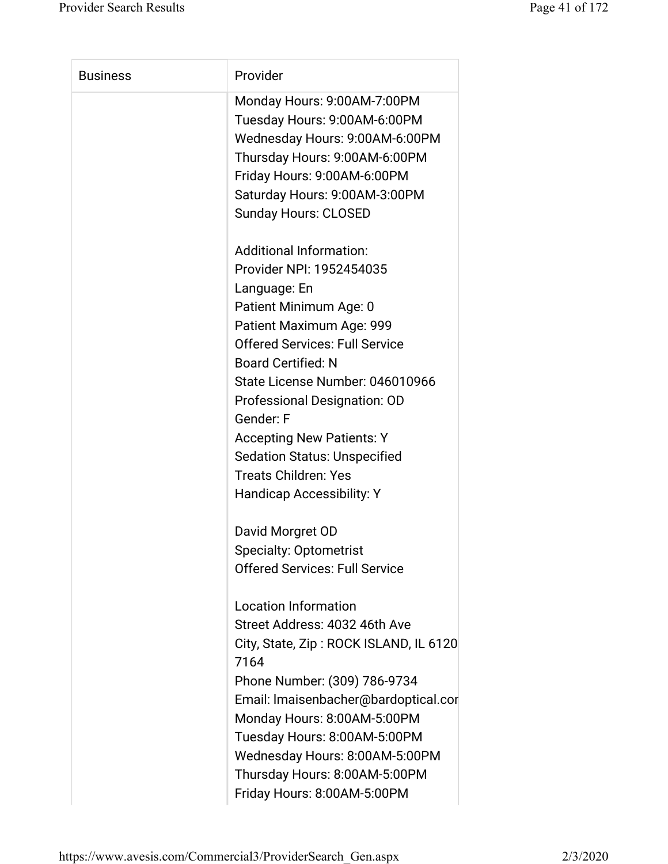| <b>Business</b> | Provider                                                                                                                                                                                                                                                                                                                                                                                                                             |
|-----------------|--------------------------------------------------------------------------------------------------------------------------------------------------------------------------------------------------------------------------------------------------------------------------------------------------------------------------------------------------------------------------------------------------------------------------------------|
|                 | Monday Hours: 9:00AM-7:00PM<br>Tuesday Hours: 9:00AM-6:00PM<br>Wednesday Hours: 9:00AM-6:00PM<br>Thursday Hours: 9:00AM-6:00PM<br>Friday Hours: 9:00AM-6:00PM<br>Saturday Hours: 9:00AM-3:00PM<br><b>Sunday Hours: CLOSED</b>                                                                                                                                                                                                        |
|                 | <b>Additional Information:</b><br>Provider NPI: 1952454035<br>Language: En<br>Patient Minimum Age: 0<br>Patient Maximum Age: 999<br><b>Offered Services: Full Service</b><br><b>Board Certified: N</b><br>State License Number: 046010966<br>Professional Designation: OD<br>Gender: F<br><b>Accepting New Patients: Y</b><br><b>Sedation Status: Unspecified</b><br><b>Treats Children: Yes</b><br><b>Handicap Accessibility: Y</b> |
|                 | David Morgret OD<br><b>Specialty: Optometrist</b><br><b>Offered Services: Full Service</b>                                                                                                                                                                                                                                                                                                                                           |
|                 | <b>Location Information</b><br>Street Address: 4032 46th Ave<br>City, State, Zip: ROCK ISLAND, IL 6120<br>7164<br>Phone Number: (309) 786-9734<br>Email: Imaisenbacher@bardoptical.cor<br>Monday Hours: 8:00AM-5:00PM<br>Tuesday Hours: 8:00AM-5:00PM<br>Wednesday Hours: 8:00AM-5:00PM<br>Thursday Hours: 8:00AM-5:00PM<br>Friday Hours: 8:00AM-5:00PM                                                                              |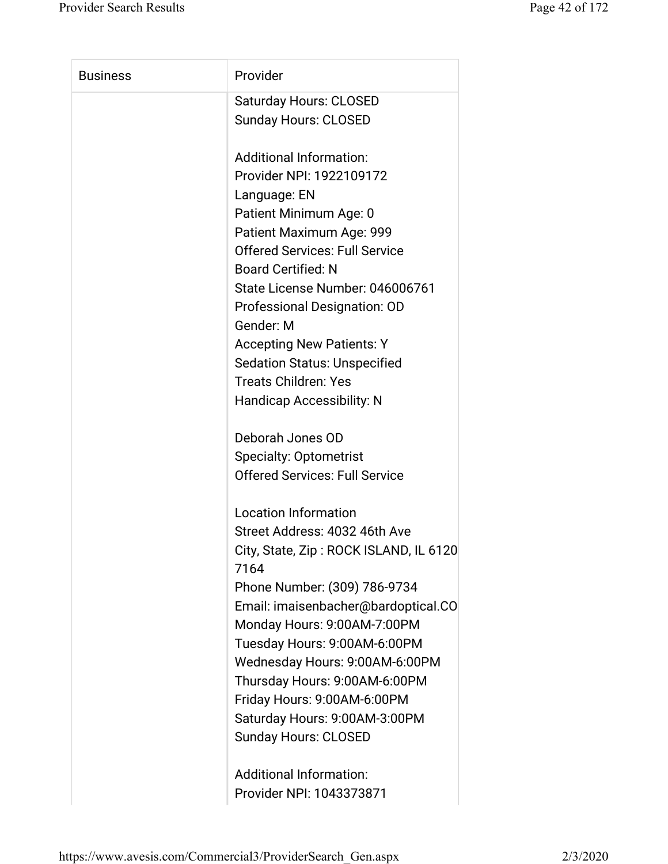| <b>Business</b> | Provider                                       |
|-----------------|------------------------------------------------|
|                 | <b>Saturday Hours: CLOSED</b>                  |
|                 | <b>Sunday Hours: CLOSED</b>                    |
|                 | <b>Additional Information:</b>                 |
|                 | Provider NPI: 1922109172                       |
|                 | Language: EN                                   |
|                 | Patient Minimum Age: 0                         |
|                 | Patient Maximum Age: 999                       |
|                 | <b>Offered Services: Full Service</b>          |
|                 | <b>Board Certified: N</b>                      |
|                 | State License Number: 046006761                |
|                 | Professional Designation: OD                   |
|                 | Gender: M                                      |
|                 | <b>Accepting New Patients: Y</b>               |
|                 | <b>Sedation Status: Unspecified</b>            |
|                 | <b>Treats Children: Yes</b>                    |
|                 | <b>Handicap Accessibility: N</b>               |
|                 | Deborah Jones OD                               |
|                 | <b>Specialty: Optometrist</b>                  |
|                 | <b>Offered Services: Full Service</b>          |
|                 | <b>Location Information</b>                    |
|                 | Street Address: 4032 46th Ave                  |
|                 | City, State, Zip: ROCK ISLAND, IL 6120<br>7164 |
|                 | Phone Number: (309) 786-9734                   |
|                 | Email: imaisenbacher@bardoptical.CO            |
|                 | Monday Hours: 9:00AM-7:00PM                    |
|                 | Tuesday Hours: 9:00AM-6:00PM                   |
|                 | Wednesday Hours: 9:00AM-6:00PM                 |
|                 | Thursday Hours: 9:00AM-6:00PM                  |
|                 | Friday Hours: 9:00AM-6:00PM                    |
|                 | Saturday Hours: 9:00AM-3:00PM                  |
|                 | <b>Sunday Hours: CLOSED</b>                    |
|                 | <b>Additional Information:</b>                 |
|                 | Provider NPI: 1043373871                       |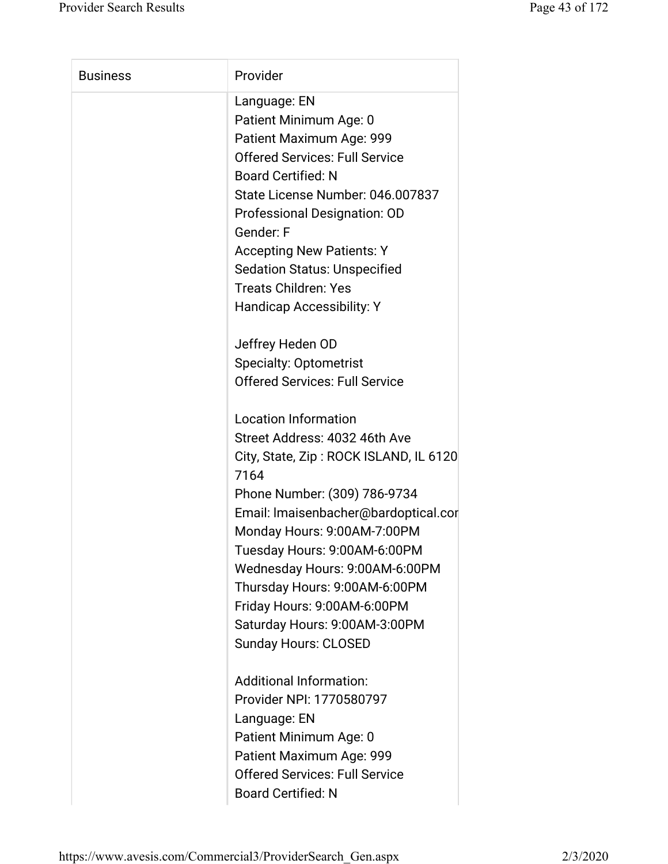| <b>Business</b> | Provider                                       |
|-----------------|------------------------------------------------|
|                 | Language: EN                                   |
|                 | Patient Minimum Age: 0                         |
|                 | Patient Maximum Age: 999                       |
|                 | <b>Offered Services: Full Service</b>          |
|                 | <b>Board Certified: N</b>                      |
|                 | State License Number: 046.007837               |
|                 | Professional Designation: OD                   |
|                 | Gender: F                                      |
|                 | <b>Accepting New Patients: Y</b>               |
|                 | <b>Sedation Status: Unspecified</b>            |
|                 | <b>Treats Children: Yes</b>                    |
|                 | <b>Handicap Accessibility: Y</b>               |
|                 | Jeffrey Heden OD                               |
|                 | <b>Specialty: Optometrist</b>                  |
|                 | <b>Offered Services: Full Service</b>          |
|                 | <b>Location Information</b>                    |
|                 | Street Address: 4032 46th Ave                  |
|                 | City, State, Zip: ROCK ISLAND, IL 6120<br>7164 |
|                 | Phone Number: (309) 786-9734                   |
|                 | Email: Imaisenbacher@bardoptical.cor           |
|                 | Monday Hours: 9:00AM-7:00PM                    |
|                 | Tuesday Hours: 9:00AM-6:00PM                   |
|                 | Wednesday Hours: 9:00AM-6:00PM                 |
|                 | Thursday Hours: 9:00AM-6:00PM                  |
|                 | Friday Hours: 9:00AM-6:00PM                    |
|                 | Saturday Hours: 9:00AM-3:00PM                  |
|                 | <b>Sunday Hours: CLOSED</b>                    |
|                 | <b>Additional Information:</b>                 |
|                 | Provider NPI: 1770580797                       |
|                 | Language: EN                                   |
|                 | Patient Minimum Age: 0                         |
|                 | Patient Maximum Age: 999                       |
|                 | <b>Offered Services: Full Service</b>          |
|                 | <b>Board Certified: N</b>                      |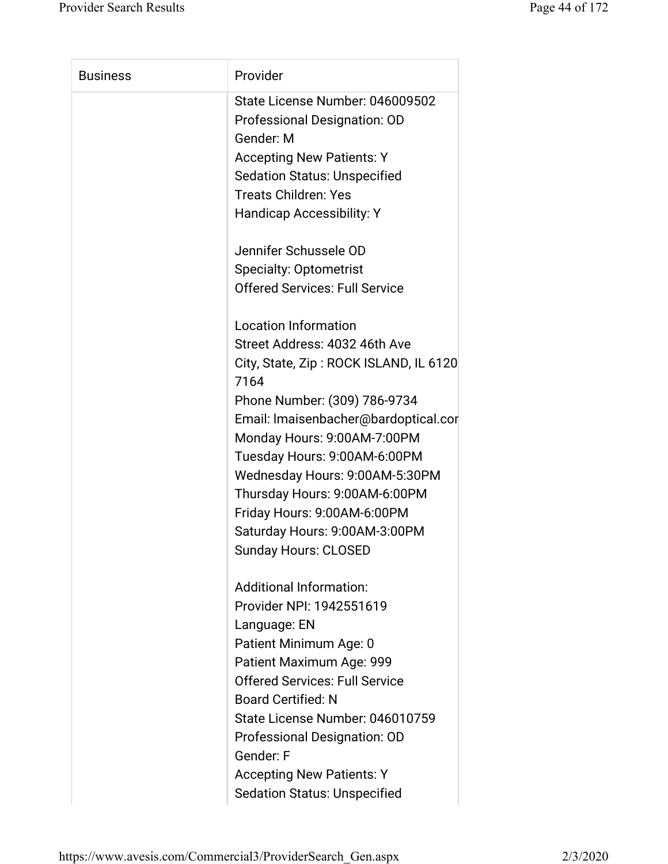| <b>Business</b> | Provider                                                                     |
|-----------------|------------------------------------------------------------------------------|
|                 | State License Number: 046009502<br>Professional Designation: OD<br>Gender: M |
|                 | <b>Accepting New Patients: Y</b>                                             |
|                 | <b>Sedation Status: Unspecified</b>                                          |
|                 | <b>Treats Children: Yes</b>                                                  |
|                 | <b>Handicap Accessibility: Y</b>                                             |
|                 |                                                                              |
|                 | Jennifer Schussele OD                                                        |
|                 | <b>Specialty: Optometrist</b>                                                |
|                 | <b>Offered Services: Full Service</b>                                        |
|                 |                                                                              |
|                 | <b>Location Information</b>                                                  |
|                 | Street Address: 4032 46th Ave                                                |
|                 | City, State, Zip: ROCK ISLAND, IL 6120                                       |
|                 | 7164                                                                         |
|                 | Phone Number: (309) 786-9734                                                 |
|                 | Email: Imaisenbacher@bardoptical.cor                                         |
|                 | Monday Hours: 9:00AM-7:00PM                                                  |
|                 | Tuesday Hours: 9:00AM-6:00PM                                                 |
|                 | Wednesday Hours: 9:00AM-5:30PM                                               |
|                 | Thursday Hours: 9:00AM-6:00PM                                                |
|                 | Friday Hours: 9:00AM-6:00PM                                                  |
|                 | Saturday Hours: 9:00AM-3:00PM                                                |
|                 | <b>Sunday Hours: CLOSED</b>                                                  |
|                 |                                                                              |
|                 | <b>Additional Information:</b>                                               |
|                 | Provider NPI: 1942551619                                                     |
|                 | Language: EN                                                                 |
|                 | Patient Minimum Age: 0                                                       |
|                 | Patient Maximum Age: 999                                                     |
|                 | <b>Offered Services: Full Service</b>                                        |
|                 | <b>Board Certified: N</b>                                                    |
|                 | State License Number: 046010759                                              |
|                 | Professional Designation: OD                                                 |
|                 | Gender: F                                                                    |
|                 | <b>Accepting New Patients: Y</b>                                             |
|                 | <b>Sedation Status: Unspecified</b>                                          |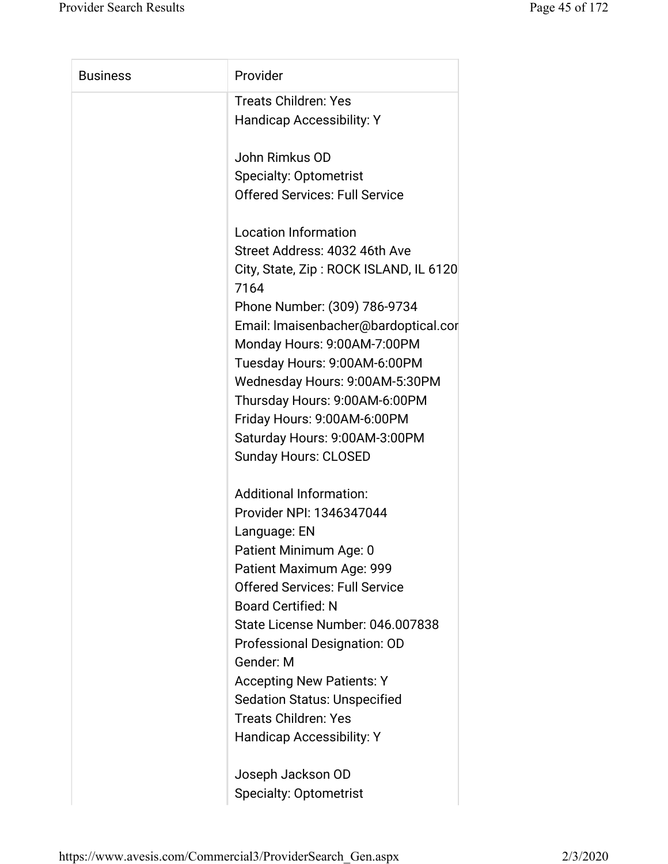| <b>Business</b> | Provider                                       |
|-----------------|------------------------------------------------|
|                 | <b>Treats Children: Yes</b>                    |
|                 | <b>Handicap Accessibility: Y</b>               |
|                 | John Rimkus OD                                 |
|                 | <b>Specialty: Optometrist</b>                  |
|                 | <b>Offered Services: Full Service</b>          |
|                 | <b>Location Information</b>                    |
|                 | Street Address: 4032 46th Ave                  |
|                 | City, State, Zip: ROCK ISLAND, IL 6120<br>7164 |
|                 | Phone Number: (309) 786-9734                   |
|                 | Email: Imaisenbacher@bardoptical.cor           |
|                 | Monday Hours: 9:00AM-7:00PM                    |
|                 | Tuesday Hours: 9:00AM-6:00PM                   |
|                 | Wednesday Hours: 9:00AM-5:30PM                 |
|                 | Thursday Hours: 9:00AM-6:00PM                  |
|                 | Friday Hours: 9:00AM-6:00PM                    |
|                 | Saturday Hours: 9:00AM-3:00PM                  |
|                 | <b>Sunday Hours: CLOSED</b>                    |
|                 | <b>Additional Information:</b>                 |
|                 | Provider NPI: 1346347044                       |
|                 | Language: EN                                   |
|                 | Patient Minimum Age: 0                         |
|                 | Patient Maximum Age: 999                       |
|                 | <b>Offered Services: Full Service</b>          |
|                 | <b>Board Certified: N</b>                      |
|                 | State License Number: 046.007838               |
|                 | <b>Professional Designation: OD</b>            |
|                 | Gender: M                                      |
|                 | <b>Accepting New Patients: Y</b>               |
|                 | <b>Sedation Status: Unspecified</b>            |
|                 | <b>Treats Children: Yes</b>                    |
|                 | <b>Handicap Accessibility: Y</b>               |
|                 | Joseph Jackson OD                              |
|                 | <b>Specialty: Optometrist</b>                  |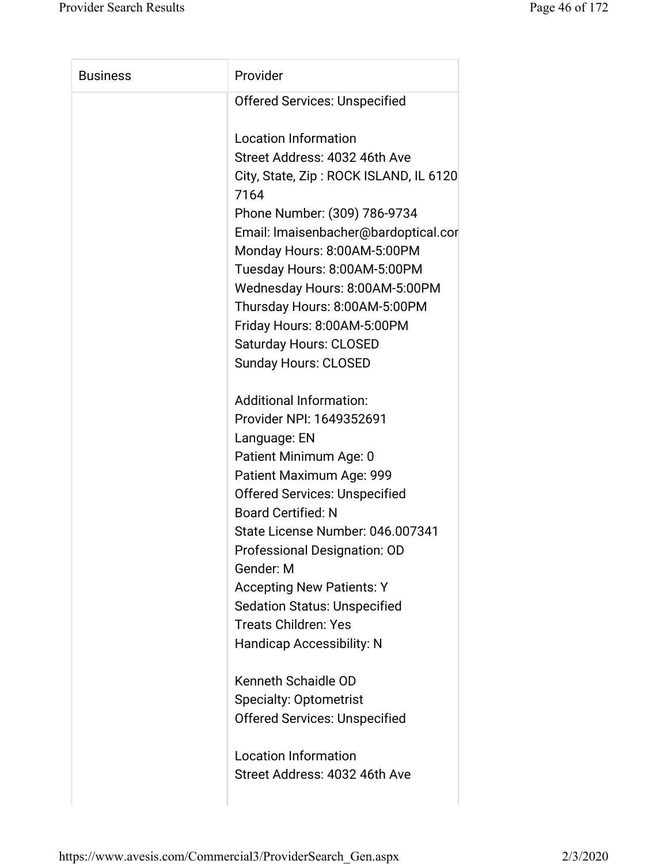| <b>Business</b> | Provider                                       |
|-----------------|------------------------------------------------|
|                 | <b>Offered Services: Unspecified</b>           |
|                 | <b>Location Information</b>                    |
|                 | Street Address: 4032 46th Ave                  |
|                 |                                                |
|                 | City, State, Zip: ROCK ISLAND, IL 6120<br>7164 |
|                 | Phone Number: (309) 786-9734                   |
|                 | Email: Imaisenbacher@bardoptical.cor           |
|                 | Monday Hours: 8:00AM-5:00PM                    |
|                 | Tuesday Hours: 8:00AM-5:00PM                   |
|                 | Wednesday Hours: 8:00AM-5:00PM                 |
|                 | Thursday Hours: 8:00AM-5:00PM                  |
|                 | Friday Hours: 8:00AM-5:00PM                    |
|                 | <b>Saturday Hours: CLOSED</b>                  |
|                 | <b>Sunday Hours: CLOSED</b>                    |
|                 |                                                |
|                 | <b>Additional Information:</b>                 |
|                 | Provider NPI: 1649352691                       |
|                 | Language: EN                                   |
|                 | Patient Minimum Age: 0                         |
|                 | Patient Maximum Age: 999                       |
|                 | <b>Offered Services: Unspecified</b>           |
|                 | <b>Board Certified: N</b>                      |
|                 | State License Number: 046.007341               |
|                 | <b>Professional Designation: OD</b>            |
|                 | Gender: M                                      |
|                 | <b>Accepting New Patients: Y</b>               |
|                 | <b>Sedation Status: Unspecified</b>            |
|                 | <b>Treats Children: Yes</b>                    |
|                 | <b>Handicap Accessibility: N</b>               |
|                 | Kenneth Schaidle OD                            |
|                 | <b>Specialty: Optometrist</b>                  |
|                 | <b>Offered Services: Unspecified</b>           |
|                 |                                                |
|                 | <b>Location Information</b>                    |
|                 | Street Address: 4032 46th Ave                  |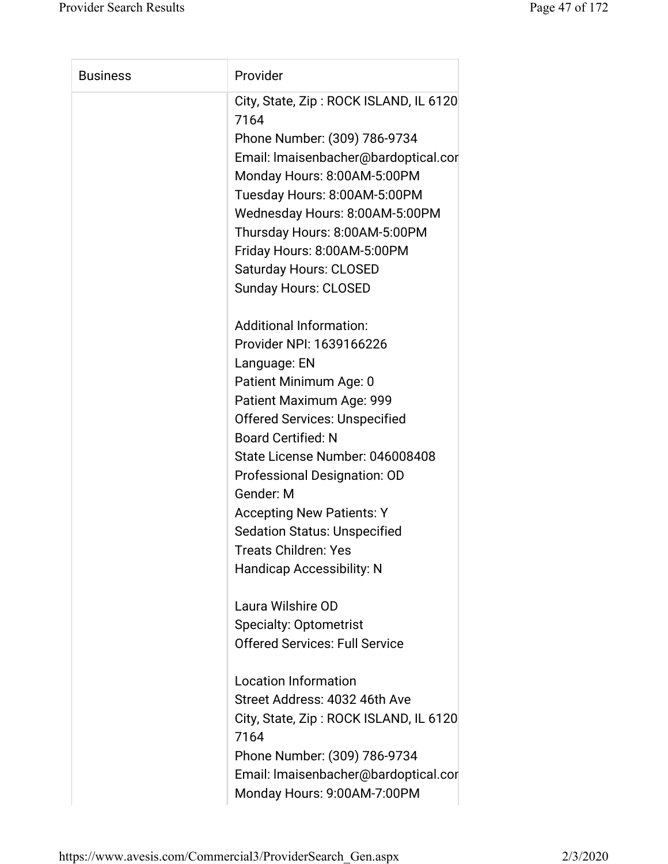| <b>Business</b> | Provider                                       |
|-----------------|------------------------------------------------|
|                 | City, State, Zip: ROCK ISLAND, IL 6120<br>7164 |
|                 | Phone Number: (309) 786-9734                   |
|                 | Email: Imaisenbacher@bardoptical.cor           |
|                 | Monday Hours: 8:00AM-5:00PM                    |
|                 | Tuesday Hours: 8:00AM-5:00PM                   |
|                 | Wednesday Hours: 8:00AM-5:00PM                 |
|                 | Thursday Hours: 8:00AM-5:00PM                  |
|                 | Friday Hours: 8:00AM-5:00PM                    |
|                 | <b>Saturday Hours: CLOSED</b>                  |
|                 | <b>Sunday Hours: CLOSED</b>                    |
|                 | <b>Additional Information:</b>                 |
|                 | Provider NPI: 1639166226                       |
|                 | Language: EN                                   |
|                 | Patient Minimum Age: 0                         |
|                 | Patient Maximum Age: 999                       |
|                 | <b>Offered Services: Unspecified</b>           |
|                 | <b>Board Certified: N</b>                      |
|                 | State License Number: 046008408                |
|                 | Professional Designation: OD                   |
|                 | Gender: M                                      |
|                 | <b>Accepting New Patients: Y</b>               |
|                 | <b>Sedation Status: Unspecified</b>            |
|                 | <b>Treats Children: Yes</b>                    |
|                 | <b>Handicap Accessibility: N</b>               |
|                 | Laura Wilshire OD                              |
|                 | <b>Specialty: Optometrist</b>                  |
|                 | <b>Offered Services: Full Service</b>          |
|                 | <b>Location Information</b>                    |
|                 | Street Address: 4032 46th Ave                  |
|                 | City, State, Zip: ROCK ISLAND, IL 6120<br>7164 |
|                 | Phone Number: (309) 786-9734                   |
|                 | Email: Imaisenbacher@bardoptical.cor           |
|                 |                                                |
|                 | Monday Hours: 9:00AM-7:00PM                    |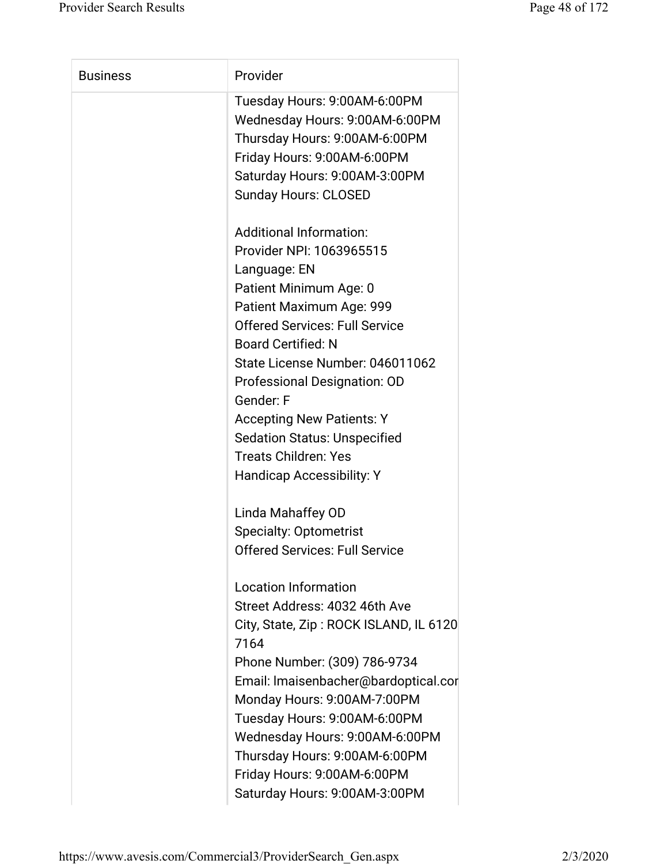| <b>Business</b> | Provider                                                           |
|-----------------|--------------------------------------------------------------------|
|                 | Tuesday Hours: 9:00AM-6:00PM<br>Wednesday Hours: 9:00AM-6:00PM     |
|                 | Thursday Hours: 9:00AM-6:00PM                                      |
|                 | Friday Hours: 9:00AM-6:00PM                                        |
|                 | Saturday Hours: 9:00AM-3:00PM                                      |
|                 | <b>Sunday Hours: CLOSED</b>                                        |
|                 | <b>Additional Information:</b>                                     |
|                 | Provider NPI: 1063965515                                           |
|                 | Language: EN                                                       |
|                 | Patient Minimum Age: 0                                             |
|                 | Patient Maximum Age: 999                                           |
|                 | <b>Offered Services: Full Service</b>                              |
|                 | <b>Board Certified: N</b>                                          |
|                 | State License Number: 046011062                                    |
|                 | Professional Designation: OD                                       |
|                 | Gender: F                                                          |
|                 | <b>Accepting New Patients: Y</b>                                   |
|                 | <b>Sedation Status: Unspecified</b><br><b>Treats Children: Yes</b> |
|                 | <b>Handicap Accessibility: Y</b>                                   |
|                 |                                                                    |
|                 | Linda Mahaffey OD                                                  |
|                 | <b>Specialty: Optometrist</b>                                      |
|                 | <b>Offered Services: Full Service</b>                              |
|                 | <b>Location Information</b>                                        |
|                 | Street Address: 4032 46th Ave                                      |
|                 | City, State, Zip: ROCK ISLAND, IL 6120<br>7164                     |
|                 | Phone Number: (309) 786-9734                                       |
|                 | Email: Imaisenbacher@bardoptical.cor                               |
|                 | Monday Hours: 9:00AM-7:00PM                                        |
|                 | Tuesday Hours: 9:00AM-6:00PM                                       |
|                 | Wednesday Hours: 9:00AM-6:00PM                                     |
|                 | Thursday Hours: 9:00AM-6:00PM                                      |
|                 | Friday Hours: 9:00AM-6:00PM                                        |
|                 | Saturday Hours: 9:00AM-3:00PM                                      |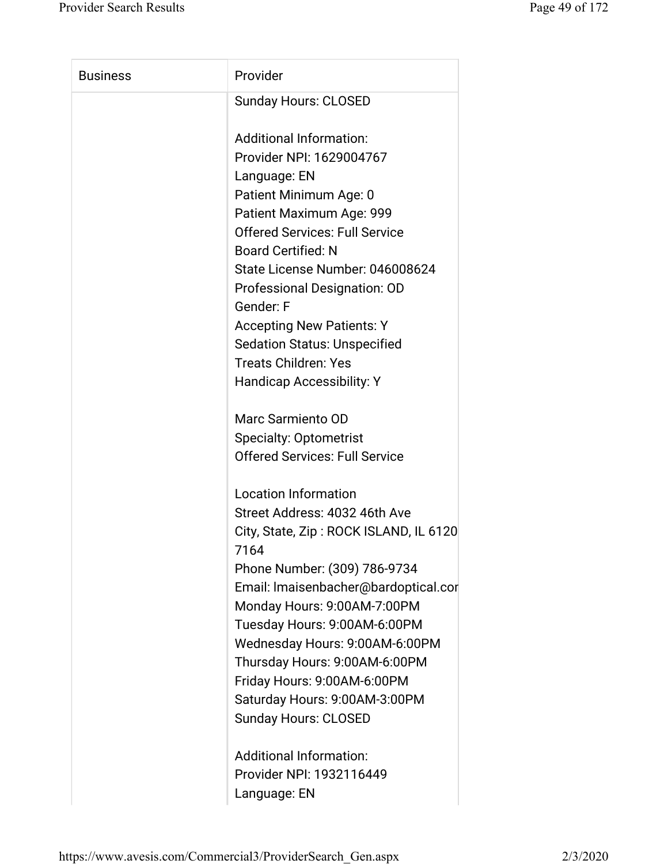| <b>Business</b> | Provider                                       |
|-----------------|------------------------------------------------|
|                 | <b>Sunday Hours: CLOSED</b>                    |
|                 | <b>Additional Information:</b>                 |
|                 | Provider NPI: 1629004767                       |
|                 | Language: EN                                   |
|                 | Patient Minimum Age: 0                         |
|                 | Patient Maximum Age: 999                       |
|                 | <b>Offered Services: Full Service</b>          |
|                 | <b>Board Certified: N</b>                      |
|                 | State License Number: 046008624                |
|                 | <b>Professional Designation: OD</b>            |
|                 | Gender: F                                      |
|                 | <b>Accepting New Patients: Y</b>               |
|                 | <b>Sedation Status: Unspecified</b>            |
|                 | <b>Treats Children: Yes</b>                    |
|                 | Handicap Accessibility: Y                      |
|                 | Marc Sarmiento OD                              |
|                 | <b>Specialty: Optometrist</b>                  |
|                 | <b>Offered Services: Full Service</b>          |
|                 | <b>Location Information</b>                    |
|                 | Street Address: 4032 46th Ave                  |
|                 | City, State, Zip: ROCK ISLAND, IL 6120<br>7164 |
|                 | Phone Number: (309) 786-9734                   |
|                 | Email: Imaisenbacher@bardoptical.cor           |
|                 | Monday Hours: 9:00AM-7:00PM                    |
|                 | Tuesday Hours: 9:00AM-6:00PM                   |
|                 | Wednesday Hours: 9:00AM-6:00PM                 |
|                 | Thursday Hours: 9:00AM-6:00PM                  |
|                 | Friday Hours: 9:00AM-6:00PM                    |
|                 | Saturday Hours: 9:00AM-3:00PM                  |
|                 | <b>Sunday Hours: CLOSED</b>                    |
|                 | <b>Additional Information:</b>                 |
|                 | Provider NPI: 1932116449                       |

Language: EN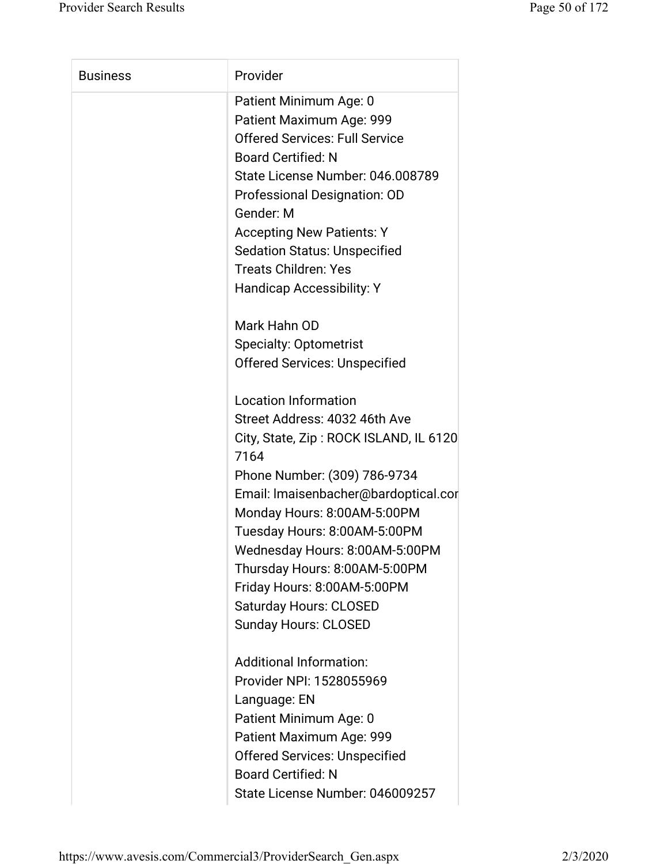| <b>Business</b> | Provider                                       |
|-----------------|------------------------------------------------|
|                 | Patient Minimum Age: 0                         |
|                 | Patient Maximum Age: 999                       |
|                 | <b>Offered Services: Full Service</b>          |
|                 | <b>Board Certified: N</b>                      |
|                 | State License Number: 046.008789               |
|                 | Professional Designation: OD                   |
|                 | Gender: M                                      |
|                 | <b>Accepting New Patients: Y</b>               |
|                 | <b>Sedation Status: Unspecified</b>            |
|                 | <b>Treats Children: Yes</b>                    |
|                 | <b>Handicap Accessibility: Y</b>               |
|                 | Mark Hahn OD                                   |
|                 | <b>Specialty: Optometrist</b>                  |
|                 | <b>Offered Services: Unspecified</b>           |
|                 | <b>Location Information</b>                    |
|                 | Street Address: 4032 46th Ave                  |
|                 | City, State, Zip: ROCK ISLAND, IL 6120<br>7164 |
|                 | Phone Number: (309) 786-9734                   |
|                 | Email: Imaisenbacher@bardoptical.cor           |
|                 | Monday Hours: 8:00AM-5:00PM                    |
|                 | Tuesday Hours: 8:00AM-5:00PM                   |
|                 | Wednesday Hours: 8:00AM-5:00PM                 |
|                 | Thursday Hours: 8:00AM-5:00PM                  |
|                 | Friday Hours: 8:00AM-5:00PM                    |
|                 | <b>Saturday Hours: CLOSED</b>                  |
|                 | <b>Sunday Hours: CLOSED</b>                    |
|                 | <b>Additional Information:</b>                 |
|                 | Provider NPI: 1528055969                       |
|                 | Language: EN                                   |
|                 | Patient Minimum Age: 0                         |
|                 | Patient Maximum Age: 999                       |
|                 | <b>Offered Services: Unspecified</b>           |
|                 |                                                |
|                 | <b>Board Certified: N</b>                      |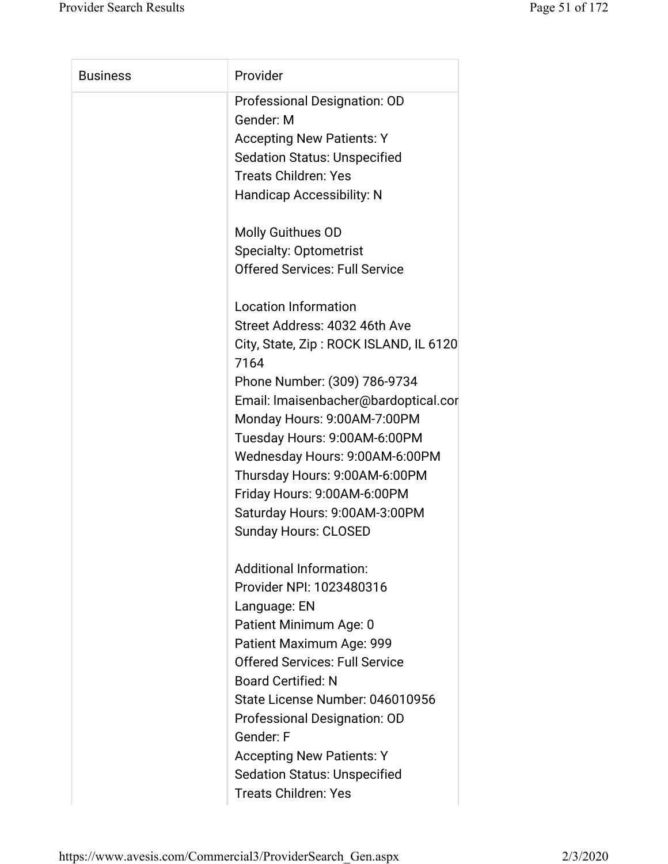| <b>Business</b> | Provider                                       |
|-----------------|------------------------------------------------|
|                 | Professional Designation: OD<br>Gender: M      |
|                 | <b>Accepting New Patients: Y</b>               |
|                 | <b>Sedation Status: Unspecified</b>            |
|                 | <b>Treats Children: Yes</b>                    |
|                 | Handicap Accessibility: N                      |
|                 | Molly Guithues OD                              |
|                 | <b>Specialty: Optometrist</b>                  |
|                 | <b>Offered Services: Full Service</b>          |
|                 | <b>Location Information</b>                    |
|                 | Street Address: 4032 46th Ave                  |
|                 | City, State, Zip: ROCK ISLAND, IL 6120<br>7164 |
|                 | Phone Number: (309) 786-9734                   |
|                 | Email: Imaisenbacher@bardoptical.cor           |
|                 | Monday Hours: 9:00AM-7:00PM                    |
|                 | Tuesday Hours: 9:00AM-6:00PM                   |
|                 | Wednesday Hours: 9:00AM-6:00PM                 |
|                 | Thursday Hours: 9:00AM-6:00PM                  |
|                 | Friday Hours: 9:00AM-6:00PM                    |
|                 | Saturday Hours: 9:00AM-3:00PM                  |
|                 | <b>Sunday Hours: CLOSED</b>                    |
|                 | <b>Additional Information:</b>                 |
|                 | Provider NPI: 1023480316                       |
|                 | Language: EN                                   |
|                 | Patient Minimum Age: 0                         |
|                 | Patient Maximum Age: 999                       |
|                 | <b>Offered Services: Full Service</b>          |
|                 | <b>Board Certified: N</b>                      |
|                 | State License Number: 046010956                |
|                 | Professional Designation: OD                   |
|                 | Gender: F                                      |
|                 | <b>Accepting New Patients: Y</b>               |
|                 | <b>Sedation Status: Unspecified</b>            |
|                 | <b>Treats Children: Yes</b>                    |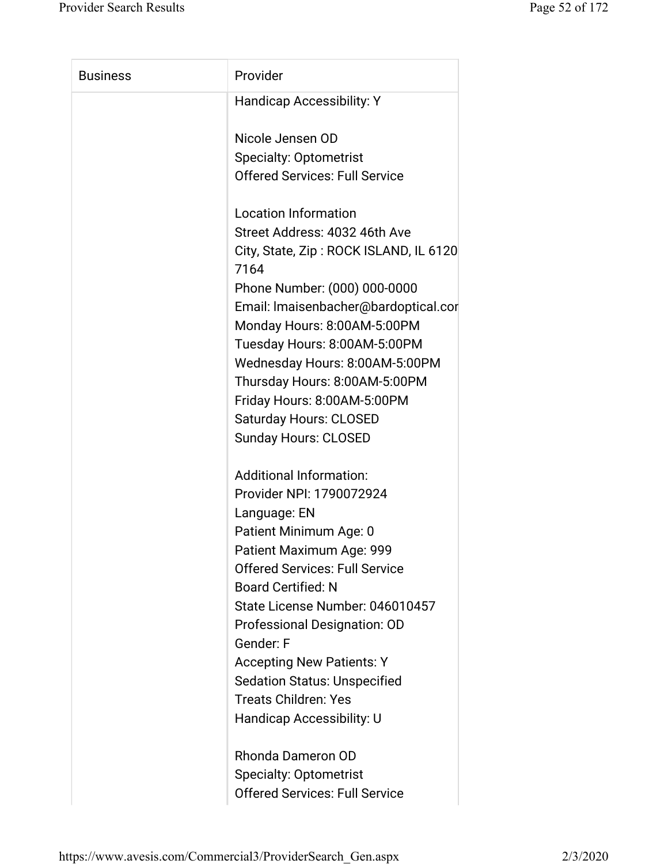| <b>Business</b> | Provider                               |
|-----------------|----------------------------------------|
|                 |                                        |
|                 | <b>Handicap Accessibility: Y</b>       |
|                 | Nicole Jensen OD                       |
|                 | <b>Specialty: Optometrist</b>          |
|                 | <b>Offered Services: Full Service</b>  |
|                 |                                        |
|                 | <b>Location Information</b>            |
|                 | Street Address: 4032 46th Ave          |
|                 | City, State, Zip: ROCK ISLAND, IL 6120 |
|                 | 7164                                   |
|                 | Phone Number: (000) 000-0000           |
|                 | Email: Imaisenbacher@bardoptical.cor   |
|                 | Monday Hours: 8:00AM-5:00PM            |
|                 | Tuesday Hours: 8:00AM-5:00PM           |
|                 | Wednesday Hours: 8:00AM-5:00PM         |
|                 | Thursday Hours: 8:00AM-5:00PM          |
|                 | Friday Hours: 8:00AM-5:00PM            |
|                 | <b>Saturday Hours: CLOSED</b>          |
|                 | <b>Sunday Hours: CLOSED</b>            |
|                 | <b>Additional Information:</b>         |
|                 | Provider NPI: 1790072924               |
|                 | Language: EN                           |
|                 | Patient Minimum Age: 0                 |
|                 | Patient Maximum Age: 999               |
|                 | <b>Offered Services: Full Service</b>  |
|                 | <b>Board Certified: N</b>              |
|                 | State License Number: 046010457        |
|                 | Professional Designation: OD           |
|                 | Gender: F                              |
|                 | <b>Accepting New Patients: Y</b>       |
|                 | <b>Sedation Status: Unspecified</b>    |
|                 | <b>Treats Children: Yes</b>            |
|                 | Handicap Accessibility: U              |
|                 | Rhonda Dameron OD                      |
|                 | <b>Specialty: Optometrist</b>          |
|                 | <b>Offered Services: Full Service</b>  |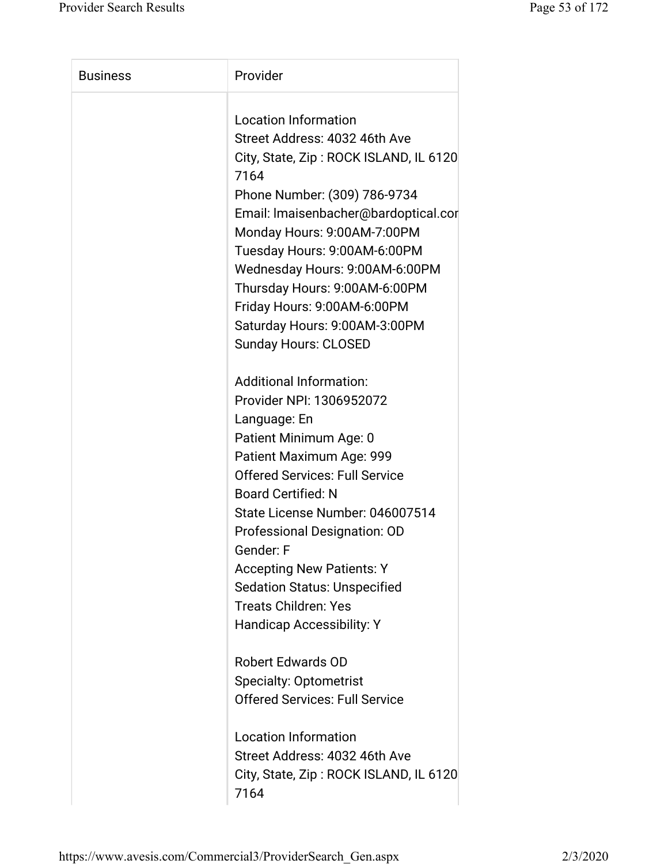| <b>Business</b> | Provider                                       |
|-----------------|------------------------------------------------|
|                 | <b>Location Information</b>                    |
|                 | Street Address: 4032 46th Ave                  |
|                 | City, State, Zip: ROCK ISLAND, IL 6120<br>7164 |
|                 | Phone Number: (309) 786-9734                   |
|                 | Email: Imaisenbacher@bardoptical.cor           |
|                 | Monday Hours: 9:00AM-7:00PM                    |
|                 | Tuesday Hours: 9:00AM-6:00PM                   |
|                 | Wednesday Hours: 9:00AM-6:00PM                 |
|                 | Thursday Hours: 9:00AM-6:00PM                  |
|                 | Friday Hours: 9:00AM-6:00PM                    |
|                 | Saturday Hours: 9:00AM-3:00PM                  |
|                 |                                                |
|                 | Sunday Hours: CLOSED                           |
|                 | <b>Additional Information:</b>                 |
|                 | Provider NPI: 1306952072                       |
|                 | Language: En                                   |
|                 | Patient Minimum Age: 0                         |
|                 | Patient Maximum Age: 999                       |
|                 | <b>Offered Services: Full Service</b>          |
|                 | <b>Board Certified: N</b>                      |
|                 | State License Number: 046007514                |
|                 | Professional Designation: OD                   |
|                 | Gender: F                                      |
|                 | <b>Accepting New Patients: Y</b>               |
|                 | <b>Sedation Status: Unspecified</b>            |
|                 | <b>Treats Children: Yes</b>                    |
|                 | <b>Handicap Accessibility: Y</b>               |
|                 |                                                |
|                 | <b>Robert Edwards OD</b>                       |
|                 | <b>Specialty: Optometrist</b>                  |
|                 | <b>Offered Services: Full Service</b>          |
|                 |                                                |
|                 | <b>Location Information</b>                    |
|                 | Street Address: 4032 46th Ave                  |
|                 | City, State, Zip: ROCK ISLAND, IL 6120         |
|                 | 7164                                           |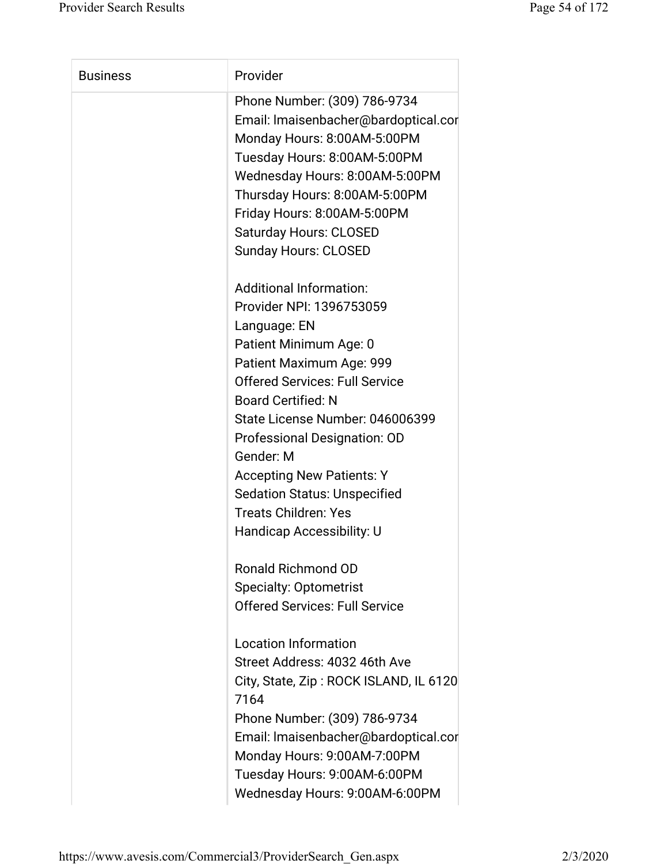| <b>Business</b> | Provider                                                                                                                                                                                                                                                                                                                                                                                                                      |
|-----------------|-------------------------------------------------------------------------------------------------------------------------------------------------------------------------------------------------------------------------------------------------------------------------------------------------------------------------------------------------------------------------------------------------------------------------------|
|                 | Phone Number: (309) 786-9734<br>Email: Imaisenbacher@bardoptical.cor<br>Monday Hours: 8:00AM-5:00PM<br>Tuesday Hours: 8:00AM-5:00PM<br>Wednesday Hours: 8:00AM-5:00PM<br>Thursday Hours: 8:00AM-5:00PM<br>Friday Hours: 8:00AM-5:00PM<br><b>Saturday Hours: CLOSED</b><br><b>Sunday Hours: CLOSED</b>                                                                                                                         |
|                 | <b>Additional Information:</b><br>Provider NPI: 1396753059<br>Language: EN<br>Patient Minimum Age: 0<br>Patient Maximum Age: 999<br><b>Offered Services: Full Service</b><br><b>Board Certified: N</b><br>State License Number: 046006399<br>Professional Designation: OD<br>Gender: M<br><b>Accepting New Patients: Y</b><br><b>Sedation Status: Unspecified</b><br><b>Treats Children: Yes</b><br>Handicap Accessibility: U |
|                 | Ronald Richmond OD<br><b>Specialty: Optometrist</b><br><b>Offered Services: Full Service</b>                                                                                                                                                                                                                                                                                                                                  |
|                 | <b>Location Information</b><br>Street Address: 4032 46th Ave<br>City, State, Zip: ROCK ISLAND, IL 6120<br>7164<br>Phone Number: (309) 786-9734<br>Email: Imaisenbacher@bardoptical.cor<br>Monday Hours: 9:00AM-7:00PM<br>Tuesday Hours: 9:00AM-6:00PM<br>Wednesday Hours: 9:00AM-6:00PM                                                                                                                                       |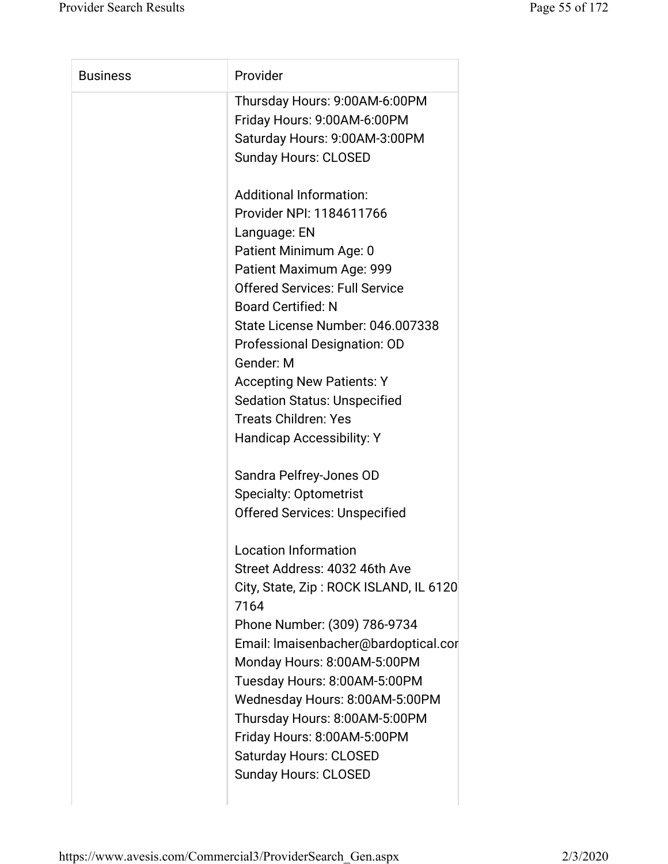| <b>Business</b> | Provider                               |
|-----------------|----------------------------------------|
|                 | Thursday Hours: 9:00AM-6:00PM          |
|                 | Friday Hours: 9:00AM-6:00PM            |
|                 | Saturday Hours: 9:00AM-3:00PM          |
|                 | <b>Sunday Hours: CLOSED</b>            |
|                 | <b>Additional Information:</b>         |
|                 | Provider NPI: 1184611766               |
|                 | Language: EN                           |
|                 | Patient Minimum Age: 0                 |
|                 | Patient Maximum Age: 999               |
|                 | <b>Offered Services: Full Service</b>  |
|                 | <b>Board Certified: N</b>              |
|                 | State License Number: 046.007338       |
|                 | Professional Designation: OD           |
|                 | Gender: M                              |
|                 | <b>Accepting New Patients: Y</b>       |
|                 | <b>Sedation Status: Unspecified</b>    |
|                 | <b>Treats Children: Yes</b>            |
|                 | Handicap Accessibility: Y              |
|                 | Sandra Pelfrey-Jones OD                |
|                 | <b>Specialty: Optometrist</b>          |
|                 | <b>Offered Services: Unspecified</b>   |
|                 | <b>Location Information</b>            |
|                 | Street Address: 4032 46th Ave          |
|                 | City, State, Zip: ROCK ISLAND, IL 6120 |
|                 | 7164                                   |
|                 | Phone Number: (309) 786-9734           |
|                 | Email: Imaisenbacher@bardoptical.cor   |
|                 | Monday Hours: 8:00AM-5:00PM            |
|                 | Tuesday Hours: 8:00AM-5:00PM           |
|                 | Wednesday Hours: 8:00AM-5:00PM         |
|                 | Thursday Hours: 8:00AM-5:00PM          |
|                 | Friday Hours: 8:00AM-5:00PM            |
|                 | <b>Saturday Hours: CLOSED</b>          |
|                 | <b>Sunday Hours: CLOSED</b>            |
|                 |                                        |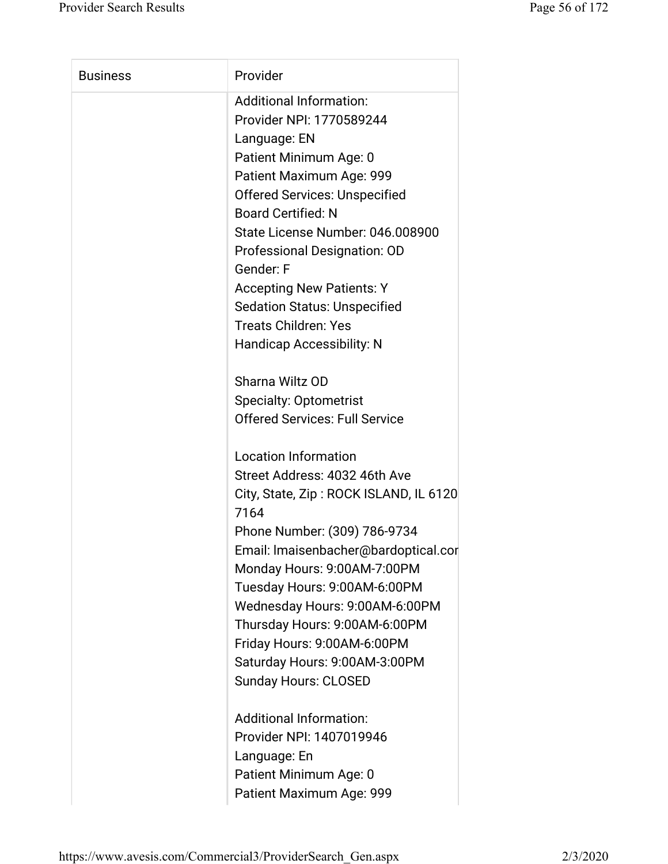| <b>Business</b> | Provider                               |
|-----------------|----------------------------------------|
|                 | <b>Additional Information:</b>         |
|                 | Provider NPI: 1770589244               |
|                 | Language: EN                           |
|                 | Patient Minimum Age: 0                 |
|                 | Patient Maximum Age: 999               |
|                 | <b>Offered Services: Unspecified</b>   |
|                 | <b>Board Certified: N</b>              |
|                 | State License Number: 046.008900       |
|                 | Professional Designation: OD           |
|                 | Gender: F                              |
|                 | <b>Accepting New Patients: Y</b>       |
|                 | <b>Sedation Status: Unspecified</b>    |
|                 | <b>Treats Children: Yes</b>            |
|                 | <b>Handicap Accessibility: N</b>       |
|                 | Sharna Wiltz OD                        |
|                 | <b>Specialty: Optometrist</b>          |
|                 | <b>Offered Services: Full Service</b>  |
|                 | <b>Location Information</b>            |
|                 | Street Address: 4032 46th Ave          |
|                 | City, State, Zip: ROCK ISLAND, IL 6120 |
|                 | 7164                                   |
|                 | Phone Number: (309) 786-9734           |
|                 | Email: Imaisenbacher@bardoptical.cor   |
|                 | Monday Hours: 9:00AM-7:00PM            |
|                 | Tuesday Hours: 9:00AM-6:00PM           |
|                 | Wednesday Hours: 9:00AM-6:00PM         |
|                 | Thursday Hours: 9:00AM-6:00PM          |
|                 | Friday Hours: 9:00AM-6:00PM            |
|                 | Saturday Hours: 9:00AM-3:00PM          |
|                 | <b>Sunday Hours: CLOSED</b>            |
|                 | <b>Additional Information:</b>         |
|                 | Provider NPI: 1407019946               |
|                 | Language: En                           |
|                 | Patient Minimum Age: 0                 |
|                 | Patient Maximum Age: 999               |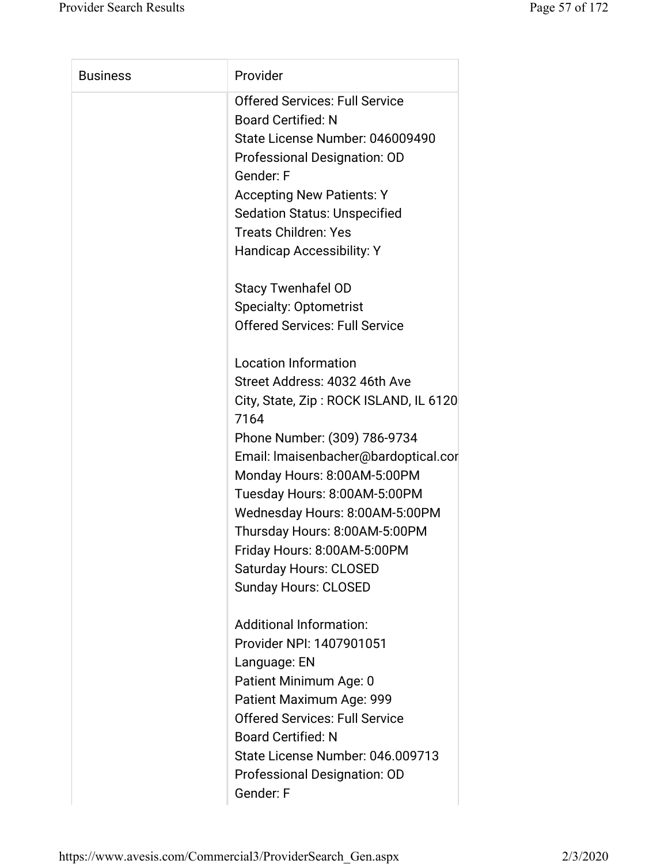| <b>Business</b> | Provider                                       |
|-----------------|------------------------------------------------|
|                 | <b>Offered Services: Full Service</b>          |
|                 | <b>Board Certified: N</b>                      |
|                 | State License Number: 046009490                |
|                 | Professional Designation: OD                   |
|                 | Gender: F                                      |
|                 | <b>Accepting New Patients: Y</b>               |
|                 | <b>Sedation Status: Unspecified</b>            |
|                 | <b>Treats Children: Yes</b>                    |
|                 | <b>Handicap Accessibility: Y</b>               |
|                 | <b>Stacy Twenhafel OD</b>                      |
|                 | <b>Specialty: Optometrist</b>                  |
|                 | <b>Offered Services: Full Service</b>          |
|                 | <b>Location Information</b>                    |
|                 | Street Address: 4032 46th Ave                  |
|                 | City, State, Zip: ROCK ISLAND, IL 6120<br>7164 |
|                 | Phone Number: (309) 786-9734                   |
|                 | Email: Imaisenbacher@bardoptical.cor           |
|                 | Monday Hours: 8:00AM-5:00PM                    |
|                 | Tuesday Hours: 8:00AM-5:00PM                   |
|                 | Wednesday Hours: 8:00AM-5:00PM                 |
|                 | Thursday Hours: 8:00AM-5:00PM                  |
|                 | Friday Hours: 8:00AM-5:00PM                    |
|                 | <b>Saturday Hours: CLOSED</b>                  |
|                 | <b>Sunday Hours: CLOSED</b>                    |
|                 | <b>Additional Information:</b>                 |
|                 | Provider NPI: 1407901051                       |
|                 | Language: EN                                   |
|                 | Patient Minimum Age: 0                         |
|                 | Patient Maximum Age: 999                       |
|                 | <b>Offered Services: Full Service</b>          |
|                 | <b>Board Certified: N</b>                      |
|                 | State License Number: 046.009713               |
|                 | Professional Designation: OD                   |
|                 | Gender: F                                      |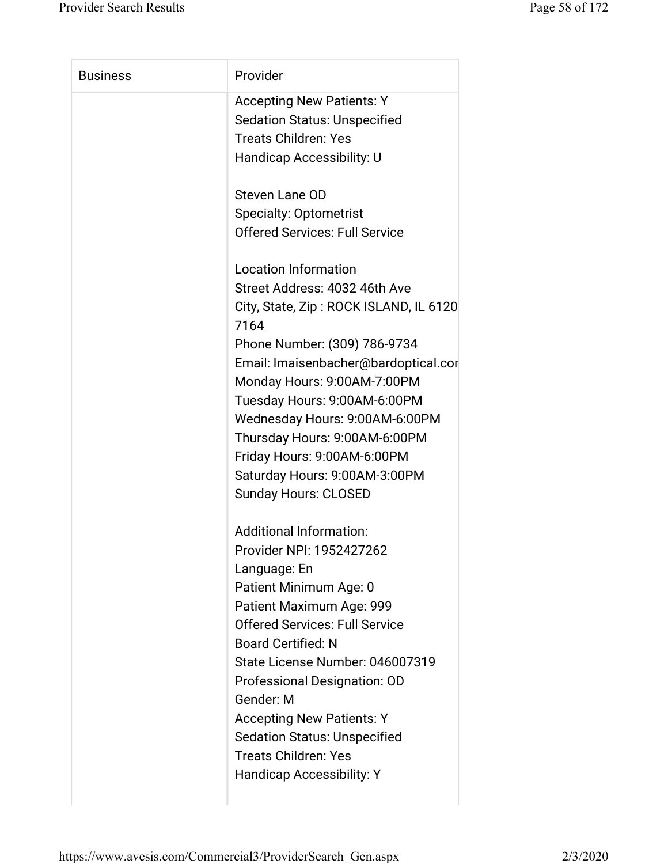| <b>Business</b> | Provider                               |
|-----------------|----------------------------------------|
|                 | <b>Accepting New Patients: Y</b>       |
|                 | <b>Sedation Status: Unspecified</b>    |
|                 | <b>Treats Children: Yes</b>            |
|                 | Handicap Accessibility: U              |
|                 |                                        |
|                 | Steven Lane OD                         |
|                 | <b>Specialty: Optometrist</b>          |
|                 | <b>Offered Services: Full Service</b>  |
|                 |                                        |
|                 | <b>Location Information</b>            |
|                 | Street Address: 4032 46th Ave          |
|                 | City, State, Zip: ROCK ISLAND, IL 6120 |
|                 | 7164                                   |
|                 | Phone Number: (309) 786-9734           |
|                 | Email: Imaisenbacher@bardoptical.cor   |
|                 | Monday Hours: 9:00AM-7:00PM            |
|                 | Tuesday Hours: 9:00AM-6:00PM           |
|                 | Wednesday Hours: 9:00AM-6:00PM         |
|                 | Thursday Hours: 9:00AM-6:00PM          |
|                 | Friday Hours: 9:00AM-6:00PM            |
|                 | Saturday Hours: 9:00AM-3:00PM          |
|                 | <b>Sunday Hours: CLOSED</b>            |
|                 | <b>Additional Information:</b>         |
|                 | Provider NPI: 1952427262               |
|                 | Language: En                           |
|                 | Patient Minimum Age: 0                 |
|                 | Patient Maximum Age: 999               |
|                 | <b>Offered Services: Full Service</b>  |
|                 | <b>Board Certified: N</b>              |
|                 | State License Number: 046007319        |
|                 | Professional Designation: OD           |
|                 | Gender: M                              |
|                 | <b>Accepting New Patients: Y</b>       |
|                 | <b>Sedation Status: Unspecified</b>    |
|                 | <b>Treats Children: Yes</b>            |
|                 | <b>Handicap Accessibility: Y</b>       |
|                 |                                        |
|                 |                                        |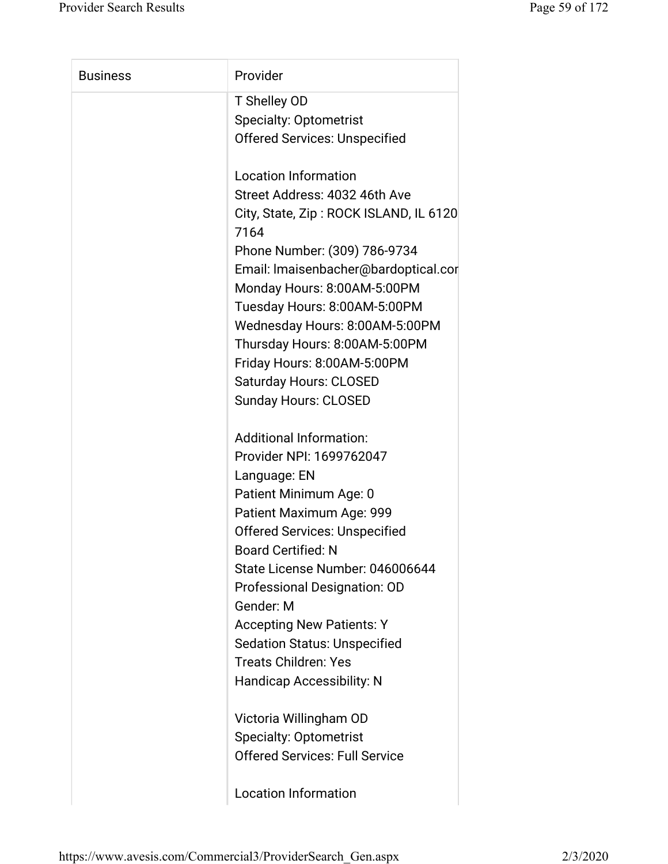| <b>Business</b> | Provider                                       |
|-----------------|------------------------------------------------|
|                 | T Shelley OD                                   |
|                 | <b>Specialty: Optometrist</b>                  |
|                 | <b>Offered Services: Unspecified</b>           |
|                 | <b>Location Information</b>                    |
|                 | Street Address: 4032 46th Ave                  |
|                 | City, State, Zip: ROCK ISLAND, IL 6120<br>7164 |
|                 | Phone Number: (309) 786-9734                   |
|                 | Email: Imaisenbacher@bardoptical.cor           |
|                 | Monday Hours: 8:00AM-5:00PM                    |
|                 | Tuesday Hours: 8:00AM-5:00PM                   |
|                 | Wednesday Hours: 8:00AM-5:00PM                 |
|                 | Thursday Hours: 8:00AM-5:00PM                  |
|                 | Friday Hours: 8:00AM-5:00PM                    |
|                 | <b>Saturday Hours: CLOSED</b>                  |
|                 | <b>Sunday Hours: CLOSED</b>                    |
|                 | <b>Additional Information:</b>                 |
|                 | Provider NPI: 1699762047                       |
|                 | Language: EN                                   |
|                 | Patient Minimum Age: 0                         |
|                 | Patient Maximum Age: 999                       |
|                 | <b>Offered Services: Unspecified</b>           |
|                 | <b>Board Certified: N</b>                      |
|                 | State License Number: 046006644                |
|                 | Professional Designation: OD                   |
|                 | Gender: M                                      |
|                 | <b>Accepting New Patients: Y</b>               |
|                 | <b>Sedation Status: Unspecified</b>            |
|                 | <b>Treats Children: Yes</b>                    |
|                 | <b>Handicap Accessibility: N</b>               |
|                 | Victoria Willingham OD                         |
|                 | <b>Specialty: Optometrist</b>                  |
|                 | <b>Offered Services: Full Service</b>          |
|                 |                                                |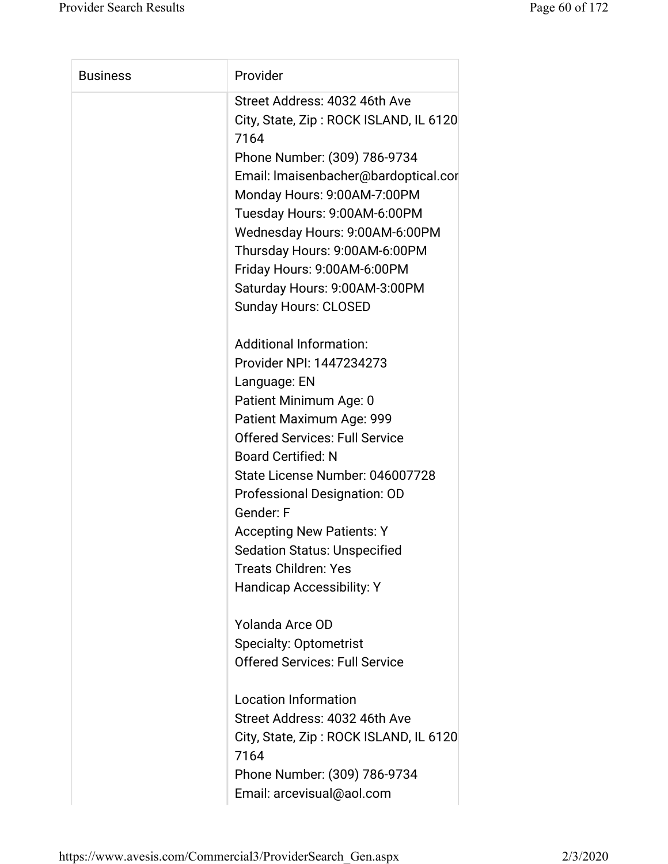| <b>Business</b> | Provider                                                                                                                                                                                                                                                                                                                                                                                                                             |
|-----------------|--------------------------------------------------------------------------------------------------------------------------------------------------------------------------------------------------------------------------------------------------------------------------------------------------------------------------------------------------------------------------------------------------------------------------------------|
|                 | Street Address: 4032 46th Ave<br>City, State, Zip: ROCK ISLAND, IL 6120<br>7164<br>Phone Number: (309) 786-9734<br>Email: Imaisenbacher@bardoptical.cor<br>Monday Hours: 9:00AM-7:00PM<br>Tuesday Hours: 9:00AM-6:00PM<br>Wednesday Hours: 9:00AM-6:00PM<br>Thursday Hours: 9:00AM-6:00PM<br>Friday Hours: 9:00AM-6:00PM<br>Saturday Hours: 9:00AM-3:00PM<br><b>Sunday Hours: CLOSED</b>                                             |
|                 | <b>Additional Information:</b><br>Provider NPI: 1447234273<br>Language: EN<br>Patient Minimum Age: 0<br>Patient Maximum Age: 999<br><b>Offered Services: Full Service</b><br><b>Board Certified: N</b><br>State License Number: 046007728<br>Professional Designation: OD<br>Gender: F<br><b>Accepting New Patients: Y</b><br><b>Sedation Status: Unspecified</b><br><b>Treats Children: Yes</b><br><b>Handicap Accessibility: Y</b> |
|                 | Yolanda Arce OD<br><b>Specialty: Optometrist</b><br><b>Offered Services: Full Service</b><br><b>Location Information</b><br>Street Address: 4032 46th Ave<br>City, State, Zip: ROCK ISLAND, IL 6120<br>7164<br>Phone Number: (309) 786-9734<br>Email: arcevisual@aol.com                                                                                                                                                             |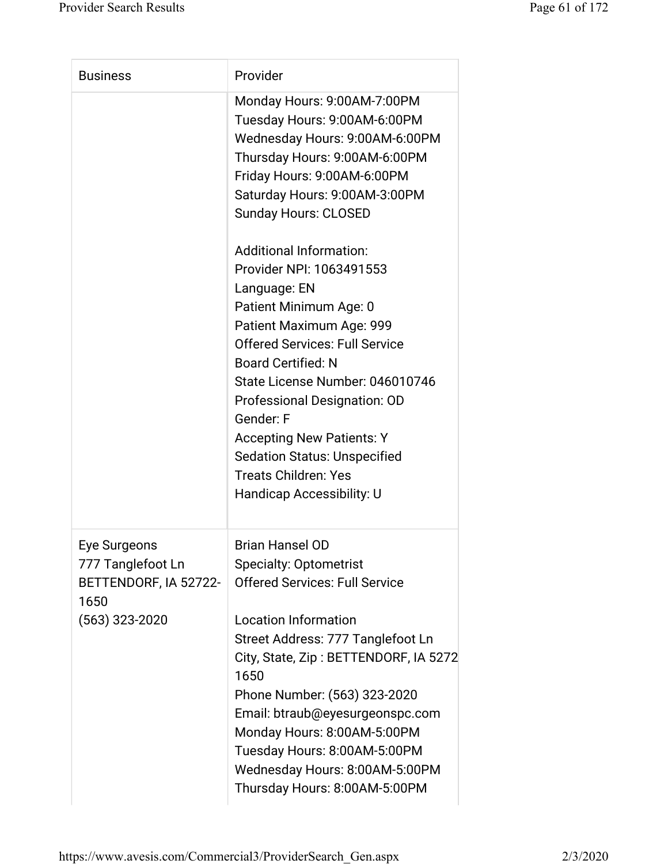| <b>Business</b>                                                                        | Provider                                                                                                                                                                                                                                                                                                                                                                                                                                                                                                                                                                                                                                                       |
|----------------------------------------------------------------------------------------|----------------------------------------------------------------------------------------------------------------------------------------------------------------------------------------------------------------------------------------------------------------------------------------------------------------------------------------------------------------------------------------------------------------------------------------------------------------------------------------------------------------------------------------------------------------------------------------------------------------------------------------------------------------|
|                                                                                        | Monday Hours: 9:00AM-7:00PM<br>Tuesday Hours: 9:00AM-6:00PM<br>Wednesday Hours: 9:00AM-6:00PM<br>Thursday Hours: 9:00AM-6:00PM<br>Friday Hours: 9:00AM-6:00PM<br>Saturday Hours: 9:00AM-3:00PM<br><b>Sunday Hours: CLOSED</b><br><b>Additional Information:</b><br>Provider NPI: 1063491553<br>Language: EN<br>Patient Minimum Age: 0<br>Patient Maximum Age: 999<br><b>Offered Services: Full Service</b><br><b>Board Certified: N</b><br>State License Number: 046010746<br>Professional Designation: OD<br>Gender: F<br><b>Accepting New Patients: Y</b><br><b>Sedation Status: Unspecified</b><br><b>Treats Children: Yes</b><br>Handicap Accessibility: U |
| Eye Surgeons<br>777 Tanglefoot Ln<br>BETTENDORF, IA 52722-<br>1650<br>$(563)$ 323-2020 | <b>Brian Hansel OD</b><br><b>Specialty: Optometrist</b><br><b>Offered Services: Full Service</b><br><b>Location Information</b><br>Street Address: 777 Tanglefoot Ln<br>City, State, Zip: BETTENDORF, IA 5272<br>1650<br>Phone Number: (563) 323-2020<br>Email: btraub@eyesurgeonspc.com<br>Monday Hours: 8:00AM-5:00PM<br>Tuesday Hours: 8:00AM-5:00PM<br>Wednesday Hours: 8:00AM-5:00PM<br>Thursday Hours: 8:00AM-5:00PM                                                                                                                                                                                                                                     |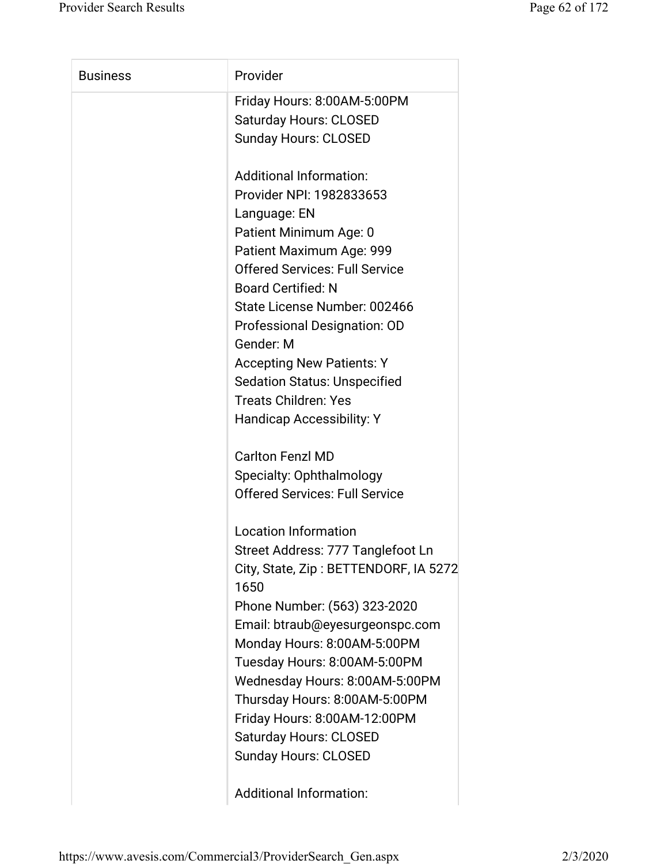| <b>Business</b> | Provider                                      |
|-----------------|-----------------------------------------------|
|                 | Friday Hours: 8:00AM-5:00PM                   |
|                 | <b>Saturday Hours: CLOSED</b>                 |
|                 | <b>Sunday Hours: CLOSED</b>                   |
|                 | <b>Additional Information:</b>                |
|                 | Provider NPI: 1982833653                      |
|                 | Language: EN                                  |
|                 | Patient Minimum Age: 0                        |
|                 | Patient Maximum Age: 999                      |
|                 | <b>Offered Services: Full Service</b>         |
|                 | <b>Board Certified: N</b>                     |
|                 | State License Number: 002466                  |
|                 | Professional Designation: OD                  |
|                 | Gender: M                                     |
|                 | <b>Accepting New Patients: Y</b>              |
|                 | <b>Sedation Status: Unspecified</b>           |
|                 | <b>Treats Children: Yes</b>                   |
|                 | Handicap Accessibility: Y                     |
|                 | <b>Carlton Fenzl MD</b>                       |
|                 | Specialty: Ophthalmology                      |
|                 | <b>Offered Services: Full Service</b>         |
|                 | <b>Location Information</b>                   |
|                 | Street Address: 777 Tanglefoot Ln             |
|                 | City, State, Zip: BETTENDORF, IA 5272<br>1650 |
|                 | Phone Number: (563) 323-2020                  |
|                 | Email: btraub@eyesurgeonspc.com               |
|                 | Monday Hours: 8:00AM-5:00PM                   |
|                 | Tuesday Hours: 8:00AM-5:00PM                  |
|                 | Wednesday Hours: 8:00AM-5:00PM                |
|                 | Thursday Hours: 8:00AM-5:00PM                 |
|                 | Friday Hours: 8:00AM-12:00PM                  |
|                 | <b>Saturday Hours: CLOSED</b>                 |
|                 | <b>Sunday Hours: CLOSED</b>                   |
|                 |                                               |
|                 |                                               |

Additional Information: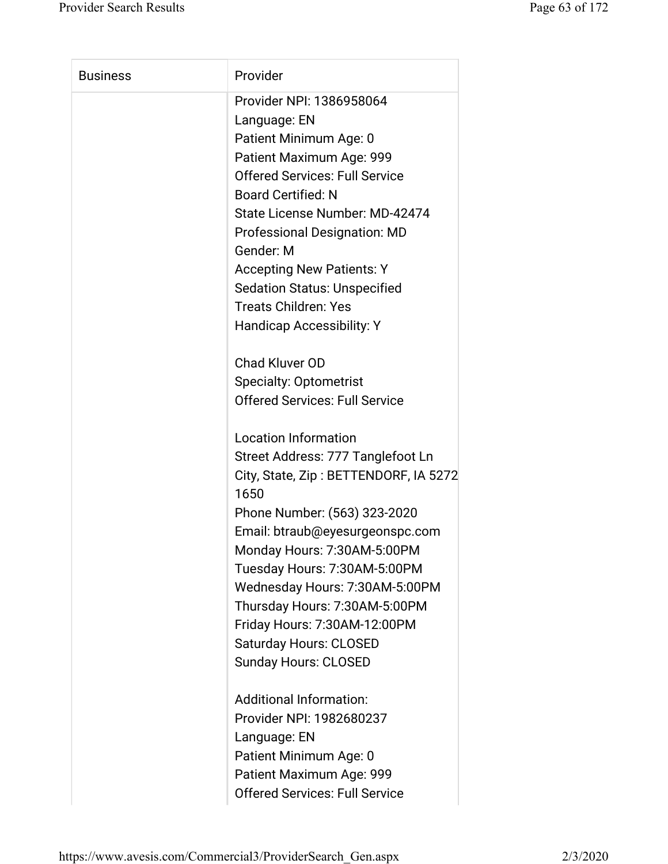| <b>Business</b> | Provider                                      |
|-----------------|-----------------------------------------------|
|                 | Provider NPI: 1386958064                      |
|                 | Language: EN                                  |
|                 | Patient Minimum Age: 0                        |
|                 | Patient Maximum Age: 999                      |
|                 | <b>Offered Services: Full Service</b>         |
|                 | <b>Board Certified: N</b>                     |
|                 | State License Number: MD-42474                |
|                 | <b>Professional Designation: MD</b>           |
|                 | Gender: M                                     |
|                 | <b>Accepting New Patients: Y</b>              |
|                 | <b>Sedation Status: Unspecified</b>           |
|                 | <b>Treats Children: Yes</b>                   |
|                 | <b>Handicap Accessibility: Y</b>              |
|                 | <b>Chad Kluver OD</b>                         |
|                 | <b>Specialty: Optometrist</b>                 |
|                 | <b>Offered Services: Full Service</b>         |
|                 | <b>Location Information</b>                   |
|                 | Street Address: 777 Tanglefoot Ln             |
|                 | City, State, Zip: BETTENDORF, IA 5272<br>1650 |
|                 | Phone Number: (563) 323-2020                  |
|                 | Email: btraub@eyesurgeonspc.com               |
|                 | Monday Hours: 7:30AM-5:00PM                   |
|                 | Tuesday Hours: 7:30AM-5:00PM                  |
|                 | Wednesday Hours: 7:30AM-5:00PM                |
|                 | Thursday Hours: 7:30AM-5:00PM                 |
|                 | Friday Hours: 7:30AM-12:00PM                  |
|                 | <b>Saturday Hours: CLOSED</b>                 |
|                 | <b>Sunday Hours: CLOSED</b>                   |
|                 | <b>Additional Information:</b>                |
|                 | Provider NPI: 1982680237                      |
|                 | Language: EN                                  |
|                 | Patient Minimum Age: 0                        |
|                 | Patient Maximum Age: 999                      |
|                 | <b>Offered Services: Full Service</b>         |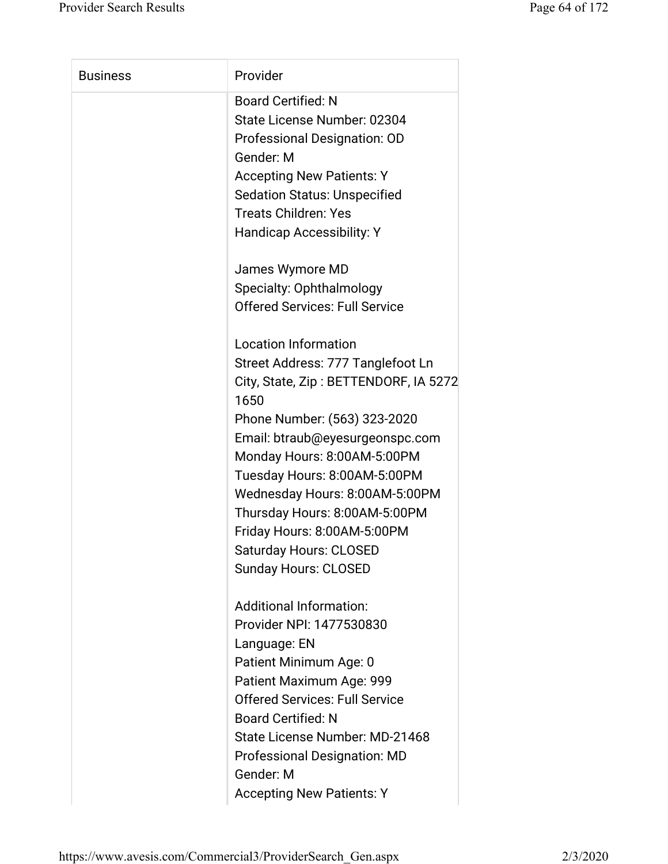| <b>Business</b> | Provider                              |
|-----------------|---------------------------------------|
|                 | <b>Board Certified: N</b>             |
|                 | State License Number: 02304           |
|                 | Professional Designation: OD          |
|                 | Gender: M                             |
|                 | <b>Accepting New Patients: Y</b>      |
|                 | <b>Sedation Status: Unspecified</b>   |
|                 | <b>Treats Children: Yes</b>           |
|                 | <b>Handicap Accessibility: Y</b>      |
|                 | James Wymore MD                       |
|                 | Specialty: Ophthalmology              |
|                 | <b>Offered Services: Full Service</b> |
|                 | <b>Location Information</b>           |
|                 | Street Address: 777 Tanglefoot Ln     |
|                 | City, State, Zip: BETTENDORF, IA 5272 |
|                 | 1650                                  |
|                 | Phone Number: (563) 323-2020          |
|                 | Email: btraub@eyesurgeonspc.com       |
|                 | Monday Hours: 8:00AM-5:00PM           |
|                 | Tuesday Hours: 8:00AM-5:00PM          |
|                 | Wednesday Hours: 8:00AM-5:00PM        |
|                 | Thursday Hours: 8:00AM-5:00PM         |
|                 | Friday Hours: 8:00AM-5:00PM           |
|                 | <b>Saturday Hours: CLOSED</b>         |
|                 | <b>Sunday Hours: CLOSED</b>           |
|                 | <b>Additional Information:</b>        |
|                 | Provider NPI: 1477530830              |
|                 | Language: EN                          |
|                 | Patient Minimum Age: 0                |
|                 | Patient Maximum Age: 999              |
|                 | <b>Offered Services: Full Service</b> |
|                 | <b>Board Certified: N</b>             |
|                 | State License Number: MD-21468        |
|                 | <b>Professional Designation: MD</b>   |
|                 | Gender: M                             |
|                 | <b>Accepting New Patients: Y</b>      |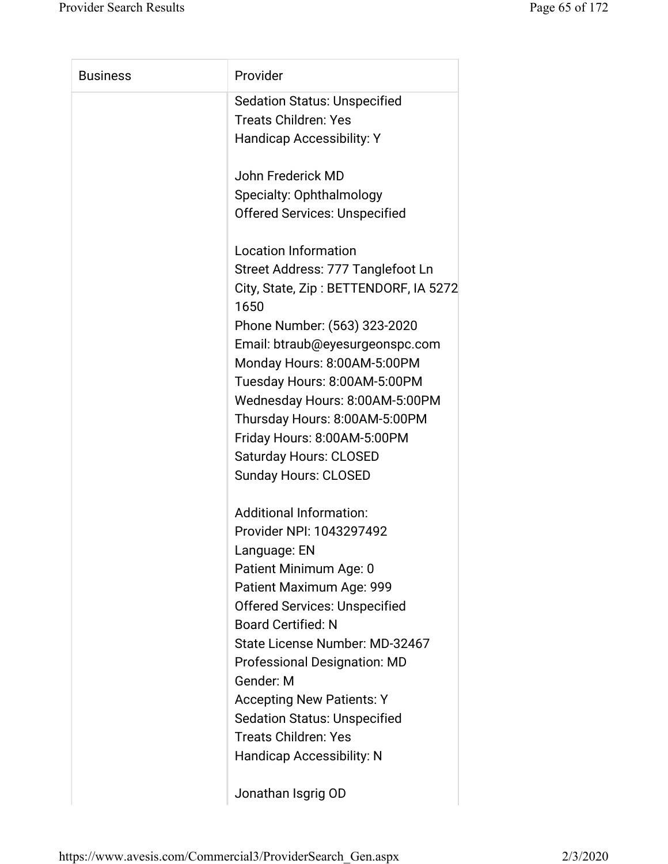| <b>Business</b> | Provider                                      |
|-----------------|-----------------------------------------------|
|                 | <b>Sedation Status: Unspecified</b>           |
|                 | <b>Treats Children: Yes</b>                   |
|                 | <b>Handicap Accessibility: Y</b>              |
|                 | John Frederick MD                             |
|                 | Specialty: Ophthalmology                      |
|                 | <b>Offered Services: Unspecified</b>          |
|                 | <b>Location Information</b>                   |
|                 | Street Address: 777 Tanglefoot Ln             |
|                 | City, State, Zip: BETTENDORF, IA 5272<br>1650 |
|                 | Phone Number: (563) 323-2020                  |
|                 | Email: btraub@eyesurgeonspc.com               |
|                 | Monday Hours: 8:00AM-5:00PM                   |
|                 | Tuesday Hours: 8:00AM-5:00PM                  |
|                 | Wednesday Hours: 8:00AM-5:00PM                |
|                 | Thursday Hours: 8:00AM-5:00PM                 |
|                 | Friday Hours: 8:00AM-5:00PM                   |
|                 | <b>Saturday Hours: CLOSED</b>                 |
|                 | <b>Sunday Hours: CLOSED</b>                   |
|                 | <b>Additional Information:</b>                |
|                 | Provider NPI: 1043297492                      |
|                 | Language: EN                                  |
|                 | Patient Minimum Age: 0                        |
|                 | Patient Maximum Age: 999                      |
|                 | <b>Offered Services: Unspecified</b>          |
|                 | <b>Board Certified: N</b>                     |
|                 | State License Number: MD-32467                |
|                 | <b>Professional Designation: MD</b>           |
|                 | Gender: M                                     |
|                 | <b>Accepting New Patients: Y</b>              |
|                 | <b>Sedation Status: Unspecified</b>           |
|                 | <b>Treats Children: Yes</b>                   |
|                 | <b>Handicap Accessibility: N</b>              |
|                 | Jonathan Isgrig OD                            |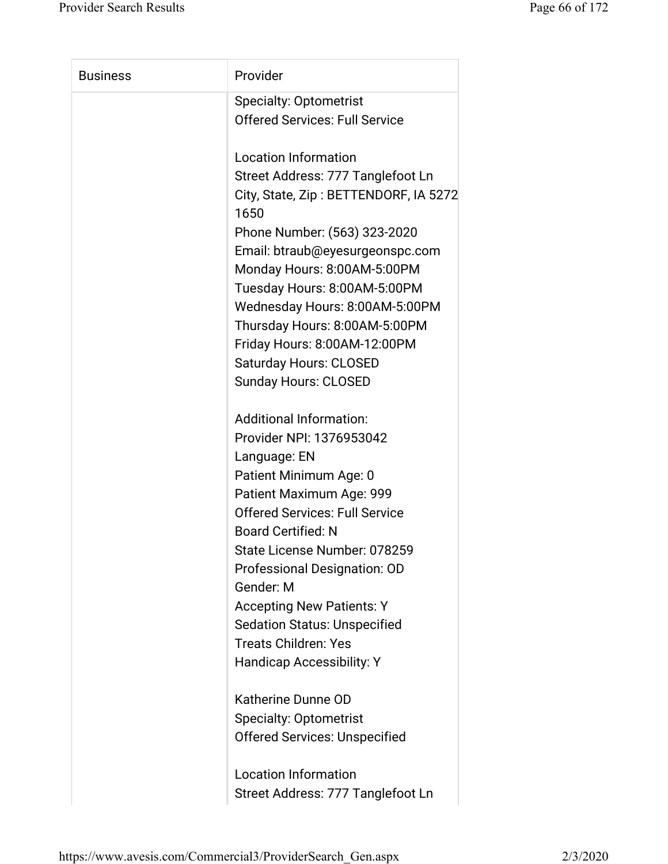| <b>Business</b> | Provider                                      |
|-----------------|-----------------------------------------------|
|                 | <b>Specialty: Optometrist</b>                 |
|                 | <b>Offered Services: Full Service</b>         |
|                 | <b>Location Information</b>                   |
|                 | Street Address: 777 Tanglefoot Ln             |
|                 | City, State, Zip: BETTENDORF, IA 5272<br>1650 |
|                 | Phone Number: (563) 323-2020                  |
|                 | Email: btraub@eyesurgeonspc.com               |
|                 | Monday Hours: 8:00AM-5:00PM                   |
|                 | Tuesday Hours: 8:00AM-5:00PM                  |
|                 | Wednesday Hours: 8:00AM-5:00PM                |
|                 | Thursday Hours: 8:00AM-5:00PM                 |
|                 | Friday Hours: 8:00AM-12:00PM                  |
|                 | <b>Saturday Hours: CLOSED</b>                 |
|                 | <b>Sunday Hours: CLOSED</b>                   |
|                 | <b>Additional Information:</b>                |
|                 | Provider NPI: 1376953042                      |
|                 | Language: EN                                  |
|                 | Patient Minimum Age: 0                        |
|                 | Patient Maximum Age: 999                      |
|                 | <b>Offered Services: Full Service</b>         |
|                 | <b>Board Certified: N</b>                     |
|                 | State License Number: 078259                  |
|                 | Professional Designation: OD                  |
|                 | Gender: M                                     |
|                 | <b>Accepting New Patients: Y</b>              |
|                 | <b>Sedation Status: Unspecified</b>           |
|                 | <b>Treats Children: Yes</b>                   |
|                 | <b>Handicap Accessibility: Y</b>              |
|                 | Katherine Dunne OD                            |
|                 | <b>Specialty: Optometrist</b>                 |
|                 | <b>Offered Services: Unspecified</b>          |
|                 | <b>Location Information</b>                   |
|                 | Street Address: 777 Tanglefoot Ln             |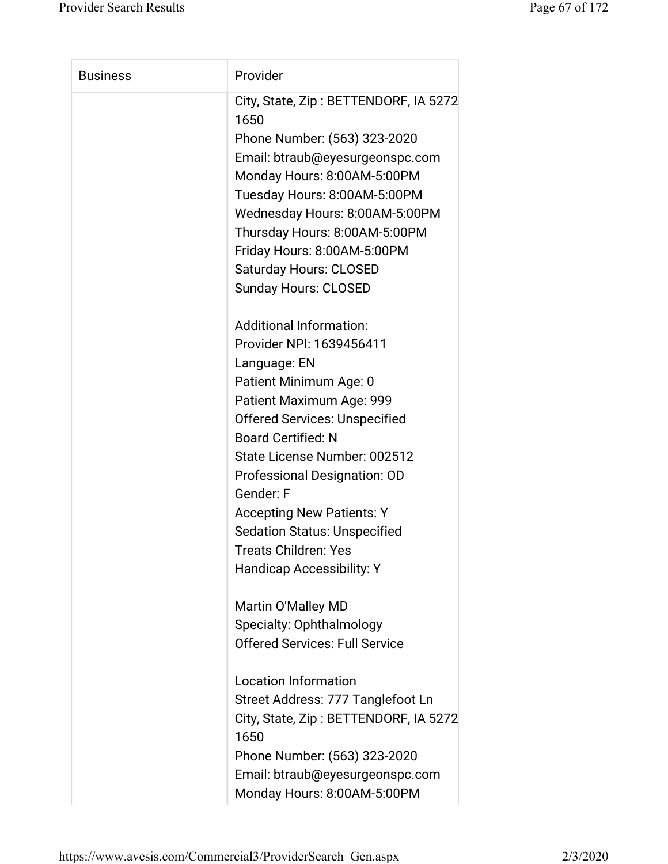| <b>Business</b> | Provider                                                                      |
|-----------------|-------------------------------------------------------------------------------|
|                 | City, State, Zip: BETTENDORF, IA 5272<br>1650<br>Phone Number: (563) 323-2020 |
|                 | Email: btraub@eyesurgeonspc.com                                               |
|                 | Monday Hours: 8:00AM-5:00PM                                                   |
|                 | Tuesday Hours: 8:00AM-5:00PM                                                  |
|                 | Wednesday Hours: 8:00AM-5:00PM                                                |
|                 | Thursday Hours: 8:00AM-5:00PM                                                 |
|                 | Friday Hours: 8:00AM-5:00PM                                                   |
|                 | <b>Saturday Hours: CLOSED</b><br><b>Sunday Hours: CLOSED</b>                  |
|                 |                                                                               |
|                 | <b>Additional Information:</b>                                                |
|                 | Provider NPI: 1639456411                                                      |
|                 | Language: EN                                                                  |
|                 | Patient Minimum Age: 0                                                        |
|                 | Patient Maximum Age: 999                                                      |
|                 | <b>Offered Services: Unspecified</b>                                          |
|                 | <b>Board Certified: N</b>                                                     |
|                 | State License Number: 002512                                                  |
|                 | Professional Designation: OD                                                  |
|                 | Gender: F                                                                     |
|                 | <b>Accepting New Patients: Y</b>                                              |
|                 | <b>Sedation Status: Unspecified</b>                                           |
|                 | <b>Treats Children: Yes</b>                                                   |
|                 | Handicap Accessibility: Y                                                     |
|                 |                                                                               |
|                 | Martin O'Malley MD                                                            |
|                 | Specialty: Ophthalmology                                                      |
|                 | <b>Offered Services: Full Service</b>                                         |
|                 | <b>Location Information</b>                                                   |
|                 | Street Address: 777 Tanglefoot Ln                                             |
|                 | City, State, Zip: BETTENDORF, IA 5272                                         |
|                 | 1650                                                                          |
|                 | Phone Number: (563) 323-2020                                                  |
|                 | Email: btraub@eyesurgeonspc.com                                               |
|                 | Monday Hours: 8:00AM-5:00PM                                                   |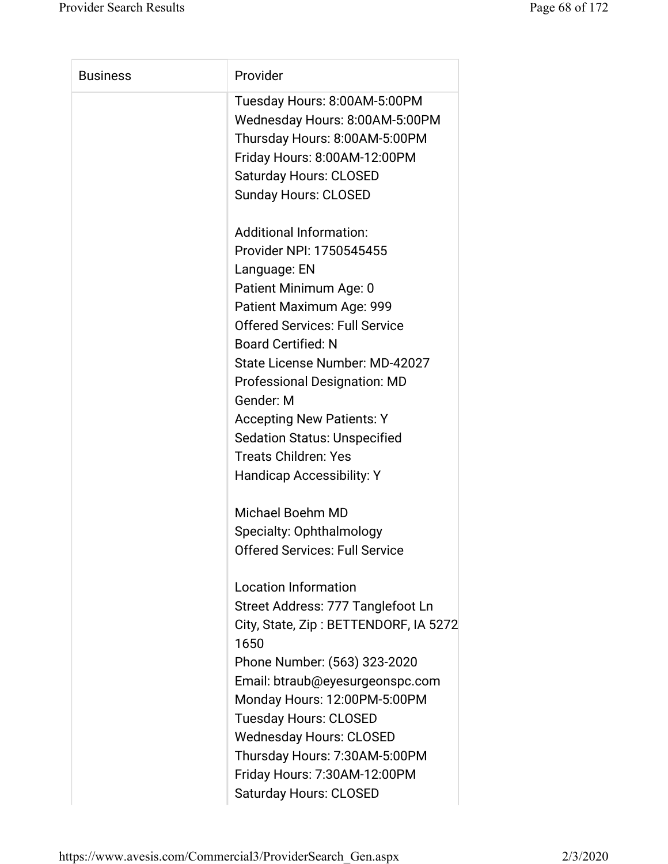| <b>Business</b> | Provider                                                                                                                                                                                        |
|-----------------|-------------------------------------------------------------------------------------------------------------------------------------------------------------------------------------------------|
|                 | Tuesday Hours: 8:00AM-5:00PM<br>Wednesday Hours: 8:00AM-5:00PM<br>Thursday Hours: 8:00AM-5:00PM<br>Friday Hours: 8:00AM-12:00PM<br><b>Saturday Hours: CLOSED</b><br><b>Sunday Hours: CLOSED</b> |
|                 | <b>Additional Information:</b><br>Provider NPI: 1750545455                                                                                                                                      |
|                 | Language: EN                                                                                                                                                                                    |
|                 | Patient Minimum Age: 0                                                                                                                                                                          |
|                 | Patient Maximum Age: 999                                                                                                                                                                        |
|                 | <b>Offered Services: Full Service</b>                                                                                                                                                           |
|                 | <b>Board Certified: N</b>                                                                                                                                                                       |
|                 | State License Number: MD-42027                                                                                                                                                                  |
|                 | <b>Professional Designation: MD</b>                                                                                                                                                             |
|                 | Gender: M<br><b>Accepting New Patients: Y</b>                                                                                                                                                   |
|                 | <b>Sedation Status: Unspecified</b>                                                                                                                                                             |
|                 | <b>Treats Children: Yes</b>                                                                                                                                                                     |
|                 | <b>Handicap Accessibility: Y</b>                                                                                                                                                                |
|                 | <b>Michael Boehm MD</b>                                                                                                                                                                         |
|                 | Specialty: Ophthalmology                                                                                                                                                                        |
|                 | <b>Offered Services: Full Service</b>                                                                                                                                                           |
|                 | <b>Location Information</b>                                                                                                                                                                     |
|                 | Street Address: 777 Tanglefoot Ln                                                                                                                                                               |
|                 | City, State, Zip: BETTENDORF, IA 5272<br>1650                                                                                                                                                   |
|                 | Phone Number: (563) 323-2020                                                                                                                                                                    |
|                 | Email: btraub@eyesurgeonspc.com                                                                                                                                                                 |
|                 | Monday Hours: 12:00PM-5:00PM                                                                                                                                                                    |
|                 | <b>Tuesday Hours: CLOSED</b>                                                                                                                                                                    |
|                 | <b>Wednesday Hours: CLOSED</b>                                                                                                                                                                  |
|                 | Thursday Hours: 7:30AM-5:00PM                                                                                                                                                                   |
|                 | Friday Hours: 7:30AM-12:00PM                                                                                                                                                                    |
|                 | <b>Saturday Hours: CLOSED</b>                                                                                                                                                                   |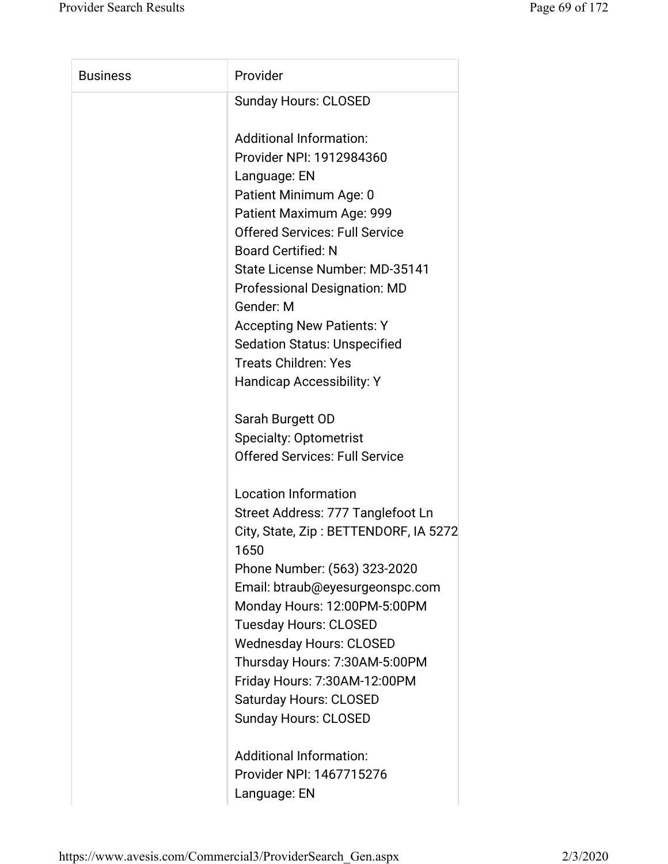| <b>Business</b> | Provider                                      |
|-----------------|-----------------------------------------------|
|                 | <b>Sunday Hours: CLOSED</b>                   |
|                 | <b>Additional Information:</b>                |
|                 | Provider NPI: 1912984360                      |
|                 | Language: EN                                  |
|                 | Patient Minimum Age: 0                        |
|                 | Patient Maximum Age: 999                      |
|                 | <b>Offered Services: Full Service</b>         |
|                 | <b>Board Certified: N</b>                     |
|                 | State License Number: MD-35141                |
|                 | <b>Professional Designation: MD</b>           |
|                 | Gender: M                                     |
|                 | <b>Accepting New Patients: Y</b>              |
|                 | <b>Sedation Status: Unspecified</b>           |
|                 | <b>Treats Children: Yes</b>                   |
|                 | Handicap Accessibility: Y                     |
|                 | Sarah Burgett OD                              |
|                 | <b>Specialty: Optometrist</b>                 |
|                 | <b>Offered Services: Full Service</b>         |
|                 | <b>Location Information</b>                   |
|                 | Street Address: 777 Tanglefoot Ln             |
|                 | City, State, Zip: BETTENDORF, IA 5272<br>1650 |
|                 | Phone Number: (563) 323-2020                  |
|                 | Email: btraub@eyesurgeonspc.com               |
|                 | Monday Hours: 12:00PM-5:00PM                  |
|                 | <b>Tuesday Hours: CLOSED</b>                  |
|                 | <b>Wednesday Hours: CLOSED</b>                |
|                 | Thursday Hours: 7:30AM-5:00PM                 |
|                 | Friday Hours: 7:30AM-12:00PM                  |
|                 | <b>Saturday Hours: CLOSED</b>                 |
|                 | <b>Sunday Hours: CLOSED</b>                   |
|                 | <b>Additional Information:</b>                |
|                 | Provider NPI: 1467715276                      |

Language: EN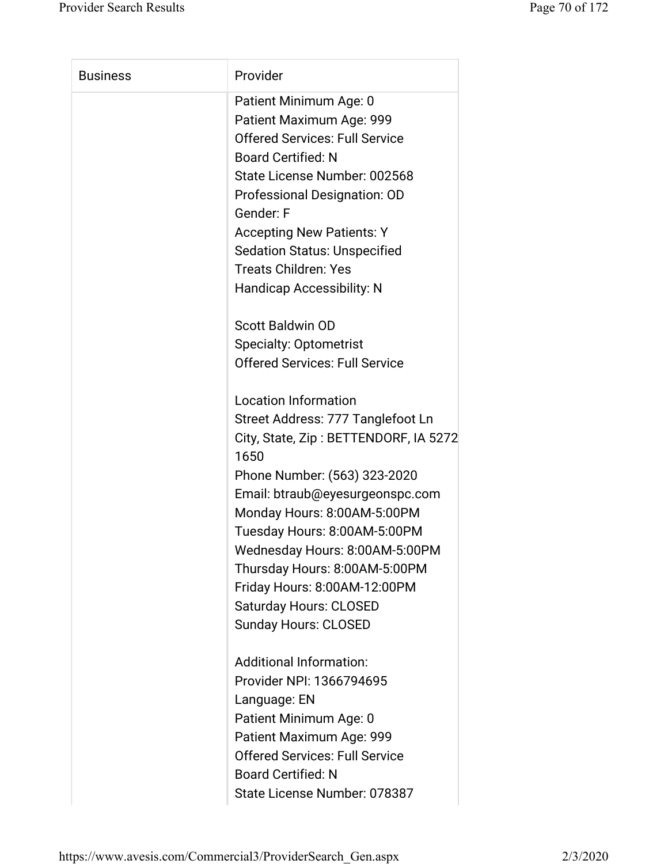| <b>Business</b> | Provider                                      |
|-----------------|-----------------------------------------------|
|                 | Patient Minimum Age: 0                        |
|                 | Patient Maximum Age: 999                      |
|                 | <b>Offered Services: Full Service</b>         |
|                 | <b>Board Certified: N</b>                     |
|                 | State License Number: 002568                  |
|                 | Professional Designation: OD                  |
|                 | Gender: F                                     |
|                 | <b>Accepting New Patients: Y</b>              |
|                 | <b>Sedation Status: Unspecified</b>           |
|                 | <b>Treats Children: Yes</b>                   |
|                 | <b>Handicap Accessibility: N</b>              |
|                 | <b>Scott Baldwin OD</b>                       |
|                 | <b>Specialty: Optometrist</b>                 |
|                 | <b>Offered Services: Full Service</b>         |
|                 | <b>Location Information</b>                   |
|                 | Street Address: 777 Tanglefoot Ln             |
|                 | City, State, Zip: BETTENDORF, IA 5272<br>1650 |
|                 | Phone Number: (563) 323-2020                  |
|                 | Email: btraub@eyesurgeonspc.com               |
|                 | Monday Hours: 8:00AM-5:00PM                   |
|                 | Tuesday Hours: 8:00AM-5:00PM                  |
|                 | Wednesday Hours: 8:00AM-5:00PM                |
|                 | Thursday Hours: 8:00AM-5:00PM                 |
|                 | Friday Hours: 8:00AM-12:00PM                  |
|                 | <b>Saturday Hours: CLOSED</b>                 |
|                 | <b>Sunday Hours: CLOSED</b>                   |
|                 | <b>Additional Information:</b>                |
|                 | Provider NPI: 1366794695                      |
|                 | Language: EN                                  |
|                 | Patient Minimum Age: 0                        |
|                 | Patient Maximum Age: 999                      |
|                 | <b>Offered Services: Full Service</b>         |
|                 |                                               |
|                 | <b>Board Certified: N</b>                     |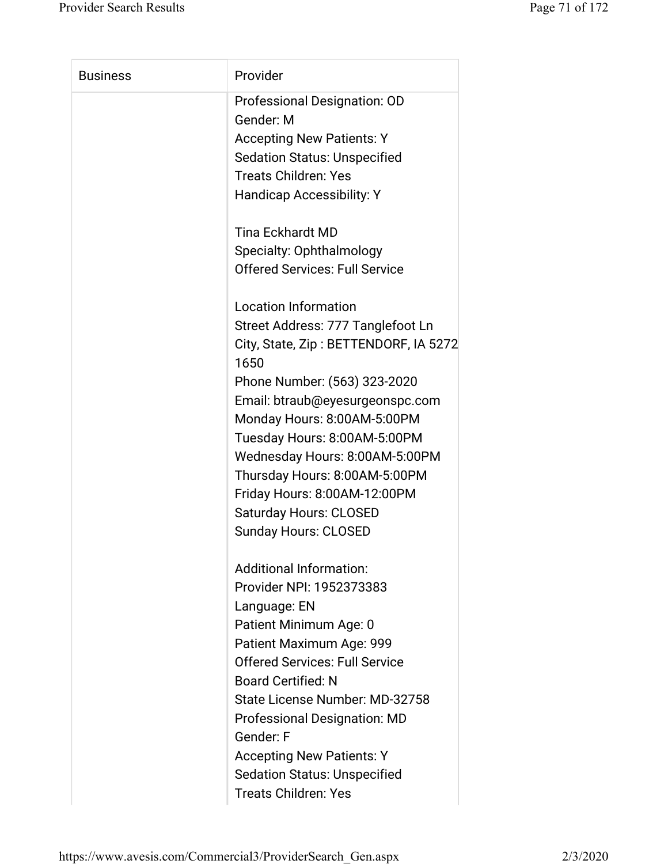| Professional Designation: OD<br>Gender: M<br><b>Accepting New Patients: Y</b><br><b>Sedation Status: Unspecified</b><br><b>Treats Children: Yes</b><br><b>Handicap Accessibility: Y</b><br><b>Tina Eckhardt MD</b><br>Specialty: Ophthalmology<br><b>Offered Services: Full Service</b><br><b>Location Information</b><br>Street Address: 777 Tanglefoot Ln<br>City, State, Zip: BETTENDORF, IA 5272<br>1650<br>Phone Number: (563) 323-2020<br>Email: btraub@eyesurgeonspc.com<br>Monday Hours: 8:00AM-5:00PM<br>Tuesday Hours: 8:00AM-5:00PM<br>Wednesday Hours: 8:00AM-5:00PM<br>Thursday Hours: 8:00AM-5:00PM<br>Friday Hours: 8:00AM-12:00PM<br><b>Saturday Hours: CLOSED</b><br><b>Sunday Hours: CLOSED</b><br><b>Additional Information:</b><br>Provider NPI: 1952373383<br>Language: EN<br>Patient Minimum Age: 0<br>Patient Maximum Age: 999<br><b>Offered Services: Full Service</b><br><b>Board Certified: N</b> |                 |                                |
|-----------------------------------------------------------------------------------------------------------------------------------------------------------------------------------------------------------------------------------------------------------------------------------------------------------------------------------------------------------------------------------------------------------------------------------------------------------------------------------------------------------------------------------------------------------------------------------------------------------------------------------------------------------------------------------------------------------------------------------------------------------------------------------------------------------------------------------------------------------------------------------------------------------------------------|-----------------|--------------------------------|
|                                                                                                                                                                                                                                                                                                                                                                                                                                                                                                                                                                                                                                                                                                                                                                                                                                                                                                                             | <b>Business</b> | Provider                       |
|                                                                                                                                                                                                                                                                                                                                                                                                                                                                                                                                                                                                                                                                                                                                                                                                                                                                                                                             |                 |                                |
|                                                                                                                                                                                                                                                                                                                                                                                                                                                                                                                                                                                                                                                                                                                                                                                                                                                                                                                             |                 |                                |
|                                                                                                                                                                                                                                                                                                                                                                                                                                                                                                                                                                                                                                                                                                                                                                                                                                                                                                                             |                 |                                |
|                                                                                                                                                                                                                                                                                                                                                                                                                                                                                                                                                                                                                                                                                                                                                                                                                                                                                                                             |                 |                                |
|                                                                                                                                                                                                                                                                                                                                                                                                                                                                                                                                                                                                                                                                                                                                                                                                                                                                                                                             |                 |                                |
|                                                                                                                                                                                                                                                                                                                                                                                                                                                                                                                                                                                                                                                                                                                                                                                                                                                                                                                             |                 |                                |
|                                                                                                                                                                                                                                                                                                                                                                                                                                                                                                                                                                                                                                                                                                                                                                                                                                                                                                                             |                 |                                |
|                                                                                                                                                                                                                                                                                                                                                                                                                                                                                                                                                                                                                                                                                                                                                                                                                                                                                                                             |                 |                                |
|                                                                                                                                                                                                                                                                                                                                                                                                                                                                                                                                                                                                                                                                                                                                                                                                                                                                                                                             |                 |                                |
|                                                                                                                                                                                                                                                                                                                                                                                                                                                                                                                                                                                                                                                                                                                                                                                                                                                                                                                             |                 |                                |
|                                                                                                                                                                                                                                                                                                                                                                                                                                                                                                                                                                                                                                                                                                                                                                                                                                                                                                                             |                 |                                |
|                                                                                                                                                                                                                                                                                                                                                                                                                                                                                                                                                                                                                                                                                                                                                                                                                                                                                                                             |                 |                                |
|                                                                                                                                                                                                                                                                                                                                                                                                                                                                                                                                                                                                                                                                                                                                                                                                                                                                                                                             |                 |                                |
|                                                                                                                                                                                                                                                                                                                                                                                                                                                                                                                                                                                                                                                                                                                                                                                                                                                                                                                             |                 |                                |
|                                                                                                                                                                                                                                                                                                                                                                                                                                                                                                                                                                                                                                                                                                                                                                                                                                                                                                                             |                 |                                |
|                                                                                                                                                                                                                                                                                                                                                                                                                                                                                                                                                                                                                                                                                                                                                                                                                                                                                                                             |                 |                                |
|                                                                                                                                                                                                                                                                                                                                                                                                                                                                                                                                                                                                                                                                                                                                                                                                                                                                                                                             |                 |                                |
|                                                                                                                                                                                                                                                                                                                                                                                                                                                                                                                                                                                                                                                                                                                                                                                                                                                                                                                             |                 |                                |
|                                                                                                                                                                                                                                                                                                                                                                                                                                                                                                                                                                                                                                                                                                                                                                                                                                                                                                                             |                 |                                |
|                                                                                                                                                                                                                                                                                                                                                                                                                                                                                                                                                                                                                                                                                                                                                                                                                                                                                                                             |                 |                                |
|                                                                                                                                                                                                                                                                                                                                                                                                                                                                                                                                                                                                                                                                                                                                                                                                                                                                                                                             |                 |                                |
|                                                                                                                                                                                                                                                                                                                                                                                                                                                                                                                                                                                                                                                                                                                                                                                                                                                                                                                             |                 |                                |
|                                                                                                                                                                                                                                                                                                                                                                                                                                                                                                                                                                                                                                                                                                                                                                                                                                                                                                                             |                 |                                |
|                                                                                                                                                                                                                                                                                                                                                                                                                                                                                                                                                                                                                                                                                                                                                                                                                                                                                                                             |                 |                                |
|                                                                                                                                                                                                                                                                                                                                                                                                                                                                                                                                                                                                                                                                                                                                                                                                                                                                                                                             |                 |                                |
|                                                                                                                                                                                                                                                                                                                                                                                                                                                                                                                                                                                                                                                                                                                                                                                                                                                                                                                             |                 |                                |
|                                                                                                                                                                                                                                                                                                                                                                                                                                                                                                                                                                                                                                                                                                                                                                                                                                                                                                                             |                 |                                |
|                                                                                                                                                                                                                                                                                                                                                                                                                                                                                                                                                                                                                                                                                                                                                                                                                                                                                                                             |                 |                                |
|                                                                                                                                                                                                                                                                                                                                                                                                                                                                                                                                                                                                                                                                                                                                                                                                                                                                                                                             |                 | State License Number: MD-32758 |
| <b>Professional Designation: MD</b>                                                                                                                                                                                                                                                                                                                                                                                                                                                                                                                                                                                                                                                                                                                                                                                                                                                                                         |                 |                                |
| Gender: F                                                                                                                                                                                                                                                                                                                                                                                                                                                                                                                                                                                                                                                                                                                                                                                                                                                                                                                   |                 |                                |
| <b>Accepting New Patients: Y</b>                                                                                                                                                                                                                                                                                                                                                                                                                                                                                                                                                                                                                                                                                                                                                                                                                                                                                            |                 |                                |
| <b>Sedation Status: Unspecified</b>                                                                                                                                                                                                                                                                                                                                                                                                                                                                                                                                                                                                                                                                                                                                                                                                                                                                                         |                 |                                |
| <b>Treats Children: Yes</b>                                                                                                                                                                                                                                                                                                                                                                                                                                                                                                                                                                                                                                                                                                                                                                                                                                                                                                 |                 |                                |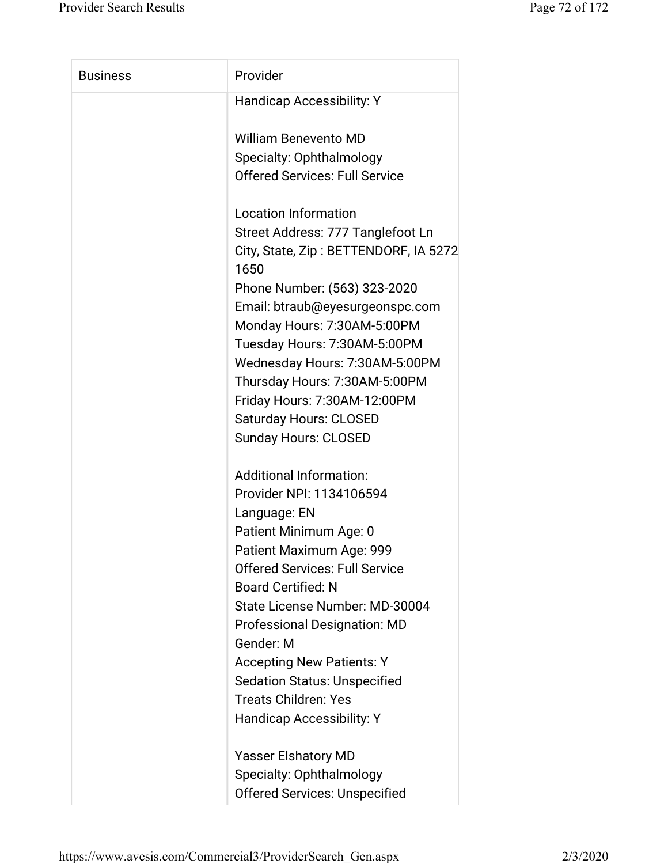| <b>Business</b> | Provider                                      |
|-----------------|-----------------------------------------------|
|                 | <b>Handicap Accessibility: Y</b>              |
|                 | <b>William Benevento MD</b>                   |
|                 | Specialty: Ophthalmology                      |
|                 | <b>Offered Services: Full Service</b>         |
|                 | <b>Location Information</b>                   |
|                 | Street Address: 777 Tanglefoot Ln             |
|                 | City, State, Zip: BETTENDORF, IA 5272<br>1650 |
|                 | Phone Number: (563) 323-2020                  |
|                 | Email: btraub@eyesurgeonspc.com               |
|                 | Monday Hours: 7:30AM-5:00PM                   |
|                 | Tuesday Hours: 7:30AM-5:00PM                  |
|                 | Wednesday Hours: 7:30AM-5:00PM                |
|                 | Thursday Hours: 7:30AM-5:00PM                 |
|                 | Friday Hours: 7:30AM-12:00PM                  |
|                 | <b>Saturday Hours: CLOSED</b>                 |
|                 | <b>Sunday Hours: CLOSED</b>                   |
|                 | <b>Additional Information:</b>                |
|                 | Provider NPI: 1134106594                      |
|                 | Language: EN                                  |
|                 | Patient Minimum Age: 0                        |
|                 | Patient Maximum Age: 999                      |
|                 | <b>Offered Services: Full Service</b>         |
|                 | <b>Board Certified: N</b>                     |
|                 | State License Number: MD-30004                |
|                 | <b>Professional Designation: MD</b>           |
|                 | Gender: M                                     |
|                 | <b>Accepting New Patients: Y</b>              |
|                 | <b>Sedation Status: Unspecified</b>           |
|                 | <b>Treats Children: Yes</b>                   |
|                 | <b>Handicap Accessibility: Y</b>              |
|                 | <b>Yasser Elshatory MD</b>                    |
|                 | Specialty: Ophthalmology                      |
|                 | <b>Offered Services: Unspecified</b>          |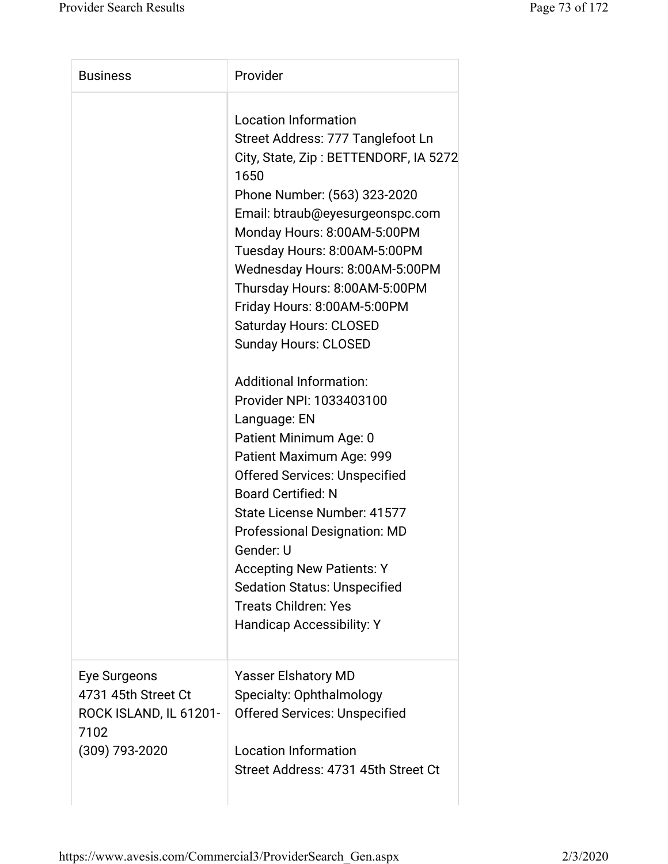| <b>Business</b>                                                                         | Provider                                                                                                                                                                                                                                                                                                                                                                                                                                                                                                                                                                                                                                                                                                                                                                                                                                                 |
|-----------------------------------------------------------------------------------------|----------------------------------------------------------------------------------------------------------------------------------------------------------------------------------------------------------------------------------------------------------------------------------------------------------------------------------------------------------------------------------------------------------------------------------------------------------------------------------------------------------------------------------------------------------------------------------------------------------------------------------------------------------------------------------------------------------------------------------------------------------------------------------------------------------------------------------------------------------|
|                                                                                         | <b>Location Information</b><br>Street Address: 777 Tanglefoot Ln<br>City, State, Zip: BETTENDORF, IA 5272<br>1650<br>Phone Number: (563) 323-2020<br>Email: btraub@eyesurgeonspc.com<br>Monday Hours: 8:00AM-5:00PM<br>Tuesday Hours: 8:00AM-5:00PM<br>Wednesday Hours: 8:00AM-5:00PM<br>Thursday Hours: 8:00AM-5:00PM<br>Friday Hours: 8:00AM-5:00PM<br><b>Saturday Hours: CLOSED</b><br><b>Sunday Hours: CLOSED</b><br><b>Additional Information:</b><br>Provider NPI: 1033403100<br>Language: EN<br>Patient Minimum Age: 0<br>Patient Maximum Age: 999<br><b>Offered Services: Unspecified</b><br><b>Board Certified: N</b><br>State License Number: 41577<br><b>Professional Designation: MD</b><br>Gender: U<br><b>Accepting New Patients: Y</b><br><b>Sedation Status: Unspecified</b><br><b>Treats Children: Yes</b><br>Handicap Accessibility: Y |
| Eye Surgeons<br>4731 45th Street Ct<br>ROCK ISLAND, IL 61201-<br>7102<br>(309) 793-2020 | <b>Yasser Elshatory MD</b><br>Specialty: Ophthalmology<br><b>Offered Services: Unspecified</b><br><b>Location Information</b><br>Street Address: 4731 45th Street Ct                                                                                                                                                                                                                                                                                                                                                                                                                                                                                                                                                                                                                                                                                     |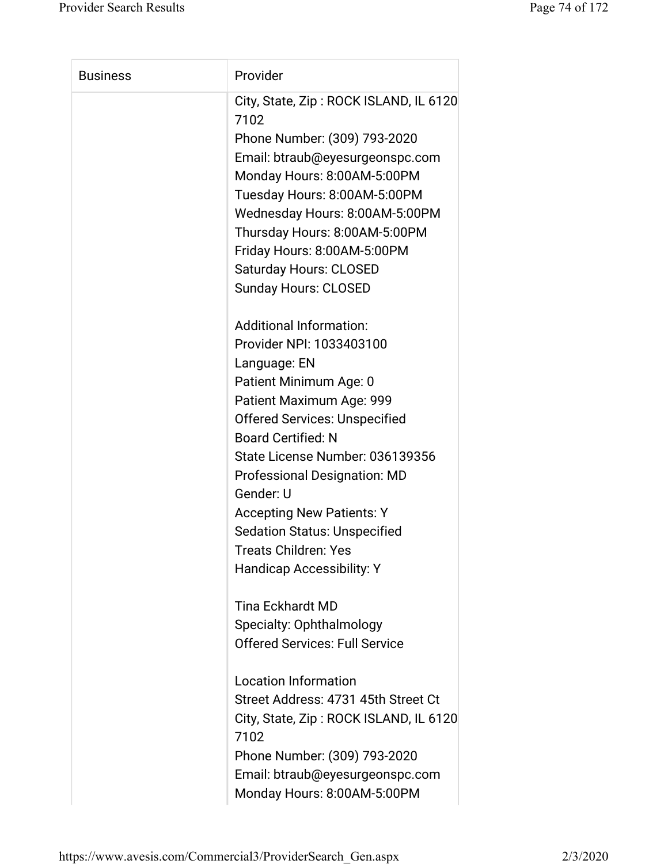| <b>Business</b> | Provider                                                                                                          |
|-----------------|-------------------------------------------------------------------------------------------------------------------|
|                 | City, State, Zip: ROCK ISLAND, IL 6120<br>7102<br>Phone Number: (309) 793-2020<br>Email: btraub@eyesurgeonspc.com |
|                 | Monday Hours: 8:00AM-5:00PM                                                                                       |
|                 | Tuesday Hours: 8:00AM-5:00PM                                                                                      |
|                 | Wednesday Hours: 8:00AM-5:00PM                                                                                    |
|                 | Thursday Hours: 8:00AM-5:00PM                                                                                     |
|                 | Friday Hours: 8:00AM-5:00PM                                                                                       |
|                 | <b>Saturday Hours: CLOSED</b>                                                                                     |
|                 | <b>Sunday Hours: CLOSED</b>                                                                                       |
|                 | <b>Additional Information:</b>                                                                                    |
|                 | Provider NPI: 1033403100                                                                                          |
|                 | Language: EN                                                                                                      |
|                 | Patient Minimum Age: 0                                                                                            |
|                 | Patient Maximum Age: 999                                                                                          |
|                 | <b>Offered Services: Unspecified</b>                                                                              |
|                 | <b>Board Certified: N</b>                                                                                         |
|                 | State License Number: 036139356                                                                                   |
|                 | <b>Professional Designation: MD</b>                                                                               |
|                 | Gender: U                                                                                                         |
|                 | <b>Accepting New Patients: Y</b><br><b>Sedation Status: Unspecified</b>                                           |
|                 | Treats Children: Yes                                                                                              |
|                 | <b>Handicap Accessibility: Y</b>                                                                                  |
|                 |                                                                                                                   |
|                 | <b>Tina Eckhardt MD</b>                                                                                           |
|                 | Specialty: Ophthalmology                                                                                          |
|                 | <b>Offered Services: Full Service</b>                                                                             |
|                 |                                                                                                                   |
|                 | <b>Location Information</b>                                                                                       |
|                 | Street Address: 4731 45th Street Ct                                                                               |
|                 | City, State, Zip: ROCK ISLAND, IL 6120<br>7102                                                                    |
|                 | Phone Number: (309) 793-2020                                                                                      |
|                 | Email: btraub@eyesurgeonspc.com                                                                                   |
|                 | Monday Hours: 8:00AM-5:00PM                                                                                       |
|                 |                                                                                                                   |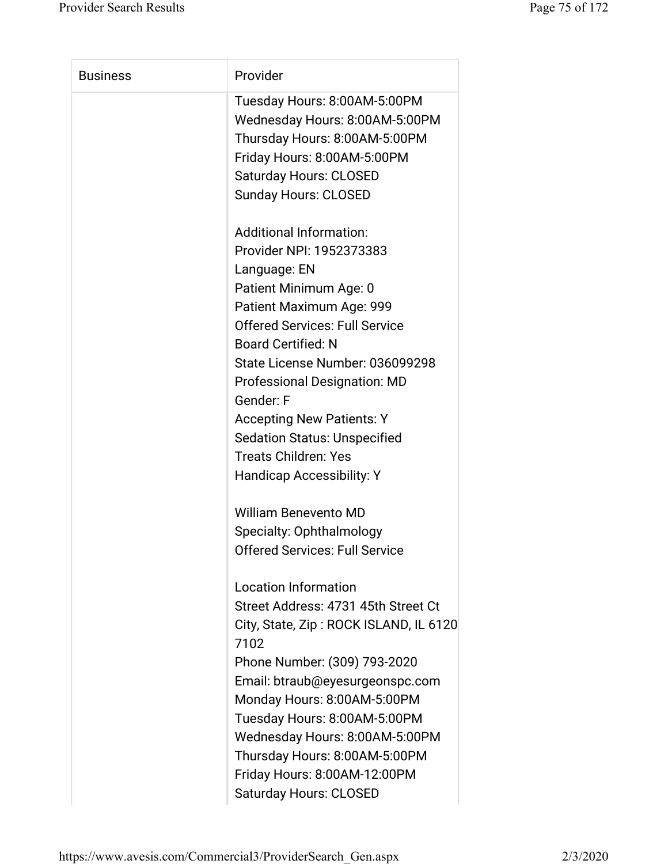| <b>Business</b> | Provider                                       |
|-----------------|------------------------------------------------|
|                 | Tuesday Hours: 8:00AM-5:00PM                   |
|                 | Wednesday Hours: 8:00AM-5:00PM                 |
|                 | Thursday Hours: 8:00AM-5:00PM                  |
|                 | Friday Hours: 8:00AM-5:00PM                    |
|                 | <b>Saturday Hours: CLOSED</b>                  |
|                 | <b>Sunday Hours: CLOSED</b>                    |
|                 | <b>Additional Information:</b>                 |
|                 | Provider NPI: 1952373383                       |
|                 | Language: EN                                   |
|                 | Patient Minimum Age: 0                         |
|                 | Patient Maximum Age: 999                       |
|                 | <b>Offered Services: Full Service</b>          |
|                 | <b>Board Certified: N</b>                      |
|                 | State License Number: 036099298                |
|                 | <b>Professional Designation: MD</b>            |
|                 | Gender: F                                      |
|                 | <b>Accepting New Patients: Y</b>               |
|                 | <b>Sedation Status: Unspecified</b>            |
|                 | <b>Treats Children: Yes</b>                    |
|                 | <b>Handicap Accessibility: Y</b>               |
|                 | <b>William Benevento MD</b>                    |
|                 | Specialty: Ophthalmology                       |
|                 | <b>Offered Services: Full Service</b>          |
|                 | <b>Location Information</b>                    |
|                 | Street Address: 4731 45th Street Ct            |
|                 | City, State, Zip: ROCK ISLAND, IL 6120<br>7102 |
|                 | Phone Number: (309) 793-2020                   |
|                 | Email: btraub@eyesurgeonspc.com                |
|                 | Monday Hours: 8:00AM-5:00PM                    |
|                 | Tuesday Hours: 8:00AM-5:00PM                   |
|                 | Wednesday Hours: 8:00AM-5:00PM                 |
|                 | Thursday Hours: 8:00AM-5:00PM                  |
|                 | Friday Hours: 8:00AM-12:00PM                   |
|                 | <b>Saturday Hours: CLOSED</b>                  |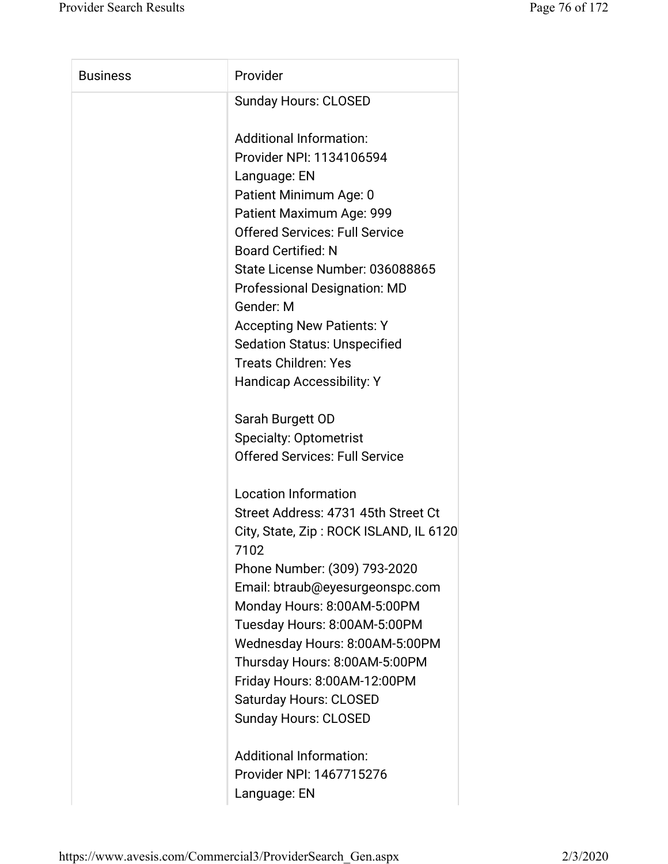| <b>Business</b> | Provider                                       |
|-----------------|------------------------------------------------|
|                 | <b>Sunday Hours: CLOSED</b>                    |
|                 | <b>Additional Information:</b>                 |
|                 | Provider NPI: 1134106594                       |
|                 | Language: EN                                   |
|                 | Patient Minimum Age: 0                         |
|                 | Patient Maximum Age: 999                       |
|                 | <b>Offered Services: Full Service</b>          |
|                 | <b>Board Certified: N</b>                      |
|                 | State License Number: 036088865                |
|                 | <b>Professional Designation: MD</b>            |
|                 | Gender: M                                      |
|                 | <b>Accepting New Patients: Y</b>               |
|                 | <b>Sedation Status: Unspecified</b>            |
|                 | <b>Treats Children: Yes</b>                    |
|                 | <b>Handicap Accessibility: Y</b>               |
|                 | Sarah Burgett OD                               |
|                 | <b>Specialty: Optometrist</b>                  |
|                 | <b>Offered Services: Full Service</b>          |
|                 | <b>Location Information</b>                    |
|                 | Street Address: 4731 45th Street Ct            |
|                 | City, State, Zip: ROCK ISLAND, IL 6120<br>7102 |
|                 | Phone Number: (309) 793-2020                   |
|                 | Email: btraub@eyesurgeonspc.com                |
|                 | Monday Hours: 8:00AM-5:00PM                    |
|                 | Tuesday Hours: 8:00AM-5:00PM                   |
|                 | Wednesday Hours: 8:00AM-5:00PM                 |
|                 | Thursday Hours: 8:00AM-5:00PM                  |
|                 | Friday Hours: 8:00AM-12:00PM                   |
|                 | <b>Saturday Hours: CLOSED</b>                  |
|                 | <b>Sunday Hours: CLOSED</b>                    |
|                 | <b>Additional Information:</b>                 |
|                 | Provider NPI: 1467715276                       |

Language: EN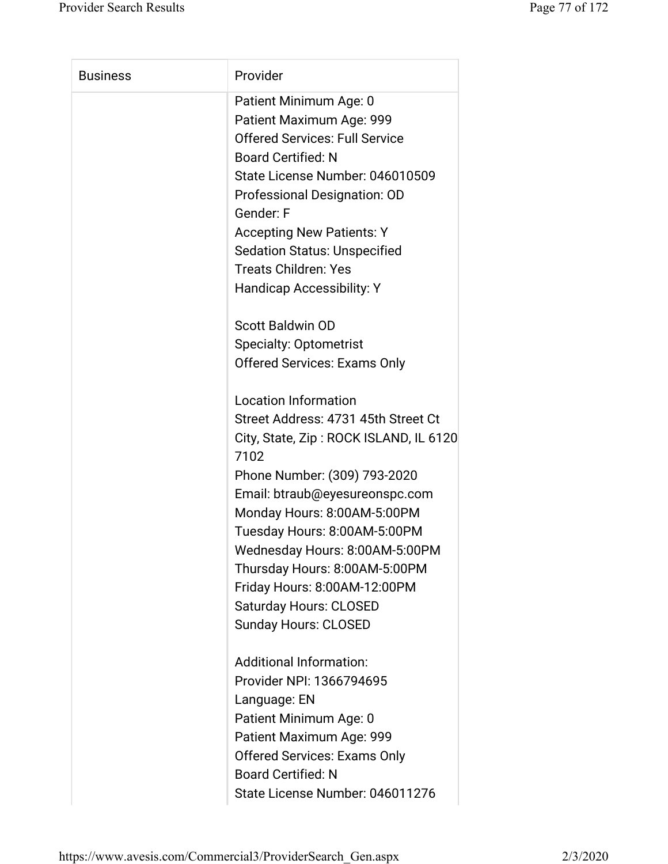| <b>Business</b> | Provider                                       |
|-----------------|------------------------------------------------|
|                 | Patient Minimum Age: 0                         |
|                 | Patient Maximum Age: 999                       |
|                 | <b>Offered Services: Full Service</b>          |
|                 | <b>Board Certified: N</b>                      |
|                 | State License Number: 046010509                |
|                 | Professional Designation: OD                   |
|                 | Gender: F                                      |
|                 | <b>Accepting New Patients: Y</b>               |
|                 | <b>Sedation Status: Unspecified</b>            |
|                 | <b>Treats Children: Yes</b>                    |
|                 | <b>Handicap Accessibility: Y</b>               |
|                 | <b>Scott Baldwin OD</b>                        |
|                 | <b>Specialty: Optometrist</b>                  |
|                 | <b>Offered Services: Exams Only</b>            |
|                 | <b>Location Information</b>                    |
|                 | Street Address: 4731 45th Street Ct            |
|                 | City, State, Zip: ROCK ISLAND, IL 6120<br>7102 |
|                 | Phone Number: (309) 793-2020                   |
|                 | Email: btraub@eyesureonspc.com                 |
|                 | Monday Hours: 8:00AM-5:00PM                    |
|                 | Tuesday Hours: 8:00AM-5:00PM                   |
|                 | Wednesday Hours: 8:00AM-5:00PM                 |
|                 | Thursday Hours: 8:00AM-5:00PM                  |
|                 | Friday Hours: 8:00AM-12:00PM                   |
|                 | <b>Saturday Hours: CLOSED</b>                  |
|                 | <b>Sunday Hours: CLOSED</b>                    |
|                 | <b>Additional Information:</b>                 |
|                 | Provider NPI: 1366794695                       |
|                 | Language: EN                                   |
|                 | Patient Minimum Age: 0                         |
|                 | Patient Maximum Age: 999                       |
|                 | <b>Offered Services: Exams Only</b>            |
|                 | <b>Board Certified: N</b>                      |
|                 | State License Number: 046011276                |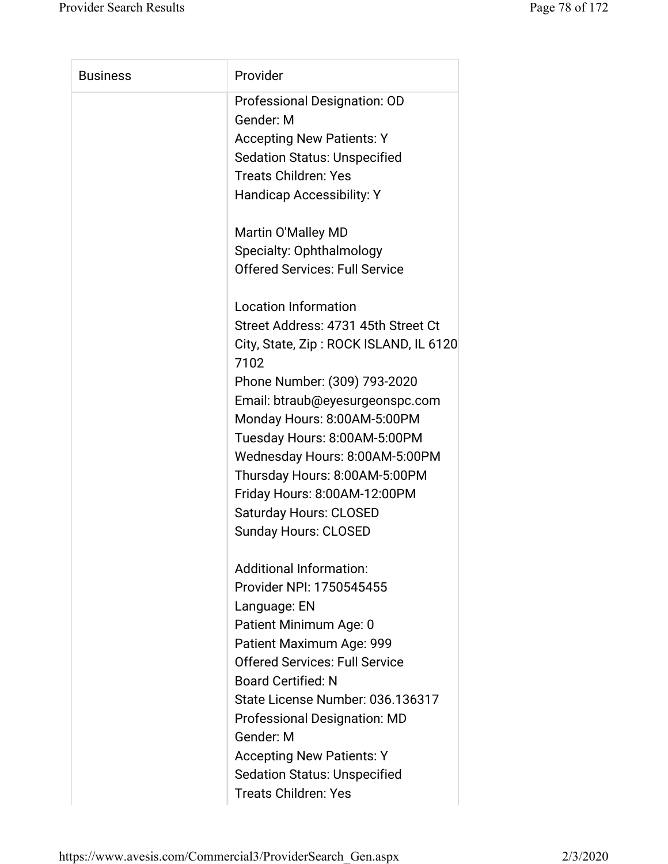| Provider<br><b>Business</b>                    |  |
|------------------------------------------------|--|
| Professional Designation: OD                   |  |
| Gender: M                                      |  |
| <b>Accepting New Patients: Y</b>               |  |
| <b>Sedation Status: Unspecified</b>            |  |
| <b>Treats Children: Yes</b>                    |  |
| <b>Handicap Accessibility: Y</b>               |  |
| Martin O'Malley MD                             |  |
| Specialty: Ophthalmology                       |  |
| <b>Offered Services: Full Service</b>          |  |
| Location Information                           |  |
| Street Address: 4731 45th Street Ct            |  |
| City, State, Zip: ROCK ISLAND, IL 6120<br>7102 |  |
| Phone Number: (309) 793-2020                   |  |
| Email: btraub@eyesurgeonspc.com                |  |
| Monday Hours: 8:00AM-5:00PM                    |  |
| Tuesday Hours: 8:00AM-5:00PM                   |  |
| Wednesday Hours: 8:00AM-5:00PM                 |  |
| Thursday Hours: 8:00AM-5:00PM                  |  |
| Friday Hours: 8:00AM-12:00PM                   |  |
| <b>Saturday Hours: CLOSED</b>                  |  |
| <b>Sunday Hours: CLOSED</b>                    |  |
| <b>Additional Information:</b>                 |  |
| Provider NPI: 1750545455                       |  |
| Language: EN                                   |  |
| Patient Minimum Age: 0                         |  |
| Patient Maximum Age: 999                       |  |
| <b>Offered Services: Full Service</b>          |  |
| <b>Board Certified: N</b>                      |  |
| State License Number: 036.136317               |  |
| <b>Professional Designation: MD</b>            |  |
| Gender: M                                      |  |
| <b>Accepting New Patients: Y</b>               |  |
|                                                |  |
| <b>Sedation Status: Unspecified</b>            |  |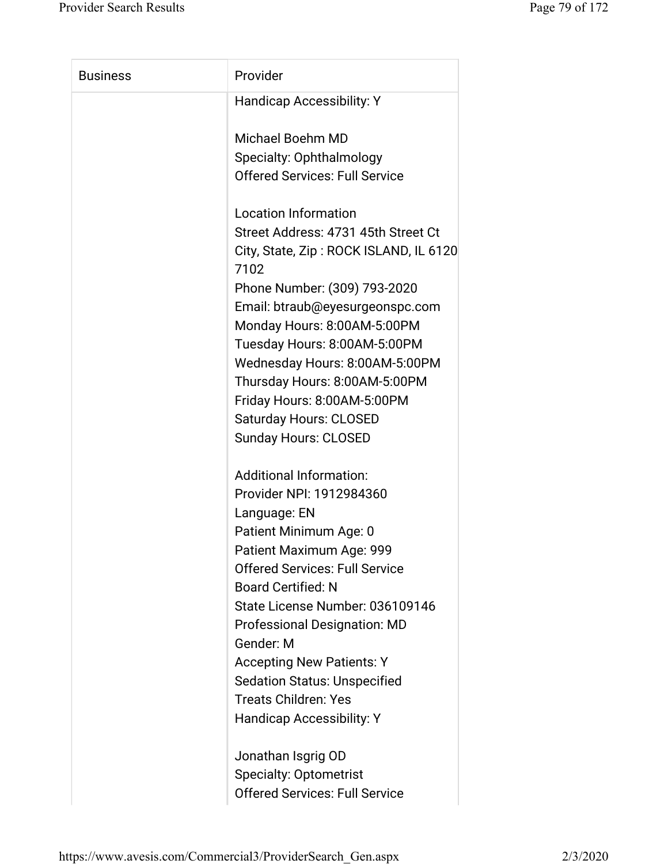| <b>Business</b> | Provider                                       |
|-----------------|------------------------------------------------|
|                 | <b>Handicap Accessibility: Y</b>               |
|                 | Michael Boehm MD                               |
|                 | Specialty: Ophthalmology                       |
|                 | <b>Offered Services: Full Service</b>          |
|                 | <b>Location Information</b>                    |
|                 | Street Address: 4731 45th Street Ct            |
|                 | City, State, Zip: ROCK ISLAND, IL 6120<br>7102 |
|                 | Phone Number: (309) 793-2020                   |
|                 | Email: btraub@eyesurgeonspc.com                |
|                 | Monday Hours: 8:00AM-5:00PM                    |
|                 | Tuesday Hours: 8:00AM-5:00PM                   |
|                 | Wednesday Hours: 8:00AM-5:00PM                 |
|                 | Thursday Hours: 8:00AM-5:00PM                  |
|                 | Friday Hours: 8:00AM-5:00PM                    |
|                 | <b>Saturday Hours: CLOSED</b>                  |
|                 | <b>Sunday Hours: CLOSED</b>                    |
|                 | <b>Additional Information:</b>                 |
|                 | Provider NPI: 1912984360                       |
|                 | Language: EN                                   |
|                 | Patient Minimum Age: 0                         |
|                 | Patient Maximum Age: 999                       |
|                 | <b>Offered Services: Full Service</b>          |
|                 | <b>Board Certified: N</b>                      |
|                 | State License Number: 036109146                |
|                 | <b>Professional Designation: MD</b>            |
|                 | Gender: M                                      |
|                 | <b>Accepting New Patients: Y</b>               |
|                 | <b>Sedation Status: Unspecified</b>            |
|                 | <b>Treats Children: Yes</b>                    |
|                 | <b>Handicap Accessibility: Y</b>               |
|                 | Jonathan Isgrig OD                             |
|                 | <b>Specialty: Optometrist</b>                  |
|                 | <b>Offered Services: Full Service</b>          |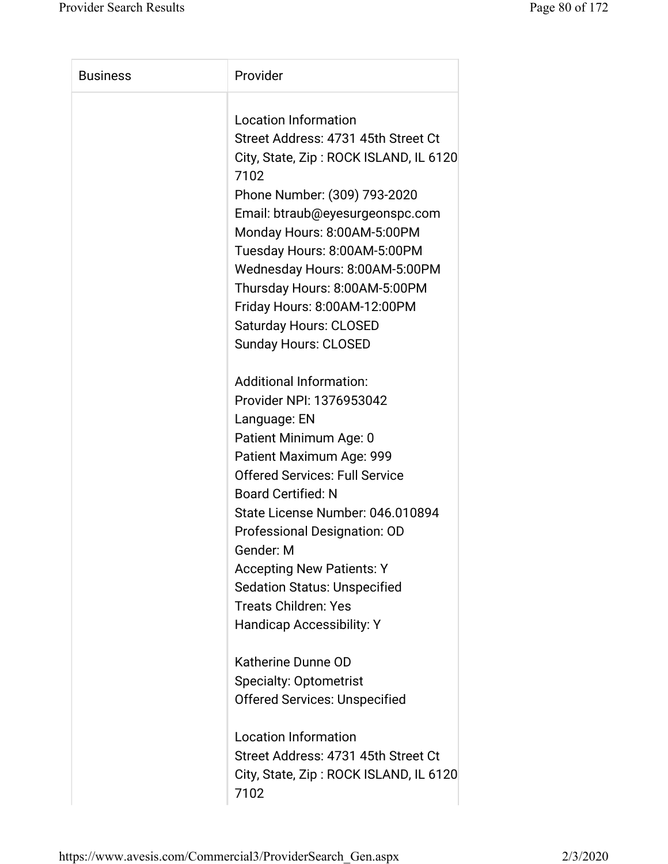| <b>Business</b> | Provider                                                      |
|-----------------|---------------------------------------------------------------|
|                 | <b>Location Information</b>                                   |
|                 | Street Address: 4731 45th Street Ct                           |
|                 | City, State, Zip: ROCK ISLAND, IL 6120                        |
|                 | 7102                                                          |
|                 | Phone Number: (309) 793-2020                                  |
|                 | Email: btraub@eyesurgeonspc.com                               |
|                 | Monday Hours: 8:00AM-5:00PM                                   |
|                 | Tuesday Hours: 8:00AM-5:00PM                                  |
|                 | Wednesday Hours: 8:00AM-5:00PM                                |
|                 | Thursday Hours: 8:00AM-5:00PM                                 |
|                 | Friday Hours: 8:00AM-12:00PM                                  |
|                 | <b>Saturday Hours: CLOSED</b>                                 |
|                 | <b>Sunday Hours: CLOSED</b>                                   |
|                 |                                                               |
|                 | <b>Additional Information:</b>                                |
|                 | Provider NPI: 1376953042                                      |
|                 | Language: EN                                                  |
|                 | Patient Minimum Age: 0                                        |
|                 | Patient Maximum Age: 999                                      |
|                 | <b>Offered Services: Full Service</b>                         |
|                 | <b>Board Certified: N</b><br>State License Number: 046.010894 |
|                 |                                                               |
|                 | Professional Designation: OD                                  |
|                 | Gender: M                                                     |
|                 | <b>Accepting New Patients: Y</b>                              |
|                 | <b>Sedation Status: Unspecified</b>                           |
|                 | <b>Treats Children: Yes</b>                                   |
|                 | <b>Handicap Accessibility: Y</b>                              |
|                 | Katherine Dunne OD                                            |
|                 | <b>Specialty: Optometrist</b>                                 |
|                 | <b>Offered Services: Unspecified</b>                          |
|                 | <b>Location Information</b>                                   |
|                 | Street Address: 4731 45th Street Ct                           |
|                 | City, State, Zip: ROCK ISLAND, IL 6120                        |
|                 | 7102                                                          |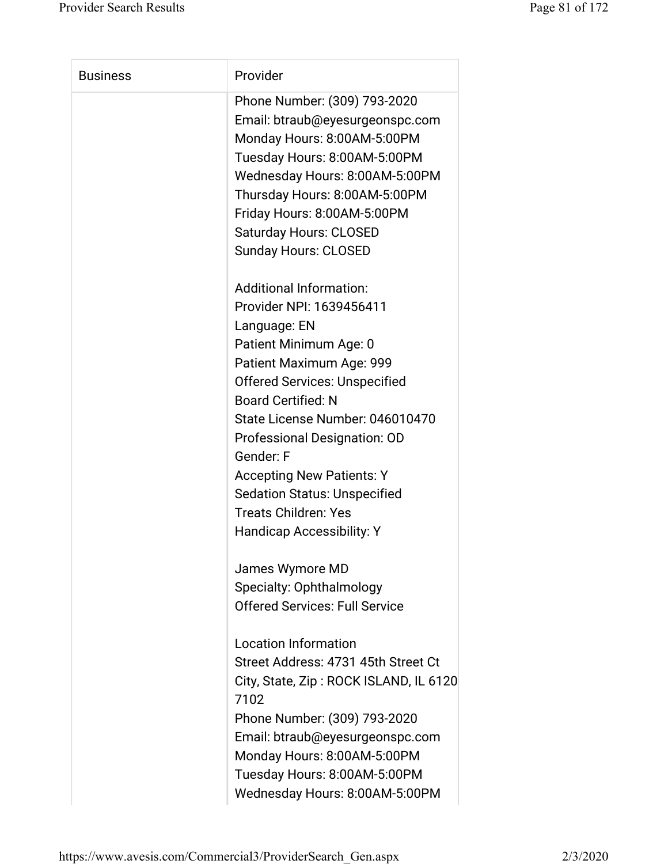| <b>Business</b> | Provider                               |
|-----------------|----------------------------------------|
|                 | Phone Number: (309) 793-2020           |
|                 | Email: btraub@eyesurgeonspc.com        |
|                 | Monday Hours: 8:00AM-5:00PM            |
|                 | Tuesday Hours: 8:00AM-5:00PM           |
|                 | Wednesday Hours: 8:00AM-5:00PM         |
|                 | Thursday Hours: 8:00AM-5:00PM          |
|                 | Friday Hours: 8:00AM-5:00PM            |
|                 | <b>Saturday Hours: CLOSED</b>          |
|                 | <b>Sunday Hours: CLOSED</b>            |
|                 | <b>Additional Information:</b>         |
|                 | Provider NPI: 1639456411               |
|                 | Language: EN                           |
|                 | Patient Minimum Age: 0                 |
|                 | Patient Maximum Age: 999               |
|                 | <b>Offered Services: Unspecified</b>   |
|                 | <b>Board Certified: N</b>              |
|                 | State License Number: 046010470        |
|                 | Professional Designation: OD           |
|                 | Gender: F                              |
|                 | <b>Accepting New Patients: Y</b>       |
|                 | <b>Sedation Status: Unspecified</b>    |
|                 | <b>Treats Children: Yes</b>            |
|                 | Handicap Accessibility: Y              |
|                 |                                        |
|                 | James Wymore MD                        |
|                 | Specialty: Ophthalmology               |
|                 | <b>Offered Services: Full Service</b>  |
|                 | <b>Location Information</b>            |
|                 | Street Address: 4731 45th Street Ct    |
|                 | City, State, Zip: ROCK ISLAND, IL 6120 |
|                 | 7102                                   |
|                 | Phone Number: (309) 793-2020           |
|                 | Email: btraub@eyesurgeonspc.com        |
|                 | Monday Hours: 8:00AM-5:00PM            |
|                 | Tuesday Hours: 8:00AM-5:00PM           |
|                 | Wednesday Hours: 8:00AM-5:00PM         |
|                 |                                        |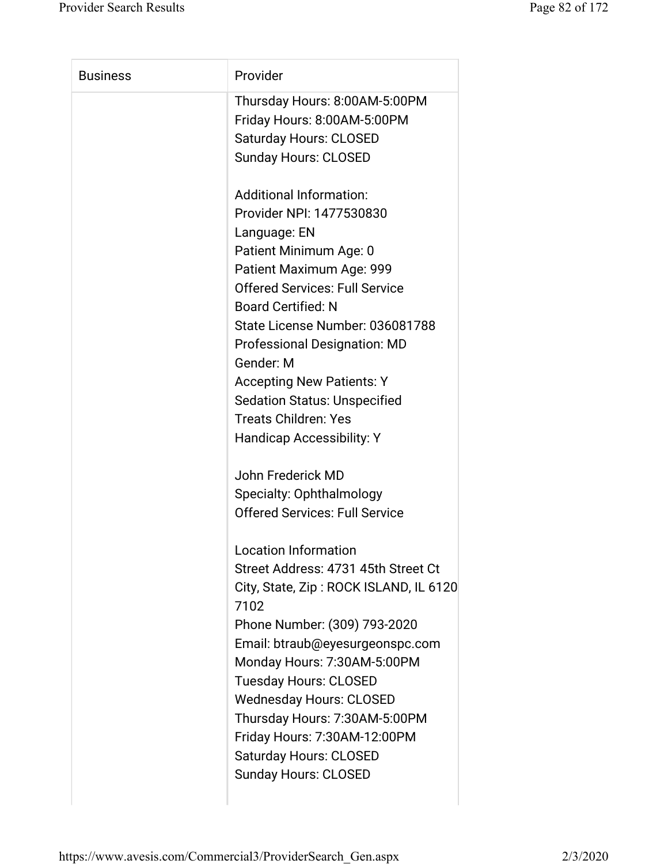| Thursday Hours: 8:00AM-5:00PM<br>Friday Hours: 8:00AM-5:00PM<br><b>Saturday Hours: CLOSED</b><br><b>Sunday Hours: CLOSED</b><br><b>Additional Information:</b> |  |
|----------------------------------------------------------------------------------------------------------------------------------------------------------------|--|
|                                                                                                                                                                |  |
|                                                                                                                                                                |  |
|                                                                                                                                                                |  |
|                                                                                                                                                                |  |
|                                                                                                                                                                |  |
| Provider NPI: 1477530830                                                                                                                                       |  |
| Language: EN                                                                                                                                                   |  |
| Patient Minimum Age: 0                                                                                                                                         |  |
| Patient Maximum Age: 999                                                                                                                                       |  |
| <b>Offered Services: Full Service</b>                                                                                                                          |  |
| <b>Board Certified: N</b>                                                                                                                                      |  |
| State License Number: 036081788                                                                                                                                |  |
| <b>Professional Designation: MD</b>                                                                                                                            |  |
| Gender: M                                                                                                                                                      |  |
| <b>Accepting New Patients: Y</b>                                                                                                                               |  |
| <b>Sedation Status: Unspecified</b>                                                                                                                            |  |
| <b>Treats Children: Yes</b>                                                                                                                                    |  |
| <b>Handicap Accessibility: Y</b>                                                                                                                               |  |
| John Frederick MD                                                                                                                                              |  |
| Specialty: Ophthalmology                                                                                                                                       |  |
| <b>Offered Services: Full Service</b>                                                                                                                          |  |
| <b>Location Information</b>                                                                                                                                    |  |
| Street Address: 4731 45th Street Ct                                                                                                                            |  |
| City, State, Zip: ROCK ISLAND, IL 6120                                                                                                                         |  |
| 7102                                                                                                                                                           |  |
| Phone Number: (309) 793-2020                                                                                                                                   |  |
| Email: btraub@eyesurgeonspc.com                                                                                                                                |  |
| Monday Hours: 7:30AM-5:00PM                                                                                                                                    |  |
| <b>Tuesday Hours: CLOSED</b>                                                                                                                                   |  |
| <b>Wednesday Hours: CLOSED</b>                                                                                                                                 |  |
| Thursday Hours: 7:30AM-5:00PM                                                                                                                                  |  |
| Friday Hours: 7:30AM-12:00PM                                                                                                                                   |  |
| <b>Saturday Hours: CLOSED</b>                                                                                                                                  |  |
| <b>Sunday Hours: CLOSED</b>                                                                                                                                    |  |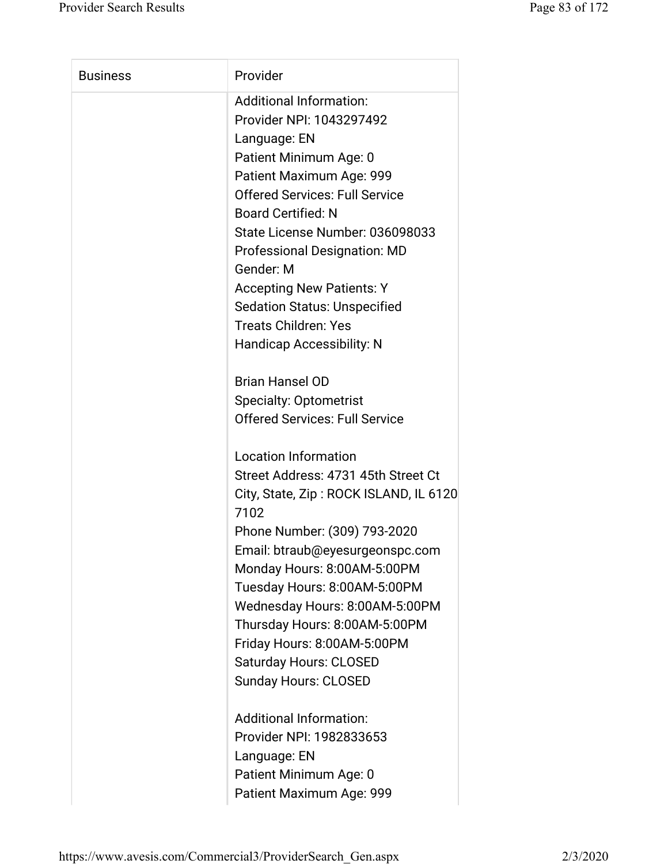| <b>Business</b> | Provider                               |
|-----------------|----------------------------------------|
|                 | <b>Additional Information:</b>         |
|                 | Provider NPI: 1043297492               |
|                 | Language: EN                           |
|                 | Patient Minimum Age: 0                 |
|                 | Patient Maximum Age: 999               |
|                 | <b>Offered Services: Full Service</b>  |
|                 | <b>Board Certified: N</b>              |
|                 | State License Number: 036098033        |
|                 | <b>Professional Designation: MD</b>    |
|                 | Gender: M                              |
|                 | <b>Accepting New Patients: Y</b>       |
|                 | <b>Sedation Status: Unspecified</b>    |
|                 | <b>Treats Children: Yes</b>            |
|                 | <b>Handicap Accessibility: N</b>       |
|                 |                                        |
|                 | <b>Brian Hansel OD</b>                 |
|                 | <b>Specialty: Optometrist</b>          |
|                 | <b>Offered Services: Full Service</b>  |
|                 |                                        |
|                 | <b>Location Information</b>            |
|                 | Street Address: 4731 45th Street Ct    |
|                 | City, State, Zip: ROCK ISLAND, IL 6120 |
|                 | 7102                                   |
|                 | Phone Number: (309) 793-2020           |
|                 | Email: btraub@eyesurgeonspc.com        |
|                 | Monday Hours: 8:00AM-5:00PM            |
|                 | Tuesday Hours: 8:00AM-5:00PM           |
|                 | Wednesday Hours: 8:00AM-5:00PM         |
|                 | Thursday Hours: 8:00AM-5:00PM          |
|                 | Friday Hours: 8:00AM-5:00PM            |
|                 | <b>Saturday Hours: CLOSED</b>          |
|                 | <b>Sunday Hours: CLOSED</b>            |
|                 |                                        |
|                 | <b>Additional Information:</b>         |
|                 | Provider NPI: 1982833653               |
|                 | Language: EN                           |
|                 | Patient Minimum Age: 0                 |
|                 | Patient Maximum Age: 999               |
|                 |                                        |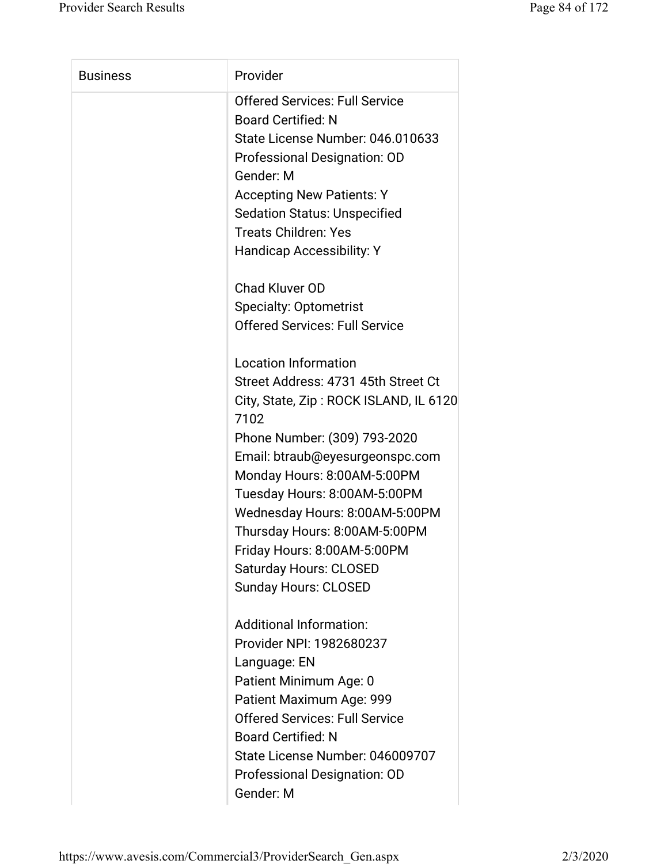| <b>Business</b> | Provider                                       |
|-----------------|------------------------------------------------|
|                 | <b>Offered Services: Full Service</b>          |
|                 | <b>Board Certified: N</b>                      |
|                 | State License Number: 046.010633               |
|                 | Professional Designation: OD                   |
|                 | Gender: M                                      |
|                 | <b>Accepting New Patients: Y</b>               |
|                 | <b>Sedation Status: Unspecified</b>            |
|                 | <b>Treats Children: Yes</b>                    |
|                 | <b>Handicap Accessibility: Y</b>               |
|                 | <b>Chad Kluver OD</b>                          |
|                 | <b>Specialty: Optometrist</b>                  |
|                 | <b>Offered Services: Full Service</b>          |
|                 | <b>Location Information</b>                    |
|                 | Street Address: 4731 45th Street Ct            |
|                 | City, State, Zip: ROCK ISLAND, IL 6120<br>7102 |
|                 | Phone Number: (309) 793-2020                   |
|                 | Email: btraub@eyesurgeonspc.com                |
|                 | Monday Hours: 8:00AM-5:00PM                    |
|                 | Tuesday Hours: 8:00AM-5:00PM                   |
|                 | Wednesday Hours: 8:00AM-5:00PM                 |
|                 | Thursday Hours: 8:00AM-5:00PM                  |
|                 | Friday Hours: 8:00AM-5:00PM                    |
|                 | <b>Saturday Hours: CLOSED</b>                  |
|                 | <b>Sunday Hours: CLOSED</b>                    |
|                 | <b>Additional Information:</b>                 |
|                 | Provider NPI: 1982680237                       |
|                 | Language: EN                                   |
|                 | Patient Minimum Age: 0                         |
|                 | Patient Maximum Age: 999                       |
|                 | <b>Offered Services: Full Service</b>          |
|                 | <b>Board Certified: N</b>                      |
|                 | State License Number: 046009707                |
|                 | Professional Designation: OD                   |
|                 | Gender: M                                      |
|                 |                                                |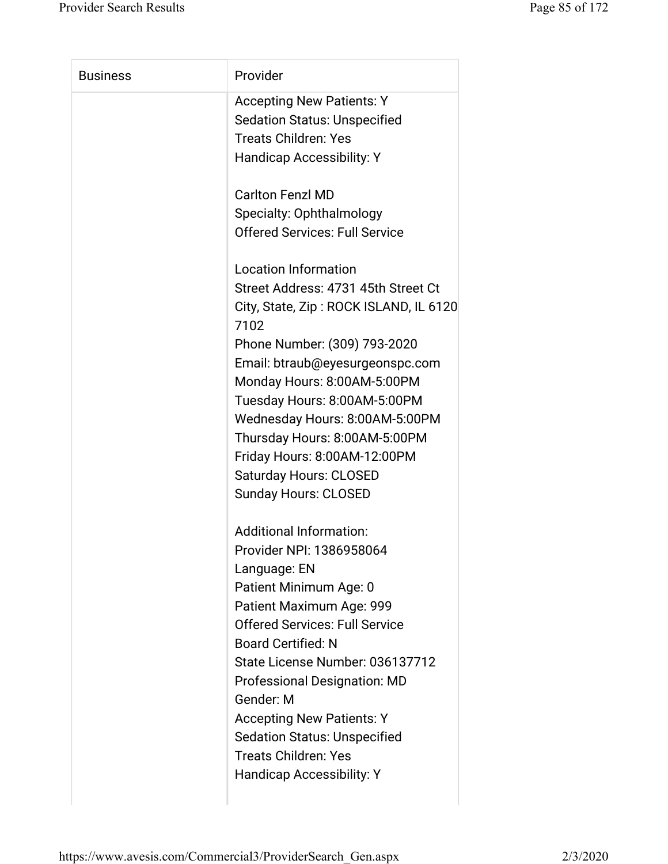| <b>Business</b> | Provider                               |
|-----------------|----------------------------------------|
|                 | <b>Accepting New Patients: Y</b>       |
|                 | <b>Sedation Status: Unspecified</b>    |
|                 | <b>Treats Children: Yes</b>            |
|                 | <b>Handicap Accessibility: Y</b>       |
|                 |                                        |
|                 | <b>Carlton Fenzl MD</b>                |
|                 | Specialty: Ophthalmology               |
|                 | <b>Offered Services: Full Service</b>  |
|                 |                                        |
|                 | <b>Location Information</b>            |
|                 | Street Address: 4731 45th Street Ct    |
|                 | City, State, Zip: ROCK ISLAND, IL 6120 |
|                 | 7102                                   |
|                 | Phone Number: (309) 793-2020           |
|                 | Email: btraub@eyesurgeonspc.com        |
|                 | Monday Hours: 8:00AM-5:00PM            |
|                 | Tuesday Hours: 8:00AM-5:00PM           |
|                 | Wednesday Hours: 8:00AM-5:00PM         |
|                 | Thursday Hours: 8:00AM-5:00PM          |
|                 | Friday Hours: 8:00AM-12:00PM           |
|                 | <b>Saturday Hours: CLOSED</b>          |
|                 | <b>Sunday Hours: CLOSED</b>            |
|                 | <b>Additional Information:</b>         |
|                 | Provider NPI: 1386958064               |
|                 | Language: EN                           |
|                 | Patient Minimum Age: 0                 |
|                 | Patient Maximum Age: 999               |
|                 | <b>Offered Services: Full Service</b>  |
|                 | <b>Board Certified: N</b>              |
|                 | State License Number: 036137712        |
|                 | Professional Designation: MD           |
|                 | Gender: M                              |
|                 | <b>Accepting New Patients: Y</b>       |
|                 | <b>Sedation Status: Unspecified</b>    |
|                 | <b>Treats Children: Yes</b>            |
|                 | <b>Handicap Accessibility: Y</b>       |
|                 |                                        |
|                 |                                        |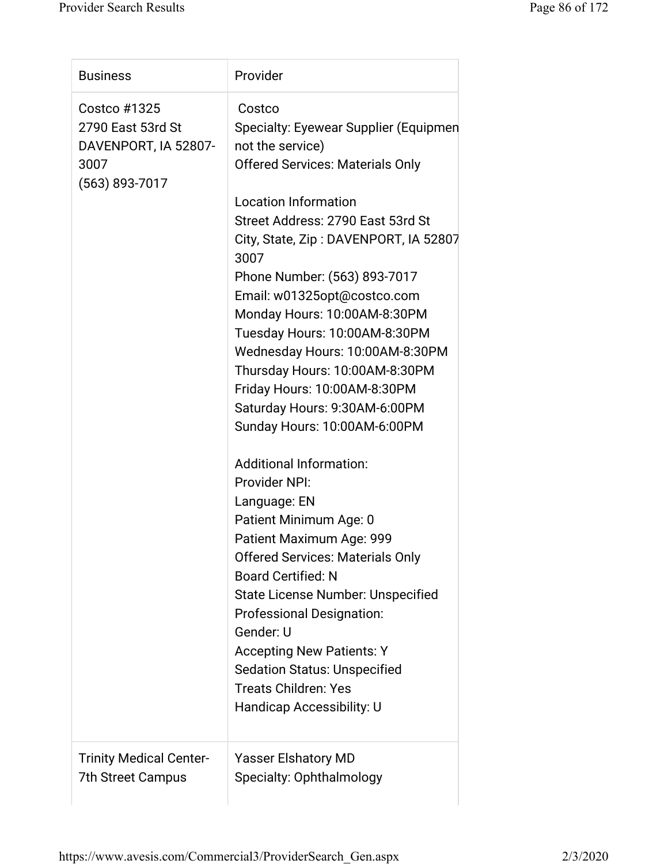| <b>Business</b>                                                                     | Provider                                                                                                                                                                                                                                                                                                                                                                                                                                                                                                                                                                                                                                                                                                                                                                                                                                                                                                                                                                       |
|-------------------------------------------------------------------------------------|--------------------------------------------------------------------------------------------------------------------------------------------------------------------------------------------------------------------------------------------------------------------------------------------------------------------------------------------------------------------------------------------------------------------------------------------------------------------------------------------------------------------------------------------------------------------------------------------------------------------------------------------------------------------------------------------------------------------------------------------------------------------------------------------------------------------------------------------------------------------------------------------------------------------------------------------------------------------------------|
| Costco #1325<br>2790 East 53rd St<br>DAVENPORT, IA 52807-<br>3007<br>(563) 893-7017 | Costco<br>Specialty: Eyewear Supplier (Equipmen<br>not the service)<br><b>Offered Services: Materials Only</b><br><b>Location Information</b><br>Street Address: 2790 East 53rd St<br>City, State, Zip: DAVENPORT, IA 52807<br>3007<br>Phone Number: (563) 893-7017<br>Email: w01325opt@costco.com<br>Monday Hours: 10:00AM-8:30PM<br>Tuesday Hours: 10:00AM-8:30PM<br>Wednesday Hours: 10:00AM-8:30PM<br>Thursday Hours: 10:00AM-8:30PM<br>Friday Hours: 10:00AM-8:30PM<br>Saturday Hours: 9:30AM-6:00PM<br>Sunday Hours: 10:00AM-6:00PM<br><b>Additional Information:</b><br>Provider NPI:<br>Language: EN<br>Patient Minimum Age: 0<br>Patient Maximum Age: 999<br><b>Offered Services: Materials Only</b><br><b>Board Certified: N</b><br><b>State License Number: Unspecified</b><br><b>Professional Designation:</b><br>Gender: U<br><b>Accepting New Patients: Y</b><br><b>Sedation Status: Unspecified</b><br><b>Treats Children: Yes</b><br>Handicap Accessibility: U |
| <b>Trinity Medical Center-</b><br>7th Street Campus                                 | Yasser Elshatory MD<br>Specialty: Ophthalmology                                                                                                                                                                                                                                                                                                                                                                                                                                                                                                                                                                                                                                                                                                                                                                                                                                                                                                                                |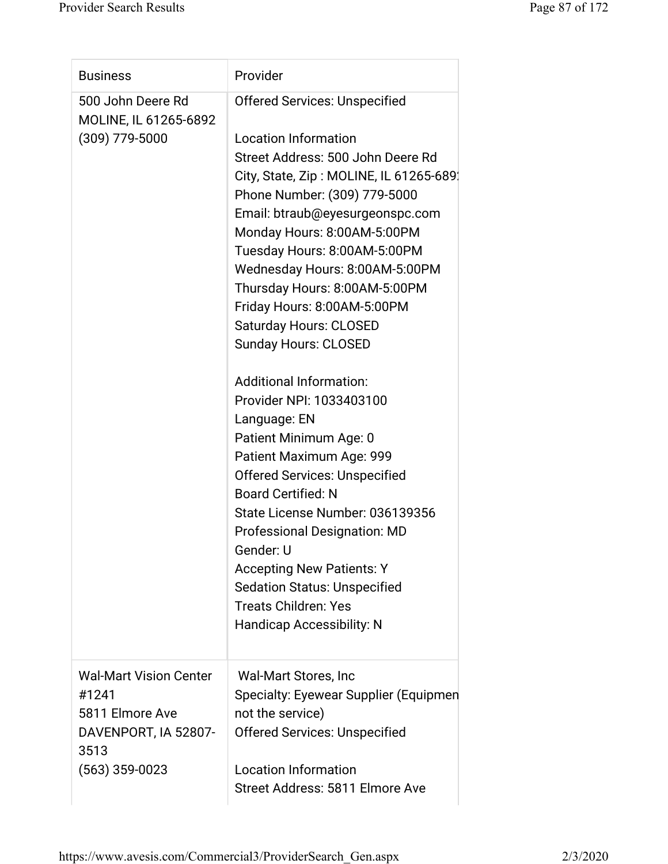| <b>Business</b>                            | Provider                                                  |
|--------------------------------------------|-----------------------------------------------------------|
| 500 John Deere Rd<br>MOLINE, IL 61265-6892 | <b>Offered Services: Unspecified</b>                      |
| $(309)$ 779-5000                           | <b>Location Information</b>                               |
|                                            | Street Address: 500 John Deere Rd                         |
|                                            | City, State, Zip: MOLINE, IL 61265-689.                   |
|                                            | Phone Number: (309) 779-5000                              |
|                                            | Email: btraub@eyesurgeonspc.com                           |
|                                            | Monday Hours: 8:00AM-5:00PM                               |
|                                            | Tuesday Hours: 8:00AM-5:00PM                              |
|                                            | Wednesday Hours: 8:00AM-5:00PM                            |
|                                            | Thursday Hours: 8:00AM-5:00PM                             |
|                                            | Friday Hours: 8:00AM-5:00PM                               |
|                                            | <b>Saturday Hours: CLOSED</b>                             |
|                                            | <b>Sunday Hours: CLOSED</b>                               |
|                                            | <b>Additional Information:</b>                            |
|                                            | Provider NPI: 1033403100                                  |
|                                            | Language: EN                                              |
|                                            | Patient Minimum Age: 0                                    |
|                                            | Patient Maximum Age: 999                                  |
|                                            | <b>Offered Services: Unspecified</b>                      |
|                                            | <b>Board Certified: N</b>                                 |
|                                            | State License Number: 036139356                           |
|                                            | <b>Professional Designation: MD</b>                       |
|                                            | Gender: U                                                 |
|                                            | <b>Accepting New Patients: Y</b>                          |
|                                            | <b>Sedation Status: Unspecified</b>                       |
|                                            | <b>Treats Children: Yes</b>                               |
|                                            |                                                           |
|                                            |                                                           |
|                                            | <b>Handicap Accessibility: N</b>                          |
| <b>Wal-Mart Vision Center</b>              | Wal-Mart Stores, Inc                                      |
| #1241                                      |                                                           |
| 5811 Elmore Ave                            | Specialty: Eyewear Supplier (Equipmen<br>not the service) |
| DAVENPORT, IA 52807-<br>3513               | <b>Offered Services: Unspecified</b>                      |
| $(563)$ 359-0023                           | <b>Location Information</b>                               |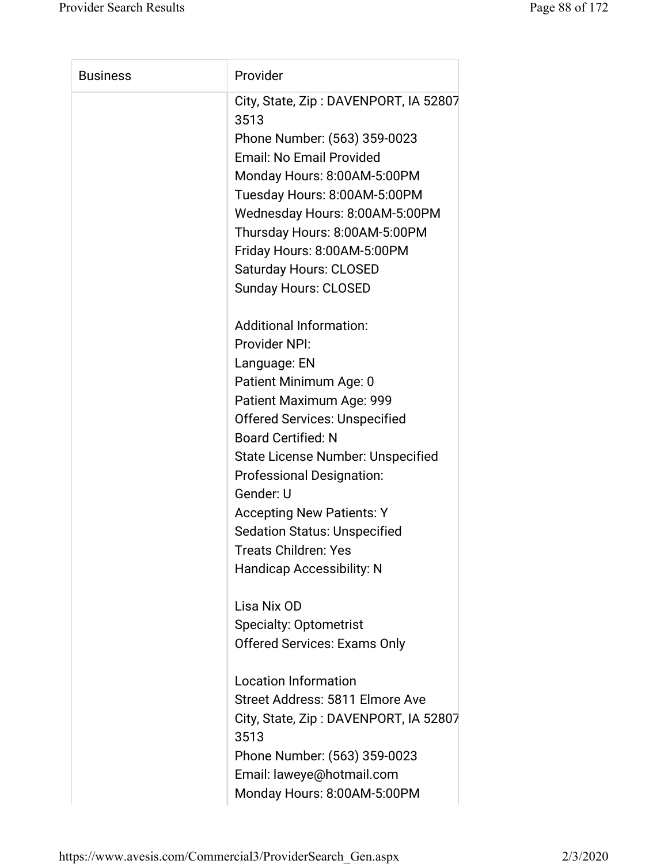| <b>Business</b> | Provider                                                                                                                                                                                                                                                                                                                                                                                                                                                                                                                                                                                                                                                                                                                                                                                                                                                                                                                                                                                                                                                                                  |
|-----------------|-------------------------------------------------------------------------------------------------------------------------------------------------------------------------------------------------------------------------------------------------------------------------------------------------------------------------------------------------------------------------------------------------------------------------------------------------------------------------------------------------------------------------------------------------------------------------------------------------------------------------------------------------------------------------------------------------------------------------------------------------------------------------------------------------------------------------------------------------------------------------------------------------------------------------------------------------------------------------------------------------------------------------------------------------------------------------------------------|
|                 | City, State, Zip: DAVENPORT, IA 52807<br>3513<br>Phone Number: (563) 359-0023<br><b>Email: No Email Provided</b><br>Monday Hours: 8:00AM-5:00PM<br>Tuesday Hours: 8:00AM-5:00PM<br>Wednesday Hours: 8:00AM-5:00PM<br>Thursday Hours: 8:00AM-5:00PM<br>Friday Hours: 8:00AM-5:00PM<br><b>Saturday Hours: CLOSED</b><br><b>Sunday Hours: CLOSED</b><br><b>Additional Information:</b><br>Provider NPI:<br>Language: EN<br>Patient Minimum Age: 0<br>Patient Maximum Age: 999<br><b>Offered Services: Unspecified</b><br><b>Board Certified: N</b><br><b>State License Number: Unspecified</b><br><b>Professional Designation:</b><br>Gender: U<br><b>Accepting New Patients: Y</b><br><b>Sedation Status: Unspecified</b><br>Treats Children: Yes<br><b>Handicap Accessibility: N</b><br>Lisa Nix OD<br><b>Specialty: Optometrist</b><br><b>Offered Services: Exams Only</b><br><b>Location Information</b><br>Street Address: 5811 Elmore Ave<br>City, State, Zip: DAVENPORT, IA 52807<br>3513<br>Phone Number: (563) 359-0023<br>Email: laweye@hotmail.com<br>Monday Hours: 8:00AM-5:00PM |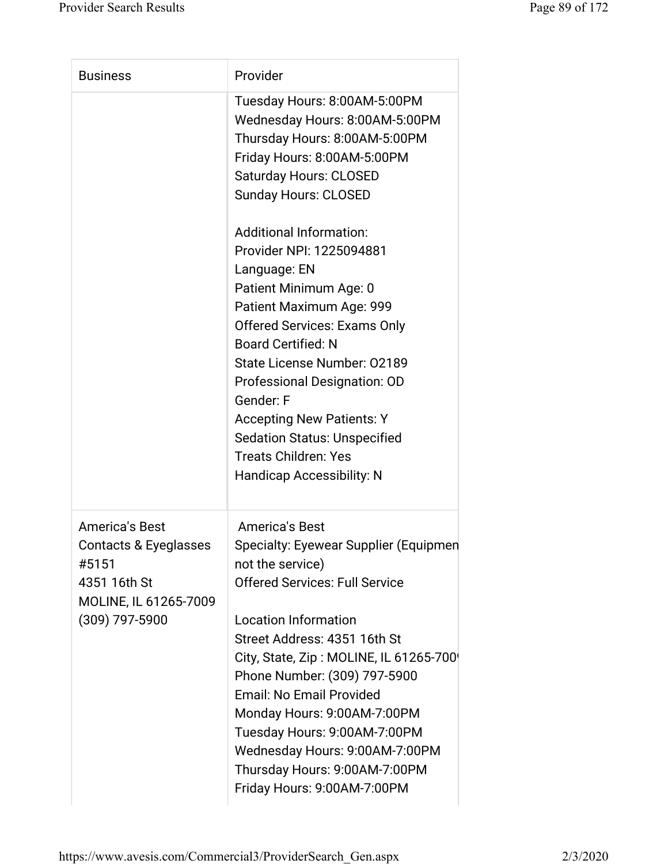| <b>Business</b>                                                                                                    | Provider                                                                                                                                                                                                                                                                                                                                                                                                                                                                                                                                                                                                                         |
|--------------------------------------------------------------------------------------------------------------------|----------------------------------------------------------------------------------------------------------------------------------------------------------------------------------------------------------------------------------------------------------------------------------------------------------------------------------------------------------------------------------------------------------------------------------------------------------------------------------------------------------------------------------------------------------------------------------------------------------------------------------|
|                                                                                                                    | Tuesday Hours: 8:00AM-5:00PM<br>Wednesday Hours: 8:00AM-5:00PM<br>Thursday Hours: 8:00AM-5:00PM<br>Friday Hours: 8:00AM-5:00PM<br><b>Saturday Hours: CLOSED</b><br><b>Sunday Hours: CLOSED</b><br><b>Additional Information:</b><br>Provider NPI: 1225094881<br>Language: EN<br>Patient Minimum Age: 0<br>Patient Maximum Age: 999<br><b>Offered Services: Exams Only</b><br><b>Board Certified: N</b><br>State License Number: 02189<br>Professional Designation: OD<br>Gender: F<br><b>Accepting New Patients: Y</b><br><b>Sedation Status: Unspecified</b><br><b>Treats Children: Yes</b><br><b>Handicap Accessibility: N</b> |
| <b>America's Best</b><br>Contacts & Eyeglasses<br>#5151<br>4351 16th St<br>MOLINE, IL 61265-7009<br>(309) 797-5900 | America's Best<br>Specialty: Eyewear Supplier (Equipmen<br>not the service)<br><b>Offered Services: Full Service</b><br><b>Location Information</b><br>Street Address: 4351 16th St<br>City, State, Zip: MOLINE, IL 61265-700<br>Phone Number: (309) 797-5900<br><b>Email: No Email Provided</b><br>Monday Hours: 9:00AM-7:00PM<br>Tuesday Hours: 9:00AM-7:00PM<br>Wednesday Hours: 9:00AM-7:00PM<br>Thursday Hours: 9:00AM-7:00PM<br>Friday Hours: 9:00AM-7:00PM                                                                                                                                                                |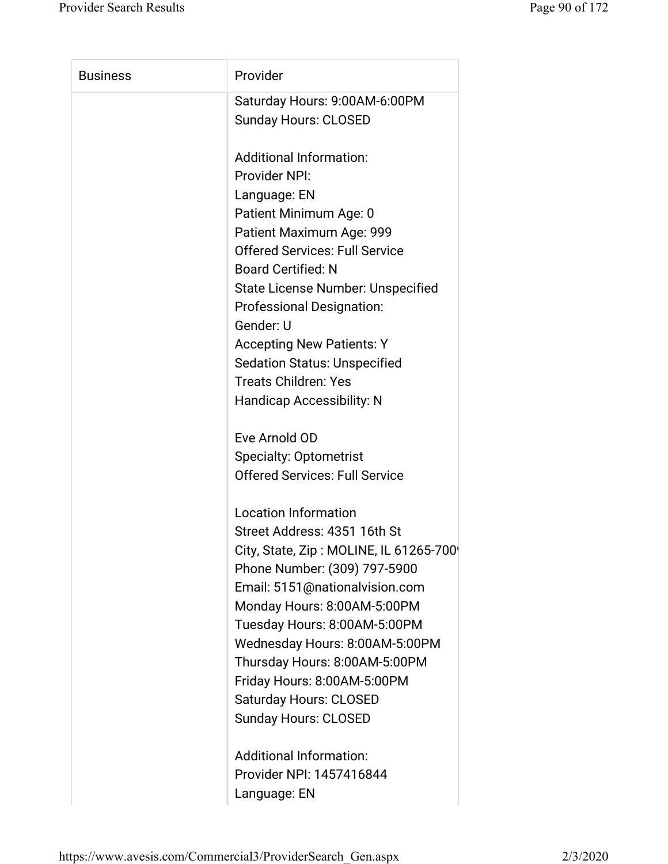| Provider                                 |
|------------------------------------------|
| Saturday Hours: 9:00AM-6:00PM            |
| <b>Sunday Hours: CLOSED</b>              |
| <b>Additional Information:</b>           |
| Provider NPI:                            |
| Language: EN                             |
| Patient Minimum Age: 0                   |
| Patient Maximum Age: 999                 |
| <b>Offered Services: Full Service</b>    |
| <b>Board Certified: N</b>                |
| <b>State License Number: Unspecified</b> |
| <b>Professional Designation:</b>         |
| Gender: U                                |
| <b>Accepting New Patients: Y</b>         |
| <b>Sedation Status: Unspecified</b>      |
| <b>Treats Children: Yes</b>              |
| <b>Handicap Accessibility: N</b>         |
| Eve Arnold OD                            |
| <b>Specialty: Optometrist</b>            |
| <b>Offered Services: Full Service</b>    |
| <b>Location Information</b>              |
| Street Address: 4351 16th St             |
| City, State, Zip: MOLINE, IL 61265-700   |
| Phone Number: (309) 797-5900             |
| Email: 5151@nationalvision.com           |
| Monday Hours: 8:00AM-5:00PM              |
| Tuesday Hours: 8:00AM-5:00PM             |
| Wednesday Hours: 8:00AM-5:00PM           |
| Thursday Hours: 8:00AM-5:00PM            |
| Friday Hours: 8:00AM-5:00PM              |
| <b>Saturday Hours: CLOSED</b>            |
| <b>Sunday Hours: CLOSED</b>              |
| Additional Information:                  |
| Provider NPI: 1457416844                 |
|                                          |

Language: EN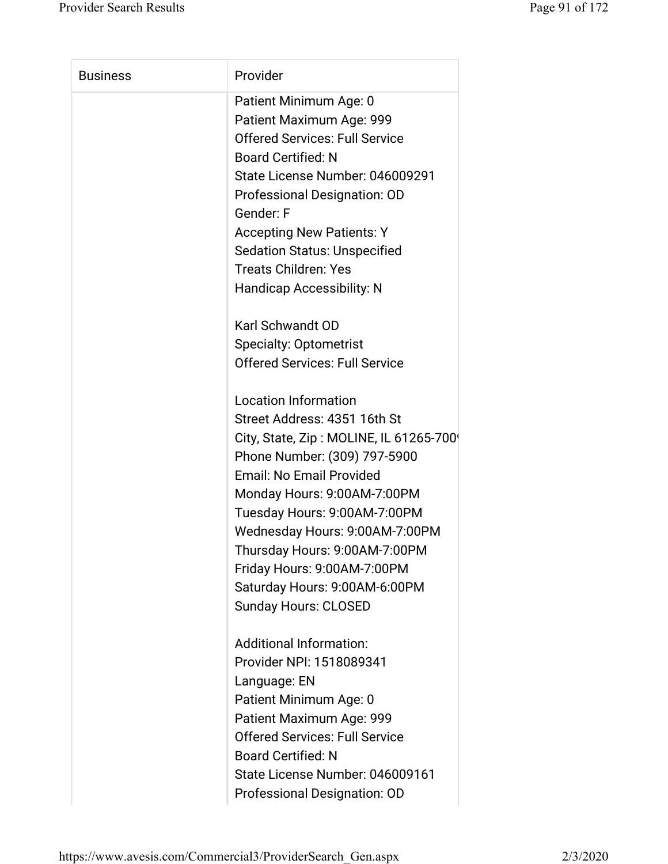| <b>Business</b> | Provider                               |
|-----------------|----------------------------------------|
|                 | Patient Minimum Age: 0                 |
|                 | Patient Maximum Age: 999               |
|                 | <b>Offered Services: Full Service</b>  |
|                 | <b>Board Certified: N</b>              |
|                 | State License Number: 046009291        |
|                 | Professional Designation: OD           |
|                 | Gender: F                              |
|                 | <b>Accepting New Patients: Y</b>       |
|                 | <b>Sedation Status: Unspecified</b>    |
|                 | <b>Treats Children: Yes</b>            |
|                 | <b>Handicap Accessibility: N</b>       |
|                 | <b>Karl Schwandt OD</b>                |
|                 | <b>Specialty: Optometrist</b>          |
|                 | <b>Offered Services: Full Service</b>  |
|                 | <b>Location Information</b>            |
|                 | Street Address: 4351 16th St           |
|                 | City, State, Zip: MOLINE, IL 61265-700 |
|                 | Phone Number: (309) 797-5900           |
|                 | <b>Email: No Email Provided</b>        |
|                 | Monday Hours: 9:00AM-7:00PM            |
|                 | Tuesday Hours: 9:00AM-7:00PM           |
|                 | Wednesday Hours: 9:00AM-7:00PM         |
|                 | Thursday Hours: 9:00AM-7:00PM          |
|                 | Friday Hours: 9:00AM-7:00PM            |
|                 | Saturday Hours: 9:00AM-6:00PM          |
|                 | <b>Sunday Hours: CLOSED</b>            |
|                 | <b>Additional Information:</b>         |
|                 | Provider NPI: 1518089341               |
|                 | Language: EN                           |
|                 | Patient Minimum Age: 0                 |
|                 | Patient Maximum Age: 999               |
|                 | <b>Offered Services: Full Service</b>  |
|                 | <b>Board Certified: N</b>              |
|                 | State License Number: 046009161        |
|                 | Professional Designation: OD           |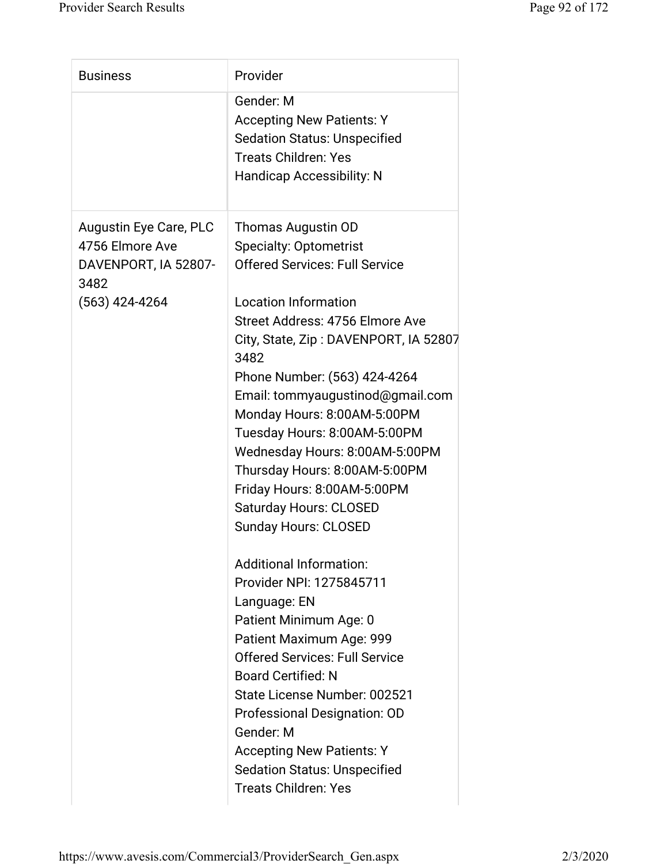| <b>Business</b>                                                                                      | Provider                                                                                                                                                                                                                                                                                                                                                                                      |
|------------------------------------------------------------------------------------------------------|-----------------------------------------------------------------------------------------------------------------------------------------------------------------------------------------------------------------------------------------------------------------------------------------------------------------------------------------------------------------------------------------------|
|                                                                                                      | Gender: M<br><b>Accepting New Patients: Y</b><br><b>Sedation Status: Unspecified</b><br><b>Treats Children: Yes</b><br><b>Handicap Accessibility: N</b>                                                                                                                                                                                                                                       |
| <b>Augustin Eye Care, PLC</b><br>4756 Elmore Ave<br>DAVENPORT, IA 52807-<br>3482<br>$(563)$ 424-4264 | Thomas Augustin OD<br><b>Specialty: Optometrist</b><br><b>Offered Services: Full Service</b><br><b>Location Information</b>                                                                                                                                                                                                                                                                   |
|                                                                                                      | Street Address: 4756 Elmore Ave<br>City, State, Zip: DAVENPORT, IA 52807<br>3482<br>Phone Number: (563) 424-4264<br>Email: tommyaugustinod@gmail.com<br>Monday Hours: 8:00AM-5:00PM<br>Tuesday Hours: 8:00AM-5:00PM<br>Wednesday Hours: 8:00AM-5:00PM<br>Thursday Hours: 8:00AM-5:00PM<br>Friday Hours: 8:00AM-5:00PM<br><b>Saturday Hours: CLOSED</b><br><b>Sunday Hours: CLOSED</b>         |
|                                                                                                      | <b>Additional Information:</b><br>Provider NPI: 1275845711<br>Language: EN<br>Patient Minimum Age: 0<br>Patient Maximum Age: 999<br><b>Offered Services: Full Service</b><br><b>Board Certified: N</b><br>State License Number: 002521<br>Professional Designation: OD<br>Gender: M<br><b>Accepting New Patients: Y</b><br><b>Sedation Status: Unspecified</b><br><b>Treats Children: Yes</b> |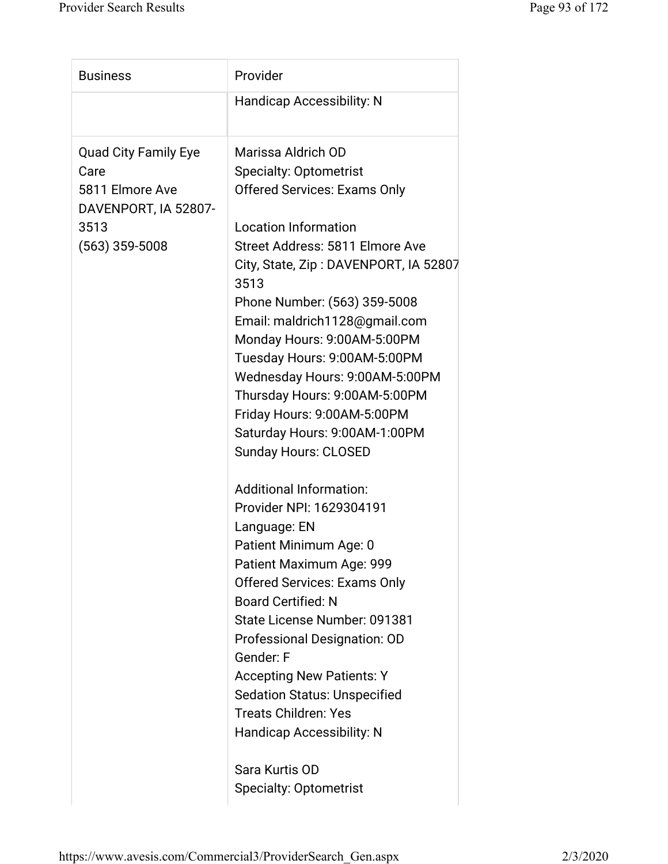| <b>Business</b>                         | Provider                                                           |
|-----------------------------------------|--------------------------------------------------------------------|
|                                         | <b>Handicap Accessibility: N</b>                                   |
| <b>Quad City Family Eye</b>             | Marissa Aldrich OD                                                 |
| Care                                    | <b>Specialty: Optometrist</b>                                      |
| 5811 Elmore Ave<br>DAVENPORT, IA 52807- | <b>Offered Services: Exams Only</b>                                |
| 3513                                    | <b>Location Information</b>                                        |
| $(563)$ 359-5008                        | Street Address: 5811 Elmore Ave                                    |
|                                         | City, State, Zip: DAVENPORT, IA 52807<br>3513                      |
|                                         | Phone Number: (563) 359-5008                                       |
|                                         | Email: maldrich1128@gmail.com                                      |
|                                         | Monday Hours: 9:00AM-5:00PM                                        |
|                                         | Tuesday Hours: 9:00AM-5:00PM                                       |
|                                         | Wednesday Hours: 9:00AM-5:00PM                                     |
|                                         | Thursday Hours: 9:00AM-5:00PM                                      |
|                                         | Friday Hours: 9:00AM-5:00PM                                        |
|                                         | Saturday Hours: 9:00AM-1:00PM                                      |
|                                         | Sunday Hours: CLOSED                                               |
|                                         | <b>Additional Information:</b>                                     |
|                                         | Provider NPI: 1629304191                                           |
|                                         | Language: EN                                                       |
|                                         | Patient Minimum Age: 0                                             |
|                                         | Patient Maximum Age: 999                                           |
|                                         | <b>Offered Services: Exams Only</b>                                |
|                                         | <b>Board Certified: N</b>                                          |
|                                         | State License Number: 091381                                       |
|                                         | Professional Designation: OD                                       |
|                                         | Gender: F                                                          |
|                                         | <b>Accepting New Patients: Y</b>                                   |
|                                         | <b>Sedation Status: Unspecified</b><br><b>Treats Children: Yes</b> |
|                                         | <b>Handicap Accessibility: N</b>                                   |
|                                         |                                                                    |
|                                         | Sara Kurtis OD                                                     |
|                                         | <b>Specialty: Optometrist</b>                                      |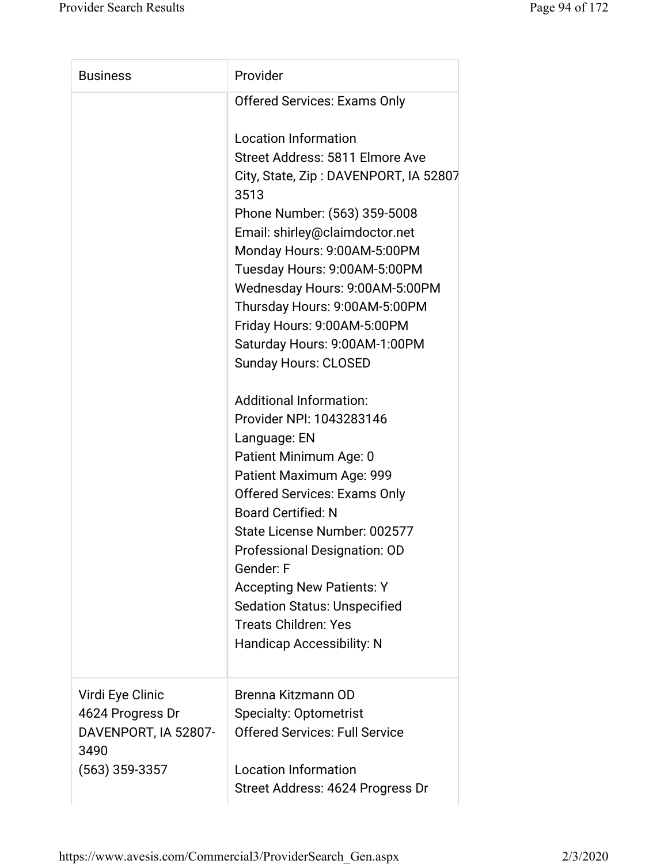| <b>Business</b>                                                      | Provider                                                                                                                                                                                                                                                                                                                                                                                                                        |
|----------------------------------------------------------------------|---------------------------------------------------------------------------------------------------------------------------------------------------------------------------------------------------------------------------------------------------------------------------------------------------------------------------------------------------------------------------------------------------------------------------------|
|                                                                      | <b>Offered Services: Exams Only</b>                                                                                                                                                                                                                                                                                                                                                                                             |
|                                                                      | <b>Location Information</b><br>Street Address: 5811 Elmore Ave<br>City, State, Zip: DAVENPORT, IA 52807<br>3513<br>Phone Number: (563) 359-5008                                                                                                                                                                                                                                                                                 |
|                                                                      | Email: shirley@claimdoctor.net<br>Monday Hours: 9:00AM-5:00PM<br>Tuesday Hours: 9:00AM-5:00PM                                                                                                                                                                                                                                                                                                                                   |
|                                                                      | Wednesday Hours: 9:00AM-5:00PM<br>Thursday Hours: 9:00AM-5:00PM<br>Friday Hours: 9:00AM-5:00PM                                                                                                                                                                                                                                                                                                                                  |
|                                                                      | Saturday Hours: 9:00AM-1:00PM<br><b>Sunday Hours: CLOSED</b>                                                                                                                                                                                                                                                                                                                                                                    |
|                                                                      | <b>Additional Information:</b><br>Provider NPI: 1043283146<br>Language: EN<br>Patient Minimum Age: 0<br>Patient Maximum Age: 999<br><b>Offered Services: Exams Only</b><br><b>Board Certified: N</b><br>State License Number: 002577<br>Professional Designation: OD<br>Gender: F<br><b>Accepting New Patients: Y</b><br><b>Sedation Status: Unspecified</b><br><b>Treats Children: Yes</b><br><b>Handicap Accessibility: N</b> |
| Virdi Eye Clinic<br>4624 Progress Dr<br>DAVENPORT, IA 52807-<br>3490 | Brenna Kitzmann OD<br><b>Specialty: Optometrist</b><br><b>Offered Services: Full Service</b>                                                                                                                                                                                                                                                                                                                                    |
| $(563)$ 359-3357                                                     | <b>Location Information</b><br>Street Address: 4624 Progress Dr                                                                                                                                                                                                                                                                                                                                                                 |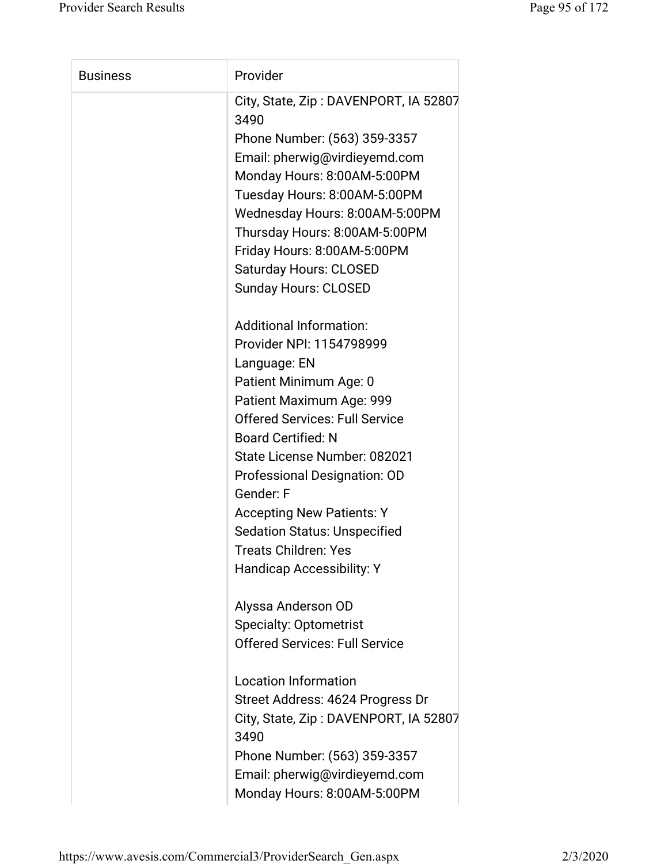| <b>Business</b> | Provider                                                                                                                                                                                                                                                                                                                                                                                                                   |
|-----------------|----------------------------------------------------------------------------------------------------------------------------------------------------------------------------------------------------------------------------------------------------------------------------------------------------------------------------------------------------------------------------------------------------------------------------|
|                 | City, State, Zip: DAVENPORT, IA 52807<br>3490<br>Phone Number: (563) 359-3357<br>Email: pherwig@virdieyemd.com<br>Monday Hours: 8:00AM-5:00PM<br>Tuesday Hours: 8:00AM-5:00PM<br>Wednesday Hours: 8:00AM-5:00PM<br>Thursday Hours: 8:00AM-5:00PM<br>Friday Hours: 8:00AM-5:00PM<br><b>Saturday Hours: CLOSED</b><br><b>Sunday Hours: CLOSED</b>                                                                            |
|                 | <b>Additional Information:</b><br>Provider NPI: 1154798999<br>Language: EN<br>Patient Minimum Age: 0<br>Patient Maximum Age: 999<br><b>Offered Services: Full Service</b><br><b>Board Certified: N</b><br>State License Number: 082021<br>Professional Designation: OD<br>Gender: F<br><b>Accepting New Patients: Y</b><br><b>Sedation Status: Unspecified</b><br>Treats Children: Yes<br><b>Handicap Accessibility: Y</b> |
|                 | Alyssa Anderson OD<br><b>Specialty: Optometrist</b><br><b>Offered Services: Full Service</b><br><b>Location Information</b><br>Street Address: 4624 Progress Dr<br>City, State, Zip: DAVENPORT, IA 52807<br>3490<br>Phone Number: (563) 359-3357<br>Email: pherwig@virdieyemd.com<br>Monday Hours: 8:00AM-5:00PM                                                                                                           |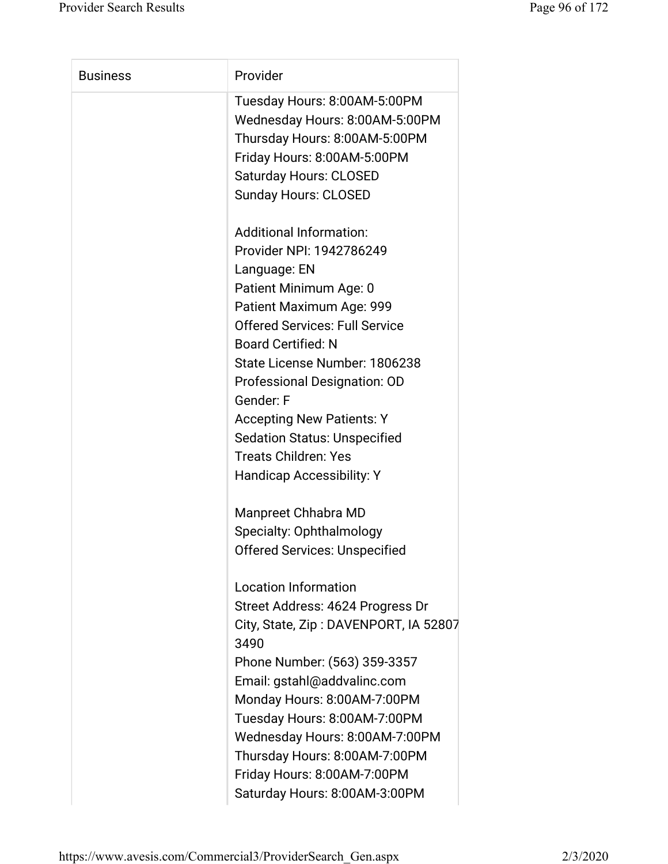| <b>Business</b> | Provider                                                                                                                                                                                                                                                                                                                                                                                                                           |
|-----------------|------------------------------------------------------------------------------------------------------------------------------------------------------------------------------------------------------------------------------------------------------------------------------------------------------------------------------------------------------------------------------------------------------------------------------------|
|                 | Tuesday Hours: 8:00AM-5:00PM<br>Wednesday Hours: 8:00AM-5:00PM<br>Thursday Hours: 8:00AM-5:00PM<br>Friday Hours: 8:00AM-5:00PM<br><b>Saturday Hours: CLOSED</b><br><b>Sunday Hours: CLOSED</b>                                                                                                                                                                                                                                     |
|                 | <b>Additional Information:</b><br>Provider NPI: 1942786249<br>Language: EN<br>Patient Minimum Age: 0<br>Patient Maximum Age: 999<br><b>Offered Services: Full Service</b><br><b>Board Certified: N</b><br>State License Number: 1806238<br>Professional Designation: OD<br>Gender: F<br><b>Accepting New Patients: Y</b><br><b>Sedation Status: Unspecified</b><br><b>Treats Children: Yes</b><br><b>Handicap Accessibility: Y</b> |
|                 | Manpreet Chhabra MD<br><b>Specialty: Ophthalmology</b><br><b>Offered Services: Unspecified</b>                                                                                                                                                                                                                                                                                                                                     |
|                 | <b>Location Information</b><br>Street Address: 4624 Progress Dr<br>City, State, Zip: DAVENPORT, IA 52807<br>3490<br>Phone Number: (563) 359-3357<br>Email: gstahl@addvalinc.com<br>Monday Hours: 8:00AM-7:00PM<br>Tuesday Hours: 8:00AM-7:00PM<br>Wednesday Hours: 8:00AM-7:00PM<br>Thursday Hours: 8:00AM-7:00PM<br>Friday Hours: 8:00AM-7:00PM<br>Saturday Hours: 8:00AM-3:00PM                                                  |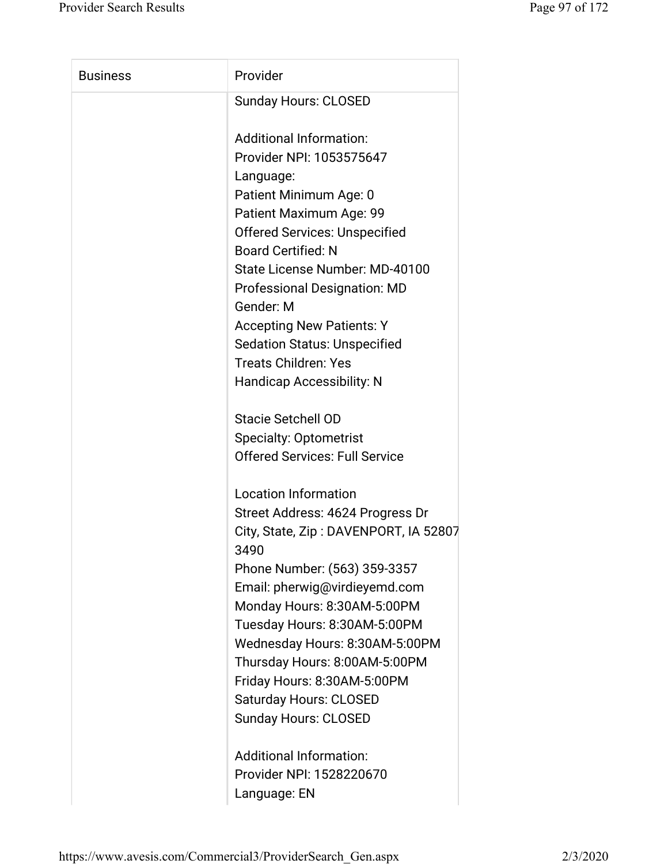| <b>Business</b> | Provider                                         |
|-----------------|--------------------------------------------------|
|                 | <b>Sunday Hours: CLOSED</b>                      |
|                 | <b>Additional Information:</b>                   |
|                 | Provider NPI: 1053575647                         |
|                 | Language:                                        |
|                 | Patient Minimum Age: 0                           |
|                 | Patient Maximum Age: 99                          |
|                 | <b>Offered Services: Unspecified</b>             |
|                 | <b>Board Certified: N</b>                        |
|                 | State License Number: MD-40100                   |
|                 | <b>Professional Designation: MD</b><br>Gender: M |
|                 | <b>Accepting New Patients: Y</b>                 |
|                 | <b>Sedation Status: Unspecified</b>              |
|                 | <b>Treats Children: Yes</b>                      |
|                 | <b>Handicap Accessibility: N</b>                 |
|                 | <b>Stacie Setchell OD</b>                        |
|                 | <b>Specialty: Optometrist</b>                    |
|                 | <b>Offered Services: Full Service</b>            |
|                 | <b>Location Information</b>                      |
|                 | Street Address: 4624 Progress Dr                 |
|                 | City, State, Zip: DAVENPORT, IA 52807<br>3490    |
|                 | Phone Number: (563) 359-3357                     |
|                 | Email: pherwig@virdieyemd.com                    |
|                 | Monday Hours: 8:30AM-5:00PM                      |
|                 | Tuesday Hours: 8:30AM-5:00PM                     |
|                 | Wednesday Hours: 8:30AM-5:00PM                   |
|                 | Thursday Hours: 8:00AM-5:00PM                    |
|                 | Friday Hours: 8:30AM-5:00PM                      |
|                 | <b>Saturday Hours: CLOSED</b>                    |
|                 | <b>Sunday Hours: CLOSED</b>                      |
|                 | <b>Additional Information:</b>                   |
|                 | Provider NPI: 1528220670                         |
|                 | Language: EN                                     |

https://www.avesis.com/Commercial3/ProviderSearch\_Gen.aspx 2/3/2020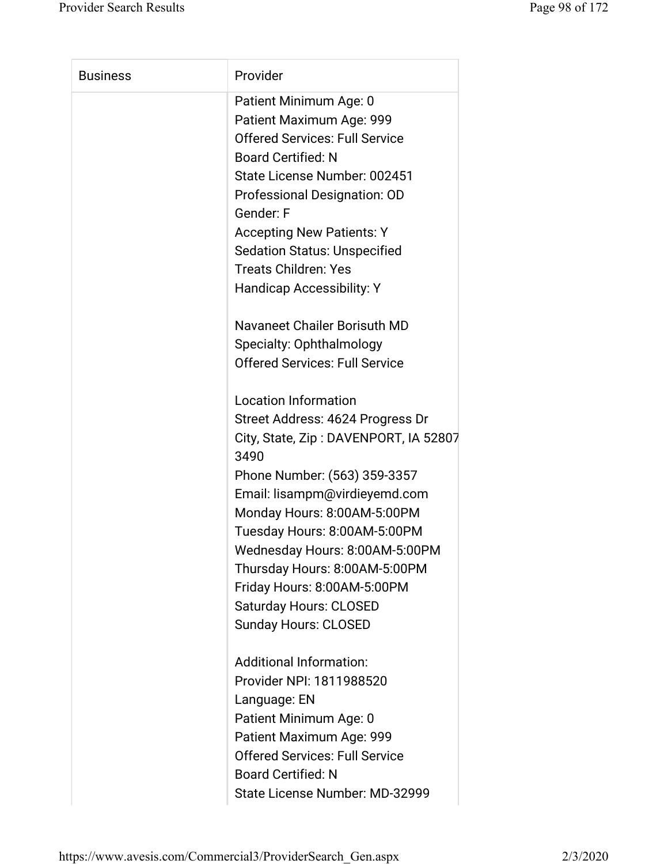| <b>Business</b> | Provider                                                                                                                                                                                                                                                                                                                                                                                                           |
|-----------------|--------------------------------------------------------------------------------------------------------------------------------------------------------------------------------------------------------------------------------------------------------------------------------------------------------------------------------------------------------------------------------------------------------------------|
|                 | Patient Minimum Age: 0<br>Patient Maximum Age: 999<br><b>Offered Services: Full Service</b><br><b>Board Certified: N</b><br>State License Number: 002451<br>Professional Designation: OD<br>Gender: F<br><b>Accepting New Patients: Y</b><br><b>Sedation Status: Unspecified</b><br><b>Treats Children: Yes</b><br><b>Handicap Accessibility: Y</b>                                                                |
|                 | Navaneet Chailer Borisuth MD<br>Specialty: Ophthalmology<br><b>Offered Services: Full Service</b>                                                                                                                                                                                                                                                                                                                  |
|                 | <b>Location Information</b><br>Street Address: 4624 Progress Dr<br>City, State, Zip: DAVENPORT, IA 52807<br>3490<br>Phone Number: (563) 359-3357<br>Email: lisampm@virdieyemd.com<br>Monday Hours: 8:00AM-5:00PM<br>Tuesday Hours: 8:00AM-5:00PM<br>Wednesday Hours: 8:00AM-5:00PM<br>Thursday Hours: 8:00AM-5:00PM<br>Friday Hours: 8:00AM-5:00PM<br><b>Saturday Hours: CLOSED</b><br><b>Sunday Hours: CLOSED</b> |
|                 | <b>Additional Information:</b><br>Provider NPI: 1811988520<br>Language: EN<br>Patient Minimum Age: 0<br>Patient Maximum Age: 999<br><b>Offered Services: Full Service</b><br><b>Board Certified: N</b><br>State License Number: MD-32999                                                                                                                                                                           |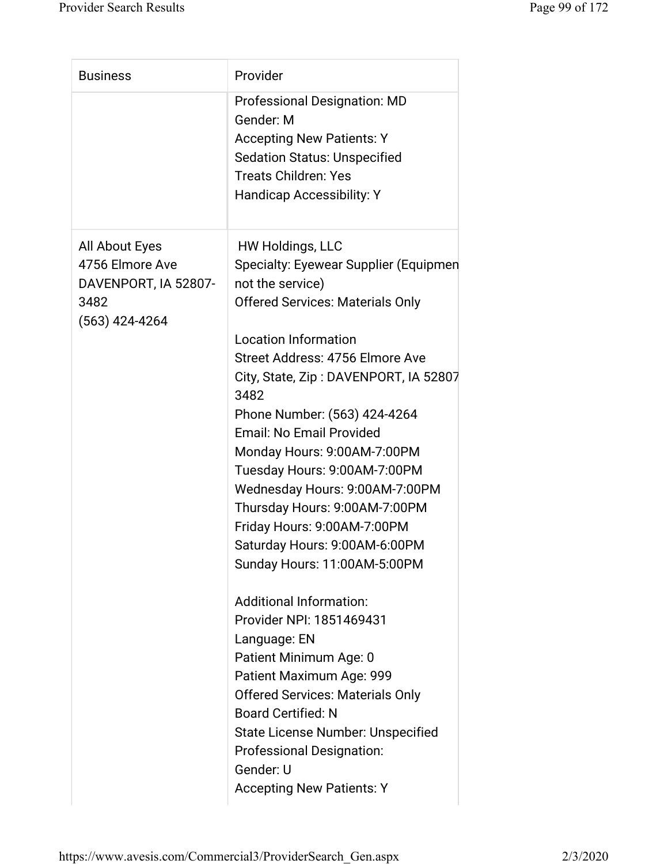| <b>Business</b>                         | Provider                                                                             |
|-----------------------------------------|--------------------------------------------------------------------------------------|
|                                         | <b>Professional Designation: MD</b><br>Gender: M<br><b>Accepting New Patients: Y</b> |
|                                         | <b>Sedation Status: Unspecified</b>                                                  |
|                                         | <b>Treats Children: Yes</b>                                                          |
|                                         | <b>Handicap Accessibility: Y</b>                                                     |
| All About Eyes                          | <b>HW Holdings, LLC</b>                                                              |
| 4756 Elmore Ave<br>DAVENPORT, IA 52807- | Specialty: Eyewear Supplier (Equipmen<br>not the service)                            |
| 3482<br>$(563)$ 424-4264                | <b>Offered Services: Materials Only</b>                                              |
|                                         | <b>Location Information</b>                                                          |
|                                         | Street Address: 4756 Elmore Ave                                                      |
|                                         | City, State, Zip: DAVENPORT, IA 52807<br>3482                                        |
|                                         | Phone Number: (563) 424-4264                                                         |
|                                         | <b>Email: No Email Provided</b>                                                      |
|                                         | Monday Hours: 9:00AM-7:00PM                                                          |
|                                         | Tuesday Hours: 9:00AM-7:00PM                                                         |
|                                         | Wednesday Hours: 9:00AM-7:00PM                                                       |
|                                         | Thursday Hours: 9:00AM-7:00PM                                                        |
|                                         | Friday Hours: 9:00AM-7:00PM                                                          |
|                                         | Saturday Hours: 9:00AM-6:00PM                                                        |
|                                         | Sunday Hours: 11:00AM-5:00PM                                                         |
|                                         | <b>Additional Information:</b>                                                       |
|                                         | Provider NPI: 1851469431                                                             |
|                                         | Language: EN                                                                         |
|                                         | Patient Minimum Age: 0                                                               |
|                                         | Patient Maximum Age: 999                                                             |
|                                         | <b>Offered Services: Materials Only</b>                                              |
|                                         | <b>Board Certified: N</b>                                                            |
|                                         | <b>State License Number: Unspecified</b>                                             |
|                                         | <b>Professional Designation:</b><br>Gender: U                                        |
|                                         | <b>Accepting New Patients: Y</b>                                                     |
|                                         |                                                                                      |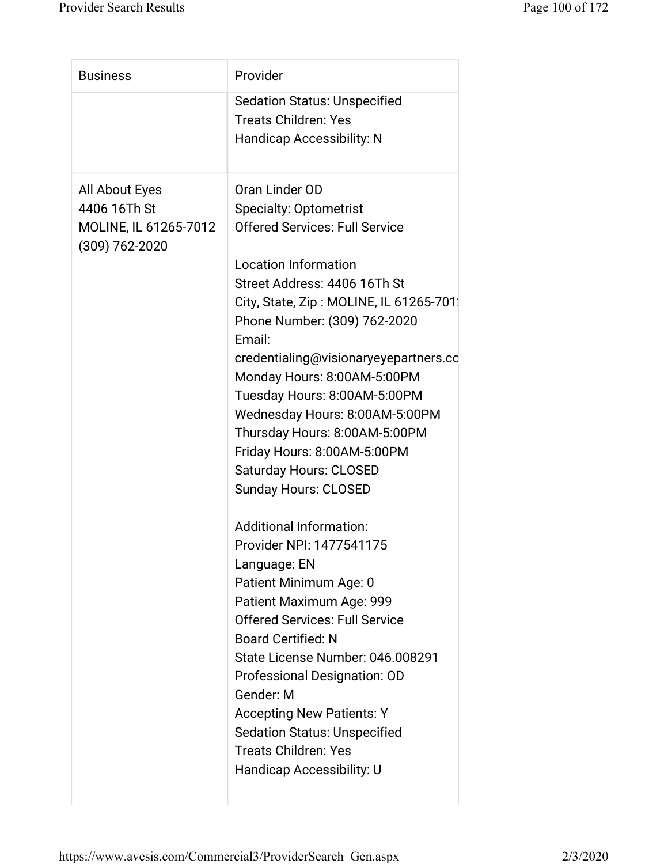| <b>Business</b>                                                               | Provider                                                                                                                                                                                                                                                                                                                                                                                                                                                                                                               |
|-------------------------------------------------------------------------------|------------------------------------------------------------------------------------------------------------------------------------------------------------------------------------------------------------------------------------------------------------------------------------------------------------------------------------------------------------------------------------------------------------------------------------------------------------------------------------------------------------------------|
|                                                                               | <b>Sedation Status: Unspecified</b><br><b>Treats Children: Yes</b><br><b>Handicap Accessibility: N</b>                                                                                                                                                                                                                                                                                                                                                                                                                 |
| All About Eyes<br>4406 16Th St<br>MOLINE, IL 61265-7012<br>$(309) 762 - 2020$ | Oran Linder OD<br><b>Specialty: Optometrist</b><br><b>Offered Services: Full Service</b><br><b>Location Information</b><br>Street Address: 4406 16Th St<br>City, State, Zip: MOLINE, IL 61265-701.<br>Phone Number: (309) 762-2020<br>Email:<br>credentialing@visionaryeyepartners.co<br>Monday Hours: 8:00AM-5:00PM<br>Tuesday Hours: 8:00AM-5:00PM<br>Wednesday Hours: 8:00AM-5:00PM<br>Thursday Hours: 8:00AM-5:00PM<br>Friday Hours: 8:00AM-5:00PM<br><b>Saturday Hours: CLOSED</b><br><b>Sunday Hours: CLOSED</b> |
|                                                                               | <b>Additional Information:</b><br>Provider NPI: 1477541175<br>Language: EN<br>Patient Minimum Age: 0<br>Patient Maximum Age: 999<br><b>Offered Services: Full Service</b><br><b>Board Certified: N</b><br>State License Number: 046.008291<br>Professional Designation: OD<br>Gender: M<br><b>Accepting New Patients: Y</b><br><b>Sedation Status: Unspecified</b><br><b>Treats Children: Yes</b><br>Handicap Accessibility: U                                                                                         |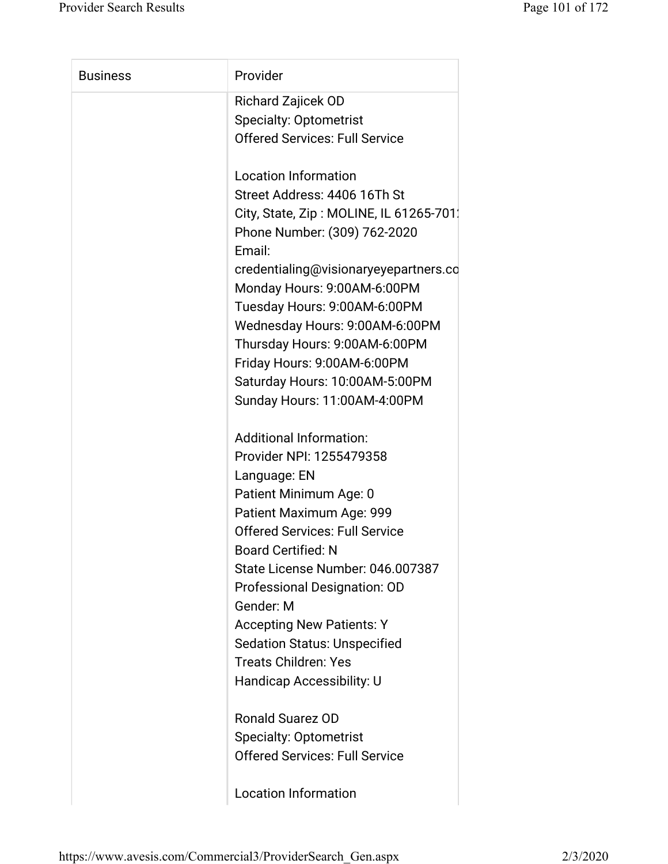| <b>Business</b> | Provider                                                                |
|-----------------|-------------------------------------------------------------------------|
|                 | <b>Richard Zajicek OD</b>                                               |
|                 | <b>Specialty: Optometrist</b>                                           |
|                 | <b>Offered Services: Full Service</b>                                   |
|                 | <b>Location Information</b>                                             |
|                 | Street Address: 4406 16Th St                                            |
|                 | City, State, Zip: MOLINE, IL 61265-701.<br>Phone Number: (309) 762-2020 |
|                 | Email:                                                                  |
|                 | credentialing@visionaryeyepartners.co                                   |
|                 | Monday Hours: 9:00AM-6:00PM                                             |
|                 | Tuesday Hours: 9:00AM-6:00PM                                            |
|                 | Wednesday Hours: 9:00AM-6:00PM                                          |
|                 | Thursday Hours: 9:00AM-6:00PM                                           |
|                 | Friday Hours: 9:00AM-6:00PM                                             |
|                 | Saturday Hours: 10:00AM-5:00PM                                          |
|                 | Sunday Hours: 11:00AM-4:00PM                                            |
|                 | <b>Additional Information:</b>                                          |
|                 | Provider NPI: 1255479358                                                |
|                 | Language: EN                                                            |
|                 | Patient Minimum Age: 0                                                  |
|                 | Patient Maximum Age: 999                                                |
|                 | <b>Offered Services: Full Service</b>                                   |
|                 | <b>Board Certified: N</b>                                               |
|                 | State License Number: 046.007387                                        |
|                 | Professional Designation: OD                                            |
|                 | Gender: M                                                               |
|                 | <b>Accepting New Patients: Y</b>                                        |
|                 | <b>Sedation Status: Unspecified</b>                                     |
|                 | <b>Treats Children: Yes</b>                                             |
|                 | Handicap Accessibility: U                                               |
|                 | Ronald Suarez OD                                                        |
|                 | <b>Specialty: Optometrist</b>                                           |
|                 | <b>Offered Services: Full Service</b>                                   |
|                 | <b>Location Information</b>                                             |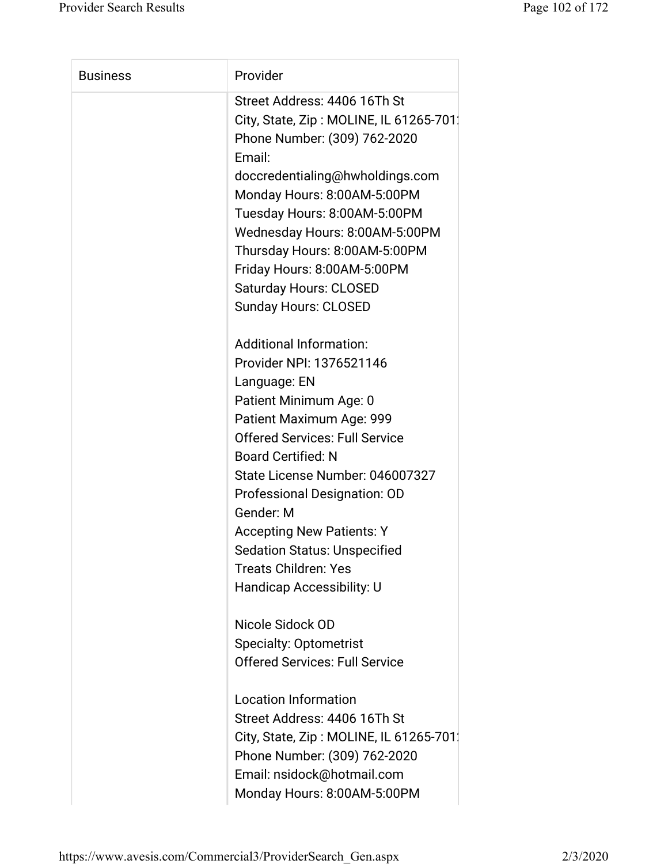| <b>Business</b> | Provider                                |
|-----------------|-----------------------------------------|
|                 | Street Address: 4406 16Th St            |
|                 | City, State, Zip: MOLINE, IL 61265-701. |
|                 | Phone Number: (309) 762-2020            |
|                 | Email:                                  |
|                 | doccredentialing@hwholdings.com         |
|                 | Monday Hours: 8:00AM-5:00PM             |
|                 | Tuesday Hours: 8:00AM-5:00PM            |
|                 | Wednesday Hours: 8:00AM-5:00PM          |
|                 | Thursday Hours: 8:00AM-5:00PM           |
|                 | Friday Hours: 8:00AM-5:00PM             |
|                 | <b>Saturday Hours: CLOSED</b>           |
|                 | <b>Sunday Hours: CLOSED</b>             |
|                 | <b>Additional Information:</b>          |
|                 | Provider NPI: 1376521146                |
|                 | Language: EN                            |
|                 | Patient Minimum Age: 0                  |
|                 | Patient Maximum Age: 999                |
|                 | <b>Offered Services: Full Service</b>   |
|                 | <b>Board Certified: N</b>               |
|                 | State License Number: 046007327         |
|                 | <b>Professional Designation: OD</b>     |
|                 | Gender: M                               |
|                 | <b>Accepting New Patients: Y</b>        |
|                 | <b>Sedation Status: Unspecified</b>     |
|                 | <b>Treats Children: Yes</b>             |
|                 | Handicap Accessibility: U               |
|                 | Nicole Sidock OD                        |
|                 | <b>Specialty: Optometrist</b>           |
|                 | <b>Offered Services: Full Service</b>   |
|                 | <b>Location Information</b>             |
|                 | Street Address: 4406 16Th St            |
|                 | City, State, Zip: MOLINE, IL 61265-701. |
|                 | Phone Number: (309) 762-2020            |
|                 | Email: nsidock@hotmail.com              |
|                 | Monday Hours: 8:00AM-5:00PM             |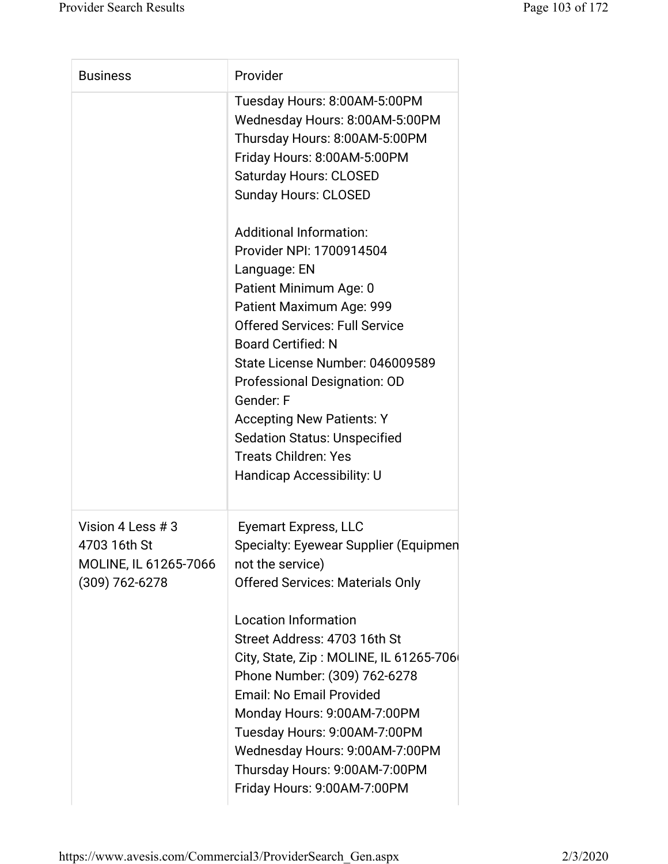| <b>Business</b>                                                                  | Provider                                                                                                                                                                                                                                                                                                                                                                                                                                                                                                                                                                                                                        |
|----------------------------------------------------------------------------------|---------------------------------------------------------------------------------------------------------------------------------------------------------------------------------------------------------------------------------------------------------------------------------------------------------------------------------------------------------------------------------------------------------------------------------------------------------------------------------------------------------------------------------------------------------------------------------------------------------------------------------|
|                                                                                  | Tuesday Hours: 8:00AM-5:00PM<br>Wednesday Hours: 8:00AM-5:00PM<br>Thursday Hours: 8:00AM-5:00PM<br>Friday Hours: 8:00AM-5:00PM<br><b>Saturday Hours: CLOSED</b><br><b>Sunday Hours: CLOSED</b><br><b>Additional Information:</b><br>Provider NPI: 1700914504<br>Language: EN<br>Patient Minimum Age: 0<br>Patient Maximum Age: 999<br><b>Offered Services: Full Service</b><br><b>Board Certified: N</b><br>State License Number: 046009589<br>Professional Designation: OD<br>Gender: F<br><b>Accepting New Patients: Y</b><br><b>Sedation Status: Unspecified</b><br><b>Treats Children: Yes</b><br>Handicap Accessibility: U |
| Vision 4 Less # 3<br>4703 16th St<br>MOLINE, IL 61265-7066<br>$(309) 762 - 6278$ | <b>Eyemart Express, LLC</b><br><b>Specialty: Eyewear Supplier (Equipmen</b><br>not the service)<br><b>Offered Services: Materials Only</b><br><b>Location Information</b><br>Street Address: 4703 16th St<br>City, State, Zip: MOLINE, IL 61265-706<br>Phone Number: (309) 762-6278<br><b>Email: No Email Provided</b><br>Monday Hours: 9:00AM-7:00PM<br>Tuesday Hours: 9:00AM-7:00PM<br>Wednesday Hours: 9:00AM-7:00PM<br>Thursday Hours: 9:00AM-7:00PM<br>Friday Hours: 9:00AM-7:00PM                                                                                                                                         |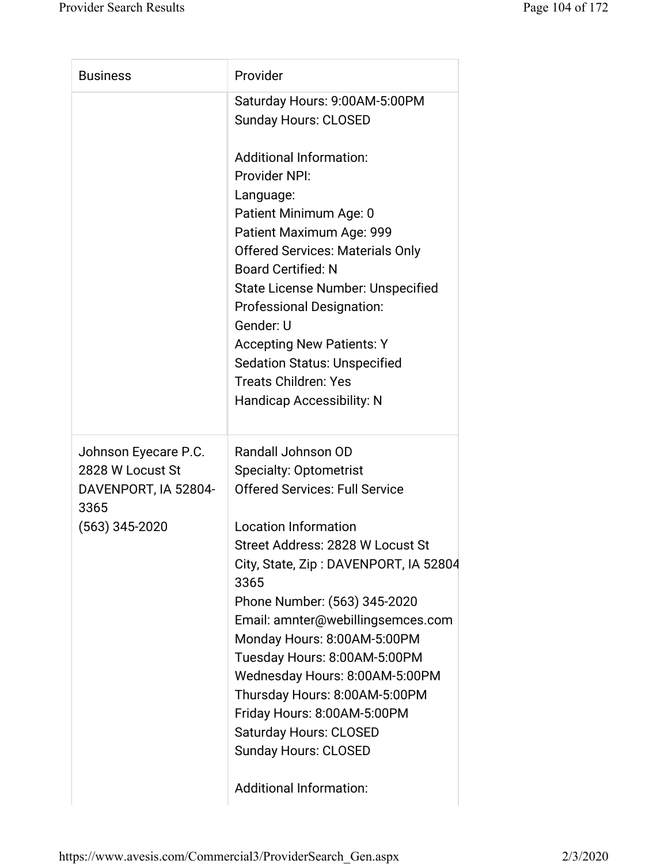| Saturday Hours: 9:00AM-5:00PM<br><b>Sunday Hours: CLOSED</b>                                                                                                                                                                                                                                                                                                                                                                                                                                                           |
|------------------------------------------------------------------------------------------------------------------------------------------------------------------------------------------------------------------------------------------------------------------------------------------------------------------------------------------------------------------------------------------------------------------------------------------------------------------------------------------------------------------------|
|                                                                                                                                                                                                                                                                                                                                                                                                                                                                                                                        |
| <b>Additional Information:</b><br>Provider NPI:<br>Language:<br>Patient Minimum Age: 0<br>Patient Maximum Age: 999<br><b>Offered Services: Materials Only</b><br><b>Board Certified: N</b><br><b>State License Number: Unspecified</b><br><b>Professional Designation:</b><br>Gender: U<br><b>Accepting New Patients: Y</b><br><b>Sedation Status: Unspecified</b><br><b>Treats Children: Yes</b><br><b>Handicap Accessibility: N</b>                                                                                  |
| Randall Johnson OD<br><b>Specialty: Optometrist</b><br><b>Offered Services: Full Service</b><br><b>Location Information</b><br>Street Address: 2828 W Locust St<br>City, State, Zip: DAVENPORT, IA 52804<br>3365<br>Phone Number: (563) 345-2020<br>Email: amnter@webillingsemces.com<br>Monday Hours: 8:00AM-5:00PM<br>Tuesday Hours: 8:00AM-5:00PM<br>Wednesday Hours: 8:00AM-5:00PM<br>Thursday Hours: 8:00AM-5:00PM<br>Friday Hours: 8:00AM-5:00PM<br><b>Saturday Hours: CLOSED</b><br><b>Sunday Hours: CLOSED</b> |
| <b>Additional Information:</b>                                                                                                                                                                                                                                                                                                                                                                                                                                                                                         |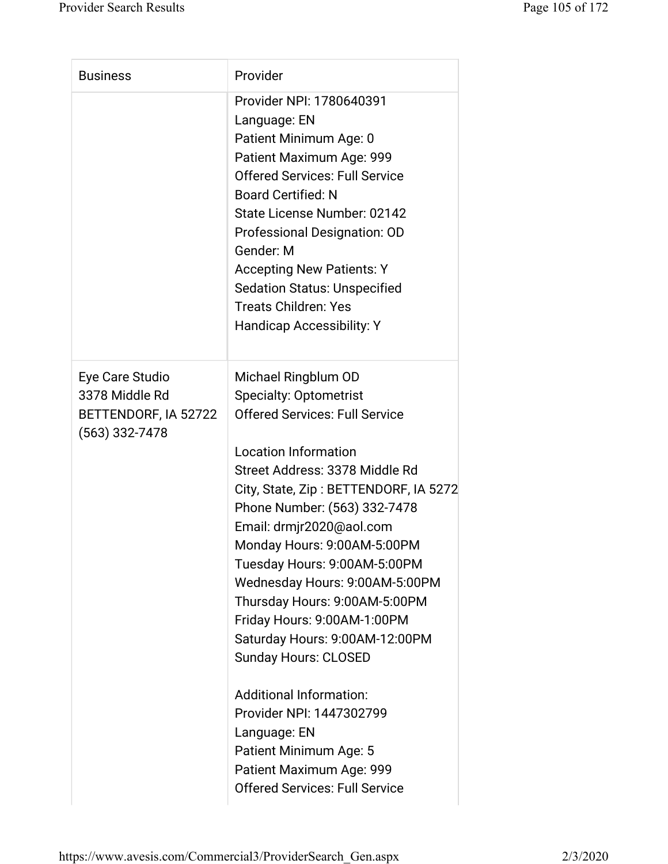| <b>Business</b>                                                               | Provider                                                                                                                                                                                                                                                                                                                                                                                                                                                                                                                                                                                                                                                                           |
|-------------------------------------------------------------------------------|------------------------------------------------------------------------------------------------------------------------------------------------------------------------------------------------------------------------------------------------------------------------------------------------------------------------------------------------------------------------------------------------------------------------------------------------------------------------------------------------------------------------------------------------------------------------------------------------------------------------------------------------------------------------------------|
|                                                                               | Provider NPI: 1780640391<br>Language: EN<br>Patient Minimum Age: 0<br>Patient Maximum Age: 999<br><b>Offered Services: Full Service</b><br><b>Board Certified: N</b><br>State License Number: 02142<br>Professional Designation: OD<br>Gender: M<br><b>Accepting New Patients: Y</b><br><b>Sedation Status: Unspecified</b><br><b>Treats Children: Yes</b><br><b>Handicap Accessibility: Y</b>                                                                                                                                                                                                                                                                                     |
| Eye Care Studio<br>3378 Middle Rd<br>BETTENDORF, IA 52722<br>$(563)$ 332-7478 | Michael Ringblum OD<br><b>Specialty: Optometrist</b><br><b>Offered Services: Full Service</b><br><b>Location Information</b><br>Street Address: 3378 Middle Rd<br>City, State, Zip: BETTENDORF, IA 5272<br>Phone Number: (563) 332-7478<br>Email: drmjr2020@aol.com<br>Monday Hours: 9:00AM-5:00PM<br>Tuesday Hours: 9:00AM-5:00PM<br>Wednesday Hours: 9:00AM-5:00PM<br>Thursday Hours: 9:00AM-5:00PM<br>Friday Hours: 9:00AM-1:00PM<br>Saturday Hours: 9:00AM-12:00PM<br><b>Sunday Hours: CLOSED</b><br><b>Additional Information:</b><br>Provider NPI: 1447302799<br>Language: EN<br>Patient Minimum Age: 5<br>Patient Maximum Age: 999<br><b>Offered Services: Full Service</b> |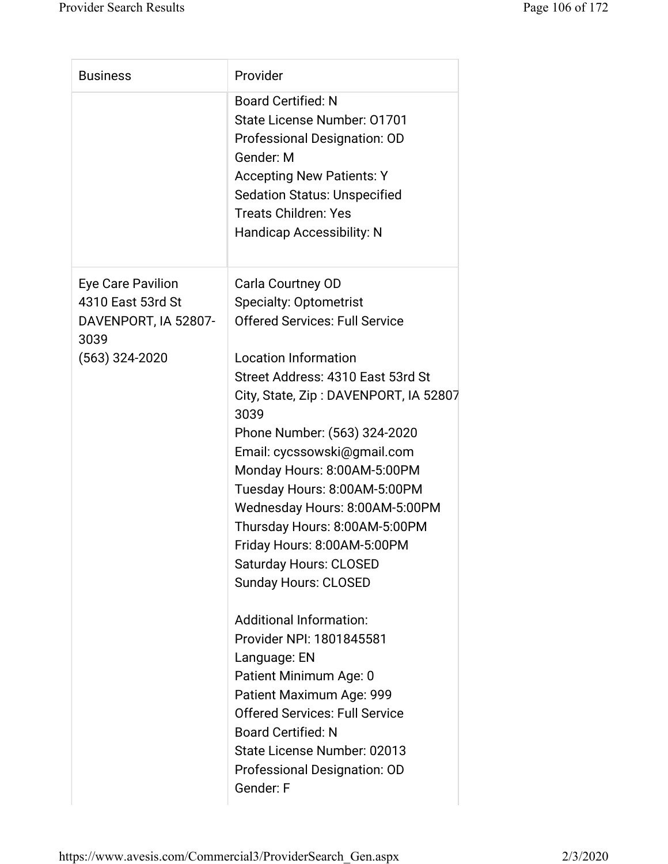| <b>Business</b>              | Provider                                      |
|------------------------------|-----------------------------------------------|
|                              | <b>Board Certified: N</b>                     |
|                              | State License Number: 01701                   |
|                              | Professional Designation: OD                  |
|                              | Gender: M                                     |
|                              | <b>Accepting New Patients: Y</b>              |
|                              | <b>Sedation Status: Unspecified</b>           |
|                              | <b>Treats Children: Yes</b>                   |
|                              | <b>Handicap Accessibility: N</b>              |
| Eye Care Pavilion            | Carla Courtney OD                             |
| 4310 East 53rd St            | <b>Specialty: Optometrist</b>                 |
| DAVENPORT, IA 52807-<br>3039 | <b>Offered Services: Full Service</b>         |
| $(563)$ 324-2020             | <b>Location Information</b>                   |
|                              | Street Address: 4310 East 53rd St             |
|                              | City, State, Zip: DAVENPORT, IA 52807<br>3039 |
|                              | Phone Number: (563) 324-2020                  |
|                              | Email: cycssowski@gmail.com                   |
|                              | Monday Hours: 8:00AM-5:00PM                   |
|                              | Tuesday Hours: 8:00AM-5:00PM                  |
|                              | Wednesday Hours: 8:00AM-5:00PM                |
|                              | Thursday Hours: 8:00AM-5:00PM                 |
|                              | Friday Hours: 8:00AM-5:00PM                   |
|                              | <b>Saturday Hours: CLOSED</b>                 |
|                              | <b>Sunday Hours: CLOSED</b>                   |
|                              | <b>Additional Information:</b>                |
|                              | Provider NPI: 1801845581                      |
|                              | Language: EN                                  |
|                              | Patient Minimum Age: 0                        |
|                              | Patient Maximum Age: 999                      |
|                              | <b>Offered Services: Full Service</b>         |
|                              | <b>Board Certified: N</b>                     |
|                              | State License Number: 02013                   |
|                              | Professional Designation: OD                  |
|                              | Gender: F                                     |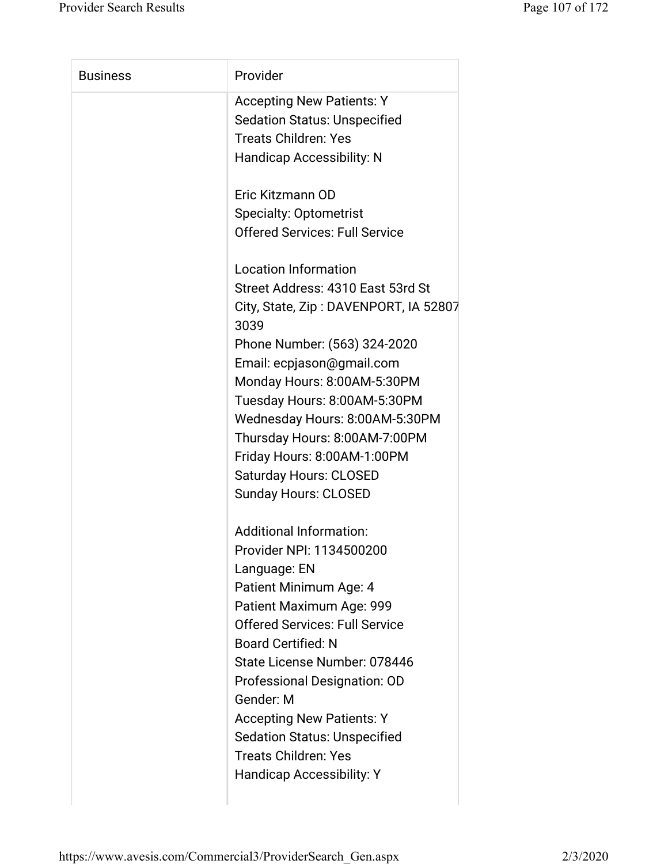| <b>Business</b> | Provider                              |
|-----------------|---------------------------------------|
|                 | <b>Accepting New Patients: Y</b>      |
|                 | <b>Sedation Status: Unspecified</b>   |
|                 | <b>Treats Children: Yes</b>           |
|                 | <b>Handicap Accessibility: N</b>      |
|                 |                                       |
|                 | Eric Kitzmann OD                      |
|                 | <b>Specialty: Optometrist</b>         |
|                 | <b>Offered Services: Full Service</b> |
|                 |                                       |
|                 | <b>Location Information</b>           |
|                 | Street Address: 4310 East 53rd St     |
|                 | City, State, Zip: DAVENPORT, IA 52807 |
|                 | 3039                                  |
|                 | Phone Number: (563) 324-2020          |
|                 | Email: ecpjason@gmail.com             |
|                 | Monday Hours: 8:00AM-5:30PM           |
|                 | Tuesday Hours: 8:00AM-5:30PM          |
|                 | Wednesday Hours: 8:00AM-5:30PM        |
|                 | Thursday Hours: 8:00AM-7:00PM         |
|                 | Friday Hours: 8:00AM-1:00PM           |
|                 | <b>Saturday Hours: CLOSED</b>         |
|                 | <b>Sunday Hours: CLOSED</b>           |
|                 | <b>Additional Information:</b>        |
|                 | Provider NPI: 1134500200              |
|                 | Language: EN                          |
|                 | Patient Minimum Age: 4                |
|                 | Patient Maximum Age: 999              |
|                 | <b>Offered Services: Full Service</b> |
|                 | <b>Board Certified: N</b>             |
|                 | State License Number: 078446          |
|                 | Professional Designation: OD          |
|                 | Gender: M                             |
|                 | <b>Accepting New Patients: Y</b>      |
|                 | <b>Sedation Status: Unspecified</b>   |
|                 | <b>Treats Children: Yes</b>           |
|                 | <b>Handicap Accessibility: Y</b>      |
|                 |                                       |
|                 |                                       |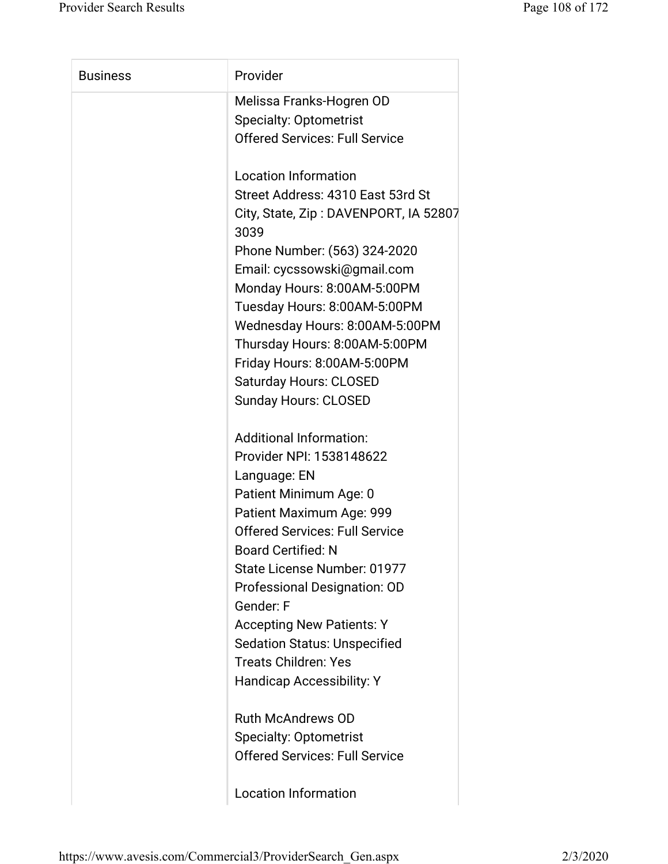| <b>Business</b> | Provider                                      |
|-----------------|-----------------------------------------------|
|                 | Melissa Franks-Hogren OD                      |
|                 | <b>Specialty: Optometrist</b>                 |
|                 | <b>Offered Services: Full Service</b>         |
|                 | <b>Location Information</b>                   |
|                 | Street Address: 4310 East 53rd St             |
|                 | City, State, Zip: DAVENPORT, IA 52807<br>3039 |
|                 | Phone Number: (563) 324-2020                  |
|                 | Email: cycssowski@gmail.com                   |
|                 | Monday Hours: 8:00AM-5:00PM                   |
|                 | Tuesday Hours: 8:00AM-5:00PM                  |
|                 | Wednesday Hours: 8:00AM-5:00PM                |
|                 | Thursday Hours: 8:00AM-5:00PM                 |
|                 | Friday Hours: 8:00AM-5:00PM                   |
|                 | <b>Saturday Hours: CLOSED</b>                 |
|                 | <b>Sunday Hours: CLOSED</b>                   |
|                 | <b>Additional Information:</b>                |
|                 | Provider NPI: 1538148622                      |
|                 | Language: EN                                  |
|                 | Patient Minimum Age: 0                        |
|                 | Patient Maximum Age: 999                      |
|                 | <b>Offered Services: Full Service</b>         |
|                 | <b>Board Certified: N</b>                     |
|                 | State License Number: 01977                   |
|                 | Professional Designation: OD                  |
|                 | Gender: F                                     |
|                 | <b>Accepting New Patients: Y</b>              |
|                 | <b>Sedation Status: Unspecified</b>           |
|                 | <b>Treats Children: Yes</b>                   |
|                 | Handicap Accessibility: Y                     |
|                 | <b>Ruth McAndrews OD</b>                      |
|                 | <b>Specialty: Optometrist</b>                 |
|                 | <b>Offered Services: Full Service</b>         |
|                 | <b>Location Information</b>                   |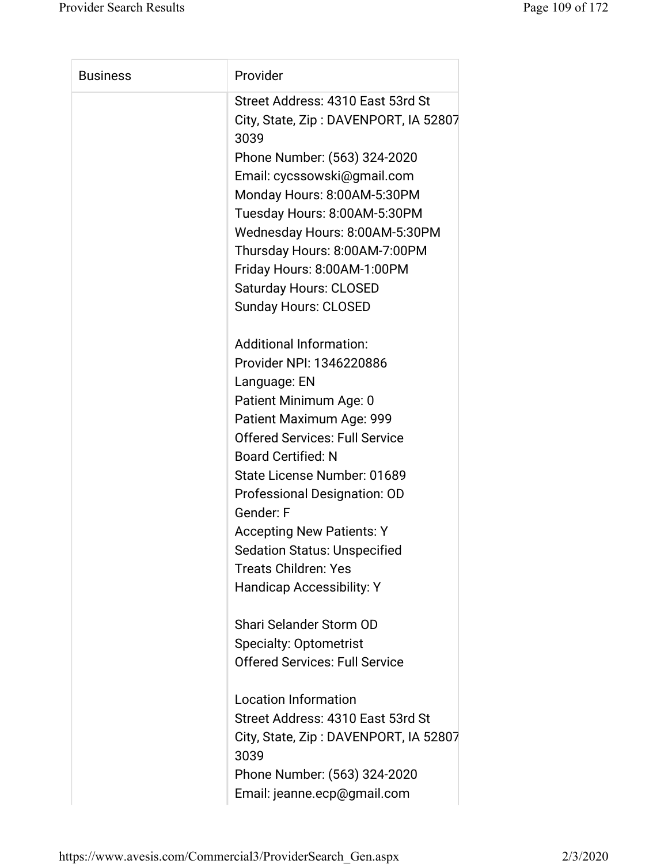| <b>Business</b> | Provider                                      |
|-----------------|-----------------------------------------------|
|                 | Street Address: 4310 East 53rd St             |
|                 | City, State, Zip: DAVENPORT, IA 52807         |
|                 | 3039                                          |
|                 | Phone Number: (563) 324-2020                  |
|                 | Email: cycssowski@gmail.com                   |
|                 | Monday Hours: 8:00AM-5:30PM                   |
|                 | Tuesday Hours: 8:00AM-5:30PM                  |
|                 | Wednesday Hours: 8:00AM-5:30PM                |
|                 | Thursday Hours: 8:00AM-7:00PM                 |
|                 | Friday Hours: 8:00AM-1:00PM                   |
|                 | <b>Saturday Hours: CLOSED</b>                 |
|                 | <b>Sunday Hours: CLOSED</b>                   |
|                 | <b>Additional Information:</b>                |
|                 | Provider NPI: 1346220886                      |
|                 | Language: EN                                  |
|                 | Patient Minimum Age: 0                        |
|                 | Patient Maximum Age: 999                      |
|                 | <b>Offered Services: Full Service</b>         |
|                 | <b>Board Certified: N</b>                     |
|                 | State License Number: 01689                   |
|                 | Professional Designation: OD                  |
|                 | Gender: F                                     |
|                 | <b>Accepting New Patients: Y</b>              |
|                 | <b>Sedation Status: Unspecified</b>           |
|                 | <b>Treats Children: Yes</b>                   |
|                 | <b>Handicap Accessibility: Y</b>              |
|                 |                                               |
|                 | Shari Selander Storm OD                       |
|                 | <b>Specialty: Optometrist</b>                 |
|                 | <b>Offered Services: Full Service</b>         |
|                 | <b>Location Information</b>                   |
|                 | Street Address: 4310 East 53rd St             |
|                 | City, State, Zip: DAVENPORT, IA 52807<br>3039 |
|                 | Phone Number: (563) 324-2020                  |
|                 |                                               |
|                 | Email: jeanne.ecp@gmail.com                   |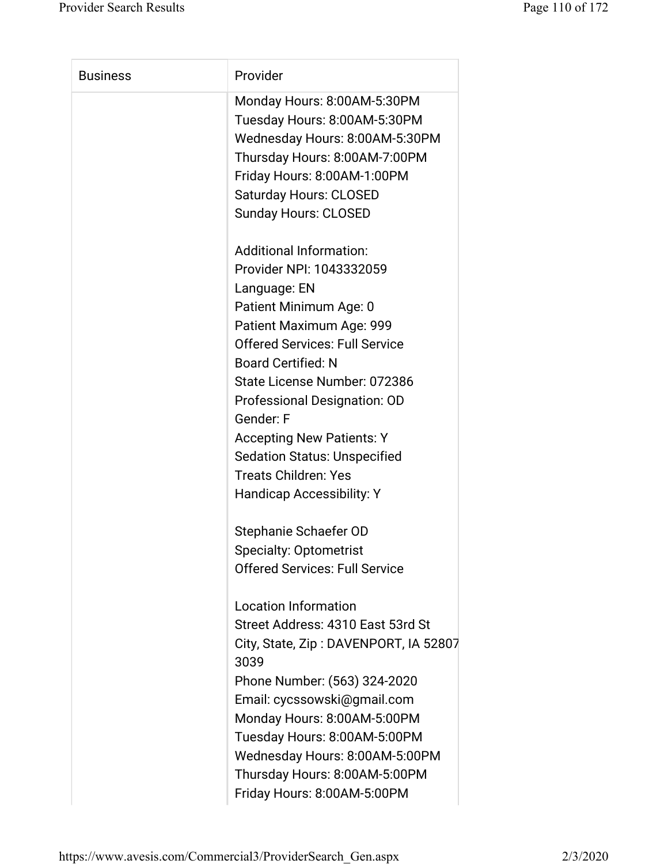| <b>Business</b> | Provider                              |
|-----------------|---------------------------------------|
|                 | Monday Hours: 8:00AM-5:30PM           |
|                 | Tuesday Hours: 8:00AM-5:30PM          |
|                 | Wednesday Hours: 8:00AM-5:30PM        |
|                 | Thursday Hours: 8:00AM-7:00PM         |
|                 | Friday Hours: 8:00AM-1:00PM           |
|                 | <b>Saturday Hours: CLOSED</b>         |
|                 | <b>Sunday Hours: CLOSED</b>           |
|                 |                                       |
|                 | <b>Additional Information:</b>        |
|                 | Provider NPI: 1043332059              |
|                 | Language: EN                          |
|                 | Patient Minimum Age: 0                |
|                 | Patient Maximum Age: 999              |
|                 | <b>Offered Services: Full Service</b> |
|                 | <b>Board Certified: N</b>             |
|                 | State License Number: 072386          |
|                 | Professional Designation: OD          |
|                 | Gender: F                             |
|                 | <b>Accepting New Patients: Y</b>      |
|                 | <b>Sedation Status: Unspecified</b>   |
|                 | <b>Treats Children: Yes</b>           |
|                 | <b>Handicap Accessibility: Y</b>      |
|                 |                                       |
|                 | Stephanie Schaefer OD                 |
|                 | <b>Specialty: Optometrist</b>         |
|                 | <b>Offered Services: Full Service</b> |
|                 |                                       |
|                 | <b>Location Information</b>           |
|                 | Street Address: 4310 East 53rd St     |
|                 | City, State, Zip: DAVENPORT, IA 52807 |
|                 | 3039                                  |
|                 | Phone Number: (563) 324-2020          |
|                 | Email: cycssowski@gmail.com           |
|                 | Monday Hours: 8:00AM-5:00PM           |
|                 | Tuesday Hours: 8:00AM-5:00PM          |
|                 | Wednesday Hours: 8:00AM-5:00PM        |
|                 | Thursday Hours: 8:00AM-5:00PM         |
|                 | Friday Hours: 8:00AM-5:00PM           |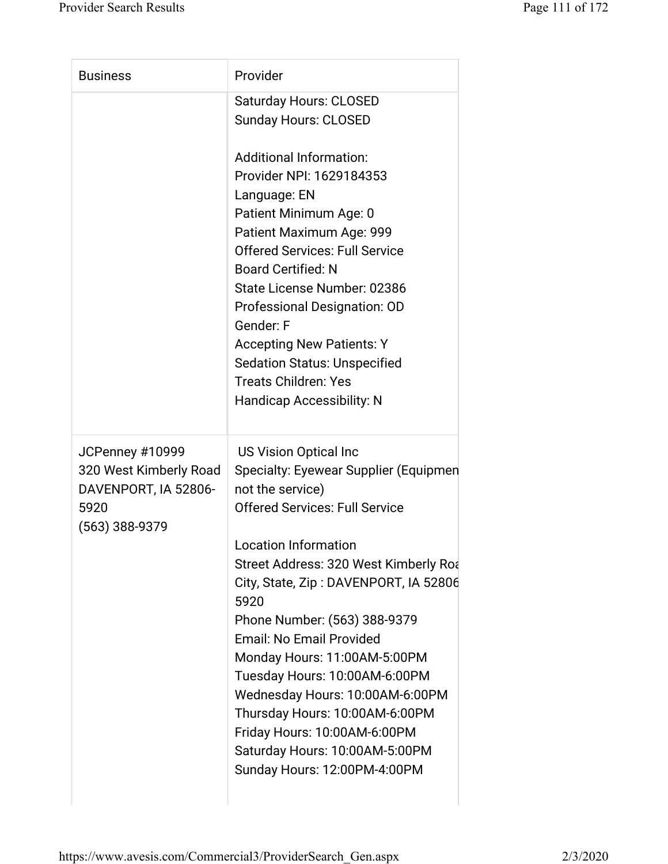| <b>Business</b>                                                                             | Provider                                                                                                                                                                                                                                                                                                                                                                                                                                                                                                                                                                |
|---------------------------------------------------------------------------------------------|-------------------------------------------------------------------------------------------------------------------------------------------------------------------------------------------------------------------------------------------------------------------------------------------------------------------------------------------------------------------------------------------------------------------------------------------------------------------------------------------------------------------------------------------------------------------------|
|                                                                                             | <b>Saturday Hours: CLOSED</b><br><b>Sunday Hours: CLOSED</b>                                                                                                                                                                                                                                                                                                                                                                                                                                                                                                            |
|                                                                                             | <b>Additional Information:</b><br>Provider NPI: 1629184353<br>Language: EN<br>Patient Minimum Age: 0<br>Patient Maximum Age: 999<br><b>Offered Services: Full Service</b><br><b>Board Certified: N</b><br>State License Number: 02386<br>Professional Designation: OD<br>Gender: F<br><b>Accepting New Patients: Y</b><br><b>Sedation Status: Unspecified</b><br><b>Treats Children: Yes</b><br><b>Handicap Accessibility: N</b>                                                                                                                                        |
| JCPenney #10999<br>320 West Kimberly Road<br>DAVENPORT, IA 52806-<br>5920<br>(563) 388-9379 | <b>US Vision Optical Inc.</b><br>Specialty: Eyewear Supplier (Equipmen<br>not the service)<br><b>Offered Services: Full Service</b><br><b>Location Information</b><br>Street Address: 320 West Kimberly Roa<br>City, State, Zip: DAVENPORT, IA 52806<br>5920<br>Phone Number: (563) 388-9379<br><b>Email: No Email Provided</b><br>Monday Hours: 11:00AM-5:00PM<br>Tuesday Hours: 10:00AM-6:00PM<br>Wednesday Hours: 10:00AM-6:00PM<br>Thursday Hours: 10:00AM-6:00PM<br>Friday Hours: 10:00AM-6:00PM<br>Saturday Hours: 10:00AM-5:00PM<br>Sunday Hours: 12:00PM-4:00PM |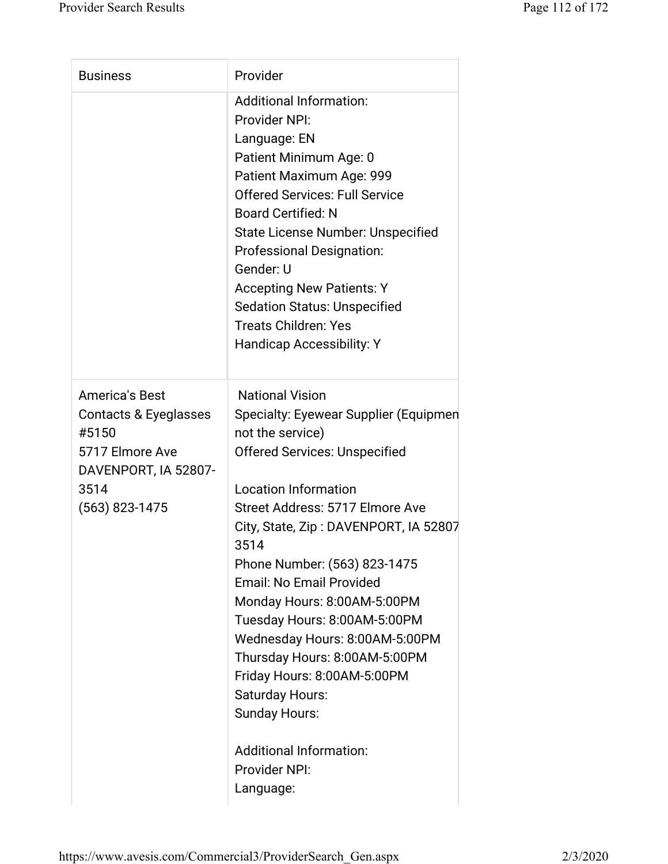| <b>Business</b>                                                                                                                | Provider                                                                                                                                                                                                                                                                                                                                                                                                                                                                                                                                                                                      |
|--------------------------------------------------------------------------------------------------------------------------------|-----------------------------------------------------------------------------------------------------------------------------------------------------------------------------------------------------------------------------------------------------------------------------------------------------------------------------------------------------------------------------------------------------------------------------------------------------------------------------------------------------------------------------------------------------------------------------------------------|
|                                                                                                                                | <b>Additional Information:</b><br>Provider NPI:<br>Language: EN<br>Patient Minimum Age: 0<br>Patient Maximum Age: 999<br><b>Offered Services: Full Service</b><br><b>Board Certified: N</b><br><b>State License Number: Unspecified</b><br><b>Professional Designation:</b><br>Gender: U<br><b>Accepting New Patients: Y</b><br><b>Sedation Status: Unspecified</b><br><b>Treats Children: Yes</b><br><b>Handicap Accessibility: Y</b>                                                                                                                                                        |
| <b>America's Best</b><br>Contacts & Eyeglasses<br>#5150<br>5717 Elmore Ave<br>DAVENPORT, IA 52807-<br>3514<br>$(563)$ 823-1475 | <b>National Vision</b><br>Specialty: Eyewear Supplier (Equipmen<br>not the service)<br><b>Offered Services: Unspecified</b><br><b>Location Information</b><br>Street Address: 5717 Elmore Ave<br>City, State, Zip: DAVENPORT, IA 52807<br>3514<br>Phone Number: (563) 823-1475<br>Email: No Email Provided<br>Monday Hours: 8:00AM-5:00PM<br>Tuesday Hours: 8:00AM-5:00PM<br>Wednesday Hours: 8:00AM-5:00PM<br>Thursday Hours: 8:00AM-5:00PM<br>Friday Hours: 8:00AM-5:00PM<br><b>Saturday Hours:</b><br><b>Sunday Hours:</b><br><b>Additional Information:</b><br>Provider NPI:<br>Language: |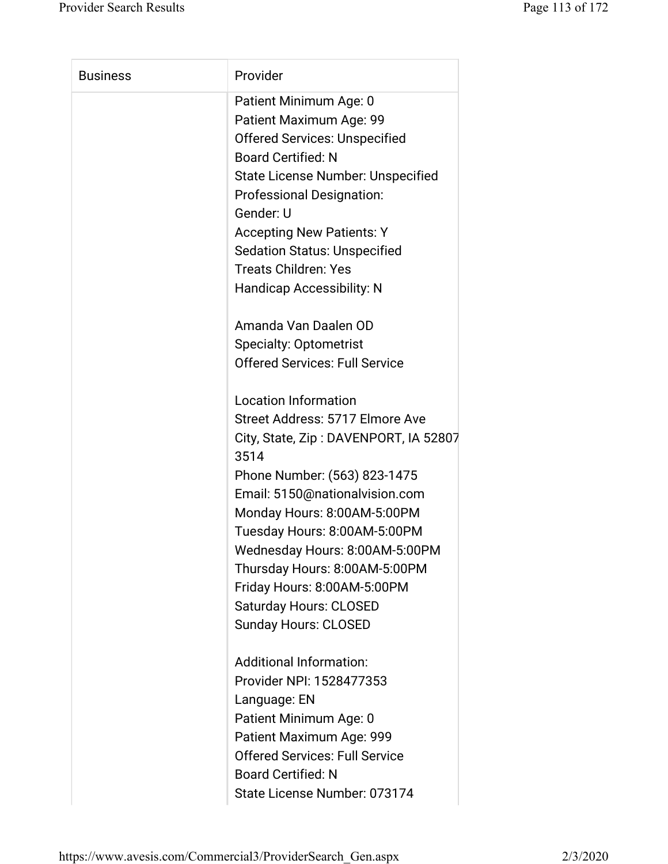| <b>Business</b> | Provider                                      |
|-----------------|-----------------------------------------------|
|                 | Patient Minimum Age: 0                        |
|                 | Patient Maximum Age: 99                       |
|                 | <b>Offered Services: Unspecified</b>          |
|                 | <b>Board Certified: N</b>                     |
|                 | State License Number: Unspecified             |
|                 | <b>Professional Designation:</b>              |
|                 | Gender: U                                     |
|                 | <b>Accepting New Patients: Y</b>              |
|                 | <b>Sedation Status: Unspecified</b>           |
|                 | <b>Treats Children: Yes</b>                   |
|                 | <b>Handicap Accessibility: N</b>              |
|                 | Amanda Van Daalen OD                          |
|                 | <b>Specialty: Optometrist</b>                 |
|                 | <b>Offered Services: Full Service</b>         |
|                 | <b>Location Information</b>                   |
|                 | Street Address: 5717 Elmore Ave               |
|                 | City, State, Zip: DAVENPORT, IA 52807<br>3514 |
|                 | Phone Number: (563) 823-1475                  |
|                 | Email: 5150@nationalvision.com                |
|                 | Monday Hours: 8:00AM-5:00PM                   |
|                 | Tuesday Hours: 8:00AM-5:00PM                  |
|                 | Wednesday Hours: 8:00AM-5:00PM                |
|                 | Thursday Hours: 8:00AM-5:00PM                 |
|                 | Friday Hours: 8:00AM-5:00PM                   |
|                 | <b>Saturday Hours: CLOSED</b>                 |
|                 | <b>Sunday Hours: CLOSED</b>                   |
|                 | <b>Additional Information:</b>                |
|                 | Provider NPI: 1528477353                      |
|                 | Language: EN                                  |
|                 | Patient Minimum Age: 0                        |
|                 | Patient Maximum Age: 999                      |
|                 | <b>Offered Services: Full Service</b>         |
|                 | <b>Board Certified: N</b>                     |
|                 | State License Number: 073174                  |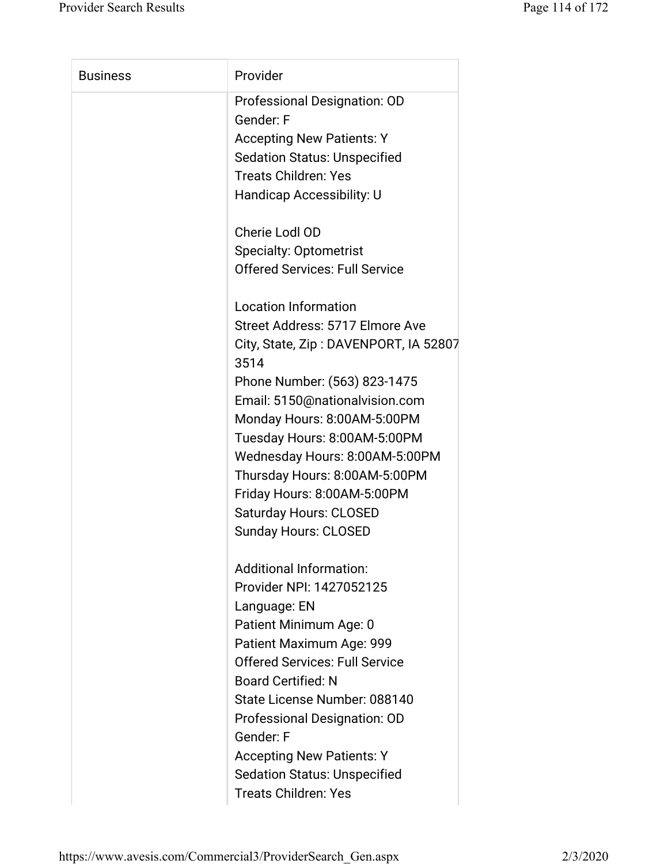| <b>Business</b> | Provider                              |
|-----------------|---------------------------------------|
|                 | Professional Designation: OD          |
|                 | Gender: F                             |
|                 | <b>Accepting New Patients: Y</b>      |
|                 | <b>Sedation Status: Unspecified</b>   |
|                 | <b>Treats Children: Yes</b>           |
|                 | Handicap Accessibility: U             |
|                 |                                       |
|                 | Cherie Lodl OD                        |
|                 | <b>Specialty: Optometrist</b>         |
|                 | <b>Offered Services: Full Service</b> |
|                 |                                       |
|                 | <b>Location Information</b>           |
|                 | Street Address: 5717 Elmore Ave       |
|                 | City, State, Zip: DAVENPORT, IA 52807 |
|                 | 3514                                  |
|                 | Phone Number: (563) 823-1475          |
|                 | Email: 5150@nationalvision.com        |
|                 | Monday Hours: 8:00AM-5:00PM           |
|                 | Tuesday Hours: 8:00AM-5:00PM          |
|                 | Wednesday Hours: 8:00AM-5:00PM        |
|                 | Thursday Hours: 8:00AM-5:00PM         |
|                 | Friday Hours: 8:00AM-5:00PM           |
|                 | Saturday Hours: CLOSED                |
|                 | <b>Sunday Hours: CLOSED</b>           |
|                 |                                       |
|                 | <b>Additional Information:</b>        |
|                 | Provider NPI: 1427052125              |
|                 | Language: EN                          |
|                 | Patient Minimum Age: 0                |
|                 | Patient Maximum Age: 999              |
|                 | <b>Offered Services: Full Service</b> |
|                 | <b>Board Certified: N</b>             |
|                 | State License Number: 088140          |
|                 | Professional Designation: OD          |
|                 | Gender: F                             |
|                 | <b>Accepting New Patients: Y</b>      |
|                 | <b>Sedation Status: Unspecified</b>   |
|                 | <b>Treats Children: Yes</b>           |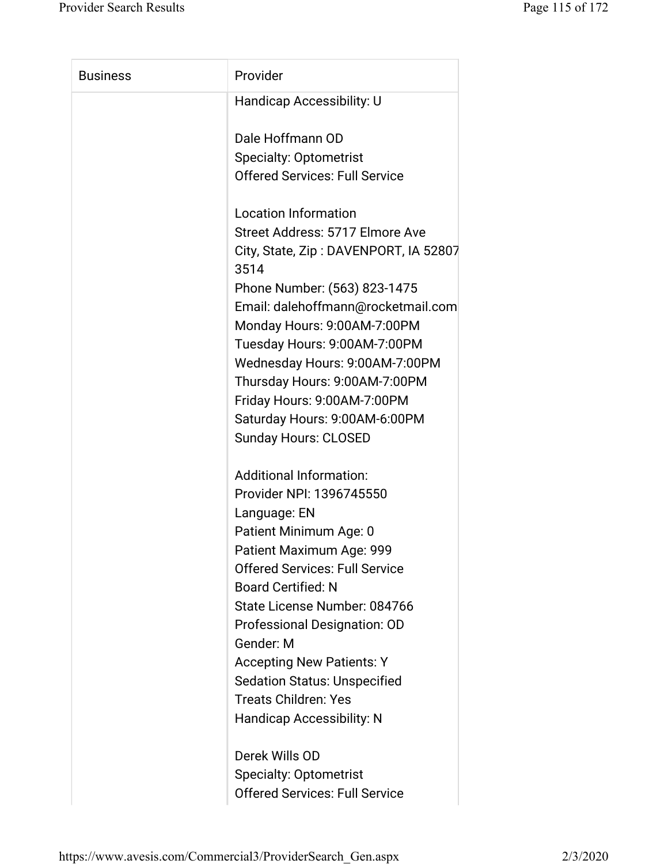| <b>Business</b> | Provider                                      |
|-----------------|-----------------------------------------------|
|                 | Handicap Accessibility: U                     |
|                 | Dale Hoffmann OD                              |
|                 | <b>Specialty: Optometrist</b>                 |
|                 | <b>Offered Services: Full Service</b>         |
|                 | <b>Location Information</b>                   |
|                 | Street Address: 5717 Elmore Ave               |
|                 | City, State, Zip: DAVENPORT, IA 52807<br>3514 |
|                 | Phone Number: (563) 823-1475                  |
|                 | Email: dalehoffmann@rocketmail.com            |
|                 | Monday Hours: 9:00AM-7:00PM                   |
|                 | Tuesday Hours: 9:00AM-7:00PM                  |
|                 | Wednesday Hours: 9:00AM-7:00PM                |
|                 | Thursday Hours: 9:00AM-7:00PM                 |
|                 | Friday Hours: 9:00AM-7:00PM                   |
|                 | Saturday Hours: 9:00AM-6:00PM                 |
|                 | <b>Sunday Hours: CLOSED</b>                   |
|                 | <b>Additional Information:</b>                |
|                 | Provider NPI: 1396745550                      |
|                 | Language: EN                                  |
|                 | Patient Minimum Age: 0                        |
|                 | Patient Maximum Age: 999                      |
|                 | <b>Offered Services: Full Service</b>         |
|                 | <b>Board Certified: N</b>                     |
|                 | State License Number: 084766                  |
|                 | Professional Designation: OD                  |
|                 | Gender: M                                     |
|                 | <b>Accepting New Patients: Y</b>              |
|                 | <b>Sedation Status: Unspecified</b>           |
|                 | <b>Treats Children: Yes</b>                   |
|                 | <b>Handicap Accessibility: N</b>              |
|                 | Derek Wills OD                                |
|                 | <b>Specialty: Optometrist</b>                 |
|                 | <b>Offered Services: Full Service</b>         |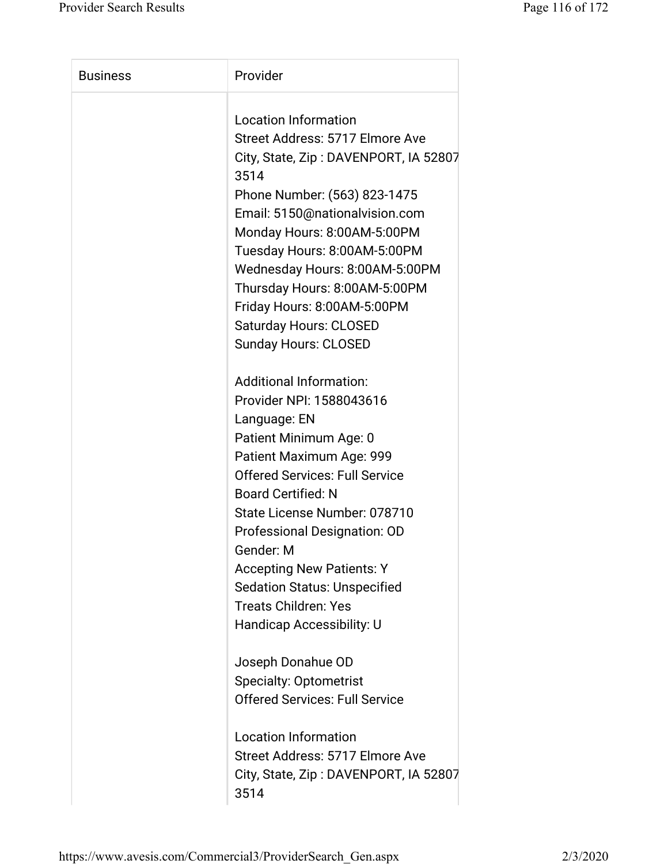| <b>Business</b> | Provider                              |
|-----------------|---------------------------------------|
|                 | <b>Location Information</b>           |
|                 | Street Address: 5717 Elmore Ave       |
|                 | City, State, Zip: DAVENPORT, IA 52807 |
|                 | 3514                                  |
|                 | Phone Number: (563) 823-1475          |
|                 | Email: 5150@nationalvision.com        |
|                 | Monday Hours: 8:00AM-5:00PM           |
|                 | Tuesday Hours: 8:00AM-5:00PM          |
|                 | Wednesday Hours: 8:00AM-5:00PM        |
|                 | Thursday Hours: 8:00AM-5:00PM         |
|                 | Friday Hours: 8:00AM-5:00PM           |
|                 | <b>Saturday Hours: CLOSED</b>         |
|                 | <b>Sunday Hours: CLOSED</b>           |
|                 | <b>Additional Information:</b>        |
|                 | Provider NPI: 1588043616              |
|                 | Language: EN                          |
|                 | Patient Minimum Age: 0                |
|                 | Patient Maximum Age: 999              |
|                 | <b>Offered Services: Full Service</b> |
|                 | <b>Board Certified: N</b>             |
|                 | State License Number: 078710          |
|                 | <b>Professional Designation: OD</b>   |
|                 | Gender: M                             |
|                 | <b>Accepting New Patients: Y</b>      |
|                 | <b>Sedation Status: Unspecified</b>   |
|                 | <b>Treats Children: Yes</b>           |
|                 | Handicap Accessibility: U             |
|                 |                                       |
|                 | Joseph Donahue OD                     |
|                 | <b>Specialty: Optometrist</b>         |
|                 | <b>Offered Services: Full Service</b> |
|                 | <b>Location Information</b>           |
|                 | Street Address: 5717 Elmore Ave       |
|                 | City, State, Zip: DAVENPORT, IA 52807 |
|                 | 3514                                  |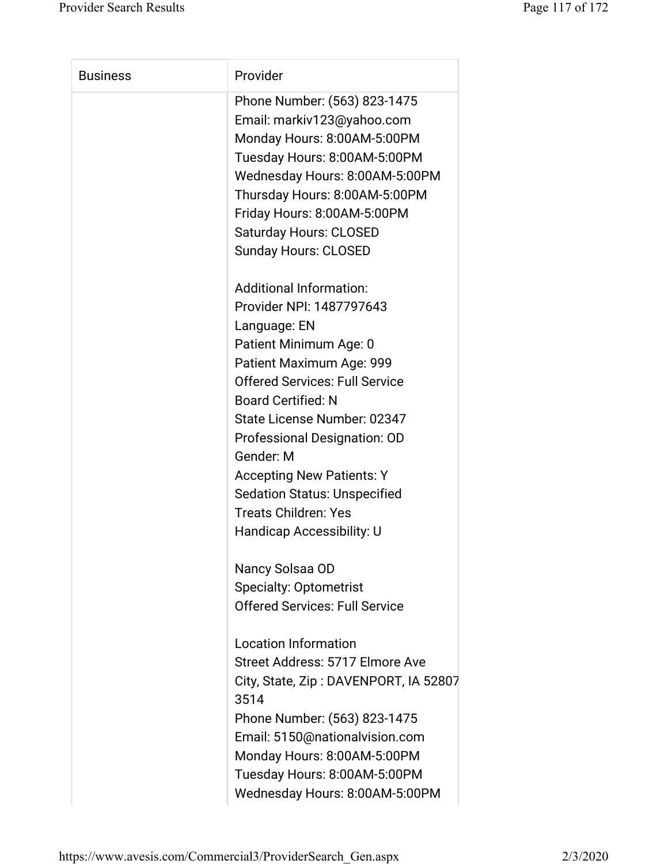| <b>Business</b> | Provider                              |
|-----------------|---------------------------------------|
|                 | Phone Number: (563) 823-1475          |
|                 | Email: markiv123@yahoo.com            |
|                 | Monday Hours: 8:00AM-5:00PM           |
|                 | Tuesday Hours: 8:00AM-5:00PM          |
|                 | Wednesday Hours: 8:00AM-5:00PM        |
|                 | Thursday Hours: 8:00AM-5:00PM         |
|                 | Friday Hours: 8:00AM-5:00PM           |
|                 | <b>Saturday Hours: CLOSED</b>         |
|                 | <b>Sunday Hours: CLOSED</b>           |
|                 |                                       |
|                 | <b>Additional Information:</b>        |
|                 | Provider NPI: 1487797643              |
|                 | Language: EN                          |
|                 | Patient Minimum Age: 0                |
|                 | Patient Maximum Age: 999              |
|                 | <b>Offered Services: Full Service</b> |
|                 | <b>Board Certified: N</b>             |
|                 | State License Number: 02347           |
|                 | Professional Designation: OD          |
|                 | Gender: M                             |
|                 | <b>Accepting New Patients: Y</b>      |
|                 | <b>Sedation Status: Unspecified</b>   |
|                 | <b>Treats Children: Yes</b>           |
|                 | <b>Handicap Accessibility: U</b>      |
|                 | Nancy Solsaa OD                       |
|                 | <b>Specialty: Optometrist</b>         |
|                 | <b>Offered Services: Full Service</b> |
|                 | <b>Location Information</b>           |
|                 | Street Address: 5717 Elmore Ave       |
|                 | City, State, Zip: DAVENPORT, IA 52807 |
|                 | 3514                                  |
|                 | Phone Number: (563) 823-1475          |
|                 | Email: 5150@nationalvision.com        |
|                 | Monday Hours: 8:00AM-5:00PM           |
|                 | Tuesday Hours: 8:00AM-5:00PM          |
|                 | Wednesday Hours: 8:00AM-5:00PM        |
|                 |                                       |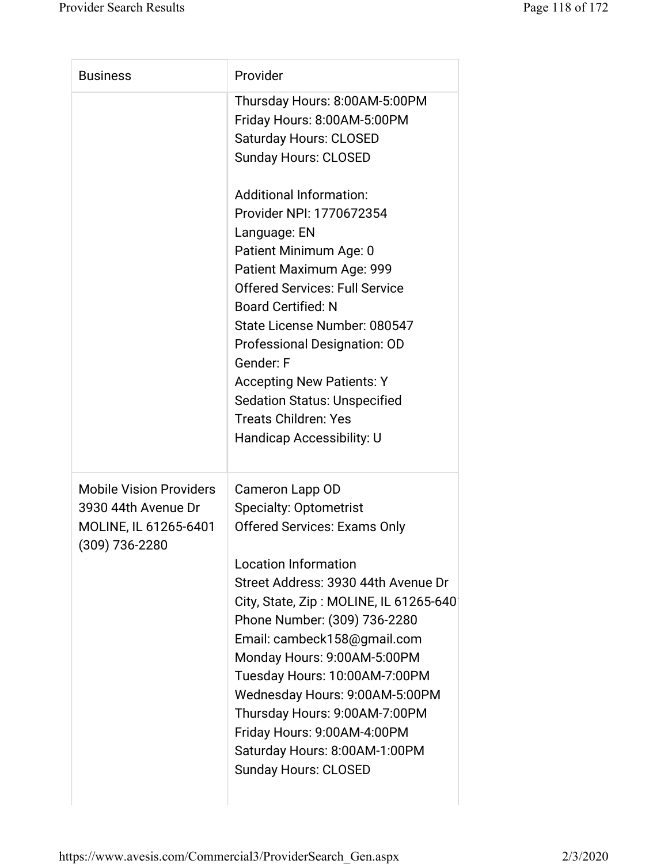| <b>Business</b>                                                                                  | Provider                                                                                                                                                                                                                                                                                                                                                                                                                                                                                                                                                   |
|--------------------------------------------------------------------------------------------------|------------------------------------------------------------------------------------------------------------------------------------------------------------------------------------------------------------------------------------------------------------------------------------------------------------------------------------------------------------------------------------------------------------------------------------------------------------------------------------------------------------------------------------------------------------|
|                                                                                                  | Thursday Hours: 8:00AM-5:00PM<br>Friday Hours: 8:00AM-5:00PM<br><b>Saturday Hours: CLOSED</b><br><b>Sunday Hours: CLOSED</b><br><b>Additional Information:</b><br>Provider NPI: 1770672354<br>Language: EN<br>Patient Minimum Age: 0<br>Patient Maximum Age: 999<br><b>Offered Services: Full Service</b><br><b>Board Certified: N</b><br>State License Number: 080547<br>Professional Designation: OD<br>Gender: F<br><b>Accepting New Patients: Y</b><br><b>Sedation Status: Unspecified</b><br><b>Treats Children: Yes</b><br>Handicap Accessibility: U |
| <b>Mobile Vision Providers</b><br>3930 44th Avenue Dr<br>MOLINE, IL 61265-6401<br>(309) 736-2280 | Cameron Lapp OD<br><b>Specialty: Optometrist</b><br><b>Offered Services: Exams Only</b><br><b>Location Information</b><br>Street Address: 3930 44th Avenue Dr<br>City, State, Zip: MOLINE, IL 61265-640<br>Phone Number: (309) 736-2280<br>Email: cambeck158@gmail.com<br>Monday Hours: 9:00AM-5:00PM<br>Tuesday Hours: 10:00AM-7:00PM<br>Wednesday Hours: 9:00AM-5:00PM<br>Thursday Hours: 9:00AM-7:00PM<br>Friday Hours: 9:00AM-4:00PM<br>Saturday Hours: 8:00AM-1:00PM<br><b>Sunday Hours: CLOSED</b>                                                   |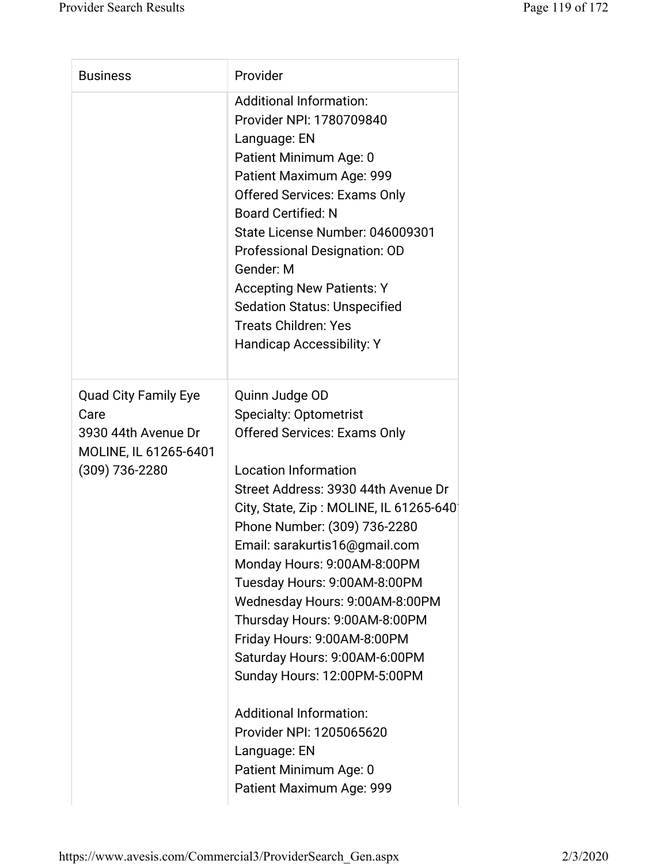| <b>Business</b>                                                                                       | Provider                                                                                                                                                                                                                                                                                                                                                                                                                                                                                                                                                                                                                                      |
|-------------------------------------------------------------------------------------------------------|-----------------------------------------------------------------------------------------------------------------------------------------------------------------------------------------------------------------------------------------------------------------------------------------------------------------------------------------------------------------------------------------------------------------------------------------------------------------------------------------------------------------------------------------------------------------------------------------------------------------------------------------------|
|                                                                                                       | <b>Additional Information:</b><br>Provider NPI: 1780709840<br>Language: EN<br>Patient Minimum Age: 0<br>Patient Maximum Age: 999<br><b>Offered Services: Exams Only</b><br><b>Board Certified: N</b><br>State License Number: 046009301<br>Professional Designation: OD<br>Gender: M<br><b>Accepting New Patients: Y</b><br><b>Sedation Status: Unspecified</b><br><b>Treats Children: Yes</b><br><b>Handicap Accessibility: Y</b>                                                                                                                                                                                                            |
| <b>Quad City Family Eye</b><br>Care<br>3930 44th Avenue Dr<br>MOLINE, IL 61265-6401<br>(309) 736-2280 | Quinn Judge OD<br><b>Specialty: Optometrist</b><br><b>Offered Services: Exams Only</b><br><b>Location Information</b><br>Street Address: 3930 44th Avenue Dr<br>City, State, Zip: MOLINE, IL 61265-640<br>Phone Number: (309) 736-2280<br>Email: sarakurtis16@gmail.com<br>Monday Hours: 9:00AM-8:00PM<br>Tuesday Hours: 9:00AM-8:00PM<br>Wednesday Hours: 9:00AM-8:00PM<br>Thursday Hours: 9:00AM-8:00PM<br>Friday Hours: 9:00AM-8:00PM<br>Saturday Hours: 9:00AM-6:00PM<br>Sunday Hours: 12:00PM-5:00PM<br><b>Additional Information:</b><br>Provider NPI: 1205065620<br>Language: EN<br>Patient Minimum Age: 0<br>Patient Maximum Age: 999 |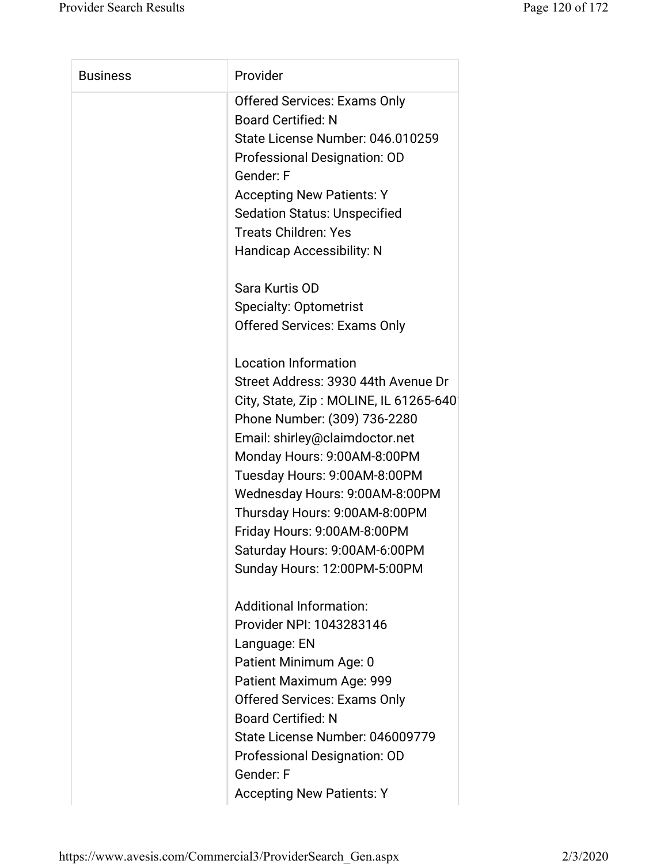| <b>Business</b> | Provider                               |
|-----------------|----------------------------------------|
|                 | <b>Offered Services: Exams Only</b>    |
|                 | <b>Board Certified: N</b>              |
|                 | State License Number: 046.010259       |
|                 | Professional Designation: OD           |
|                 | Gender: F                              |
|                 | <b>Accepting New Patients: Y</b>       |
|                 | <b>Sedation Status: Unspecified</b>    |
|                 | <b>Treats Children: Yes</b>            |
|                 | Handicap Accessibility: N              |
|                 | Sara Kurtis OD                         |
|                 | <b>Specialty: Optometrist</b>          |
|                 | <b>Offered Services: Exams Only</b>    |
|                 | <b>Location Information</b>            |
|                 | Street Address: 3930 44th Avenue Dr    |
|                 | City, State, Zip: MOLINE, IL 61265-640 |
|                 | Phone Number: (309) 736-2280           |
|                 | Email: shirley@claimdoctor.net         |
|                 | Monday Hours: 9:00AM-8:00PM            |
|                 | Tuesday Hours: 9:00AM-8:00PM           |
|                 | Wednesday Hours: 9:00AM-8:00PM         |
|                 | Thursday Hours: 9:00AM-8:00PM          |
|                 | Friday Hours: 9:00AM-8:00PM            |
|                 | Saturday Hours: 9:00AM-6:00PM          |
|                 | Sunday Hours: 12:00PM-5:00PM           |
|                 | <b>Additional Information:</b>         |
|                 | Provider NPI: 1043283146               |
|                 | Language: EN                           |
|                 | Patient Minimum Age: 0                 |
|                 | Patient Maximum Age: 999               |
|                 | <b>Offered Services: Exams Only</b>    |
|                 | <b>Board Certified: N</b>              |
|                 | State License Number: 046009779        |
|                 | Professional Designation: OD           |
|                 | Gender: F                              |
|                 | <b>Accepting New Patients: Y</b>       |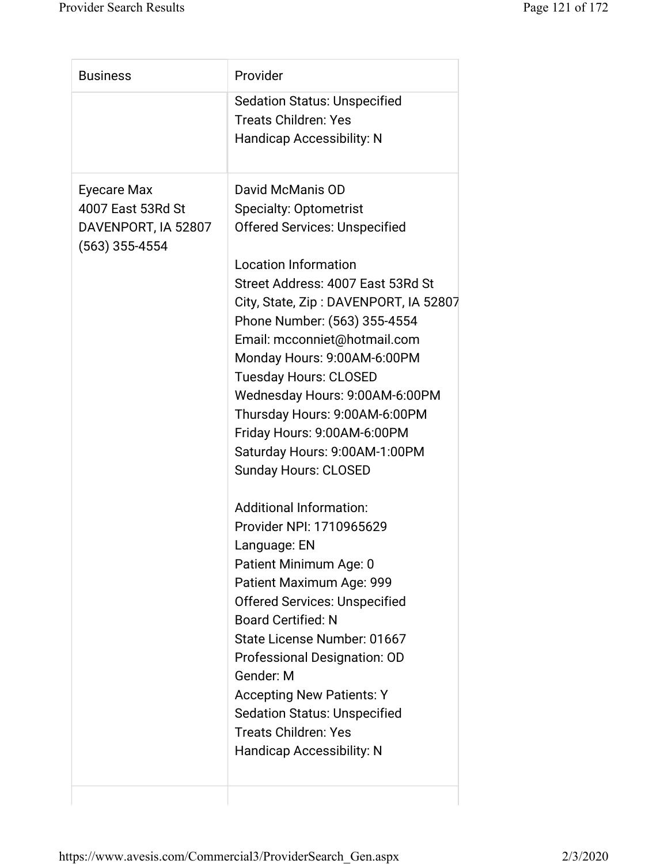| <b>Business</b>                                                           | Provider                                                                                                                                                                                                                                                                                                                                                                                                                                                                                                                                                                                                                                                                                                                                                                                                                                                                                                                                   |
|---------------------------------------------------------------------------|--------------------------------------------------------------------------------------------------------------------------------------------------------------------------------------------------------------------------------------------------------------------------------------------------------------------------------------------------------------------------------------------------------------------------------------------------------------------------------------------------------------------------------------------------------------------------------------------------------------------------------------------------------------------------------------------------------------------------------------------------------------------------------------------------------------------------------------------------------------------------------------------------------------------------------------------|
|                                                                           | <b>Sedation Status: Unspecified</b><br><b>Treats Children: Yes</b><br><b>Handicap Accessibility: N</b>                                                                                                                                                                                                                                                                                                                                                                                                                                                                                                                                                                                                                                                                                                                                                                                                                                     |
| Eyecare Max<br>4007 East 53Rd St<br>DAVENPORT, IA 52807<br>(563) 355-4554 | David McManis OD<br><b>Specialty: Optometrist</b><br><b>Offered Services: Unspecified</b><br><b>Location Information</b><br>Street Address: 4007 East 53Rd St<br>City, State, Zip: DAVENPORT, IA 52807<br>Phone Number: (563) 355-4554<br>Email: mcconniet@hotmail.com<br>Monday Hours: 9:00AM-6:00PM<br><b>Tuesday Hours: CLOSED</b><br>Wednesday Hours: 9:00AM-6:00PM<br>Thursday Hours: 9:00AM-6:00PM<br>Friday Hours: 9:00AM-6:00PM<br>Saturday Hours: 9:00AM-1:00PM<br><b>Sunday Hours: CLOSED</b><br><b>Additional Information:</b><br>Provider NPI: 1710965629<br>Language: EN<br>Patient Minimum Age: 0<br>Patient Maximum Age: 999<br><b>Offered Services: Unspecified</b><br><b>Board Certified: N</b><br>State License Number: 01667<br>Professional Designation: OD<br>Gender: M<br><b>Accepting New Patients: Y</b><br><b>Sedation Status: Unspecified</b><br><b>Treats Children: Yes</b><br><b>Handicap Accessibility: N</b> |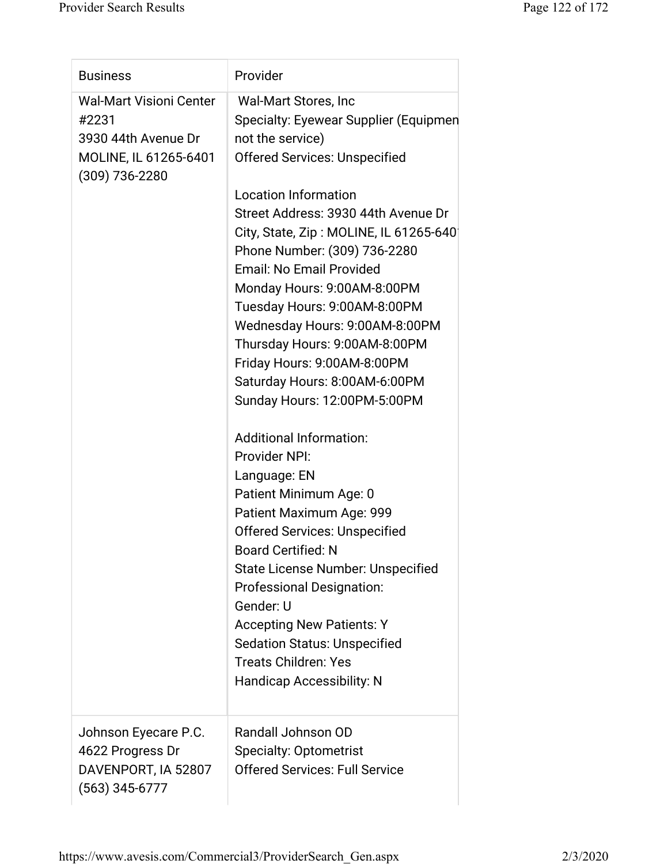| <b>Business</b>                                                                                               | Provider                                                                                                                                                                                                                                                                                                                                                                                                                                                                                                                                                                                                                                                                                                                                                                                                                                                                                                                                                                         |
|---------------------------------------------------------------------------------------------------------------|----------------------------------------------------------------------------------------------------------------------------------------------------------------------------------------------------------------------------------------------------------------------------------------------------------------------------------------------------------------------------------------------------------------------------------------------------------------------------------------------------------------------------------------------------------------------------------------------------------------------------------------------------------------------------------------------------------------------------------------------------------------------------------------------------------------------------------------------------------------------------------------------------------------------------------------------------------------------------------|
| <b>Wal-Mart Visioni Center</b><br>#2231<br>3930 44th Avenue Dr<br>MOLINE, IL 61265-6401<br>$(309) 736 - 2280$ | Wal-Mart Stores, Inc<br>Specialty: Eyewear Supplier (Equipmen<br>not the service)<br><b>Offered Services: Unspecified</b><br><b>Location Information</b><br>Street Address: 3930 44th Avenue Dr<br>City, State, Zip: MOLINE, IL 61265-640<br>Phone Number: (309) 736-2280<br><b>Email: No Email Provided</b><br>Monday Hours: 9:00AM-8:00PM<br>Tuesday Hours: 9:00AM-8:00PM<br>Wednesday Hours: 9:00AM-8:00PM<br>Thursday Hours: 9:00AM-8:00PM<br>Friday Hours: 9:00AM-8:00PM<br>Saturday Hours: 8:00AM-6:00PM<br>Sunday Hours: 12:00PM-5:00PM<br><b>Additional Information:</b><br>Provider NPI:<br>Language: EN<br>Patient Minimum Age: 0<br>Patient Maximum Age: 999<br><b>Offered Services: Unspecified</b><br><b>Board Certified: N</b><br>State License Number: Unspecified<br><b>Professional Designation:</b><br>Gender: U<br><b>Accepting New Patients: Y</b><br><b>Sedation Status: Unspecified</b><br><b>Treats Children: Yes</b><br><b>Handicap Accessibility: N</b> |
| Johnson Eyecare P.C.<br>4622 Progress Dr<br>DAVENPORT, IA 52807<br>$(563)$ 345-6777                           | Randall Johnson OD<br><b>Specialty: Optometrist</b><br><b>Offered Services: Full Service</b>                                                                                                                                                                                                                                                                                                                                                                                                                                                                                                                                                                                                                                                                                                                                                                                                                                                                                     |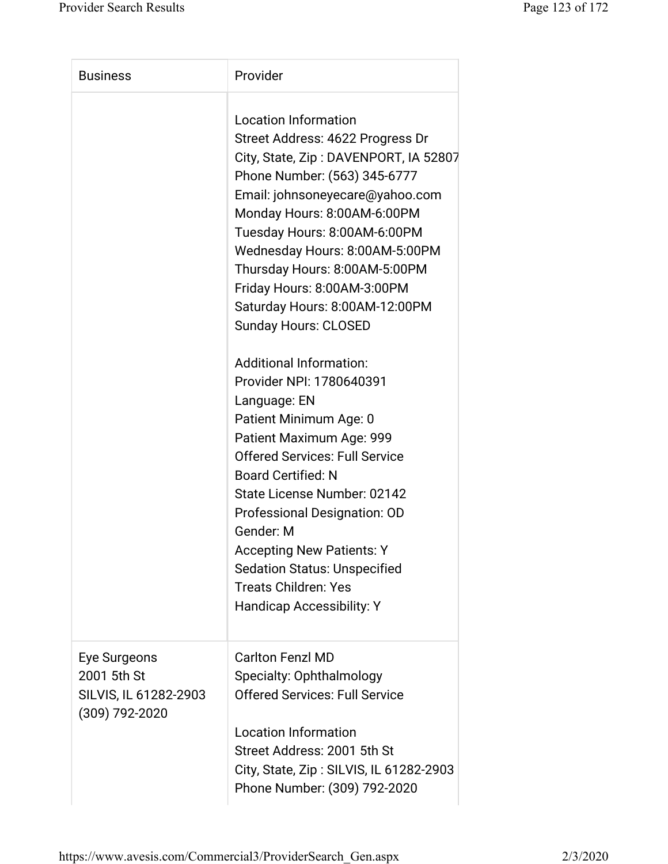| <b>Business</b>                                                        | Provider                                                                                                                                                                                                                                                                                                                                                                                                                                                                                                                                                                                                                                                                                                                                                                                                                                          |
|------------------------------------------------------------------------|---------------------------------------------------------------------------------------------------------------------------------------------------------------------------------------------------------------------------------------------------------------------------------------------------------------------------------------------------------------------------------------------------------------------------------------------------------------------------------------------------------------------------------------------------------------------------------------------------------------------------------------------------------------------------------------------------------------------------------------------------------------------------------------------------------------------------------------------------|
|                                                                        | <b>Location Information</b><br>Street Address: 4622 Progress Dr<br>City, State, Zip: DAVENPORT, IA 52807<br>Phone Number: (563) 345-6777<br>Email: johnsoneyecare@yahoo.com<br>Monday Hours: 8:00AM-6:00PM<br>Tuesday Hours: 8:00AM-6:00PM<br>Wednesday Hours: 8:00AM-5:00PM<br>Thursday Hours: 8:00AM-5:00PM<br>Friday Hours: 8:00AM-3:00PM<br>Saturday Hours: 8:00AM-12:00PM<br><b>Sunday Hours: CLOSED</b><br><b>Additional Information:</b><br>Provider NPI: 1780640391<br>Language: EN<br>Patient Minimum Age: 0<br>Patient Maximum Age: 999<br><b>Offered Services: Full Service</b><br><b>Board Certified: N</b><br>State License Number: 02142<br>Professional Designation: OD<br>Gender: M<br><b>Accepting New Patients: Y</b><br><b>Sedation Status: Unspecified</b><br><b>Treats Children: Yes</b><br><b>Handicap Accessibility: Y</b> |
| Eye Surgeons<br>2001 5th St<br>SILVIS, IL 61282-2903<br>(309) 792-2020 | <b>Carlton Fenzl MD</b><br>Specialty: Ophthalmology<br><b>Offered Services: Full Service</b><br><b>Location Information</b><br>Street Address: 2001 5th St<br>City, State, Zip: SILVIS, IL 61282-2903<br>Phone Number: (309) 792-2020                                                                                                                                                                                                                                                                                                                                                                                                                                                                                                                                                                                                             |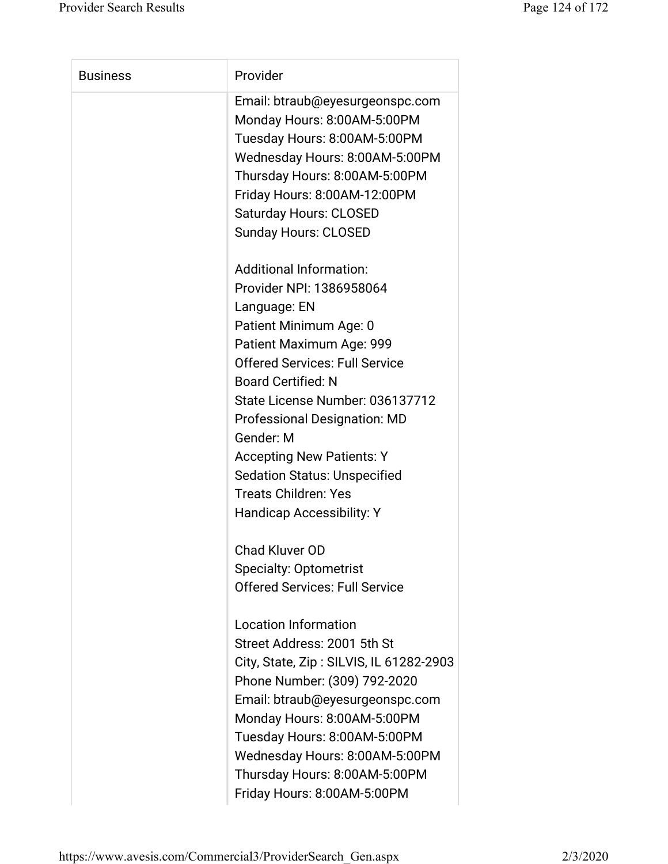| <b>Business</b> | Provider                                |
|-----------------|-----------------------------------------|
|                 | Email: btraub@eyesurgeonspc.com         |
|                 | Monday Hours: 8:00AM-5:00PM             |
|                 | Tuesday Hours: 8:00AM-5:00PM            |
|                 | Wednesday Hours: 8:00AM-5:00PM          |
|                 | Thursday Hours: 8:00AM-5:00PM           |
|                 | Friday Hours: 8:00AM-12:00PM            |
|                 | <b>Saturday Hours: CLOSED</b>           |
|                 | <b>Sunday Hours: CLOSED</b>             |
|                 | <b>Additional Information:</b>          |
|                 | Provider NPI: 1386958064                |
|                 | Language: EN                            |
|                 | Patient Minimum Age: 0                  |
|                 | Patient Maximum Age: 999                |
|                 | <b>Offered Services: Full Service</b>   |
|                 | <b>Board Certified: N</b>               |
|                 | State License Number: 036137712         |
|                 | <b>Professional Designation: MD</b>     |
|                 | Gender: M                               |
|                 | <b>Accepting New Patients: Y</b>        |
|                 | <b>Sedation Status: Unspecified</b>     |
|                 | <b>Treats Children: Yes</b>             |
|                 | Handicap Accessibility: Y               |
|                 | <b>Chad Kluver OD</b>                   |
|                 | <b>Specialty: Optometrist</b>           |
|                 | <b>Offered Services: Full Service</b>   |
|                 | <b>Location Information</b>             |
|                 | Street Address: 2001 5th St             |
|                 | City, State, Zip: SILVIS, IL 61282-2903 |
|                 | Phone Number: (309) 792-2020            |
|                 | Email: btraub@eyesurgeonspc.com         |
|                 | Monday Hours: 8:00AM-5:00PM             |
|                 | Tuesday Hours: 8:00AM-5:00PM            |
|                 | Wednesday Hours: 8:00AM-5:00PM          |
|                 | Thursday Hours: 8:00AM-5:00PM           |
|                 | Friday Hours: 8:00AM-5:00PM             |
|                 |                                         |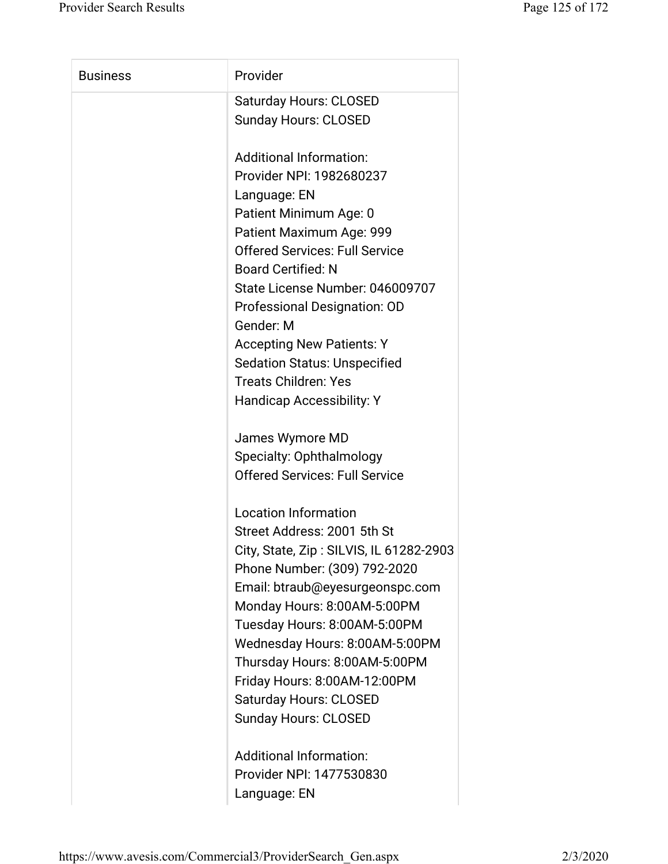| <b>Business</b> | Provider                                |
|-----------------|-----------------------------------------|
|                 | <b>Saturday Hours: CLOSED</b>           |
|                 | <b>Sunday Hours: CLOSED</b>             |
|                 | <b>Additional Information:</b>          |
|                 | Provider NPI: 1982680237                |
|                 | Language: EN                            |
|                 | Patient Minimum Age: 0                  |
|                 | Patient Maximum Age: 999                |
|                 | <b>Offered Services: Full Service</b>   |
|                 | <b>Board Certified: N</b>               |
|                 | State License Number: 046009707         |
|                 | <b>Professional Designation: OD</b>     |
|                 | Gender: M                               |
|                 | <b>Accepting New Patients: Y</b>        |
|                 | <b>Sedation Status: Unspecified</b>     |
|                 | <b>Treats Children: Yes</b>             |
|                 | <b>Handicap Accessibility: Y</b>        |
|                 | James Wymore MD                         |
|                 | Specialty: Ophthalmology                |
|                 | <b>Offered Services: Full Service</b>   |
|                 | <b>Location Information</b>             |
|                 | Street Address: 2001 5th St             |
|                 | City, State, Zip: SILVIS, IL 61282-2903 |
|                 | Phone Number: (309) 792-2020            |
|                 | Email: btraub@eyesurgeonspc.com         |
|                 | Monday Hours: 8:00AM-5:00PM             |
|                 | Tuesday Hours: 8:00AM-5:00PM            |
|                 | Wednesday Hours: 8:00AM-5:00PM          |
|                 | Thursday Hours: 8:00AM-5:00PM           |
|                 | Friday Hours: 8:00AM-12:00PM            |
|                 | <b>Saturday Hours: CLOSED</b>           |
|                 | <b>Sunday Hours: CLOSED</b>             |
|                 | Additional Information:                 |
|                 | Provider NPI: 1477530830                |

Language: EN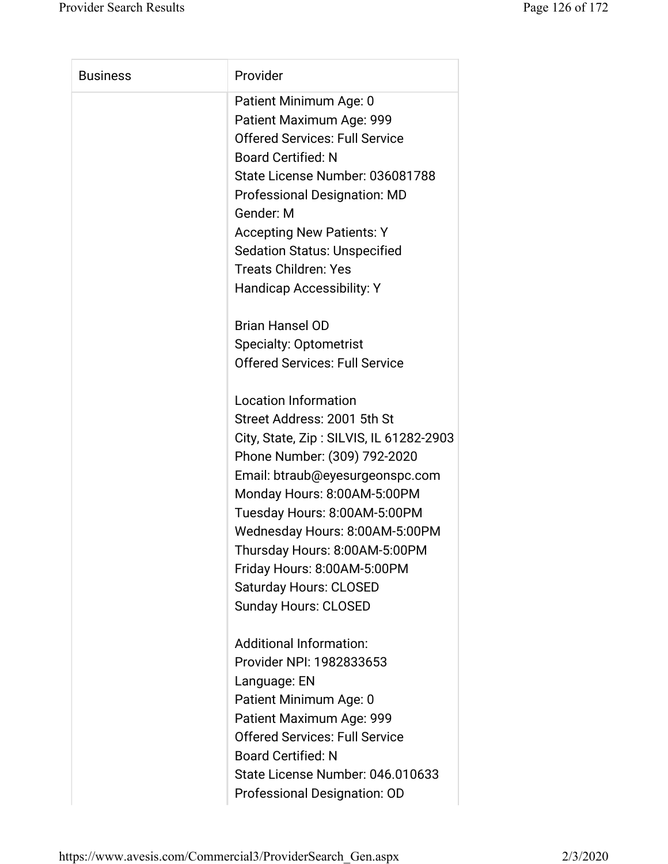| <b>Business</b> | Provider                                |
|-----------------|-----------------------------------------|
|                 | Patient Minimum Age: 0                  |
|                 | Patient Maximum Age: 999                |
|                 | <b>Offered Services: Full Service</b>   |
|                 | <b>Board Certified: N</b>               |
|                 | State License Number: 036081788         |
|                 | <b>Professional Designation: MD</b>     |
|                 | Gender: M                               |
|                 | <b>Accepting New Patients: Y</b>        |
|                 | <b>Sedation Status: Unspecified</b>     |
|                 | <b>Treats Children: Yes</b>             |
|                 | <b>Handicap Accessibility: Y</b>        |
|                 | <b>Brian Hansel OD</b>                  |
|                 | <b>Specialty: Optometrist</b>           |
|                 | <b>Offered Services: Full Service</b>   |
|                 | <b>Location Information</b>             |
|                 | Street Address: 2001 5th St             |
|                 | City, State, Zip: SILVIS, IL 61282-2903 |
|                 | Phone Number: (309) 792-2020            |
|                 | Email: btraub@eyesurgeonspc.com         |
|                 | Monday Hours: 8:00AM-5:00PM             |
|                 | Tuesday Hours: 8:00AM-5:00PM            |
|                 | Wednesday Hours: 8:00AM-5:00PM          |
|                 | Thursday Hours: 8:00AM-5:00PM           |
|                 | Friday Hours: 8:00AM-5:00PM             |
|                 | <b>Saturday Hours: CLOSED</b>           |
|                 | <b>Sunday Hours: CLOSED</b>             |
|                 | <b>Additional Information:</b>          |
|                 | Provider NPI: 1982833653                |
|                 | Language: EN                            |
|                 | Patient Minimum Age: 0                  |
|                 | Patient Maximum Age: 999                |
|                 | <b>Offered Services: Full Service</b>   |
|                 | <b>Board Certified: N</b>               |
|                 | State License Number: 046.010633        |
|                 | Professional Designation: OD            |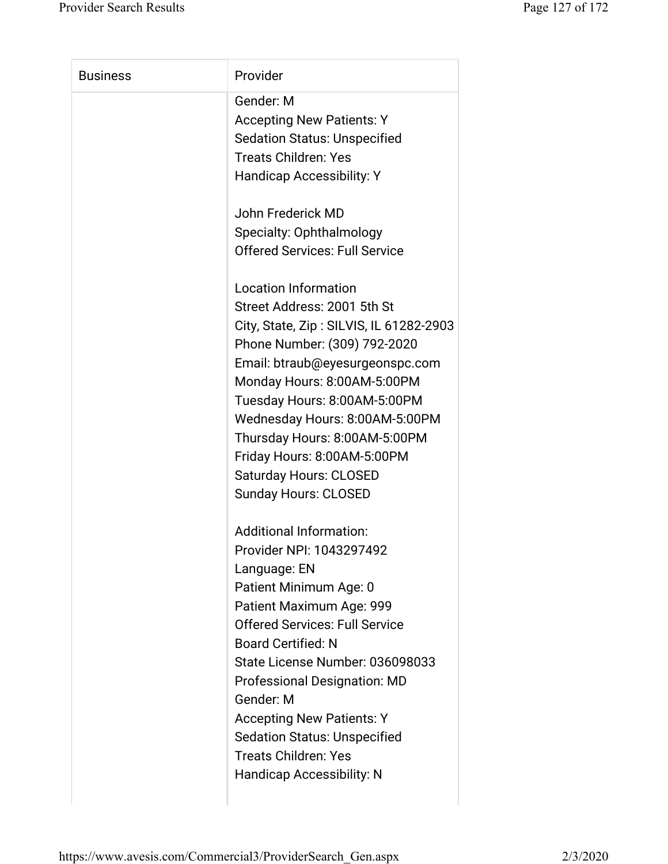| <b>Business</b> | Provider                                |
|-----------------|-----------------------------------------|
|                 | Gender: M                               |
|                 | <b>Accepting New Patients: Y</b>        |
|                 | <b>Sedation Status: Unspecified</b>     |
|                 | <b>Treats Children: Yes</b>             |
|                 | <b>Handicap Accessibility: Y</b>        |
|                 | John Frederick MD                       |
|                 | Specialty: Ophthalmology                |
|                 | <b>Offered Services: Full Service</b>   |
|                 | <b>Location Information</b>             |
|                 | Street Address: 2001 5th St             |
|                 | City, State, Zip: SILVIS, IL 61282-2903 |
|                 | Phone Number: (309) 792-2020            |
|                 | Email: btraub@eyesurgeonspc.com         |
|                 | Monday Hours: 8:00AM-5:00PM             |
|                 | Tuesday Hours: 8:00AM-5:00PM            |
|                 | Wednesday Hours: 8:00AM-5:00PM          |
|                 | Thursday Hours: 8:00AM-5:00PM           |
|                 | Friday Hours: 8:00AM-5:00PM             |
|                 | <b>Saturday Hours: CLOSED</b>           |
|                 | <b>Sunday Hours: CLOSED</b>             |
|                 | <b>Additional Information:</b>          |
|                 | Provider NPI: 1043297492                |
|                 | Language: EN                            |
|                 | Patient Minimum Age: 0                  |
|                 | Patient Maximum Age: 999                |
|                 | <b>Offered Services: Full Service</b>   |
|                 | <b>Board Certified: N</b>               |
|                 | State License Number: 036098033         |
|                 | <b>Professional Designation: MD</b>     |
|                 | Gender: M                               |
|                 | <b>Accepting New Patients: Y</b>        |
|                 | <b>Sedation Status: Unspecified</b>     |
|                 | <b>Treats Children: Yes</b>             |
|                 | <b>Handicap Accessibility: N</b>        |
|                 |                                         |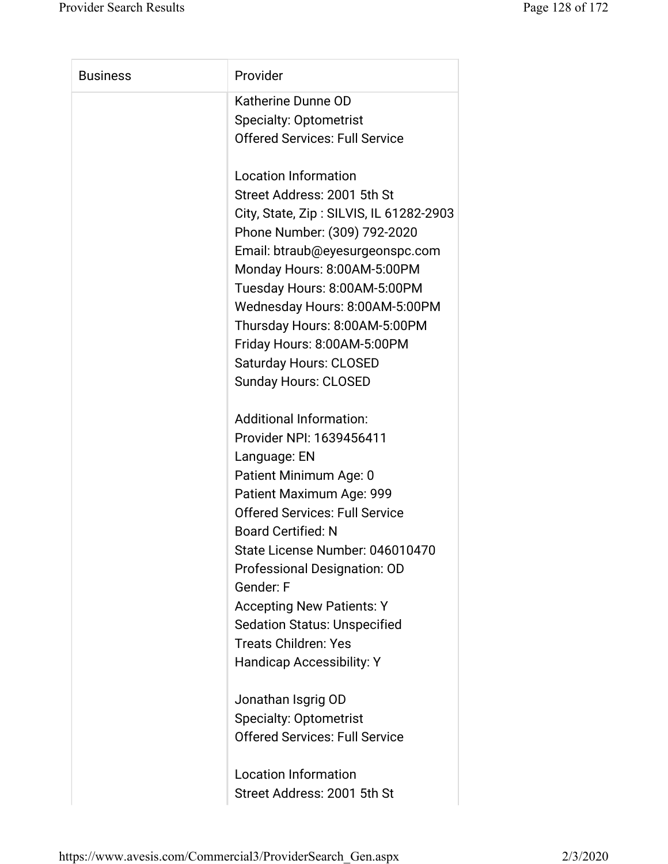| <b>Business</b> | Provider                                                     |
|-----------------|--------------------------------------------------------------|
|                 | Katherine Dunne OD                                           |
|                 | <b>Specialty: Optometrist</b>                                |
|                 | <b>Offered Services: Full Service</b>                        |
|                 | <b>Location Information</b>                                  |
|                 | Street Address: 2001 5th St                                  |
|                 | City, State, Zip: SILVIS, IL 61282-2903                      |
|                 | Phone Number: (309) 792-2020                                 |
|                 | Email: btraub@eyesurgeonspc.com                              |
|                 | Monday Hours: 8:00AM-5:00PM                                  |
|                 | Tuesday Hours: 8:00AM-5:00PM                                 |
|                 | Wednesday Hours: 8:00AM-5:00PM                               |
|                 | Thursday Hours: 8:00AM-5:00PM<br>Friday Hours: 8:00AM-5:00PM |
|                 | <b>Saturday Hours: CLOSED</b>                                |
|                 | <b>Sunday Hours: CLOSED</b>                                  |
|                 |                                                              |
|                 | <b>Additional Information:</b>                               |
|                 | Provider NPI: 1639456411                                     |
|                 | Language: EN                                                 |
|                 | Patient Minimum Age: 0                                       |
|                 | Patient Maximum Age: 999                                     |
|                 | <b>Offered Services: Full Service</b>                        |
|                 | <b>Board Certified: N</b>                                    |
|                 | State License Number: 046010470                              |
|                 | Professional Designation: OD                                 |
|                 | Gender: F                                                    |
|                 | <b>Accepting New Patients: Y</b>                             |
|                 | <b>Sedation Status: Unspecified</b>                          |
|                 | <b>Treats Children: Yes</b>                                  |
|                 | Handicap Accessibility: Y                                    |
|                 | Jonathan Isgrig OD                                           |
|                 | <b>Specialty: Optometrist</b>                                |
|                 | <b>Offered Services: Full Service</b>                        |
|                 | <b>Location Information</b>                                  |
|                 | Street Address: 2001 5th St                                  |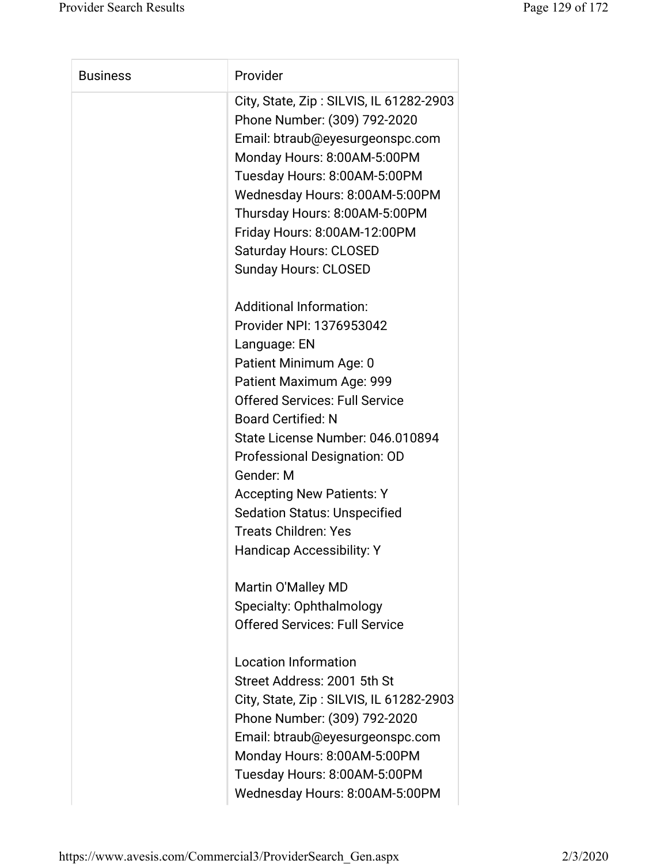| <b>Business</b> | Provider                                                                                                   |
|-----------------|------------------------------------------------------------------------------------------------------------|
|                 | City, State, Zip: SILVIS, IL 61282-2903<br>Phone Number: (309) 792-2020<br>Email: btraub@eyesurgeonspc.com |
|                 | Monday Hours: 8:00AM-5:00PM<br>Tuesday Hours: 8:00AM-5:00PM                                                |
|                 | Wednesday Hours: 8:00AM-5:00PM                                                                             |
|                 | Thursday Hours: 8:00AM-5:00PM                                                                              |
|                 | Friday Hours: 8:00AM-12:00PM                                                                               |
|                 | <b>Saturday Hours: CLOSED</b>                                                                              |
|                 | <b>Sunday Hours: CLOSED</b>                                                                                |
|                 | <b>Additional Information:</b>                                                                             |
|                 | Provider NPI: 1376953042                                                                                   |
|                 | Language: EN                                                                                               |
|                 | Patient Minimum Age: 0                                                                                     |
|                 | Patient Maximum Age: 999<br><b>Offered Services: Full Service</b>                                          |
|                 | <b>Board Certified: N</b>                                                                                  |
|                 | State License Number: 046.010894                                                                           |
|                 | Professional Designation: OD                                                                               |
|                 | Gender: M                                                                                                  |
|                 | <b>Accepting New Patients: Y</b>                                                                           |
|                 | <b>Sedation Status: Unspecified</b>                                                                        |
|                 | <b>Treats Children: Yes</b>                                                                                |
|                 | <b>Handicap Accessibility: Y</b>                                                                           |
|                 | Martin O'Malley MD                                                                                         |
|                 | Specialty: Ophthalmology                                                                                   |
|                 | <b>Offered Services: Full Service</b>                                                                      |
|                 | <b>Location Information</b>                                                                                |
|                 | Street Address: 2001 5th St                                                                                |
|                 | City, State, Zip: SILVIS, IL 61282-2903                                                                    |
|                 | Phone Number: (309) 792-2020                                                                               |
|                 | Email: btraub@eyesurgeonspc.com                                                                            |
|                 | Monday Hours: 8:00AM-5:00PM                                                                                |
|                 | Tuesday Hours: 8:00AM-5:00PM                                                                               |
|                 | Wednesday Hours: 8:00AM-5:00PM                                                                             |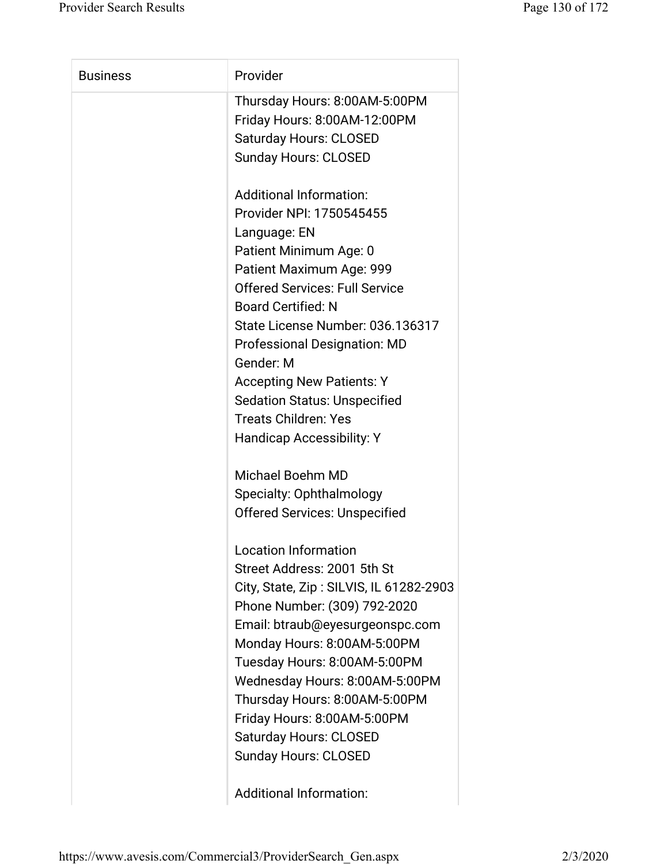| <b>Business</b> | Provider                                |
|-----------------|-----------------------------------------|
|                 | Thursday Hours: 8:00AM-5:00PM           |
|                 | Friday Hours: 8:00AM-12:00PM            |
|                 | <b>Saturday Hours: CLOSED</b>           |
|                 | <b>Sunday Hours: CLOSED</b>             |
|                 | <b>Additional Information:</b>          |
|                 | Provider NPI: 1750545455                |
|                 | Language: EN                            |
|                 | Patient Minimum Age: 0                  |
|                 | Patient Maximum Age: 999                |
|                 | <b>Offered Services: Full Service</b>   |
|                 | <b>Board Certified: N</b>               |
|                 | State License Number: 036.136317        |
|                 | <b>Professional Designation: MD</b>     |
|                 | Gender: M                               |
|                 | <b>Accepting New Patients: Y</b>        |
|                 | <b>Sedation Status: Unspecified</b>     |
|                 | <b>Treats Children: Yes</b>             |
|                 | Handicap Accessibility: Y               |
|                 | <b>Michael Boehm MD</b>                 |
|                 | Specialty: Ophthalmology                |
|                 | <b>Offered Services: Unspecified</b>    |
|                 | <b>Location Information</b>             |
|                 | Street Address: 2001 5th St             |
|                 | City, State, Zip: SILVIS, IL 61282-2903 |
|                 | Phone Number: (309) 792-2020            |
|                 | Email: btraub@eyesurgeonspc.com         |
|                 | Monday Hours: 8:00AM-5:00PM             |
|                 | Tuesday Hours: 8:00AM-5:00PM            |
|                 | Wednesday Hours: 8:00AM-5:00PM          |
|                 | Thursday Hours: 8:00AM-5:00PM           |
|                 | Friday Hours: 8:00AM-5:00PM             |
|                 | <b>Saturday Hours: CLOSED</b>           |
|                 | <b>Sunday Hours: CLOSED</b>             |
|                 |                                         |

Additional Information: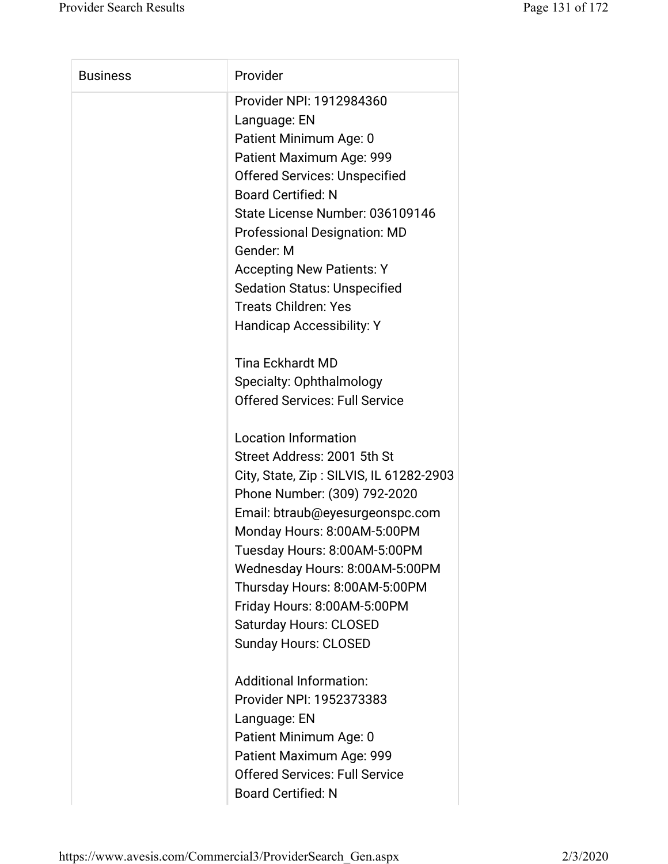| <b>Business</b> | Provider                                |
|-----------------|-----------------------------------------|
|                 |                                         |
|                 | Provider NPI: 1912984360                |
|                 | Language: EN                            |
|                 | Patient Minimum Age: 0                  |
|                 | Patient Maximum Age: 999                |
|                 | <b>Offered Services: Unspecified</b>    |
|                 | <b>Board Certified: N</b>               |
|                 | State License Number: 036109146         |
|                 | <b>Professional Designation: MD</b>     |
|                 | Gender: M                               |
|                 | <b>Accepting New Patients: Y</b>        |
|                 | <b>Sedation Status: Unspecified</b>     |
|                 | <b>Treats Children: Yes</b>             |
|                 | <b>Handicap Accessibility: Y</b>        |
|                 | <b>Tina Eckhardt MD</b>                 |
|                 | Specialty: Ophthalmology                |
|                 | <b>Offered Services: Full Service</b>   |
|                 | <b>Location Information</b>             |
|                 | Street Address: 2001 5th St             |
|                 | City, State, Zip: SILVIS, IL 61282-2903 |
|                 | Phone Number: (309) 792-2020            |
|                 | Email: btraub@eyesurgeonspc.com         |
|                 | Monday Hours: 8:00AM-5:00PM             |
|                 | Tuesday Hours: 8:00AM-5:00PM            |
|                 | Wednesday Hours: 8:00AM-5:00PM          |
|                 | Thursday Hours: 8:00AM-5:00PM           |
|                 | Friday Hours: 8:00AM-5:00PM             |
|                 | <b>Saturday Hours: CLOSED</b>           |
|                 | <b>Sunday Hours: CLOSED</b>             |
|                 | <b>Additional Information:</b>          |
|                 | Provider NPI: 1952373383                |
|                 | Language: EN                            |
|                 | Patient Minimum Age: 0                  |
|                 | Patient Maximum Age: 999                |
|                 | <b>Offered Services: Full Service</b>   |
|                 | <b>Board Certified: N</b>               |
|                 |                                         |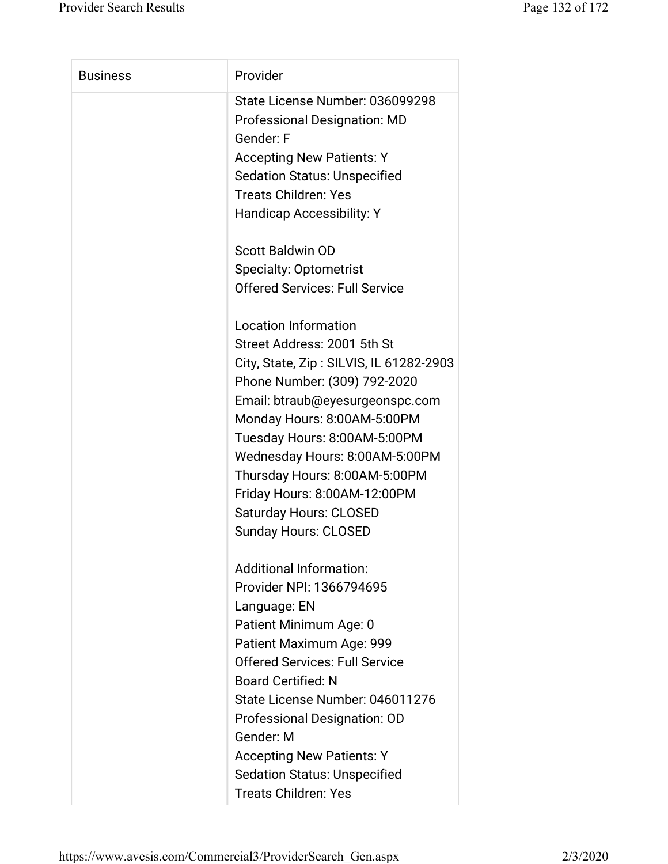| <b>Business</b> | Provider                                |
|-----------------|-----------------------------------------|
|                 | State License Number: 036099298         |
|                 | <b>Professional Designation: MD</b>     |
|                 | Gender: F                               |
|                 | <b>Accepting New Patients: Y</b>        |
|                 | <b>Sedation Status: Unspecified</b>     |
|                 | <b>Treats Children: Yes</b>             |
|                 | <b>Handicap Accessibility: Y</b>        |
|                 | <b>Scott Baldwin OD</b>                 |
|                 | <b>Specialty: Optometrist</b>           |
|                 | <b>Offered Services: Full Service</b>   |
|                 | <b>Location Information</b>             |
|                 | Street Address: 2001 5th St             |
|                 | City, State, Zip: SILVIS, IL 61282-2903 |
|                 | Phone Number: (309) 792-2020            |
|                 | Email: btraub@eyesurgeonspc.com         |
|                 | Monday Hours: 8:00AM-5:00PM             |
|                 | Tuesday Hours: 8:00AM-5:00PM            |
|                 | Wednesday Hours: 8:00AM-5:00PM          |
|                 | Thursday Hours: 8:00AM-5:00PM           |
|                 | Friday Hours: 8:00AM-12:00PM            |
|                 | Saturday Hours: CLOSED                  |
|                 | <b>Sunday Hours: CLOSED</b>             |
|                 | <b>Additional Information:</b>          |
|                 | Provider NPI: 1366794695                |
|                 | Language: EN                            |
|                 | Patient Minimum Age: 0                  |
|                 | Patient Maximum Age: 999                |
|                 | <b>Offered Services: Full Service</b>   |
|                 | <b>Board Certified: N</b>               |
|                 | State License Number: 046011276         |
|                 | Professional Designation: OD            |
|                 | Gender: M                               |
|                 | <b>Accepting New Patients: Y</b>        |
|                 | <b>Sedation Status: Unspecified</b>     |
|                 | <b>Treats Children: Yes</b>             |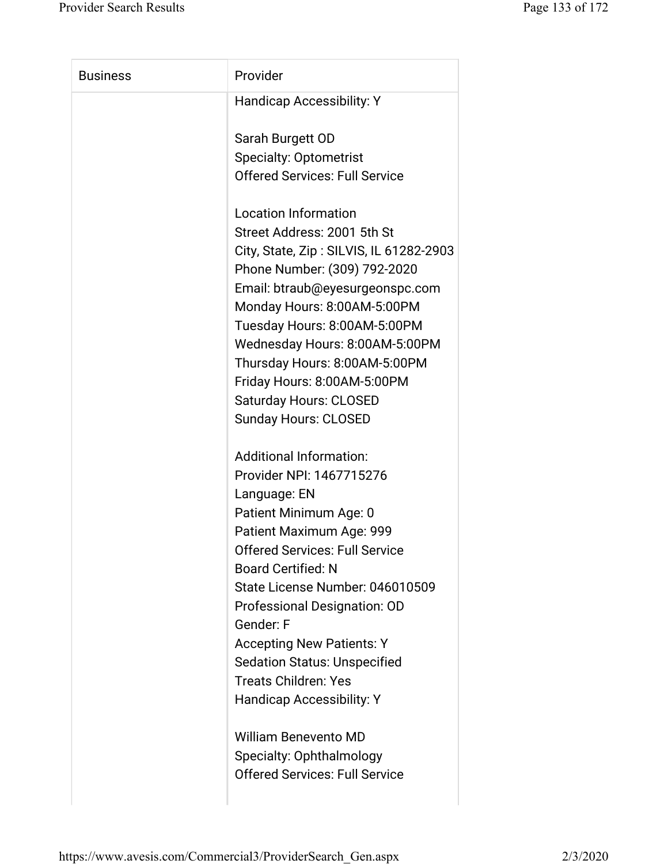| <b>Business</b> | Provider                                |
|-----------------|-----------------------------------------|
|                 | <b>Handicap Accessibility: Y</b>        |
|                 | Sarah Burgett OD                        |
|                 | <b>Specialty: Optometrist</b>           |
|                 | <b>Offered Services: Full Service</b>   |
|                 | <b>Location Information</b>             |
|                 | Street Address: 2001 5th St             |
|                 | City, State, Zip: SILVIS, IL 61282-2903 |
|                 | Phone Number: (309) 792-2020            |
|                 | Email: btraub@eyesurgeonspc.com         |
|                 | Monday Hours: 8:00AM-5:00PM             |
|                 | Tuesday Hours: 8:00AM-5:00PM            |
|                 | Wednesday Hours: 8:00AM-5:00PM          |
|                 | Thursday Hours: 8:00AM-5:00PM           |
|                 | Friday Hours: 8:00AM-5:00PM             |
|                 | <b>Saturday Hours: CLOSED</b>           |
|                 | <b>Sunday Hours: CLOSED</b>             |
|                 | <b>Additional Information:</b>          |
|                 | Provider NPI: 1467715276                |
|                 | Language: EN                            |
|                 | Patient Minimum Age: 0                  |
|                 | Patient Maximum Age: 999                |
|                 | <b>Offered Services: Full Service</b>   |
|                 | <b>Board Certified: N</b>               |
|                 | State License Number: 046010509         |
|                 | Professional Designation: OD            |
|                 | Gender: F                               |
|                 | <b>Accepting New Patients: Y</b>        |
|                 | <b>Sedation Status: Unspecified</b>     |
|                 | <b>Treats Children: Yes</b>             |
|                 | Handicap Accessibility: Y               |
|                 | <b>William Benevento MD</b>             |
|                 | Specialty: Ophthalmology                |
|                 | <b>Offered Services: Full Service</b>   |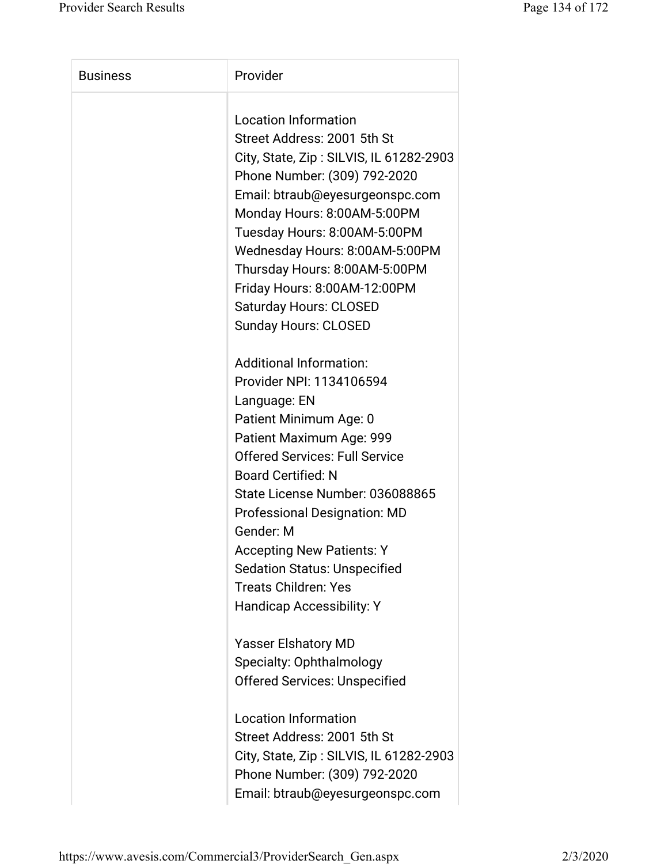| <b>Business</b> | Provider                                |
|-----------------|-----------------------------------------|
|                 | <b>Location Information</b>             |
|                 | Street Address: 2001 5th St             |
|                 | City, State, Zip: SILVIS, IL 61282-2903 |
|                 | Phone Number: (309) 792-2020            |
|                 | Email: btraub@eyesurgeonspc.com         |
|                 | Monday Hours: 8:00AM-5:00PM             |
|                 | Tuesday Hours: 8:00AM-5:00PM            |
|                 | Wednesday Hours: 8:00AM-5:00PM          |
|                 | Thursday Hours: 8:00AM-5:00PM           |
|                 | Friday Hours: 8:00AM-12:00PM            |
|                 | <b>Saturday Hours: CLOSED</b>           |
|                 | <b>Sunday Hours: CLOSED</b>             |
|                 |                                         |
|                 | <b>Additional Information:</b>          |
|                 | Provider NPI: 1134106594                |
|                 | Language: EN                            |
|                 | Patient Minimum Age: 0                  |
|                 | Patient Maximum Age: 999                |
|                 | <b>Offered Services: Full Service</b>   |
|                 | <b>Board Certified: N</b>               |
|                 | State License Number: 036088865         |
|                 | <b>Professional Designation: MD</b>     |
|                 | Gender: M                               |
|                 | <b>Accepting New Patients: Y</b>        |
|                 | <b>Sedation Status: Unspecified</b>     |
|                 | <b>Treats Children: Yes</b>             |
|                 | <b>Handicap Accessibility: Y</b>        |
|                 |                                         |
|                 | <b>Yasser Elshatory MD</b>              |
|                 | Specialty: Ophthalmology                |
|                 | <b>Offered Services: Unspecified</b>    |
|                 |                                         |
|                 | <b>Location Information</b>             |
|                 | Street Address: 2001 5th St             |
|                 | City, State, Zip: SILVIS, IL 61282-2903 |
|                 | Phone Number: (309) 792-2020            |
|                 | Email: btraub@eyesurgeonspc.com         |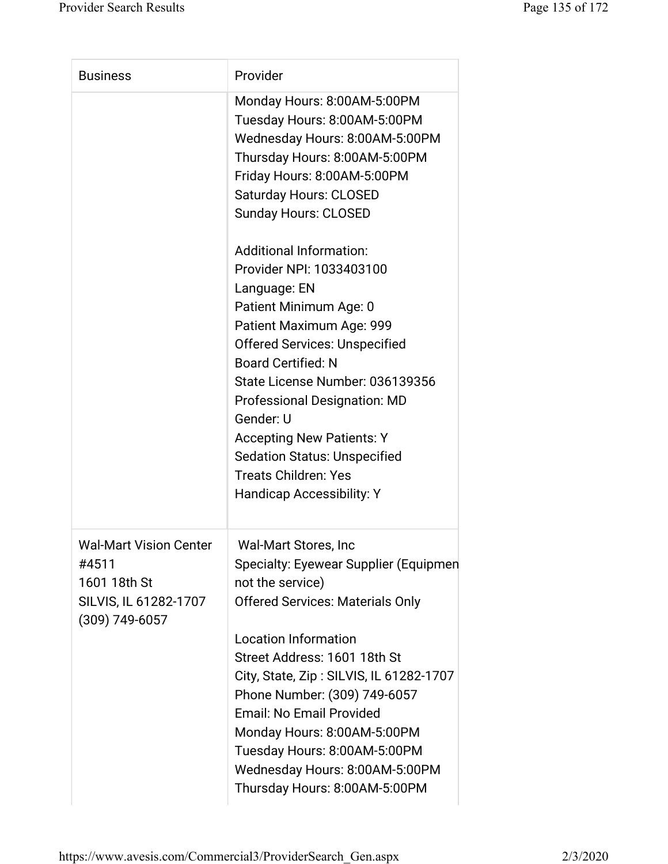| <b>Business</b>                                                                                     | Provider                                                                                                                                                                                                                                                                                                                                                                                                                                                                                                                                                                                                                                                                    |
|-----------------------------------------------------------------------------------------------------|-----------------------------------------------------------------------------------------------------------------------------------------------------------------------------------------------------------------------------------------------------------------------------------------------------------------------------------------------------------------------------------------------------------------------------------------------------------------------------------------------------------------------------------------------------------------------------------------------------------------------------------------------------------------------------|
|                                                                                                     | Monday Hours: 8:00AM-5:00PM<br>Tuesday Hours: 8:00AM-5:00PM<br>Wednesday Hours: 8:00AM-5:00PM<br>Thursday Hours: 8:00AM-5:00PM<br>Friday Hours: 8:00AM-5:00PM<br><b>Saturday Hours: CLOSED</b><br><b>Sunday Hours: CLOSED</b><br><b>Additional Information:</b><br>Provider NPI: 1033403100<br>Language: EN<br>Patient Minimum Age: 0<br>Patient Maximum Age: 999<br><b>Offered Services: Unspecified</b><br><b>Board Certified: N</b><br>State License Number: 036139356<br><b>Professional Designation: MD</b><br>Gender: U<br><b>Accepting New Patients: Y</b><br><b>Sedation Status: Unspecified</b><br><b>Treats Children: Yes</b><br><b>Handicap Accessibility: Y</b> |
| <b>Wal-Mart Vision Center</b><br>#4511<br>1601 18th St<br>SILVIS, IL 61282-1707<br>$(309)$ 749-6057 | <b>Wal-Mart Stores, Inc</b><br>Specialty: Eyewear Supplier (Equipmen<br>not the service)<br><b>Offered Services: Materials Only</b><br><b>Location Information</b><br>Street Address: 1601 18th St<br>City, State, Zip: SILVIS, IL 61282-1707<br>Phone Number: (309) 749-6057<br><b>Email: No Email Provided</b><br>Monday Hours: 8:00AM-5:00PM<br>Tuesday Hours: 8:00AM-5:00PM<br>Wednesday Hours: 8:00AM-5:00PM<br>Thursday Hours: 8:00AM-5:00PM                                                                                                                                                                                                                          |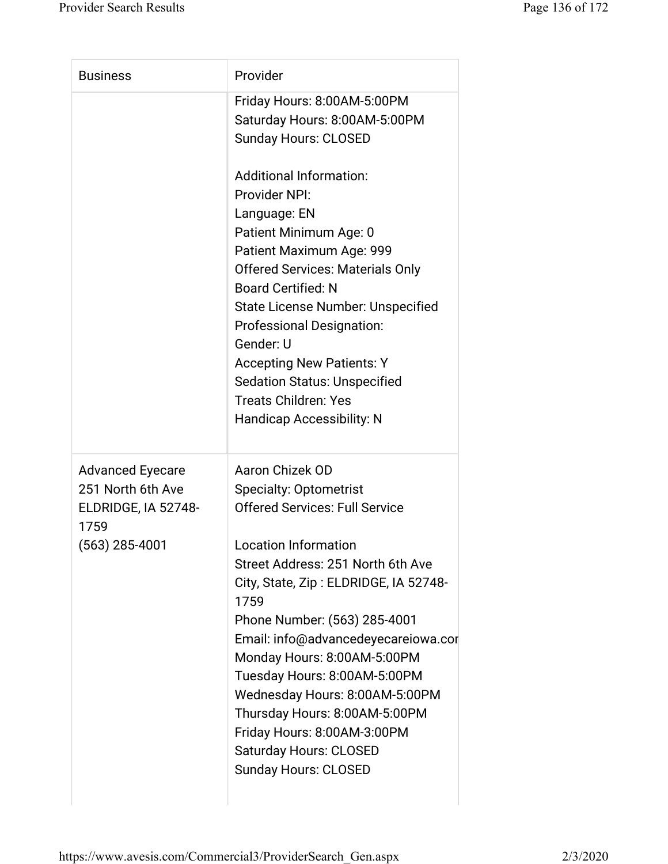| <b>Business</b>                                                                                 | Provider                                                                                                                                                                                                                                                                                                                                                                                                                                                                                                               |
|-------------------------------------------------------------------------------------------------|------------------------------------------------------------------------------------------------------------------------------------------------------------------------------------------------------------------------------------------------------------------------------------------------------------------------------------------------------------------------------------------------------------------------------------------------------------------------------------------------------------------------|
|                                                                                                 | Friday Hours: 8:00AM-5:00PM<br>Saturday Hours: 8:00AM-5:00PM<br><b>Sunday Hours: CLOSED</b>                                                                                                                                                                                                                                                                                                                                                                                                                            |
|                                                                                                 | <b>Additional Information:</b><br>Provider NPI:<br>Language: EN<br>Patient Minimum Age: 0<br>Patient Maximum Age: 999<br><b>Offered Services: Materials Only</b><br><b>Board Certified: N</b><br><b>State License Number: Unspecified</b><br><b>Professional Designation:</b><br>Gender: U<br><b>Accepting New Patients: Y</b><br><b>Sedation Status: Unspecified</b><br><b>Treats Children: Yes</b><br><b>Handicap Accessibility: N</b>                                                                               |
| <b>Advanced Eyecare</b><br>251 North 6th Ave<br>ELDRIDGE, IA 52748-<br>1759<br>$(563)$ 285-4001 | Aaron Chizek OD<br><b>Specialty: Optometrist</b><br><b>Offered Services: Full Service</b><br><b>Location Information</b><br>Street Address: 251 North 6th Ave<br>City, State, Zip: ELDRIDGE, IA 52748-<br>1759<br>Phone Number: (563) 285-4001<br>Email: info@advancedeyecareiowa.cor<br>Monday Hours: 8:00AM-5:00PM<br>Tuesday Hours: 8:00AM-5:00PM<br>Wednesday Hours: 8:00AM-5:00PM<br>Thursday Hours: 8:00AM-5:00PM<br>Friday Hours: 8:00AM-3:00PM<br><b>Saturday Hours: CLOSED</b><br><b>Sunday Hours: CLOSED</b> |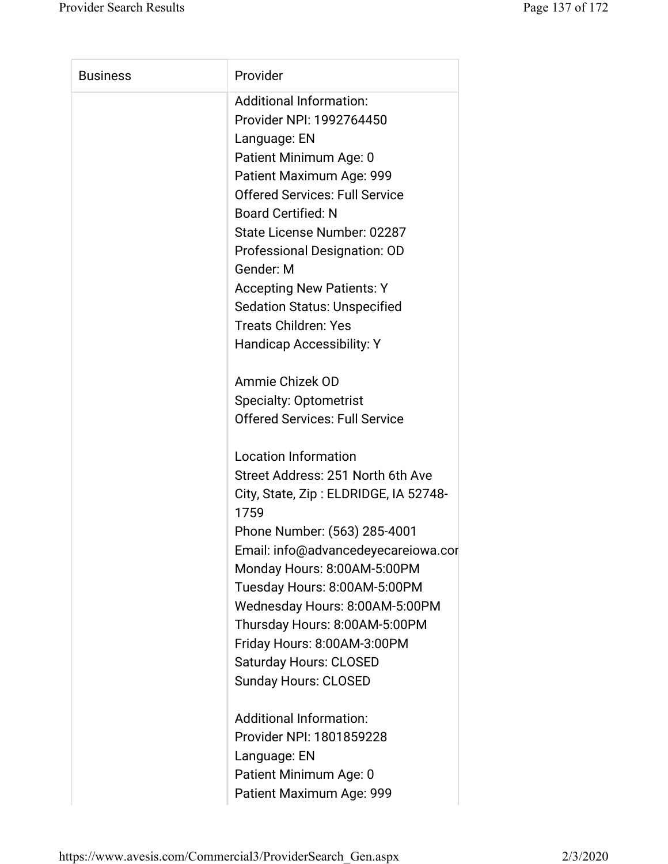| <b>Business</b> | Provider                                      |
|-----------------|-----------------------------------------------|
|                 | <b>Additional Information:</b>                |
|                 | Provider NPI: 1992764450                      |
|                 | Language: EN                                  |
|                 | Patient Minimum Age: 0                        |
|                 | Patient Maximum Age: 999                      |
|                 | <b>Offered Services: Full Service</b>         |
|                 | <b>Board Certified: N</b>                     |
|                 | State License Number: 02287                   |
|                 | Professional Designation: OD                  |
|                 | Gender: M                                     |
|                 | <b>Accepting New Patients: Y</b>              |
|                 | <b>Sedation Status: Unspecified</b>           |
|                 | <b>Treats Children: Yes</b>                   |
|                 | <b>Handicap Accessibility: Y</b>              |
|                 | Ammie Chizek OD                               |
|                 | <b>Specialty: Optometrist</b>                 |
|                 | <b>Offered Services: Full Service</b>         |
|                 | <b>Location Information</b>                   |
|                 | Street Address: 251 North 6th Ave             |
|                 | City, State, Zip: ELDRIDGE, IA 52748-<br>1759 |
|                 | Phone Number: (563) 285-4001                  |
|                 | Email: info@advancedeyecareiowa.cor           |
|                 | Monday Hours: 8:00AM-5:00PM                   |
|                 | Tuesday Hours: 8:00AM-5:00PM                  |
|                 | Wednesday Hours: 8:00AM-5:00PM                |
|                 | Thursday Hours: 8:00AM-5:00PM                 |
|                 | Friday Hours: 8:00AM-3:00PM                   |
|                 | <b>Saturday Hours: CLOSED</b>                 |
|                 | <b>Sunday Hours: CLOSED</b>                   |
|                 | <b>Additional Information:</b>                |
|                 | Provider NPI: 1801859228                      |
|                 | Language: EN                                  |
|                 | Patient Minimum Age: 0                        |
|                 | Patient Maximum Age: 999                      |
|                 |                                               |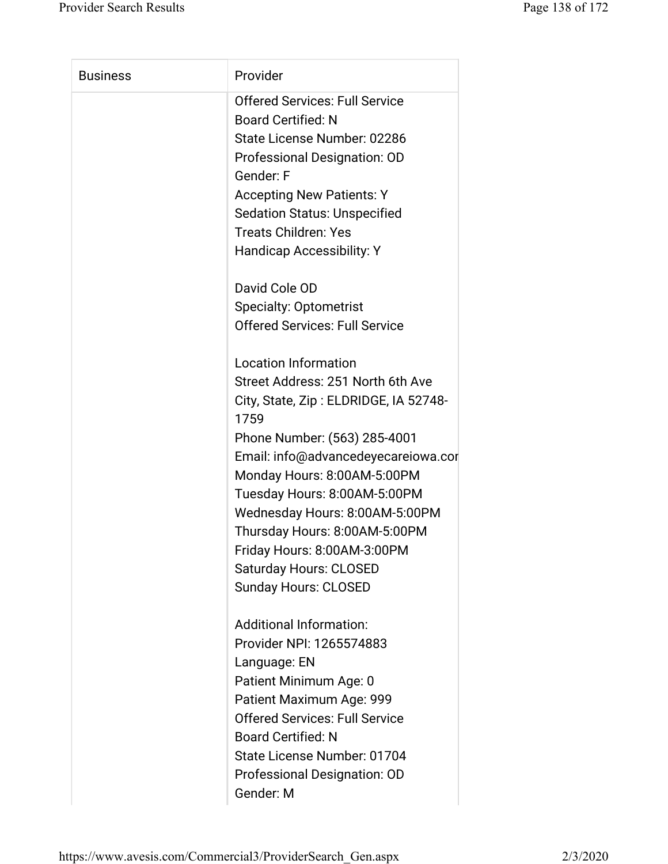| <b>Business</b> | Provider                              |
|-----------------|---------------------------------------|
|                 | <b>Offered Services: Full Service</b> |
|                 | <b>Board Certified: N</b>             |
|                 | State License Number: 02286           |
|                 | Professional Designation: OD          |
|                 | Gender: F                             |
|                 | <b>Accepting New Patients: Y</b>      |
|                 | <b>Sedation Status: Unspecified</b>   |
|                 | <b>Treats Children: Yes</b>           |
|                 | <b>Handicap Accessibility: Y</b>      |
|                 | David Cole OD                         |
|                 | <b>Specialty: Optometrist</b>         |
|                 | <b>Offered Services: Full Service</b> |
|                 | <b>Location Information</b>           |
|                 | Street Address: 251 North 6th Ave     |
|                 | City, State, Zip: ELDRIDGE, IA 52748- |
|                 | 1759                                  |
|                 | Phone Number: (563) 285-4001          |
|                 | Email: info@advancedeyecareiowa.cor   |
|                 | Monday Hours: 8:00AM-5:00PM           |
|                 | Tuesday Hours: 8:00AM-5:00PM          |
|                 | Wednesday Hours: 8:00AM-5:00PM        |
|                 | Thursday Hours: 8:00AM-5:00PM         |
|                 | Friday Hours: 8:00AM-3:00PM           |
|                 | <b>Saturday Hours: CLOSED</b>         |
|                 | <b>Sunday Hours: CLOSED</b>           |
|                 | <b>Additional Information:</b>        |
|                 | Provider NPI: 1265574883              |
|                 | Language: EN                          |
|                 | Patient Minimum Age: 0                |
|                 | Patient Maximum Age: 999              |
|                 | <b>Offered Services: Full Service</b> |
|                 | <b>Board Certified: N</b>             |
|                 | State License Number: 01704           |
|                 | Professional Designation: OD          |
|                 | Gender: M                             |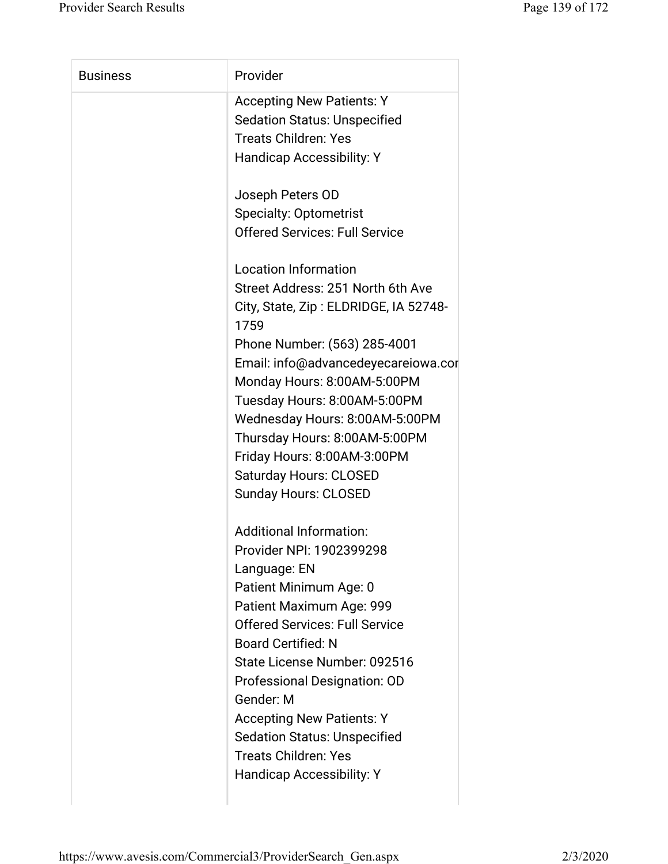| <b>Business</b> | Provider                              |
|-----------------|---------------------------------------|
|                 | <b>Accepting New Patients: Y</b>      |
|                 | <b>Sedation Status: Unspecified</b>   |
|                 | <b>Treats Children: Yes</b>           |
|                 | <b>Handicap Accessibility: Y</b>      |
|                 |                                       |
|                 | Joseph Peters OD                      |
|                 | <b>Specialty: Optometrist</b>         |
|                 | <b>Offered Services: Full Service</b> |
|                 |                                       |
|                 | <b>Location Information</b>           |
|                 | Street Address: 251 North 6th Ave     |
|                 | City, State, Zip: ELDRIDGE, IA 52748- |
|                 | 1759                                  |
|                 | Phone Number: (563) 285-4001          |
|                 | Email: info@advancedeyecareiowa.cor   |
|                 | Monday Hours: 8:00AM-5:00PM           |
|                 | Tuesday Hours: 8:00AM-5:00PM          |
|                 | Wednesday Hours: 8:00AM-5:00PM        |
|                 | Thursday Hours: 8:00AM-5:00PM         |
|                 | Friday Hours: 8:00AM-3:00PM           |
|                 | <b>Saturday Hours: CLOSED</b>         |
|                 | <b>Sunday Hours: CLOSED</b>           |
|                 | <b>Additional Information:</b>        |
|                 | Provider NPI: 1902399298              |
|                 | Language: EN                          |
|                 | Patient Minimum Age: 0                |
|                 | Patient Maximum Age: 999              |
|                 | <b>Offered Services: Full Service</b> |
|                 | <b>Board Certified: N</b>             |
|                 | State License Number: 092516          |
|                 | Professional Designation: OD          |
|                 | Gender: M                             |
|                 | <b>Accepting New Patients: Y</b>      |
|                 | <b>Sedation Status: Unspecified</b>   |
|                 | <b>Treats Children: Yes</b>           |
|                 | <b>Handicap Accessibility: Y</b>      |
|                 |                                       |
|                 |                                       |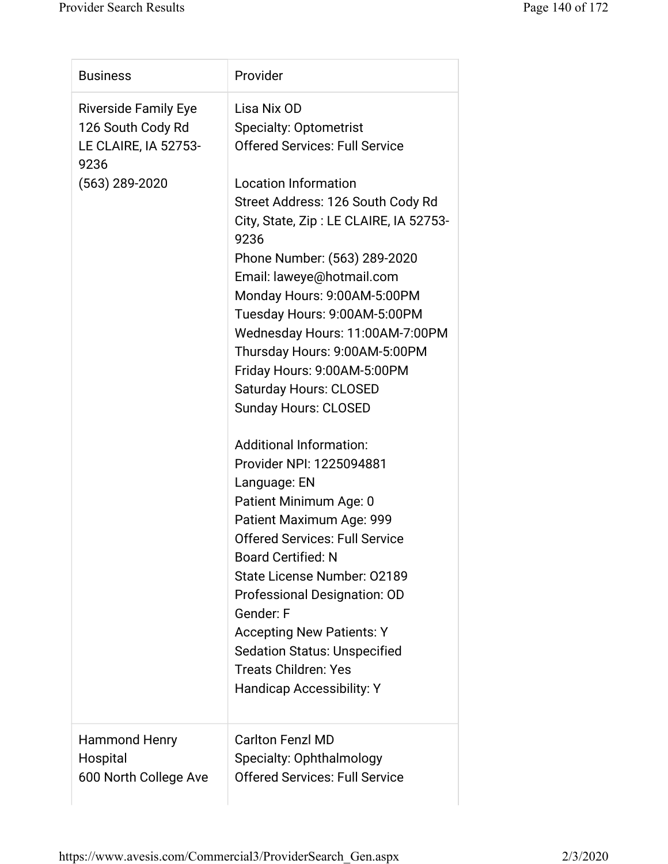| <b>Business</b>                                                                                    | Provider                                                                                                                                                                                                                                                                                                                                                                                                                                                                                                                                                                                                                                                                                                                                                                                                                                                                                                                         |
|----------------------------------------------------------------------------------------------------|----------------------------------------------------------------------------------------------------------------------------------------------------------------------------------------------------------------------------------------------------------------------------------------------------------------------------------------------------------------------------------------------------------------------------------------------------------------------------------------------------------------------------------------------------------------------------------------------------------------------------------------------------------------------------------------------------------------------------------------------------------------------------------------------------------------------------------------------------------------------------------------------------------------------------------|
| <b>Riverside Family Eye</b><br>126 South Cody Rd<br>LE CLAIRE, IA 52753-<br>9236<br>(563) 289-2020 | Lisa Nix OD<br><b>Specialty: Optometrist</b><br><b>Offered Services: Full Service</b><br><b>Location Information</b><br>Street Address: 126 South Cody Rd<br>City, State, Zip: LE CLAIRE, IA 52753-<br>9236<br>Phone Number: (563) 289-2020<br>Email: laweye@hotmail.com<br>Monday Hours: 9:00AM-5:00PM<br>Tuesday Hours: 9:00AM-5:00PM<br>Wednesday Hours: 11:00AM-7:00PM<br>Thursday Hours: 9:00AM-5:00PM<br>Friday Hours: 9:00AM-5:00PM<br>Saturday Hours: CLOSED<br><b>Sunday Hours: CLOSED</b><br><b>Additional Information:</b><br>Provider NPI: 1225094881<br>Language: EN<br>Patient Minimum Age: 0<br>Patient Maximum Age: 999<br><b>Offered Services: Full Service</b><br><b>Board Certified: N</b><br>State License Number: 02189<br>Professional Designation: OD<br>Gender: F<br><b>Accepting New Patients: Y</b><br><b>Sedation Status: Unspecified</b><br><b>Treats Children: Yes</b><br>Handicap Accessibility: Y |
| <b>Hammond Henry</b><br>Hospital<br>600 North College Ave                                          | <b>Carlton Fenzl MD</b><br>Specialty: Ophthalmology<br><b>Offered Services: Full Service</b>                                                                                                                                                                                                                                                                                                                                                                                                                                                                                                                                                                                                                                                                                                                                                                                                                                     |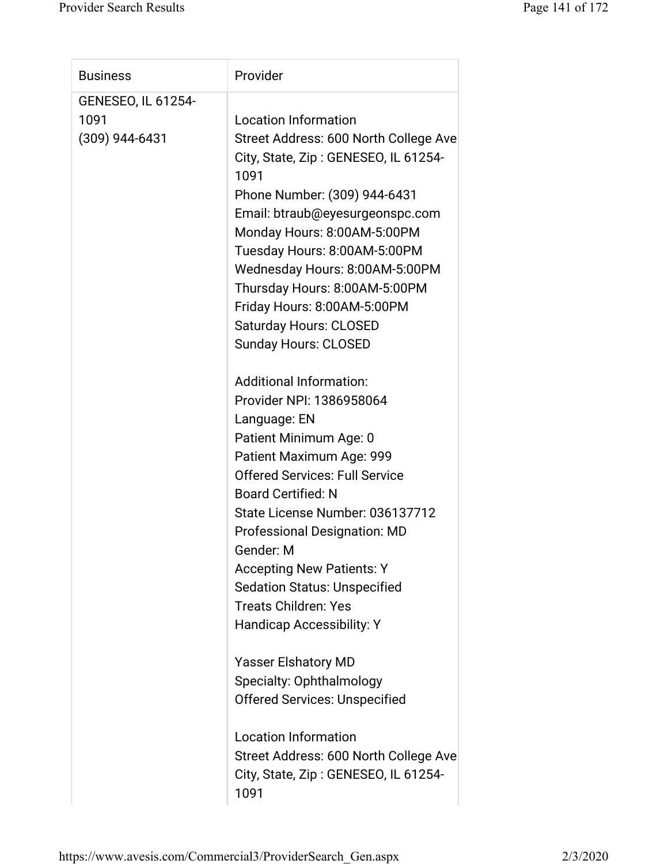| <b>Business</b>           | Provider                                     |
|---------------------------|----------------------------------------------|
| <b>GENESEO, IL 61254-</b> |                                              |
| 1091                      | <b>Location Information</b>                  |
| $(309)$ 944-6431          | Street Address: 600 North College Ave        |
|                           | City, State, Zip: GENESEO, IL 61254-<br>1091 |
|                           | Phone Number: (309) 944-6431                 |
|                           | Email: btraub@eyesurgeonspc.com              |
|                           | Monday Hours: 8:00AM-5:00PM                  |
|                           | Tuesday Hours: 8:00AM-5:00PM                 |
|                           | Wednesday Hours: 8:00AM-5:00PM               |
|                           | Thursday Hours: 8:00AM-5:00PM                |
|                           | Friday Hours: 8:00AM-5:00PM                  |
|                           | <b>Saturday Hours: CLOSED</b>                |
|                           | <b>Sunday Hours: CLOSED</b>                  |
|                           |                                              |
|                           | <b>Additional Information:</b>               |
|                           | Provider NPI: 1386958064                     |
|                           | Language: EN                                 |
|                           | Patient Minimum Age: 0                       |
|                           | Patient Maximum Age: 999                     |
|                           | <b>Offered Services: Full Service</b>        |
|                           | <b>Board Certified: N</b>                    |
|                           | State License Number: 036137712              |
|                           | <b>Professional Designation: MD</b>          |
|                           | Gender: M                                    |
|                           | <b>Accepting New Patients: Y</b>             |
|                           | <b>Sedation Status: Unspecified</b>          |
|                           | <b>Treats Children: Yes</b>                  |
|                           | <b>Handicap Accessibility: Y</b>             |
|                           |                                              |
|                           | <b>Yasser Elshatory MD</b>                   |
|                           | Specialty: Ophthalmology                     |
|                           | <b>Offered Services: Unspecified</b>         |
|                           |                                              |
|                           | <b>Location Information</b>                  |
|                           | Street Address: 600 North College Ave        |
|                           | City, State, Zip: GENESEO, IL 61254-         |
|                           | 1091                                         |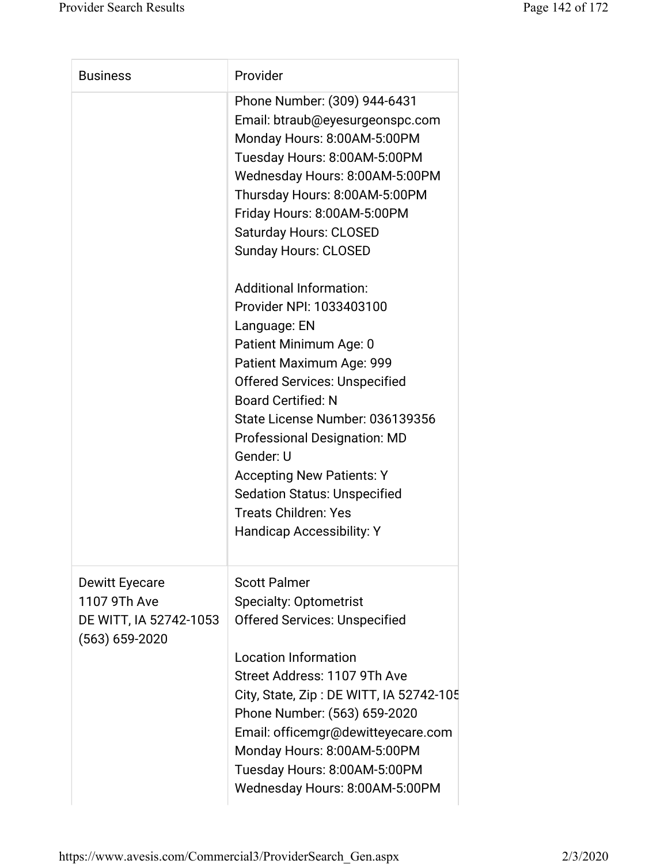| <b>Business</b>                                                                       | Provider                                                                                                                                                                                                                                                                                                                                                                                                                                   |
|---------------------------------------------------------------------------------------|--------------------------------------------------------------------------------------------------------------------------------------------------------------------------------------------------------------------------------------------------------------------------------------------------------------------------------------------------------------------------------------------------------------------------------------------|
|                                                                                       | Phone Number: (309) 944-6431<br>Email: btraub@eyesurgeonspc.com<br>Monday Hours: 8:00AM-5:00PM<br>Tuesday Hours: 8:00AM-5:00PM<br>Wednesday Hours: 8:00AM-5:00PM<br>Thursday Hours: 8:00AM-5:00PM<br>Friday Hours: 8:00AM-5:00PM<br><b>Saturday Hours: CLOSED</b><br><b>Sunday Hours: CLOSED</b>                                                                                                                                           |
|                                                                                       | <b>Additional Information:</b><br>Provider NPI: 1033403100<br>Language: EN<br>Patient Minimum Age: 0<br>Patient Maximum Age: 999<br><b>Offered Services: Unspecified</b><br><b>Board Certified: N</b><br>State License Number: 036139356<br><b>Professional Designation: MD</b><br>Gender: U<br><b>Accepting New Patients: Y</b><br><b>Sedation Status: Unspecified</b><br><b>Treats Children: Yes</b><br><b>Handicap Accessibility: Y</b> |
| <b>Dewitt Eyecare</b><br>1107 9Th Ave<br>DE WITT, IA 52742-1053<br>$(563) 659 - 2020$ | <b>Scott Palmer</b><br><b>Specialty: Optometrist</b><br><b>Offered Services: Unspecified</b><br><b>Location Information</b><br>Street Address: 1107 9Th Ave<br>City, State, Zip: DE WITT, IA 52742-105<br>Phone Number: (563) 659-2020<br>Email: officemgr@dewitteyecare.com<br>Monday Hours: 8:00AM-5:00PM<br>Tuesday Hours: 8:00AM-5:00PM<br>Wednesday Hours: 8:00AM-5:00PM                                                              |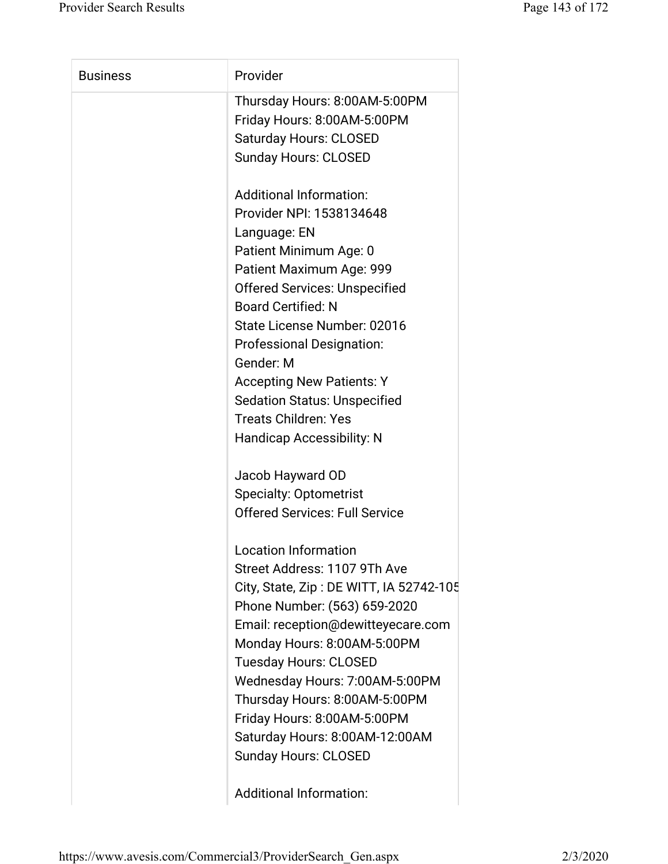| <b>Business</b> | Provider                                |
|-----------------|-----------------------------------------|
|                 | Thursday Hours: 8:00AM-5:00PM           |
|                 | Friday Hours: 8:00AM-5:00PM             |
|                 | <b>Saturday Hours: CLOSED</b>           |
|                 | <b>Sunday Hours: CLOSED</b>             |
|                 | <b>Additional Information:</b>          |
|                 | Provider NPI: 1538134648                |
|                 | Language: EN                            |
|                 | Patient Minimum Age: 0                  |
|                 | Patient Maximum Age: 999                |
|                 | <b>Offered Services: Unspecified</b>    |
|                 | <b>Board Certified: N</b>               |
|                 | State License Number: 02016             |
|                 | <b>Professional Designation:</b>        |
|                 | Gender: M                               |
|                 | <b>Accepting New Patients: Y</b>        |
|                 | <b>Sedation Status: Unspecified</b>     |
|                 | <b>Treats Children: Yes</b>             |
|                 | <b>Handicap Accessibility: N</b>        |
|                 | Jacob Hayward OD                        |
|                 | <b>Specialty: Optometrist</b>           |
|                 | <b>Offered Services: Full Service</b>   |
|                 | <b>Location Information</b>             |
|                 | Street Address: 1107 9Th Ave            |
|                 | City, State, Zip: DE WITT, IA 52742-105 |
|                 | Phone Number: (563) 659-2020            |
|                 | Email: reception@dewitteyecare.com      |
|                 | Monday Hours: 8:00AM-5:00PM             |
|                 | <b>Tuesday Hours: CLOSED</b>            |
|                 | Wednesday Hours: 7:00AM-5:00PM          |
|                 | Thursday Hours: 8:00AM-5:00PM           |
|                 | Friday Hours: 8:00AM-5:00PM             |
|                 | Saturday Hours: 8:00AM-12:00AM          |
|                 | <b>Sunday Hours: CLOSED</b>             |
|                 |                                         |

Additional Information: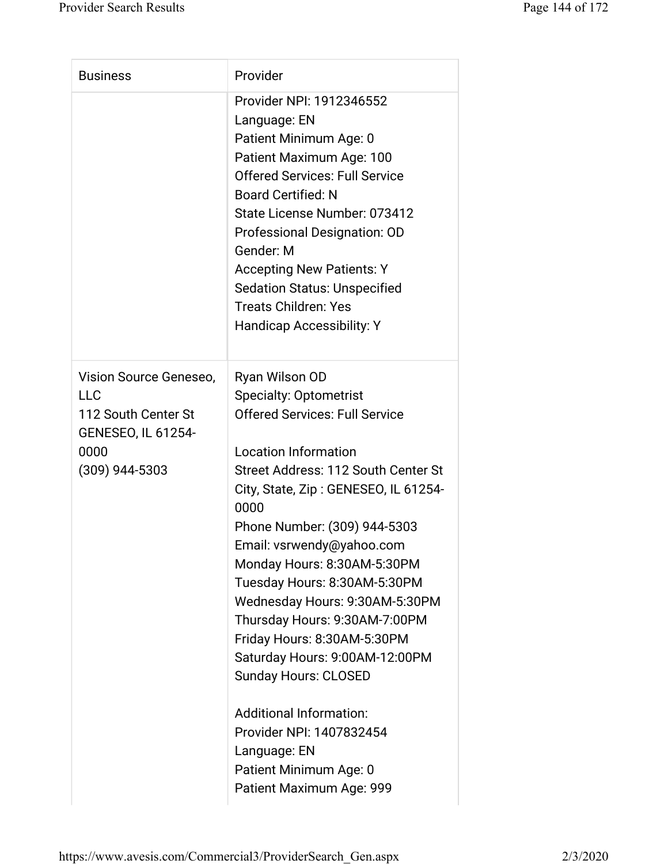| <b>Business</b>                                  | Provider                                     |
|--------------------------------------------------|----------------------------------------------|
|                                                  | Provider NPI: 1912346552                     |
|                                                  | Language: EN                                 |
|                                                  | Patient Minimum Age: 0                       |
|                                                  | Patient Maximum Age: 100                     |
|                                                  | <b>Offered Services: Full Service</b>        |
|                                                  | <b>Board Certified: N</b>                    |
|                                                  | State License Number: 073412                 |
|                                                  | Professional Designation: OD                 |
|                                                  | Gender: M                                    |
|                                                  | <b>Accepting New Patients: Y</b>             |
|                                                  | <b>Sedation Status: Unspecified</b>          |
|                                                  | <b>Treats Children: Yes</b>                  |
|                                                  | <b>Handicap Accessibility: Y</b>             |
| Vision Source Geneseo,                           | Ryan Wilson OD                               |
| <b>LLC</b>                                       | <b>Specialty: Optometrist</b>                |
| 112 South Center St<br><b>GENESEO, IL 61254-</b> | <b>Offered Services: Full Service</b>        |
| 0000                                             | <b>Location Information</b>                  |
| $(309)$ 944-5303                                 | Street Address: 112 South Center St          |
|                                                  | City, State, Zip: GENESEO, IL 61254-<br>0000 |
|                                                  | Phone Number: (309) 944-5303                 |
|                                                  | Email: vsrwendy@yahoo.com                    |
|                                                  | Monday Hours: 8:30AM-5:30PM                  |
|                                                  | Tuesday Hours: 8:30AM-5:30PM                 |
|                                                  | Wednesday Hours: 9:30AM-5:30PM               |
|                                                  | Thursday Hours: 9:30AM-7:00PM                |
|                                                  | Friday Hours: 8:30AM-5:30PM                  |
|                                                  | Saturday Hours: 9:00AM-12:00PM               |
|                                                  | <b>Sunday Hours: CLOSED</b>                  |
|                                                  | <b>Additional Information:</b>               |
|                                                  | Provider NPI: 1407832454                     |
|                                                  | Language: EN                                 |
|                                                  | Patient Minimum Age: 0                       |
|                                                  | Patient Maximum Age: 999                     |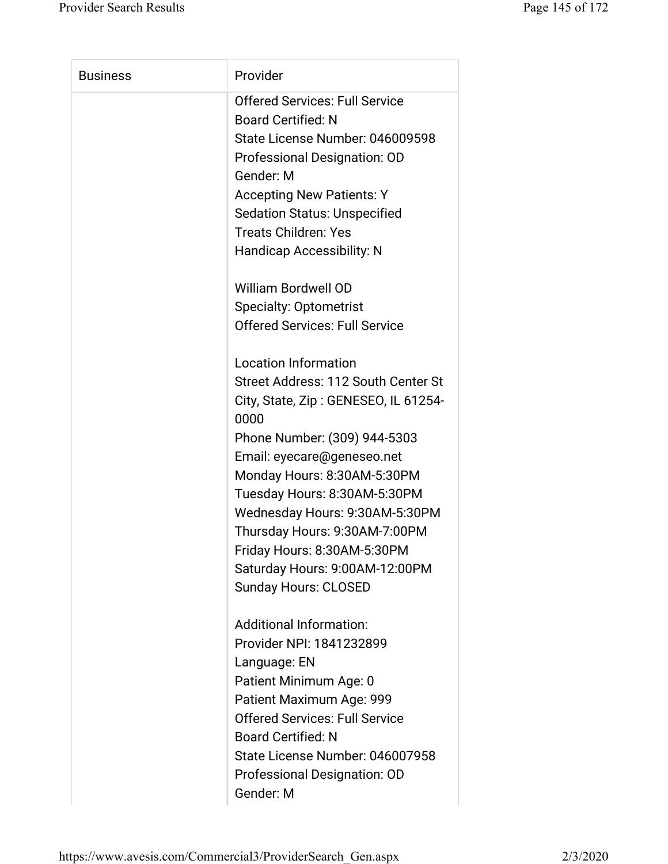| <b>Business</b> | Provider                                     |
|-----------------|----------------------------------------------|
|                 | <b>Offered Services: Full Service</b>        |
|                 | <b>Board Certified: N</b>                    |
|                 | State License Number: 046009598              |
|                 | Professional Designation: OD                 |
|                 | Gender: M                                    |
|                 | <b>Accepting New Patients: Y</b>             |
|                 | <b>Sedation Status: Unspecified</b>          |
|                 | <b>Treats Children: Yes</b>                  |
|                 | <b>Handicap Accessibility: N</b>             |
|                 | <b>William Bordwell OD</b>                   |
|                 | <b>Specialty: Optometrist</b>                |
|                 | <b>Offered Services: Full Service</b>        |
|                 | <b>Location Information</b>                  |
|                 | Street Address: 112 South Center St          |
|                 | City, State, Zip: GENESEO, IL 61254-<br>0000 |
|                 | Phone Number: (309) 944-5303                 |
|                 | Email: eyecare@geneseo.net                   |
|                 | Monday Hours: 8:30AM-5:30PM                  |
|                 | Tuesday Hours: 8:30AM-5:30PM                 |
|                 | Wednesday Hours: 9:30AM-5:30PM               |
|                 | Thursday Hours: 9:30AM-7:00PM                |
|                 | Friday Hours: 8:30AM-5:30PM                  |
|                 | Saturday Hours: 9:00AM-12:00PM               |
|                 | <b>Sunday Hours: CLOSED</b>                  |
|                 | <b>Additional Information:</b>               |
|                 | Provider NPI: 1841232899                     |
|                 | Language: EN                                 |
|                 | Patient Minimum Age: 0                       |
|                 | Patient Maximum Age: 999                     |
|                 | <b>Offered Services: Full Service</b>        |
|                 | <b>Board Certified: N</b>                    |
|                 | State License Number: 046007958              |
|                 | Professional Designation: OD                 |
|                 | Gender: M                                    |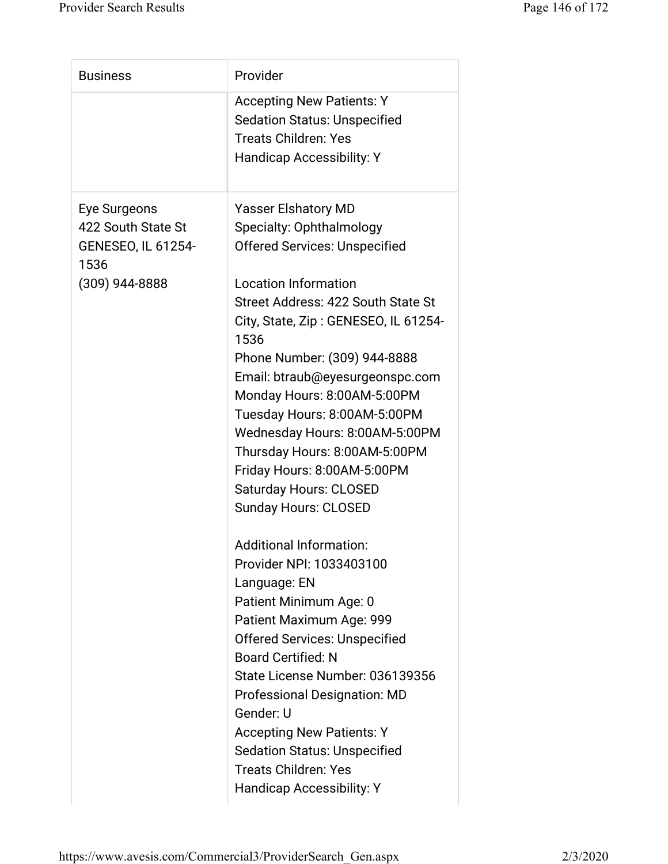| <b>Business</b>                                         | Provider                                                                |
|---------------------------------------------------------|-------------------------------------------------------------------------|
|                                                         | <b>Accepting New Patients: Y</b><br><b>Sedation Status: Unspecified</b> |
|                                                         | <b>Treats Children: Yes</b><br><b>Handicap Accessibility: Y</b>         |
| Eye Surgeons                                            | <b>Yasser Elshatory MD</b>                                              |
| 422 South State St<br><b>GENESEO, IL 61254-</b><br>1536 | Specialty: Ophthalmology<br><b>Offered Services: Unspecified</b>        |
| (309) 944-8888                                          | <b>Location Information</b>                                             |
|                                                         | Street Address: 422 South State St                                      |
|                                                         | City, State, Zip: GENESEO, IL 61254-<br>1536                            |
|                                                         | Phone Number: (309) 944-8888                                            |
|                                                         | Email: btraub@eyesurgeonspc.com                                         |
|                                                         | Monday Hours: 8:00AM-5:00PM                                             |
|                                                         | Tuesday Hours: 8:00AM-5:00PM                                            |
|                                                         | Wednesday Hours: 8:00AM-5:00PM                                          |
|                                                         | Thursday Hours: 8:00AM-5:00PM                                           |
|                                                         | Friday Hours: 8:00AM-5:00PM                                             |
|                                                         | <b>Saturday Hours: CLOSED</b>                                           |
|                                                         | <b>Sunday Hours: CLOSED</b>                                             |
|                                                         | Additional Information:                                                 |
|                                                         | Provider NPI: 1033403100                                                |
|                                                         | Language: EN                                                            |
|                                                         | Patient Minimum Age: 0                                                  |
|                                                         | Patient Maximum Age: 999                                                |
|                                                         | <b>Offered Services: Unspecified</b>                                    |
|                                                         | <b>Board Certified: N</b>                                               |
|                                                         | State License Number: 036139356                                         |
|                                                         | Professional Designation: MD                                            |
|                                                         | Gender: U                                                               |
|                                                         | <b>Accepting New Patients: Y</b>                                        |
|                                                         | <b>Sedation Status: Unspecified</b>                                     |
|                                                         | <b>Treats Children: Yes</b>                                             |
|                                                         |                                                                         |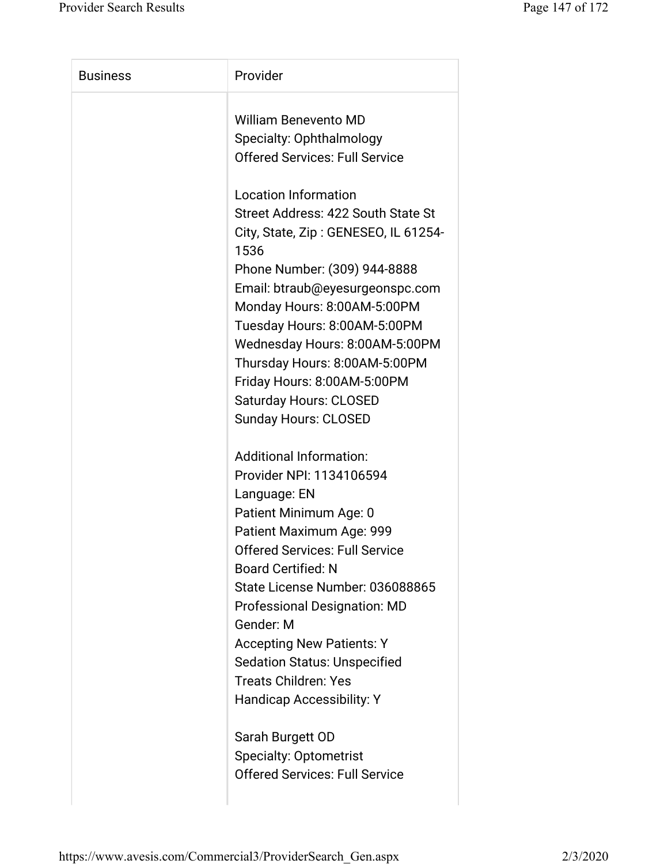| <b>Business</b> | Provider                                     |
|-----------------|----------------------------------------------|
|                 | <b>William Benevento MD</b>                  |
|                 | Specialty: Ophthalmology                     |
|                 | <b>Offered Services: Full Service</b>        |
|                 | <b>Location Information</b>                  |
|                 | Street Address: 422 South State St           |
|                 | City, State, Zip: GENESEO, IL 61254-<br>1536 |
|                 | Phone Number: (309) 944-8888                 |
|                 | Email: btraub@eyesurgeonspc.com              |
|                 | Monday Hours: 8:00AM-5:00PM                  |
|                 | Tuesday Hours: 8:00AM-5:00PM                 |
|                 | Wednesday Hours: 8:00AM-5:00PM               |
|                 | Thursday Hours: 8:00AM-5:00PM                |
|                 | Friday Hours: 8:00AM-5:00PM                  |
|                 | <b>Saturday Hours: CLOSED</b>                |
|                 | <b>Sunday Hours: CLOSED</b>                  |
|                 | <b>Additional Information:</b>               |
|                 | Provider NPI: 1134106594                     |
|                 | Language: EN                                 |
|                 | Patient Minimum Age: 0                       |
|                 | Patient Maximum Age: 999                     |
|                 | <b>Offered Services: Full Service</b>        |
|                 | <b>Board Certified: N</b>                    |
|                 | State License Number: 036088865              |
|                 | Professional Designation: MD                 |
|                 | Gender: M                                    |
|                 | <b>Accepting New Patients: Y</b>             |
|                 | <b>Sedation Status: Unspecified</b>          |
|                 | <b>Treats Children: Yes</b>                  |
|                 | Handicap Accessibility: Y                    |
|                 | Sarah Burgett OD                             |
|                 | <b>Specialty: Optometrist</b>                |
|                 | <b>Offered Services: Full Service</b>        |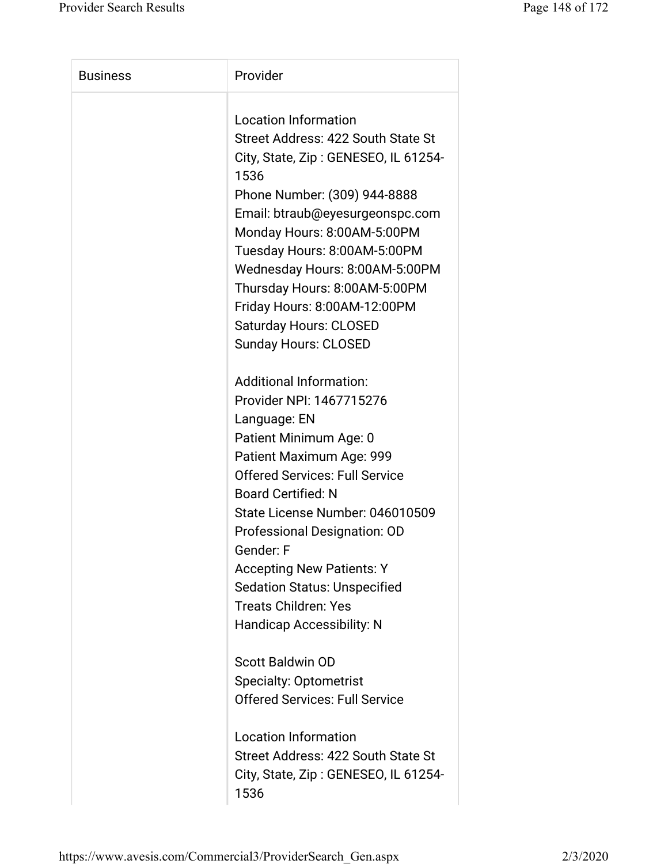| <b>Business</b> | Provider                              |
|-----------------|---------------------------------------|
|                 | <b>Location Information</b>           |
|                 | Street Address: 422 South State St    |
|                 | City, State, Zip: GENESEO, IL 61254-  |
|                 | 1536                                  |
|                 | Phone Number: (309) 944-8888          |
|                 | Email: btraub@eyesurgeonspc.com       |
|                 | Monday Hours: 8:00AM-5:00PM           |
|                 | Tuesday Hours: 8:00AM-5:00PM          |
|                 | Wednesday Hours: 8:00AM-5:00PM        |
|                 | Thursday Hours: 8:00AM-5:00PM         |
|                 | Friday Hours: 8:00AM-12:00PM          |
|                 | <b>Saturday Hours: CLOSED</b>         |
|                 | <b>Sunday Hours: CLOSED</b>           |
|                 |                                       |
|                 | <b>Additional Information:</b>        |
|                 | Provider NPI: 1467715276              |
|                 | Language: EN                          |
|                 | Patient Minimum Age: 0                |
|                 | Patient Maximum Age: 999              |
|                 | <b>Offered Services: Full Service</b> |
|                 | <b>Board Certified: N</b>             |
|                 | State License Number: 046010509       |
|                 | Professional Designation: OD          |
|                 | Gender: F                             |
|                 | <b>Accepting New Patients: Y</b>      |
|                 | <b>Sedation Status: Unspecified</b>   |
|                 | <b>Treats Children: Yes</b>           |
|                 | <b>Handicap Accessibility: N</b>      |
|                 | <b>Scott Baldwin OD</b>               |
|                 | <b>Specialty: Optometrist</b>         |
|                 | <b>Offered Services: Full Service</b> |
|                 |                                       |
|                 | <b>Location Information</b>           |
|                 | Street Address: 422 South State St    |
|                 | City, State, Zip: GENESEO, IL 61254-  |
|                 | 1536                                  |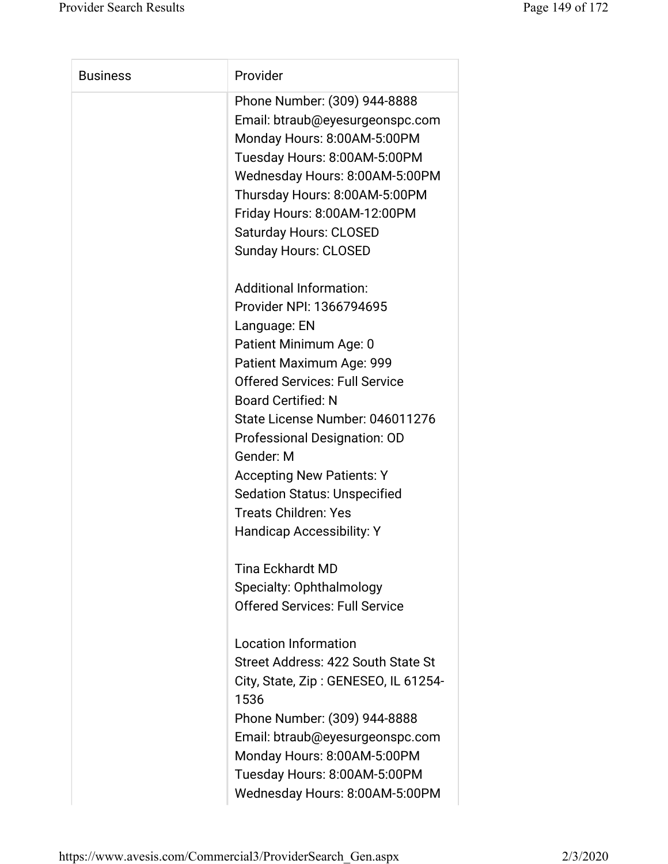| <b>Business</b> | Provider                                                                                                                                                                                                                                                                                                                                                                                                                      |
|-----------------|-------------------------------------------------------------------------------------------------------------------------------------------------------------------------------------------------------------------------------------------------------------------------------------------------------------------------------------------------------------------------------------------------------------------------------|
|                 | Phone Number: (309) 944-8888<br>Email: btraub@eyesurgeonspc.com<br>Monday Hours: 8:00AM-5:00PM<br>Tuesday Hours: 8:00AM-5:00PM<br>Wednesday Hours: 8:00AM-5:00PM<br>Thursday Hours: 8:00AM-5:00PM<br>Friday Hours: 8:00AM-12:00PM<br><b>Saturday Hours: CLOSED</b><br><b>Sunday Hours: CLOSED</b>                                                                                                                             |
|                 | <b>Additional Information:</b><br>Provider NPI: 1366794695<br>Language: EN<br>Patient Minimum Age: 0<br>Patient Maximum Age: 999<br><b>Offered Services: Full Service</b><br><b>Board Certified: N</b><br>State License Number: 046011276<br>Professional Designation: OD<br>Gender: M<br><b>Accepting New Patients: Y</b><br><b>Sedation Status: Unspecified</b><br><b>Treats Children: Yes</b><br>Handicap Accessibility: Y |
|                 | <b>Tina Eckhardt MD</b><br>Specialty: Ophthalmology<br><b>Offered Services: Full Service</b><br><b>Location Information</b><br>Street Address: 422 South State St<br>City, State, Zip: GENESEO, IL 61254-<br>1536<br>Phone Number: (309) 944-8888<br>Email: btraub@eyesurgeonspc.com<br>Monday Hours: 8:00AM-5:00PM<br>Tuesday Hours: 8:00AM-5:00PM                                                                           |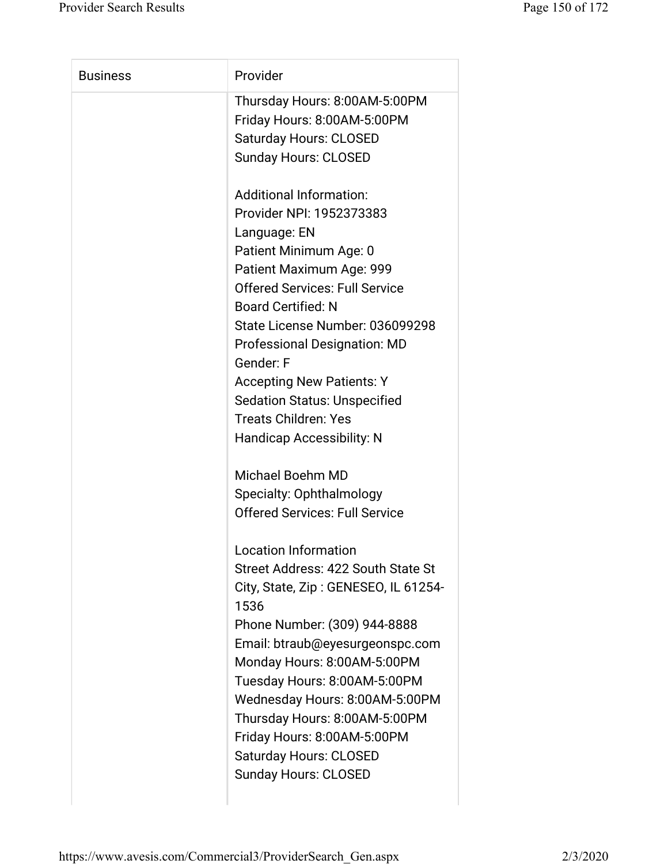| Thursday Hours: 8:00AM-5:00PM<br>Friday Hours: 8:00AM-5:00PM<br><b>Saturday Hours: CLOSED</b><br><b>Sunday Hours: CLOSED</b><br><b>Additional Information:</b><br>Provider NPI: 1952373383<br>Language: EN<br>Patient Minimum Age: 0<br>Patient Maximum Age: 999<br><b>Offered Services: Full Service</b><br><b>Board Certified: N</b><br>State License Number: 036099298<br><b>Professional Designation: MD</b><br>Gender: F<br><b>Accepting New Patients: Y</b><br><b>Sedation Status: Unspecified</b><br><b>Treats Children: Yes</b><br><b>Handicap Accessibility: N</b><br>Michael Boehm MD<br>Specialty: Ophthalmology<br><b>Offered Services: Full Service</b><br><b>Location Information</b><br>Street Address: 422 South State St |
|-------------------------------------------------------------------------------------------------------------------------------------------------------------------------------------------------------------------------------------------------------------------------------------------------------------------------------------------------------------------------------------------------------------------------------------------------------------------------------------------------------------------------------------------------------------------------------------------------------------------------------------------------------------------------------------------------------------------------------------------|
|                                                                                                                                                                                                                                                                                                                                                                                                                                                                                                                                                                                                                                                                                                                                           |
|                                                                                                                                                                                                                                                                                                                                                                                                                                                                                                                                                                                                                                                                                                                                           |
|                                                                                                                                                                                                                                                                                                                                                                                                                                                                                                                                                                                                                                                                                                                                           |
|                                                                                                                                                                                                                                                                                                                                                                                                                                                                                                                                                                                                                                                                                                                                           |
|                                                                                                                                                                                                                                                                                                                                                                                                                                                                                                                                                                                                                                                                                                                                           |
|                                                                                                                                                                                                                                                                                                                                                                                                                                                                                                                                                                                                                                                                                                                                           |
|                                                                                                                                                                                                                                                                                                                                                                                                                                                                                                                                                                                                                                                                                                                                           |
|                                                                                                                                                                                                                                                                                                                                                                                                                                                                                                                                                                                                                                                                                                                                           |
|                                                                                                                                                                                                                                                                                                                                                                                                                                                                                                                                                                                                                                                                                                                                           |
|                                                                                                                                                                                                                                                                                                                                                                                                                                                                                                                                                                                                                                                                                                                                           |
|                                                                                                                                                                                                                                                                                                                                                                                                                                                                                                                                                                                                                                                                                                                                           |
|                                                                                                                                                                                                                                                                                                                                                                                                                                                                                                                                                                                                                                                                                                                                           |
|                                                                                                                                                                                                                                                                                                                                                                                                                                                                                                                                                                                                                                                                                                                                           |
|                                                                                                                                                                                                                                                                                                                                                                                                                                                                                                                                                                                                                                                                                                                                           |
|                                                                                                                                                                                                                                                                                                                                                                                                                                                                                                                                                                                                                                                                                                                                           |
|                                                                                                                                                                                                                                                                                                                                                                                                                                                                                                                                                                                                                                                                                                                                           |
|                                                                                                                                                                                                                                                                                                                                                                                                                                                                                                                                                                                                                                                                                                                                           |
|                                                                                                                                                                                                                                                                                                                                                                                                                                                                                                                                                                                                                                                                                                                                           |
|                                                                                                                                                                                                                                                                                                                                                                                                                                                                                                                                                                                                                                                                                                                                           |
|                                                                                                                                                                                                                                                                                                                                                                                                                                                                                                                                                                                                                                                                                                                                           |
|                                                                                                                                                                                                                                                                                                                                                                                                                                                                                                                                                                                                                                                                                                                                           |
|                                                                                                                                                                                                                                                                                                                                                                                                                                                                                                                                                                                                                                                                                                                                           |
|                                                                                                                                                                                                                                                                                                                                                                                                                                                                                                                                                                                                                                                                                                                                           |
| City, State, Zip: GENESEO, IL 61254-                                                                                                                                                                                                                                                                                                                                                                                                                                                                                                                                                                                                                                                                                                      |
| 1536                                                                                                                                                                                                                                                                                                                                                                                                                                                                                                                                                                                                                                                                                                                                      |
| Phone Number: (309) 944-8888                                                                                                                                                                                                                                                                                                                                                                                                                                                                                                                                                                                                                                                                                                              |
| Email: btraub@eyesurgeonspc.com                                                                                                                                                                                                                                                                                                                                                                                                                                                                                                                                                                                                                                                                                                           |
| Monday Hours: 8:00AM-5:00PM                                                                                                                                                                                                                                                                                                                                                                                                                                                                                                                                                                                                                                                                                                               |
| Tuesday Hours: 8:00AM-5:00PM                                                                                                                                                                                                                                                                                                                                                                                                                                                                                                                                                                                                                                                                                                              |
| Wednesday Hours: 8:00AM-5:00PM                                                                                                                                                                                                                                                                                                                                                                                                                                                                                                                                                                                                                                                                                                            |
| Thursday Hours: 8:00AM-5:00PM                                                                                                                                                                                                                                                                                                                                                                                                                                                                                                                                                                                                                                                                                                             |
| Friday Hours: 8:00AM-5:00PM                                                                                                                                                                                                                                                                                                                                                                                                                                                                                                                                                                                                                                                                                                               |
| <b>Saturday Hours: CLOSED</b>                                                                                                                                                                                                                                                                                                                                                                                                                                                                                                                                                                                                                                                                                                             |
| <b>Sunday Hours: CLOSED</b>                                                                                                                                                                                                                                                                                                                                                                                                                                                                                                                                                                                                                                                                                                               |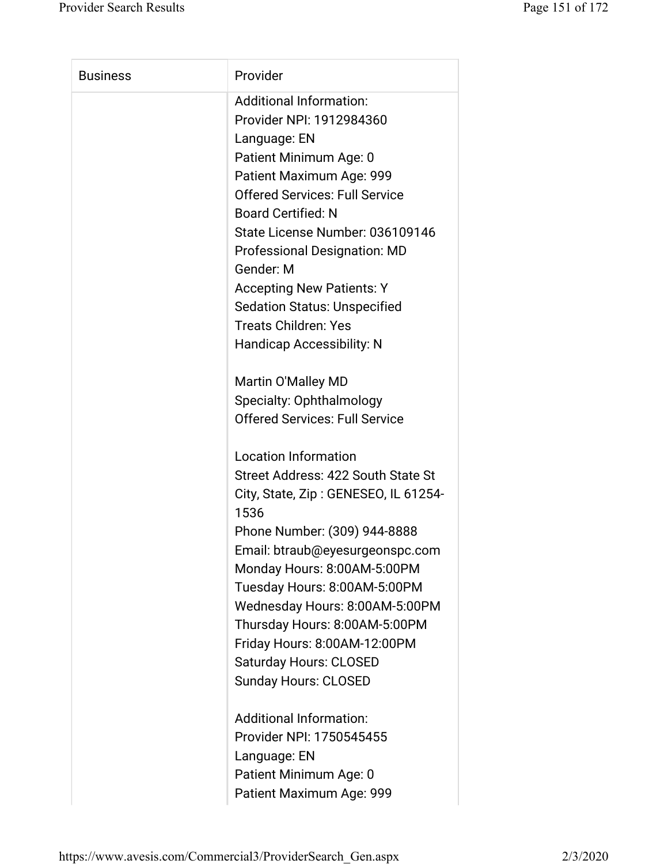| <b>Business</b> | Provider                                     |
|-----------------|----------------------------------------------|
|                 | <b>Additional Information:</b>               |
|                 | Provider NPI: 1912984360                     |
|                 | Language: EN                                 |
|                 | Patient Minimum Age: 0                       |
|                 | Patient Maximum Age: 999                     |
|                 | <b>Offered Services: Full Service</b>        |
|                 | <b>Board Certified: N</b>                    |
|                 | State License Number: 036109146              |
|                 | <b>Professional Designation: MD</b>          |
|                 | Gender: M                                    |
|                 | <b>Accepting New Patients: Y</b>             |
|                 | <b>Sedation Status: Unspecified</b>          |
|                 | <b>Treats Children: Yes</b>                  |
|                 | <b>Handicap Accessibility: N</b>             |
|                 | Martin O'Malley MD                           |
|                 | Specialty: Ophthalmology                     |
|                 | <b>Offered Services: Full Service</b>        |
|                 |                                              |
|                 | <b>Location Information</b>                  |
|                 | Street Address: 422 South State St           |
|                 | City, State, Zip: GENESEO, IL 61254-<br>1536 |
|                 | Phone Number: (309) 944-8888                 |
|                 | Email: btraub@eyesurgeonspc.com              |
|                 | Monday Hours: 8:00AM-5:00PM                  |
|                 | Tuesday Hours: 8:00AM-5:00PM                 |
|                 | Wednesday Hours: 8:00AM-5:00PM               |
|                 | Thursday Hours: 8:00AM-5:00PM                |
|                 | Friday Hours: 8:00AM-12:00PM                 |
|                 | <b>Saturday Hours: CLOSED</b>                |
|                 | <b>Sunday Hours: CLOSED</b>                  |
|                 | <b>Additional Information:</b>               |
|                 | Provider NPI: 1750545455                     |
|                 | Language: EN                                 |
|                 | Patient Minimum Age: 0                       |
|                 | Patient Maximum Age: 999                     |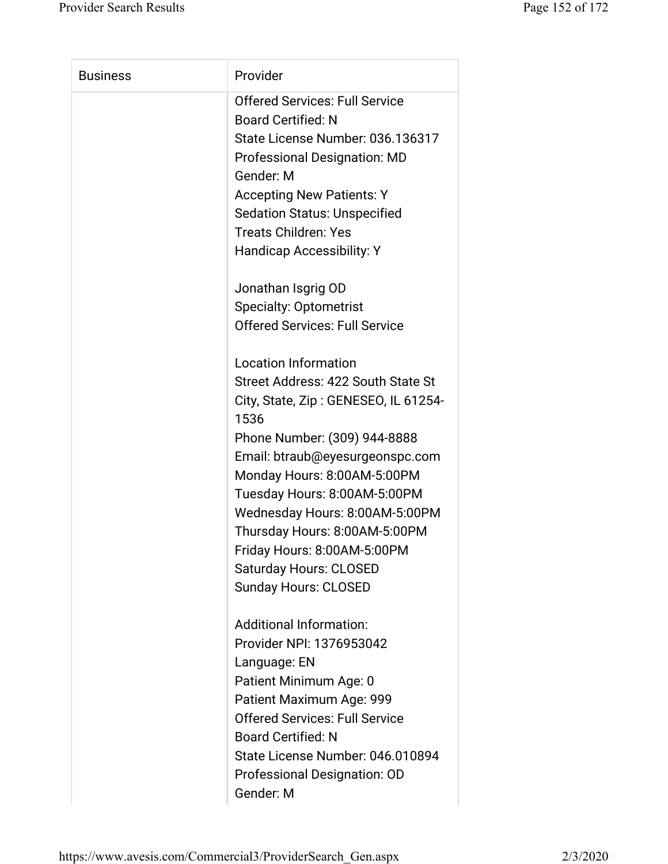| <b>Business</b> | Provider                                                                |
|-----------------|-------------------------------------------------------------------------|
|                 | <b>Offered Services: Full Service</b><br><b>Board Certified: N</b>      |
|                 | State License Number: 036.136317<br><b>Professional Designation: MD</b> |
|                 | Gender: M                                                               |
|                 | <b>Accepting New Patients: Y</b>                                        |
|                 | <b>Sedation Status: Unspecified</b>                                     |
|                 | <b>Treats Children: Yes</b>                                             |
|                 | Handicap Accessibility: Y                                               |
|                 | Jonathan Isgrig OD                                                      |
|                 | <b>Specialty: Optometrist</b>                                           |
|                 | <b>Offered Services: Full Service</b>                                   |
|                 | <b>Location Information</b>                                             |
|                 | Street Address: 422 South State St                                      |
|                 | City, State, Zip: GENESEO, IL 61254-<br>1536                            |
|                 | Phone Number: (309) 944-8888                                            |
|                 | Email: btraub@eyesurgeonspc.com                                         |
|                 | Monday Hours: 8:00AM-5:00PM                                             |
|                 | Tuesday Hours: 8:00AM-5:00PM                                            |
|                 | Wednesday Hours: 8:00AM-5:00PM                                          |
|                 | Thursday Hours: 8:00AM-5:00PM                                           |
|                 | Friday Hours: 8:00AM-5:00PM                                             |
|                 | <b>Saturday Hours: CLOSED</b>                                           |
|                 | <b>Sunday Hours: CLOSED</b>                                             |
|                 | <b>Additional Information:</b>                                          |
|                 | Provider NPI: 1376953042                                                |
|                 | Language: EN                                                            |
|                 | Patient Minimum Age: 0                                                  |
|                 | Patient Maximum Age: 999                                                |
|                 | <b>Offered Services: Full Service</b>                                   |
|                 | <b>Board Certified: N</b>                                               |
|                 | State License Number: 046.010894                                        |
|                 | Professional Designation: OD                                            |
|                 | Gender: M                                                               |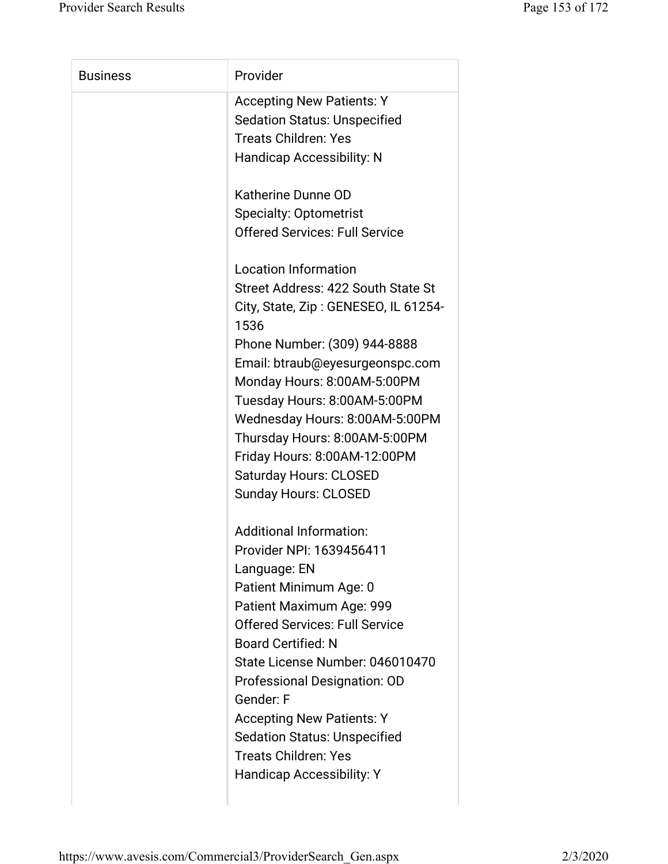| <b>Business</b> | Provider                                     |
|-----------------|----------------------------------------------|
|                 | <b>Accepting New Patients: Y</b>             |
|                 | <b>Sedation Status: Unspecified</b>          |
|                 | <b>Treats Children: Yes</b>                  |
|                 | <b>Handicap Accessibility: N</b>             |
|                 | Katherine Dunne OD                           |
|                 | <b>Specialty: Optometrist</b>                |
|                 | <b>Offered Services: Full Service</b>        |
|                 | <b>Location Information</b>                  |
|                 | Street Address: 422 South State St           |
|                 | City, State, Zip: GENESEO, IL 61254-<br>1536 |
|                 | Phone Number: (309) 944-8888                 |
|                 | Email: btraub@eyesurgeonspc.com              |
|                 | Monday Hours: 8:00AM-5:00PM                  |
|                 | Tuesday Hours: 8:00AM-5:00PM                 |
|                 | Wednesday Hours: 8:00AM-5:00PM               |
|                 | Thursday Hours: 8:00AM-5:00PM                |
|                 | Friday Hours: 8:00AM-12:00PM                 |
|                 | <b>Saturday Hours: CLOSED</b>                |
|                 | <b>Sunday Hours: CLOSED</b>                  |
|                 | <b>Additional Information:</b>               |
|                 | Provider NPI: 1639456411                     |
|                 | Language: EN                                 |
|                 | Patient Minimum Age: 0                       |
|                 | Patient Maximum Age: 999                     |
|                 | <b>Offered Services: Full Service</b>        |
|                 | <b>Board Certified: N</b>                    |
|                 | State License Number: 046010470              |
|                 | Professional Designation: OD                 |
|                 | Gender: F                                    |
|                 | <b>Accepting New Patients: Y</b>             |
|                 | <b>Sedation Status: Unspecified</b>          |
|                 | <b>Treats Children: Yes</b>                  |
|                 | <b>Handicap Accessibility: Y</b>             |
|                 |                                              |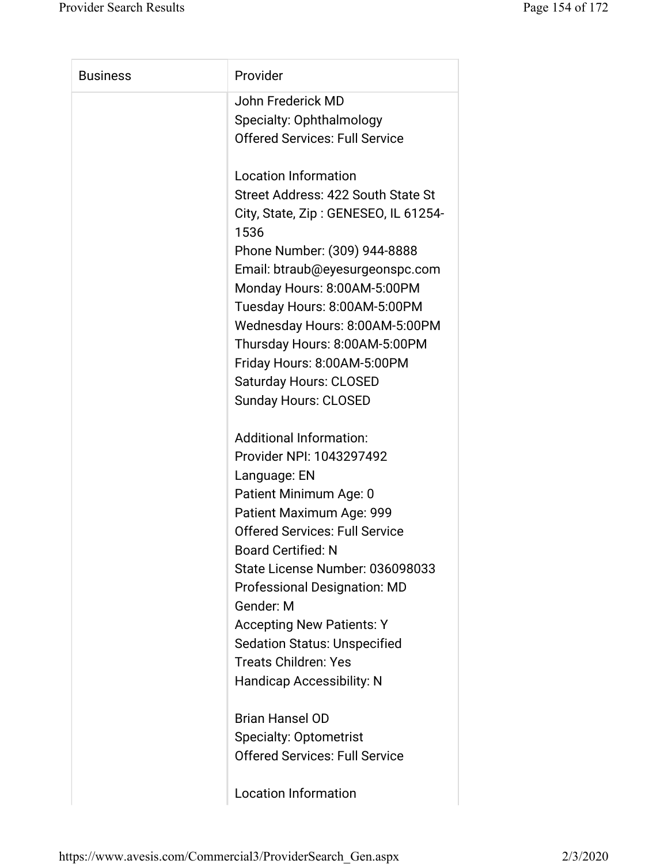| <b>Business</b> | Provider                                     |
|-----------------|----------------------------------------------|
|                 | John Frederick MD                            |
|                 | Specialty: Ophthalmology                     |
|                 | <b>Offered Services: Full Service</b>        |
|                 | <b>Location Information</b>                  |
|                 | Street Address: 422 South State St           |
|                 | City, State, Zip: GENESEO, IL 61254-<br>1536 |
|                 | Phone Number: (309) 944-8888                 |
|                 | Email: btraub@eyesurgeonspc.com              |
|                 | Monday Hours: 8:00AM-5:00PM                  |
|                 | Tuesday Hours: 8:00AM-5:00PM                 |
|                 | Wednesday Hours: 8:00AM-5:00PM               |
|                 | Thursday Hours: 8:00AM-5:00PM                |
|                 | Friday Hours: 8:00AM-5:00PM                  |
|                 | <b>Saturday Hours: CLOSED</b>                |
|                 | <b>Sunday Hours: CLOSED</b>                  |
|                 | <b>Additional Information:</b>               |
|                 | Provider NPI: 1043297492                     |
|                 | Language: EN                                 |
|                 | Patient Minimum Age: 0                       |
|                 | Patient Maximum Age: 999                     |
|                 | <b>Offered Services: Full Service</b>        |
|                 | <b>Board Certified: N</b>                    |
|                 | State License Number: 036098033              |
|                 | <b>Professional Designation: MD</b>          |
|                 | Gender: M                                    |
|                 | <b>Accepting New Patients: Y</b>             |
|                 | <b>Sedation Status: Unspecified</b>          |
|                 | <b>Treats Children: Yes</b>                  |
|                 | <b>Handicap Accessibility: N</b>             |
|                 | <b>Brian Hansel OD</b>                       |
|                 | <b>Specialty: Optometrist</b>                |
|                 | <b>Offered Services: Full Service</b>        |
|                 | <b>Location Information</b>                  |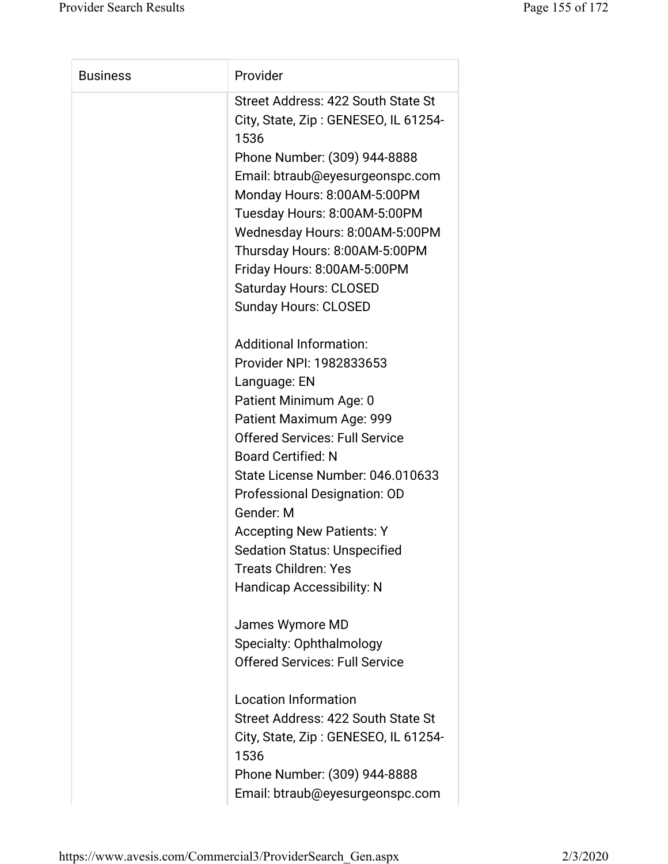| <b>Business</b> | Provider                                                                                                                                                                                                                                                                                                                                                                                                                       |
|-----------------|--------------------------------------------------------------------------------------------------------------------------------------------------------------------------------------------------------------------------------------------------------------------------------------------------------------------------------------------------------------------------------------------------------------------------------|
|                 | Street Address: 422 South State St<br>City, State, Zip: GENESEO, IL 61254-<br>1536<br>Phone Number: (309) 944-8888<br>Email: btraub@eyesurgeonspc.com<br>Monday Hours: 8:00AM-5:00PM<br>Tuesday Hours: 8:00AM-5:00PM<br>Wednesday Hours: 8:00AM-5:00PM<br>Thursday Hours: 8:00AM-5:00PM<br>Friday Hours: 8:00AM-5:00PM<br><b>Saturday Hours: CLOSED</b><br><b>Sunday Hours: CLOSED</b>                                         |
|                 | Additional Information:<br>Provider NPI: 1982833653<br>Language: EN<br>Patient Minimum Age: 0<br>Patient Maximum Age: 999<br><b>Offered Services: Full Service</b><br><b>Board Certified: N</b><br>State License Number: 046.010633<br>Professional Designation: OD<br>Gender: M<br><b>Accepting New Patients: Y</b><br><b>Sedation Status: Unspecified</b><br><b>Treats Children: Yes</b><br><b>Handicap Accessibility: N</b> |
|                 | James Wymore MD<br>Specialty: Ophthalmology<br><b>Offered Services: Full Service</b><br><b>Location Information</b><br>Street Address: 422 South State St<br>City, State, Zip: GENESEO, IL 61254-<br>1536<br>Phone Number: (309) 944-8888<br>Email: btraub@eyesurgeonspc.com                                                                                                                                                   |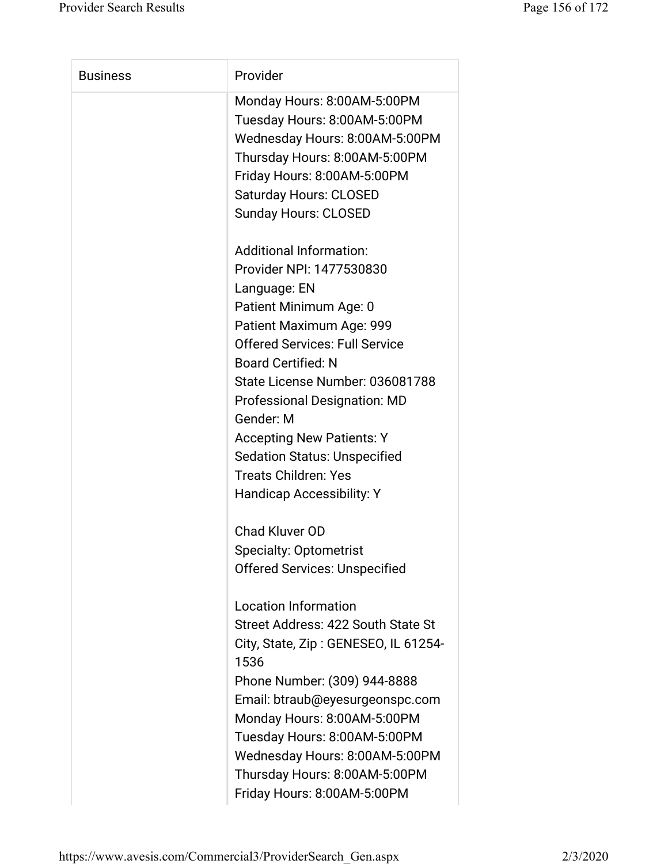| <b>Business</b> | Provider                                                                                                                                                                                                                                                                                                                                              |
|-----------------|-------------------------------------------------------------------------------------------------------------------------------------------------------------------------------------------------------------------------------------------------------------------------------------------------------------------------------------------------------|
|                 | Monday Hours: 8:00AM-5:00PM<br>Tuesday Hours: 8:00AM-5:00PM<br>Wednesday Hours: 8:00AM-5:00PM<br>Thursday Hours: 8:00AM-5:00PM<br>Friday Hours: 8:00AM-5:00PM<br><b>Saturday Hours: CLOSED</b><br><b>Sunday Hours: CLOSED</b><br><b>Additional Information:</b><br>Provider NPI: 1477530830<br>Language: EN<br>Patient Minimum Age: 0                 |
|                 | Patient Maximum Age: 999<br><b>Offered Services: Full Service</b><br><b>Board Certified: N</b><br>State License Number: 036081788<br><b>Professional Designation: MD</b><br>Gender: M<br><b>Accepting New Patients: Y</b><br><b>Sedation Status: Unspecified</b><br><b>Treats Children: Yes</b><br><b>Handicap Accessibility: Y</b>                   |
|                 | Chad Kluver OD<br><b>Specialty: Optometrist</b><br><b>Offered Services: Unspecified</b>                                                                                                                                                                                                                                                               |
|                 | <b>Location Information</b><br>Street Address: 422 South State St<br>City, State, Zip: GENESEO, IL 61254-<br>1536<br>Phone Number: (309) 944-8888<br>Email: btraub@eyesurgeonspc.com<br>Monday Hours: 8:00AM-5:00PM<br>Tuesday Hours: 8:00AM-5:00PM<br>Wednesday Hours: 8:00AM-5:00PM<br>Thursday Hours: 8:00AM-5:00PM<br>Friday Hours: 8:00AM-5:00PM |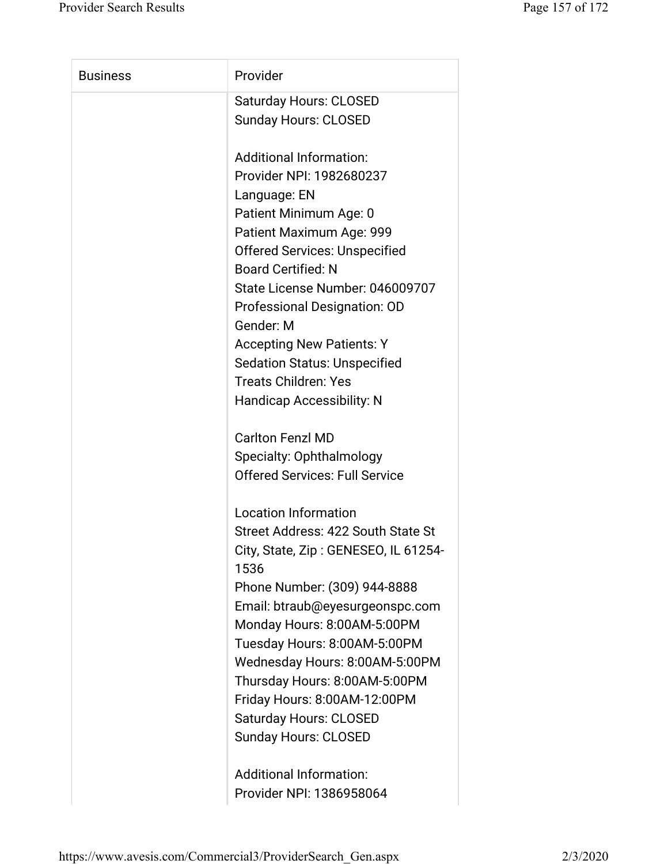| <b>Business</b> | Provider                                     |
|-----------------|----------------------------------------------|
|                 | <b>Saturday Hours: CLOSED</b>                |
|                 | <b>Sunday Hours: CLOSED</b>                  |
|                 | <b>Additional Information:</b>               |
|                 | Provider NPI: 1982680237                     |
|                 | Language: EN                                 |
|                 | Patient Minimum Age: 0                       |
|                 | Patient Maximum Age: 999                     |
|                 | <b>Offered Services: Unspecified</b>         |
|                 | <b>Board Certified: N</b>                    |
|                 | State License Number: 046009707              |
|                 | Professional Designation: OD                 |
|                 | Gender: M                                    |
|                 | <b>Accepting New Patients: Y</b>             |
|                 | <b>Sedation Status: Unspecified</b>          |
|                 | <b>Treats Children: Yes</b>                  |
|                 | <b>Handicap Accessibility: N</b>             |
|                 | <b>Carlton Fenzl MD</b>                      |
|                 | Specialty: Ophthalmology                     |
|                 | <b>Offered Services: Full Service</b>        |
|                 | <b>Location Information</b>                  |
|                 | Street Address: 422 South State St           |
|                 | City, State, Zip: GENESEO, IL 61254-<br>1536 |
|                 | Phone Number: (309) 944-8888                 |
|                 | Email: btraub@eyesurgeonspc.com              |
|                 | Monday Hours: 8:00AM-5:00PM                  |
|                 | Tuesday Hours: 8:00AM-5:00PM                 |
|                 | Wednesday Hours: 8:00AM-5:00PM               |
|                 | Thursday Hours: 8:00AM-5:00PM                |
|                 | Friday Hours: 8:00AM-12:00PM                 |
|                 | <b>Saturday Hours: CLOSED</b>                |
|                 | <b>Sunday Hours: CLOSED</b>                  |
|                 | <b>Additional Information:</b>               |
|                 | Provider NPI: 1386958064                     |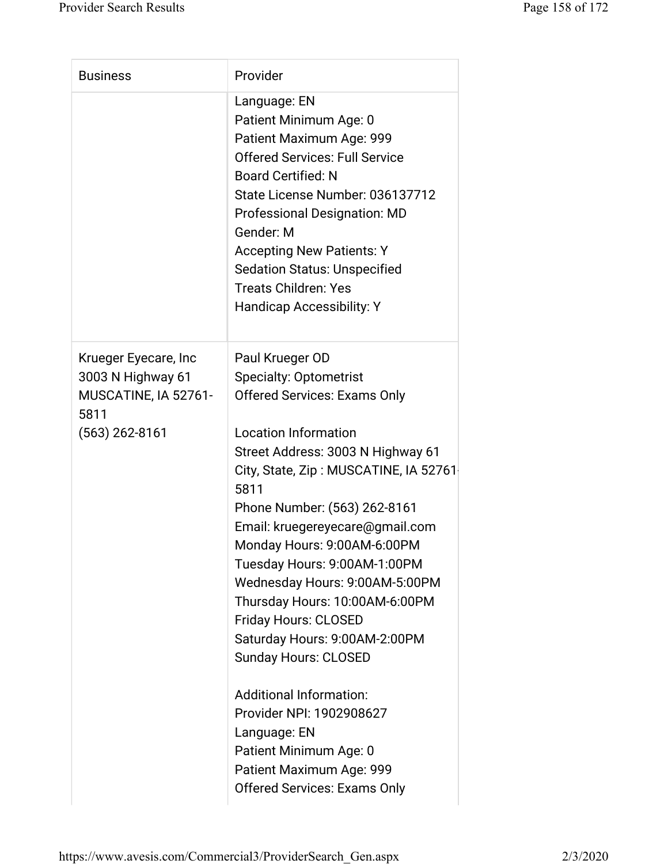| <b>Business</b>                                                                               | Provider                                                                                                                                                                                                                                                                                                                                                                                                                                                                                                                                                                        |
|-----------------------------------------------------------------------------------------------|---------------------------------------------------------------------------------------------------------------------------------------------------------------------------------------------------------------------------------------------------------------------------------------------------------------------------------------------------------------------------------------------------------------------------------------------------------------------------------------------------------------------------------------------------------------------------------|
|                                                                                               | Language: EN<br>Patient Minimum Age: 0<br>Patient Maximum Age: 999<br><b>Offered Services: Full Service</b><br><b>Board Certified: N</b><br>State License Number: 036137712<br><b>Professional Designation: MD</b><br>Gender: M<br><b>Accepting New Patients: Y</b><br><b>Sedation Status: Unspecified</b><br><b>Treats Children: Yes</b><br><b>Handicap Accessibility: Y</b>                                                                                                                                                                                                   |
| Krueger Eyecare, Inc<br>3003 N Highway 61<br>MUSCATINE, IA 52761-<br>5811<br>$(563)$ 262-8161 | Paul Krueger OD<br><b>Specialty: Optometrist</b><br><b>Offered Services: Exams Only</b><br><b>Location Information</b><br>Street Address: 3003 N Highway 61<br>City, State, Zip: MUSCATINE, IA 52761<br>5811<br>Phone Number: (563) 262-8161<br>Email: kruegereyecare@gmail.com<br>Monday Hours: 9:00AM-6:00PM<br>Tuesday Hours: 9:00AM-1:00PM<br>Wednesday Hours: 9:00AM-5:00PM<br>Thursday Hours: 10:00AM-6:00PM<br><b>Friday Hours: CLOSED</b><br>Saturday Hours: 9:00AM-2:00PM<br><b>Sunday Hours: CLOSED</b><br><b>Additional Information:</b><br>Provider NPI: 1902908627 |
|                                                                                               | Language: EN<br>Patient Minimum Age: 0<br>Patient Maximum Age: 999<br><b>Offered Services: Exams Only</b>                                                                                                                                                                                                                                                                                                                                                                                                                                                                       |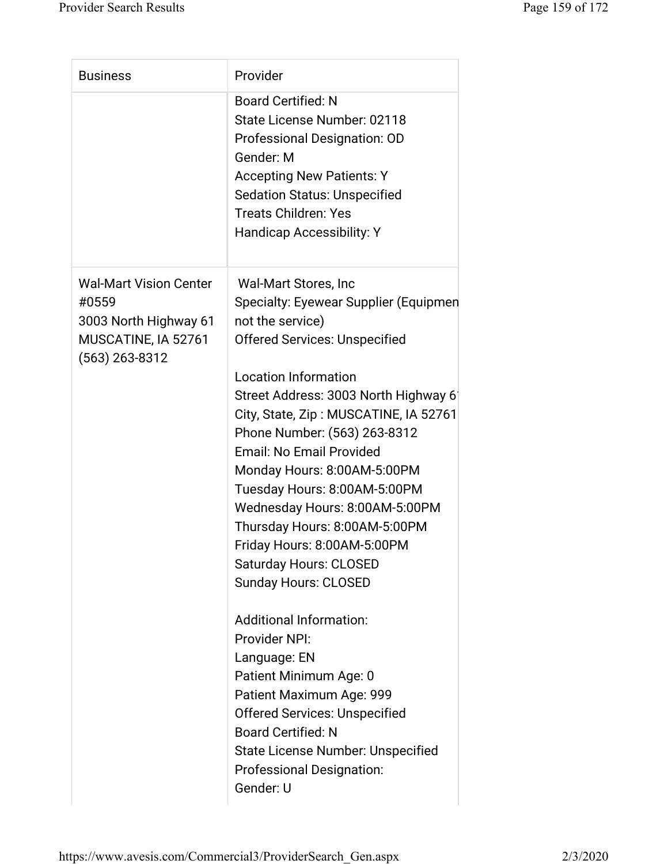| <b>Business</b>                                                                                            | Provider                                                                                                                                                                                                                                                                                                                                                                                                                                                                                                                                                                                                                                                                                                                                                                                                                                  |
|------------------------------------------------------------------------------------------------------------|-------------------------------------------------------------------------------------------------------------------------------------------------------------------------------------------------------------------------------------------------------------------------------------------------------------------------------------------------------------------------------------------------------------------------------------------------------------------------------------------------------------------------------------------------------------------------------------------------------------------------------------------------------------------------------------------------------------------------------------------------------------------------------------------------------------------------------------------|
|                                                                                                            | <b>Board Certified: N</b><br>State License Number: 02118<br>Professional Designation: OD<br>Gender: M<br><b>Accepting New Patients: Y</b><br><b>Sedation Status: Unspecified</b><br><b>Treats Children: Yes</b><br>Handicap Accessibility: Y                                                                                                                                                                                                                                                                                                                                                                                                                                                                                                                                                                                              |
| <b>Wal-Mart Vision Center</b><br>#0559<br>3003 North Highway 61<br>MUSCATINE, IA 52761<br>$(563)$ 263-8312 | Wal-Mart Stores, Inc.<br>Specialty: Eyewear Supplier (Equipmen<br>not the service)<br><b>Offered Services: Unspecified</b><br><b>Location Information</b><br>Street Address: 3003 North Highway 6<br>City, State, Zip: MUSCATINE, IA 52761<br>Phone Number: (563) 263-8312<br><b>Email: No Email Provided</b><br>Monday Hours: 8:00AM-5:00PM<br>Tuesday Hours: 8:00AM-5:00PM<br>Wednesday Hours: 8:00AM-5:00PM<br>Thursday Hours: 8:00AM-5:00PM<br>Friday Hours: 8:00AM-5:00PM<br><b>Saturday Hours: CLOSED</b><br><b>Sunday Hours: CLOSED</b><br><b>Additional Information:</b><br>Provider NPI:<br>Language: EN<br>Patient Minimum Age: 0<br>Patient Maximum Age: 999<br><b>Offered Services: Unspecified</b><br><b>Board Certified: N</b><br><b>State License Number: Unspecified</b><br><b>Professional Designation:</b><br>Gender: U |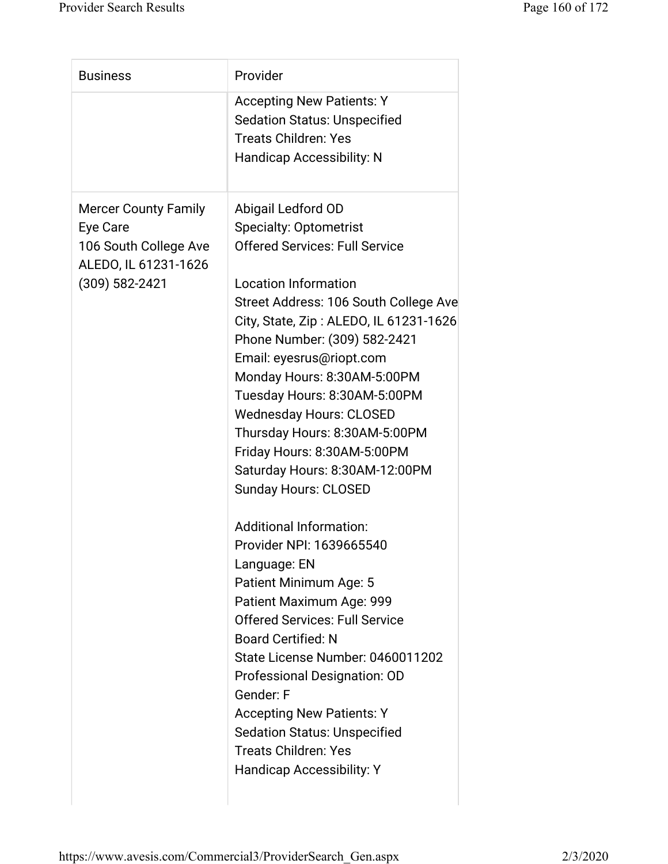| <b>Business</b>                                                                                            | Provider                                                                                                                                                                                                                                                                                                                                                                                                                                                                                                                                                                                                                                                                                                                                                                                                                                                                                                                                                     |
|------------------------------------------------------------------------------------------------------------|--------------------------------------------------------------------------------------------------------------------------------------------------------------------------------------------------------------------------------------------------------------------------------------------------------------------------------------------------------------------------------------------------------------------------------------------------------------------------------------------------------------------------------------------------------------------------------------------------------------------------------------------------------------------------------------------------------------------------------------------------------------------------------------------------------------------------------------------------------------------------------------------------------------------------------------------------------------|
|                                                                                                            | <b>Accepting New Patients: Y</b><br><b>Sedation Status: Unspecified</b><br><b>Treats Children: Yes</b><br><b>Handicap Accessibility: N</b>                                                                                                                                                                                                                                                                                                                                                                                                                                                                                                                                                                                                                                                                                                                                                                                                                   |
| <b>Mercer County Family</b><br>Eye Care<br>106 South College Ave<br>ALEDO, IL 61231-1626<br>(309) 582-2421 | Abigail Ledford OD<br><b>Specialty: Optometrist</b><br><b>Offered Services: Full Service</b><br><b>Location Information</b><br>Street Address: 106 South College Ave<br>City, State, Zip: ALEDO, IL 61231-1626<br>Phone Number: (309) 582-2421<br>Email: eyesrus@riopt.com<br>Monday Hours: 8:30AM-5:00PM<br>Tuesday Hours: 8:30AM-5:00PM<br><b>Wednesday Hours: CLOSED</b><br>Thursday Hours: 8:30AM-5:00PM<br>Friday Hours: 8:30AM-5:00PM<br>Saturday Hours: 8:30AM-12:00PM<br><b>Sunday Hours: CLOSED</b><br><b>Additional Information:</b><br>Provider NPI: 1639665540<br>Language: EN<br>Patient Minimum Age: 5<br>Patient Maximum Age: 999<br><b>Offered Services: Full Service</b><br><b>Board Certified: N</b><br>State License Number: 0460011202<br><b>Professional Designation: OD</b><br>Gender: F<br><b>Accepting New Patients: Y</b><br><b>Sedation Status: Unspecified</b><br><b>Treats Children: Yes</b><br><b>Handicap Accessibility: Y</b> |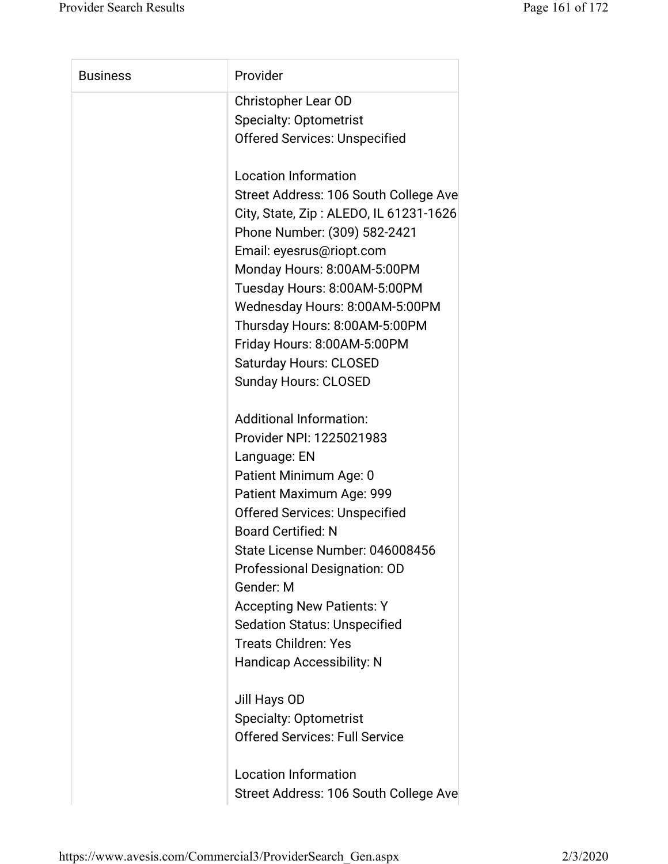| <b>Business</b> | Provider                               |
|-----------------|----------------------------------------|
|                 | <b>Christopher Lear OD</b>             |
|                 | <b>Specialty: Optometrist</b>          |
|                 | <b>Offered Services: Unspecified</b>   |
|                 | <b>Location Information</b>            |
|                 | Street Address: 106 South College Ave  |
|                 | City, State, Zip: ALEDO, IL 61231-1626 |
|                 | Phone Number: (309) 582-2421           |
|                 | Email: eyesrus@riopt.com               |
|                 | Monday Hours: 8:00AM-5:00PM            |
|                 | Tuesday Hours: 8:00AM-5:00PM           |
|                 | Wednesday Hours: 8:00AM-5:00PM         |
|                 | Thursday Hours: 8:00AM-5:00PM          |
|                 | Friday Hours: 8:00AM-5:00PM            |
|                 | <b>Saturday Hours: CLOSED</b>          |
|                 | <b>Sunday Hours: CLOSED</b>            |
|                 | <b>Additional Information:</b>         |
|                 | Provider NPI: 1225021983               |
|                 | Language: EN                           |
|                 | Patient Minimum Age: 0                 |
|                 | Patient Maximum Age: 999               |
|                 | <b>Offered Services: Unspecified</b>   |
|                 | <b>Board Certified: N</b>              |
|                 | State License Number: 046008456        |
|                 | Professional Designation: OD           |
|                 | Gender: M                              |
|                 | <b>Accepting New Patients: Y</b>       |
|                 | <b>Sedation Status: Unspecified</b>    |
|                 | <b>Treats Children: Yes</b>            |
|                 | <b>Handicap Accessibility: N</b>       |
|                 | Jill Hays OD                           |
|                 | <b>Specialty: Optometrist</b>          |
|                 | <b>Offered Services: Full Service</b>  |
|                 | <b>Location Information</b>            |
|                 | Street Address: 106 South College Ave  |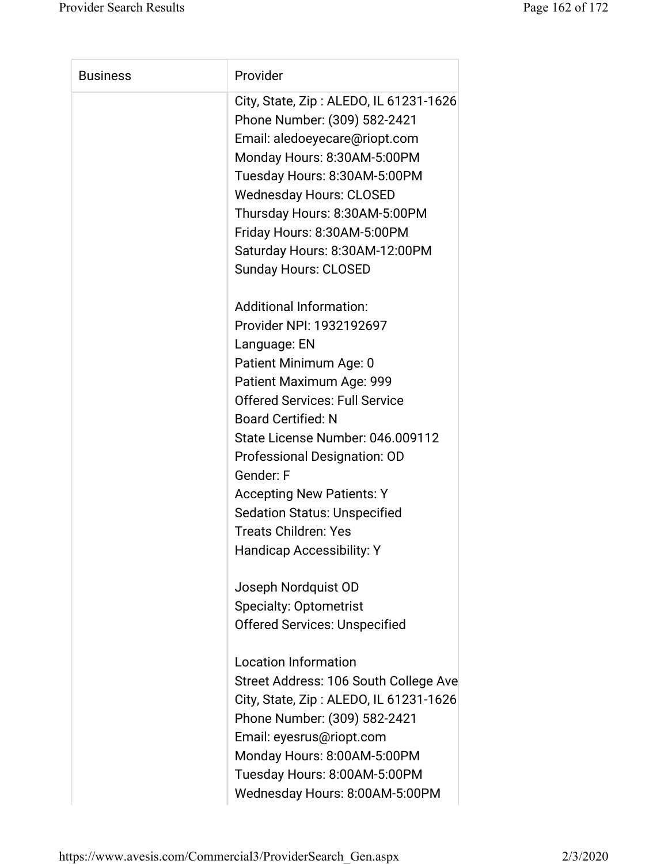| <b>Business</b> | Provider                                                                                                                                                                                                                                                                                                                                                                                                                              |
|-----------------|---------------------------------------------------------------------------------------------------------------------------------------------------------------------------------------------------------------------------------------------------------------------------------------------------------------------------------------------------------------------------------------------------------------------------------------|
|                 | City, State, Zip: ALEDO, IL 61231-1626<br>Phone Number: (309) 582-2421<br>Email: aledoeyecare@riopt.com<br>Monday Hours: 8:30AM-5:00PM<br>Tuesday Hours: 8:30AM-5:00PM<br><b>Wednesday Hours: CLOSED</b><br>Thursday Hours: 8:30AM-5:00PM<br>Friday Hours: 8:30AM-5:00PM<br>Saturday Hours: 8:30AM-12:00PM<br><b>Sunday Hours: CLOSED</b>                                                                                             |
|                 | <b>Additional Information:</b><br>Provider NPI: 1932192697<br>Language: EN<br>Patient Minimum Age: 0<br>Patient Maximum Age: 999<br><b>Offered Services: Full Service</b><br><b>Board Certified: N</b><br>State License Number: 046.009112<br>Professional Designation: OD<br>Gender: F<br><b>Accepting New Patients: Y</b><br><b>Sedation Status: Unspecified</b><br><b>Treats Children: Yes</b><br><b>Handicap Accessibility: Y</b> |
|                 | Joseph Nordquist OD<br><b>Specialty: Optometrist</b><br><b>Offered Services: Unspecified</b><br><b>Location Information</b><br>Street Address: 106 South College Ave<br>City, State, Zip: ALEDO, IL 61231-1626<br>Phone Number: (309) 582-2421<br>Email: eyesrus@riopt.com                                                                                                                                                            |
|                 | Monday Hours: 8:00AM-5:00PM<br>Tuesday Hours: 8:00AM-5:00PM<br>Wednesday Hours: 8:00AM-5:00PM                                                                                                                                                                                                                                                                                                                                         |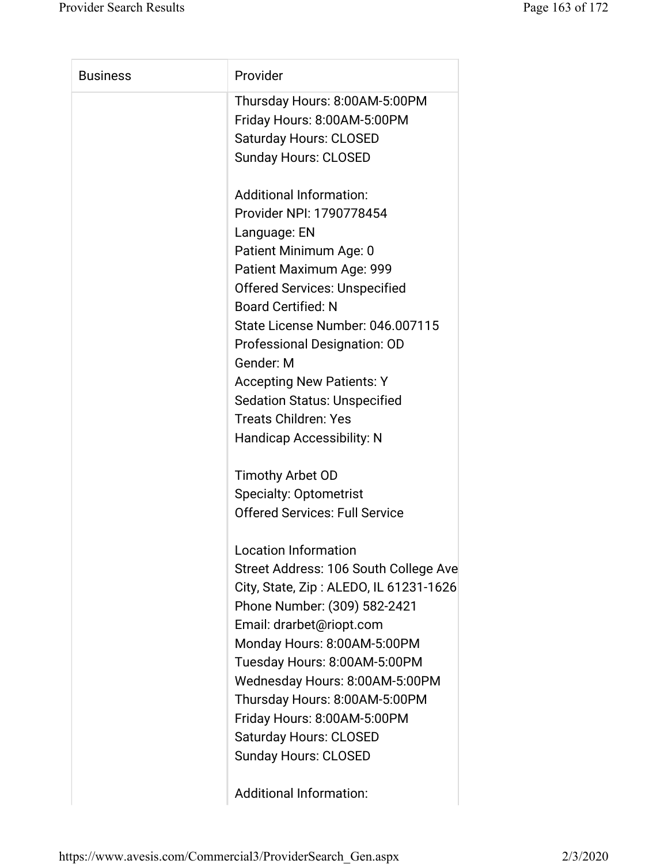| <b>Business</b> | Provider                               |
|-----------------|----------------------------------------|
|                 | Thursday Hours: 8:00AM-5:00PM          |
|                 | Friday Hours: 8:00AM-5:00PM            |
|                 | <b>Saturday Hours: CLOSED</b>          |
|                 | <b>Sunday Hours: CLOSED</b>            |
|                 | <b>Additional Information:</b>         |
|                 | Provider NPI: 1790778454               |
|                 | Language: EN                           |
|                 | Patient Minimum Age: 0                 |
|                 | Patient Maximum Age: 999               |
|                 | <b>Offered Services: Unspecified</b>   |
|                 | <b>Board Certified: N</b>              |
|                 | State License Number: 046.007115       |
|                 | Professional Designation: OD           |
|                 | Gender: M                              |
|                 | <b>Accepting New Patients: Y</b>       |
|                 | <b>Sedation Status: Unspecified</b>    |
|                 | <b>Treats Children: Yes</b>            |
|                 | <b>Handicap Accessibility: N</b>       |
|                 | Timothy Arbet OD                       |
|                 | <b>Specialty: Optometrist</b>          |
|                 | <b>Offered Services: Full Service</b>  |
|                 | <b>Location Information</b>            |
|                 | Street Address: 106 South College Ave  |
|                 | City, State, Zip: ALEDO, IL 61231-1626 |
|                 | Phone Number: (309) 582-2421           |
|                 | Email: drarbet@riopt.com               |
|                 | Monday Hours: 8:00AM-5:00PM            |
|                 | Tuesday Hours: 8:00AM-5:00PM           |
|                 | Wednesday Hours: 8:00AM-5:00PM         |
|                 | Thursday Hours: 8:00AM-5:00PM          |
|                 | Friday Hours: 8:00AM-5:00PM            |
|                 | <b>Saturday Hours: CLOSED</b>          |
|                 | <b>Sunday Hours: CLOSED</b>            |
|                 |                                        |

Additional Information: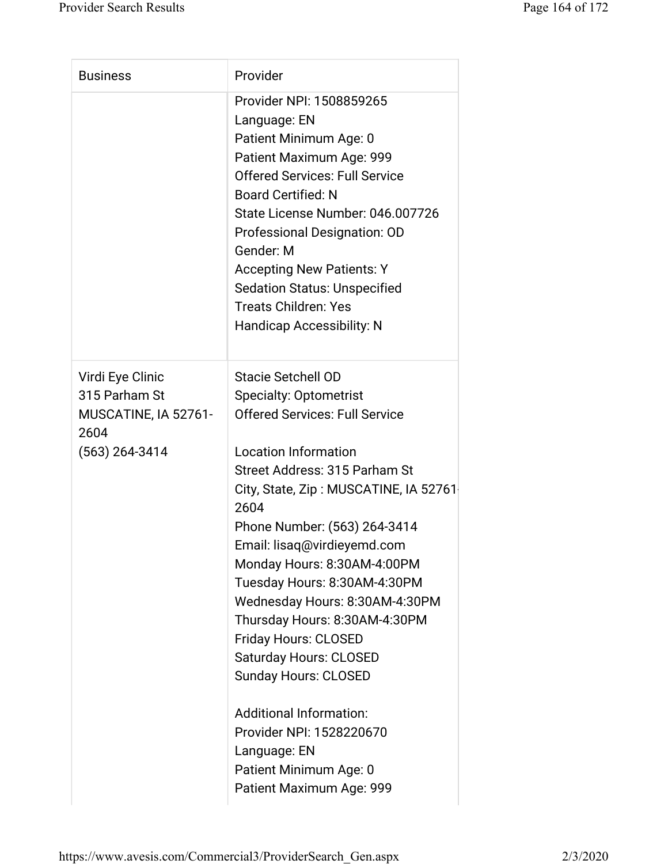| <b>Business</b>                                                                       | Provider                                                                                                                                                                                                                                                                                                                                                                                                                                                                                                                                                                                                                                   |
|---------------------------------------------------------------------------------------|--------------------------------------------------------------------------------------------------------------------------------------------------------------------------------------------------------------------------------------------------------------------------------------------------------------------------------------------------------------------------------------------------------------------------------------------------------------------------------------------------------------------------------------------------------------------------------------------------------------------------------------------|
|                                                                                       | Provider NPI: 1508859265<br>Language: EN<br>Patient Minimum Age: 0<br>Patient Maximum Age: 999<br><b>Offered Services: Full Service</b><br><b>Board Certified: N</b><br>State License Number: 046.007726<br>Professional Designation: OD<br>Gender: M<br><b>Accepting New Patients: Y</b><br><b>Sedation Status: Unspecified</b><br><b>Treats Children: Yes</b><br><b>Handicap Accessibility: N</b>                                                                                                                                                                                                                                        |
| Virdi Eye Clinic<br>315 Parham St<br>MUSCATINE, IA 52761-<br>2604<br>$(563)$ 264-3414 | <b>Stacie Setchell OD</b><br><b>Specialty: Optometrist</b><br><b>Offered Services: Full Service</b><br><b>Location Information</b><br>Street Address: 315 Parham St<br>City, State, Zip: MUSCATINE, IA 52761<br>2604<br>Phone Number: (563) 264-3414<br>Email: lisaq@virdieyemd.com<br>Monday Hours: 8:30AM-4:00PM<br>Tuesday Hours: 8:30AM-4:30PM<br>Wednesday Hours: 8:30AM-4:30PM<br>Thursday Hours: 8:30AM-4:30PM<br>Friday Hours: CLOSED<br>Saturday Hours: CLOSED<br><b>Sunday Hours: CLOSED</b><br><b>Additional Information:</b><br>Provider NPI: 1528220670<br>Language: EN<br>Patient Minimum Age: 0<br>Patient Maximum Age: 999 |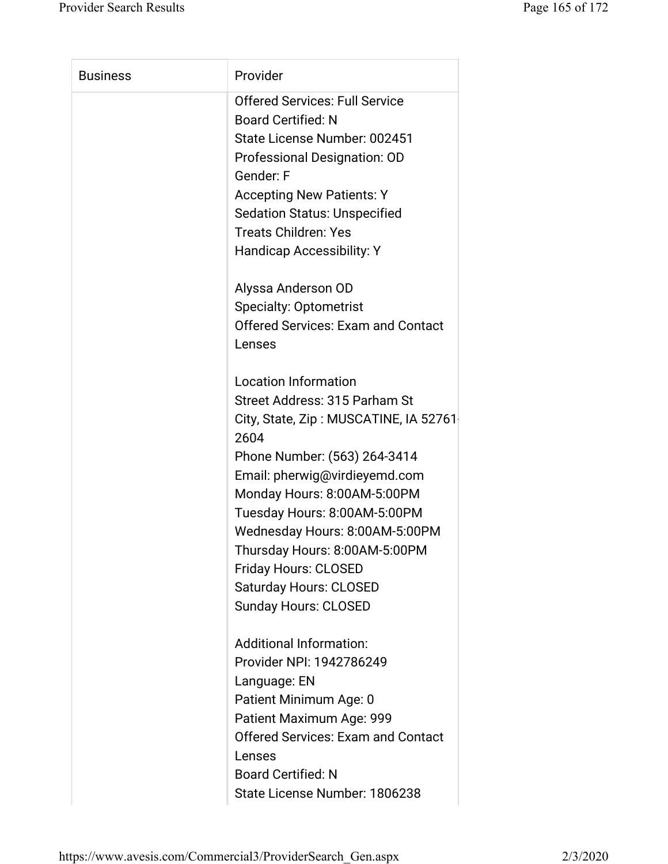| <b>Business</b> | Provider                                  |
|-----------------|-------------------------------------------|
|                 | <b>Offered Services: Full Service</b>     |
|                 | <b>Board Certified: N</b>                 |
|                 | State License Number: 002451              |
|                 | Professional Designation: OD              |
|                 | Gender: F                                 |
|                 | <b>Accepting New Patients: Y</b>          |
|                 | <b>Sedation Status: Unspecified</b>       |
|                 | <b>Treats Children: Yes</b>               |
|                 | Handicap Accessibility: Y                 |
|                 | Alyssa Anderson OD                        |
|                 | <b>Specialty: Optometrist</b>             |
|                 | <b>Offered Services: Exam and Contact</b> |
|                 | Lenses                                    |
|                 |                                           |
|                 | <b>Location Information</b>               |
|                 | Street Address: 315 Parham St             |
|                 | City, State, Zip: MUSCATINE, IA 52761     |
|                 | 2604                                      |
|                 | Phone Number: (563) 264-3414              |
|                 | Email: pherwig@virdieyemd.com             |
|                 | Monday Hours: 8:00AM-5:00PM               |
|                 | Tuesday Hours: 8:00AM-5:00PM              |
|                 | Wednesday Hours: 8:00AM-5:00PM            |
|                 | Thursday Hours: 8:00AM-5:00PM             |
|                 | <b>Friday Hours: CLOSED</b>               |
|                 | <b>Saturday Hours: CLOSED</b>             |
|                 | <b>Sunday Hours: CLOSED</b>               |
|                 |                                           |
|                 | <b>Additional Information:</b>            |
|                 | Provider NPI: 1942786249                  |
|                 | Language: EN                              |
|                 | Patient Minimum Age: 0                    |
|                 | Patient Maximum Age: 999                  |
|                 | <b>Offered Services: Exam and Contact</b> |
|                 | Lenses                                    |
|                 | <b>Board Certified: N</b>                 |
|                 | State License Number: 1806238             |
|                 |                                           |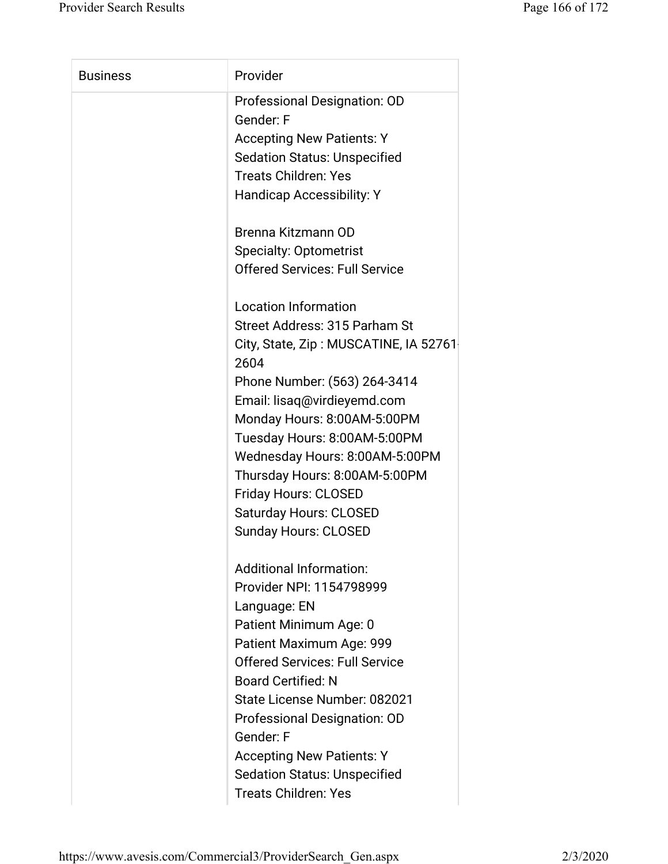| Provider<br><b>Business</b>                   |  |
|-----------------------------------------------|--|
| Professional Designation: OD                  |  |
| Gender: F                                     |  |
| <b>Accepting New Patients: Y</b>              |  |
| <b>Sedation Status: Unspecified</b>           |  |
| <b>Treats Children: Yes</b>                   |  |
| <b>Handicap Accessibility: Y</b>              |  |
| Brenna Kitzmann OD                            |  |
| <b>Specialty: Optometrist</b>                 |  |
| <b>Offered Services: Full Service</b>         |  |
| <b>Location Information</b>                   |  |
| Street Address: 315 Parham St                 |  |
| City, State, Zip: MUSCATINE, IA 52761<br>2604 |  |
| Phone Number: (563) 264-3414                  |  |
| Email: lisaq@virdieyemd.com                   |  |
| Monday Hours: 8:00AM-5:00PM                   |  |
| Tuesday Hours: 8:00AM-5:00PM                  |  |
| Wednesday Hours: 8:00AM-5:00PM                |  |
| Thursday Hours: 8:00AM-5:00PM                 |  |
| <b>Friday Hours: CLOSED</b>                   |  |
| <b>Saturday Hours: CLOSED</b>                 |  |
| <b>Sunday Hours: CLOSED</b>                   |  |
| <b>Additional Information:</b>                |  |
| Provider NPI: 1154798999                      |  |
| Language: EN                                  |  |
| Patient Minimum Age: 0                        |  |
| Patient Maximum Age: 999                      |  |
| <b>Offered Services: Full Service</b>         |  |
| <b>Board Certified: N</b>                     |  |
| State License Number: 082021                  |  |
|                                               |  |
|                                               |  |
| Professional Designation: OD<br>Gender: F     |  |
| <b>Accepting New Patients: Y</b>              |  |
| <b>Sedation Status: Unspecified</b>           |  |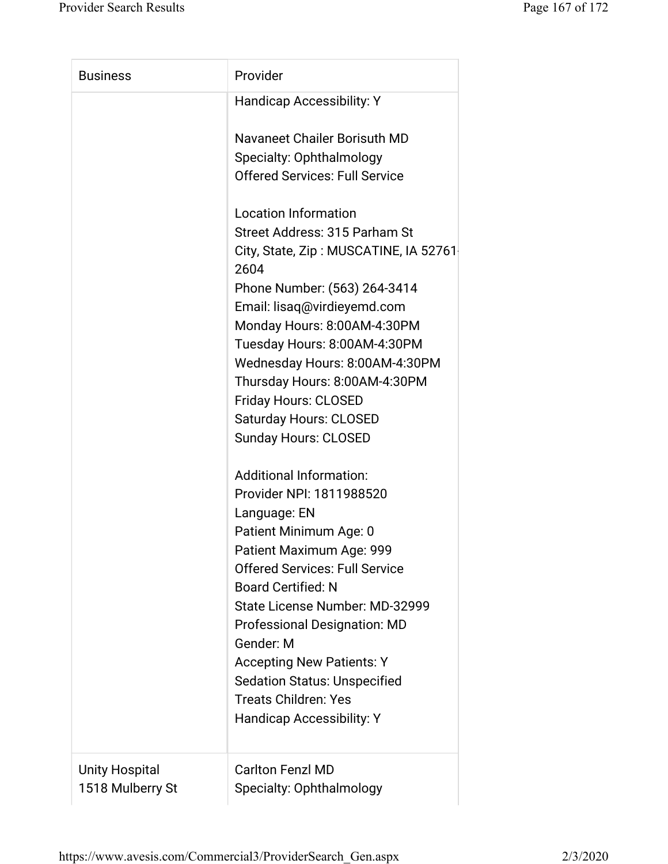| <b>Business</b> | Provider                                      |
|-----------------|-----------------------------------------------|
|                 | <b>Handicap Accessibility: Y</b>              |
|                 | Navaneet Chailer Borisuth MD                  |
|                 | Specialty: Ophthalmology                      |
|                 | <b>Offered Services: Full Service</b>         |
|                 | <b>Location Information</b>                   |
|                 | Street Address: 315 Parham St                 |
|                 | City, State, Zip: MUSCATINE, IA 52761<br>2604 |
|                 | Phone Number: (563) 264-3414                  |
|                 | Email: lisaq@virdieyemd.com                   |
|                 | Monday Hours: 8:00AM-4:30PM                   |
|                 | Tuesday Hours: 8:00AM-4:30PM                  |
|                 | Wednesday Hours: 8:00AM-4:30PM                |
|                 | Thursday Hours: 8:00AM-4:30PM                 |
|                 | <b>Friday Hours: CLOSED</b>                   |
|                 | <b>Saturday Hours: CLOSED</b>                 |
|                 | <b>Sunday Hours: CLOSED</b>                   |
|                 | <b>Additional Information:</b>                |
|                 | Provider NPI: 1811988520                      |
|                 | Language: EN                                  |
|                 | Patient Minimum Age: 0                        |
|                 | Patient Maximum Age: 999                      |
|                 | <b>Offered Services: Full Service</b>         |
|                 | <b>Board Certified: N</b>                     |
|                 | State License Number: MD-32999                |
|                 | <b>Professional Designation: MD</b>           |
|                 | Gender: M                                     |
|                 | <b>Accepting New Patients: Y</b>              |
|                 | <b>Sedation Status: Unspecified</b>           |
|                 | <b>Treats Children: Yes</b>                   |
|                 | <b>Handicap Accessibility: Y</b>              |
|                 |                                               |
| Unity Hospital  | <b>Carlton Fenzl MD</b>                       |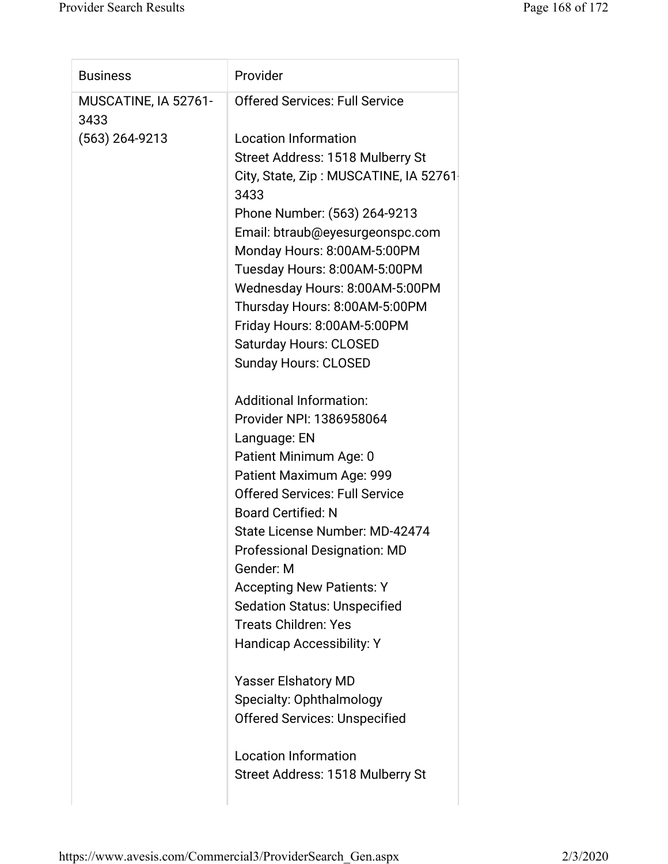| <b>Business</b>              | Provider                                      |
|------------------------------|-----------------------------------------------|
| MUSCATINE, IA 52761-<br>3433 | <b>Offered Services: Full Service</b>         |
| $(563)$ 264-9213             | <b>Location Information</b>                   |
|                              | Street Address: 1518 Mulberry St              |
|                              | City, State, Zip: MUSCATINE, IA 52761<br>3433 |
|                              | Phone Number: (563) 264-9213                  |
|                              | Email: btraub@eyesurgeonspc.com               |
|                              | Monday Hours: 8:00AM-5:00PM                   |
|                              | Tuesday Hours: 8:00AM-5:00PM                  |
|                              | Wednesday Hours: 8:00AM-5:00PM                |
|                              | Thursday Hours: 8:00AM-5:00PM                 |
|                              | Friday Hours: 8:00AM-5:00PM                   |
|                              | <b>Saturday Hours: CLOSED</b>                 |
|                              | <b>Sunday Hours: CLOSED</b>                   |
|                              | <b>Additional Information:</b>                |
|                              | Provider NPI: 1386958064                      |
|                              | Language: EN                                  |
|                              | Patient Minimum Age: 0                        |
|                              | Patient Maximum Age: 999                      |
|                              | <b>Offered Services: Full Service</b>         |
|                              | <b>Board Certified: N</b>                     |
|                              | State License Number: MD-42474                |
|                              | <b>Professional Designation: MD</b>           |
|                              | Gender: M                                     |
|                              | <b>Accepting New Patients: Y</b>              |
|                              | <b>Sedation Status: Unspecified</b>           |
|                              | <b>Treats Children: Yes</b>                   |
|                              | <b>Handicap Accessibility: Y</b>              |
|                              | <b>Yasser Elshatory MD</b>                    |
|                              | Specialty: Ophthalmology                      |
|                              | <b>Offered Services: Unspecified</b>          |
|                              | <b>Location Information</b>                   |
|                              | Street Address: 1518 Mulberry St              |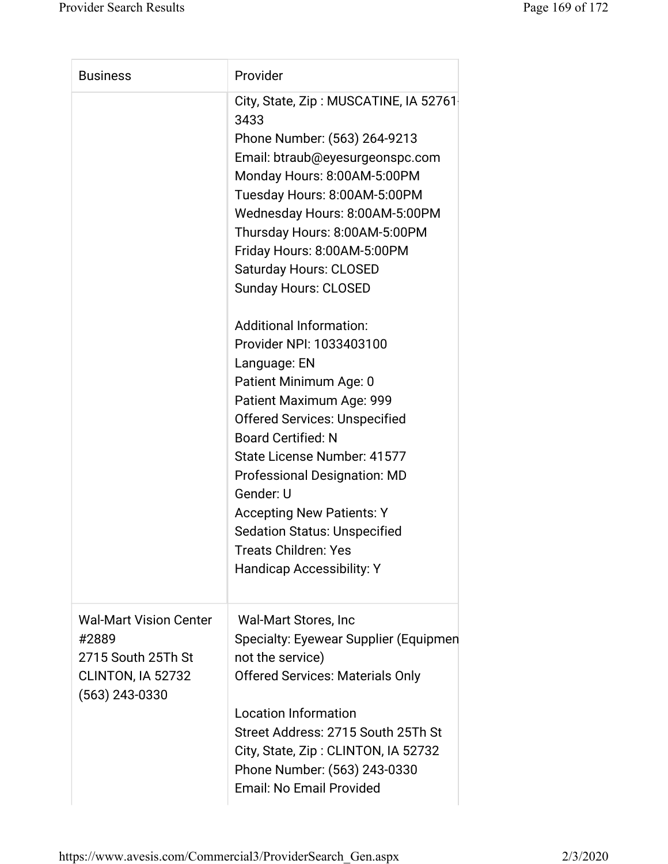| <b>Business</b>                                                                                       | Provider                                                                                                                                                                                                                                                                                                                                                                                                                                                                                                                                                                                                                                                                                                                                                                                    |
|-------------------------------------------------------------------------------------------------------|---------------------------------------------------------------------------------------------------------------------------------------------------------------------------------------------------------------------------------------------------------------------------------------------------------------------------------------------------------------------------------------------------------------------------------------------------------------------------------------------------------------------------------------------------------------------------------------------------------------------------------------------------------------------------------------------------------------------------------------------------------------------------------------------|
|                                                                                                       | City, State, Zip: MUSCATINE, IA 52761<br>3433<br>Phone Number: (563) 264-9213<br>Email: btraub@eyesurgeonspc.com<br>Monday Hours: 8:00AM-5:00PM<br>Tuesday Hours: 8:00AM-5:00PM<br>Wednesday Hours: 8:00AM-5:00PM<br>Thursday Hours: 8:00AM-5:00PM<br>Friday Hours: 8:00AM-5:00PM<br><b>Saturday Hours: CLOSED</b><br><b>Sunday Hours: CLOSED</b><br><b>Additional Information:</b><br>Provider NPI: 1033403100<br>Language: EN<br>Patient Minimum Age: 0<br>Patient Maximum Age: 999<br><b>Offered Services: Unspecified</b><br><b>Board Certified: N</b><br>State License Number: 41577<br><b>Professional Designation: MD</b><br>Gender: U<br><b>Accepting New Patients: Y</b><br><b>Sedation Status: Unspecified</b><br><b>Treats Children: Yes</b><br><b>Handicap Accessibility: Y</b> |
| <b>Wal-Mart Vision Center</b><br>#2889<br>2715 South 25Th St<br>CLINTON, IA 52732<br>$(563)$ 243-0330 | <b>Wal-Mart Stores, Inc.</b><br>Specialty: Eyewear Supplier (Equipmen<br>not the service)<br><b>Offered Services: Materials Only</b>                                                                                                                                                                                                                                                                                                                                                                                                                                                                                                                                                                                                                                                        |
|                                                                                                       | <b>Location Information</b><br>Street Address: 2715 South 25Th St<br>City, State, Zip: CLINTON, IA 52732<br>Phone Number: (563) 243-0330<br><b>Email: No Email Provided</b>                                                                                                                                                                                                                                                                                                                                                                                                                                                                                                                                                                                                                 |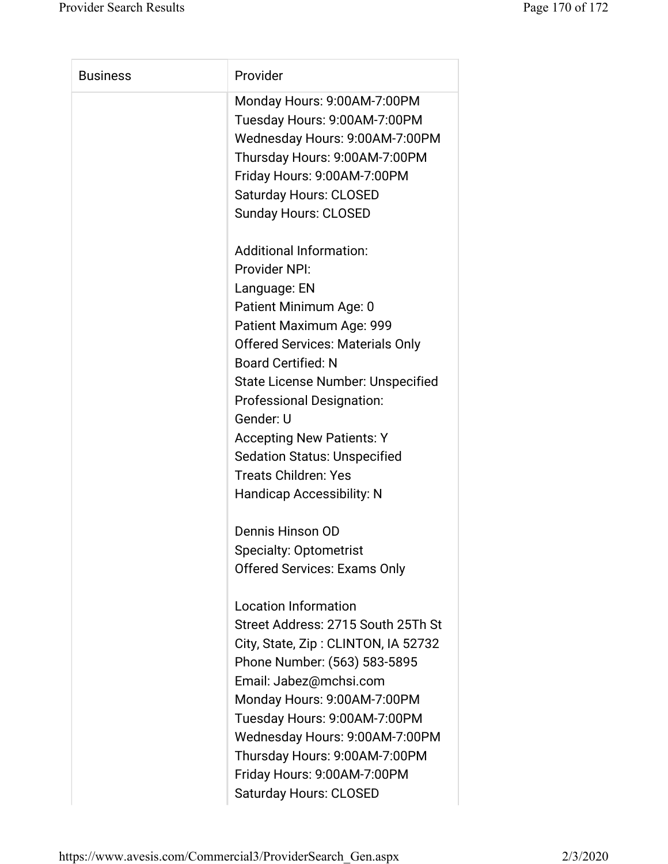| <b>Business</b> | Provider                                |
|-----------------|-----------------------------------------|
|                 | Monday Hours: 9:00AM-7:00PM             |
|                 | Tuesday Hours: 9:00AM-7:00PM            |
|                 | Wednesday Hours: 9:00AM-7:00PM          |
|                 | Thursday Hours: 9:00AM-7:00PM           |
|                 | Friday Hours: 9:00AM-7:00PM             |
|                 | <b>Saturday Hours: CLOSED</b>           |
|                 | <b>Sunday Hours: CLOSED</b>             |
|                 |                                         |
|                 | <b>Additional Information:</b>          |
|                 | Provider NPI:                           |
|                 | Language: EN                            |
|                 | Patient Minimum Age: 0                  |
|                 | Patient Maximum Age: 999                |
|                 | <b>Offered Services: Materials Only</b> |
|                 | <b>Board Certified: N</b>               |
|                 | State License Number: Unspecified       |
|                 | <b>Professional Designation:</b>        |
|                 | Gender: U                               |
|                 | <b>Accepting New Patients: Y</b>        |
|                 | <b>Sedation Status: Unspecified</b>     |
|                 | <b>Treats Children: Yes</b>             |
|                 | <b>Handicap Accessibility: N</b>        |
|                 | Dennis Hinson OD                        |
|                 | <b>Specialty: Optometrist</b>           |
|                 | <b>Offered Services: Exams Only</b>     |
|                 | <b>Location Information</b>             |
|                 | Street Address: 2715 South 25Th St      |
|                 | City, State, Zip: CLINTON, IA 52732     |
|                 | Phone Number: (563) 583-5895            |
|                 | Email: Jabez@mchsi.com                  |
|                 | Monday Hours: 9:00AM-7:00PM             |
|                 | Tuesday Hours: 9:00AM-7:00PM            |
|                 | Wednesday Hours: 9:00AM-7:00PM          |
|                 | Thursday Hours: 9:00AM-7:00PM           |
|                 | Friday Hours: 9:00AM-7:00PM             |
|                 | <b>Saturday Hours: CLOSED</b>           |
|                 |                                         |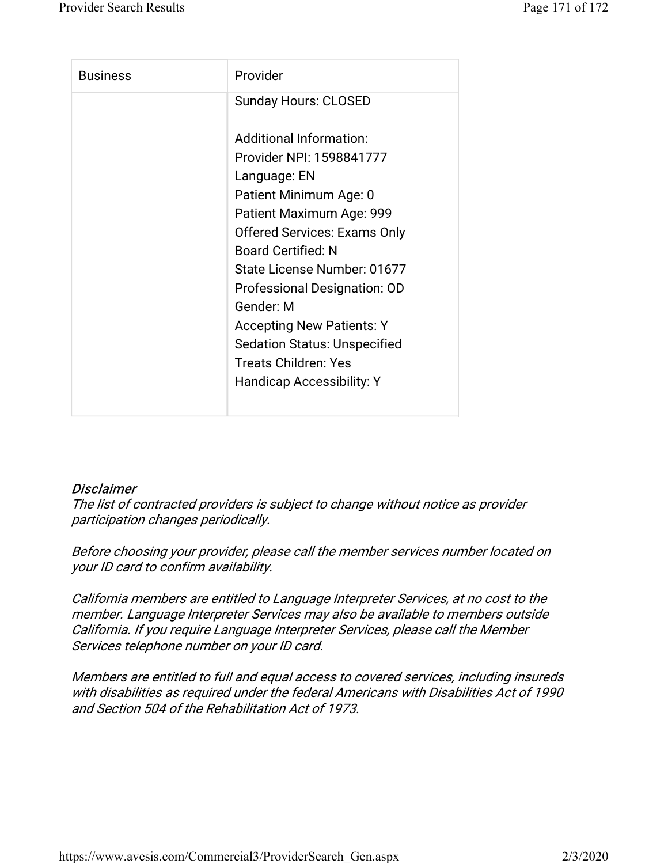| <b>Business</b> | Provider                            |
|-----------------|-------------------------------------|
|                 | <b>Sunday Hours: CLOSED</b>         |
|                 | Additional Information:             |
|                 | Provider NPI: 1598841777            |
|                 | Language: EN                        |
|                 | Patient Minimum Age: 0              |
|                 | Patient Maximum Age: 999            |
|                 | <b>Offered Services: Exams Only</b> |
|                 | <b>Board Certified: N</b>           |
|                 | State License Number: 01677         |
|                 | <b>Professional Designation: OD</b> |
|                 | Gender: M                           |
|                 | <b>Accepting New Patients: Y</b>    |
|                 | <b>Sedation Status: Unspecified</b> |
|                 | <b>Treats Children: Yes</b>         |
|                 | Handicap Accessibility: Y           |
|                 |                                     |

## **Disclaimer**

The list of contracted providers is subject to change without notice as provider participation changes periodically.

Before choosing your provider, please call the member services number located on your ID card to confirm availability.

California members are entitled to Language Interpreter Services, at no cost to the member. Language Interpreter Services may also be available to members outside California. If you require Language Interpreter Services, please call the Member Services telephone number on your ID card.

Members are entitled to full and equal access to covered services, including insureds with disabilities as required under the federal Americans with Disabilities Act of 1990 and Section 504 of the Rehabilitation Act of 1973.